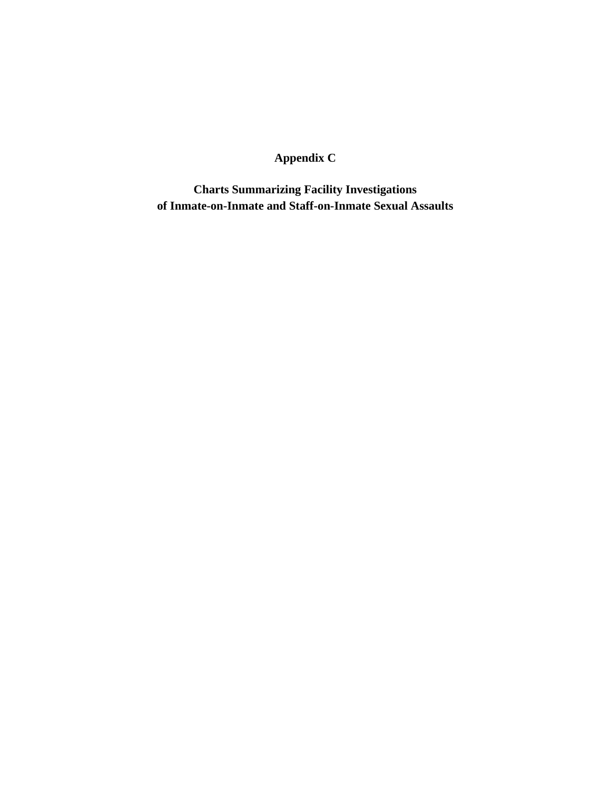#### **Appendix C**

**Charts Summarizing Facility Investigations of Inmate-on-Inmate and Staff-on-Inmate Sexual Assaults**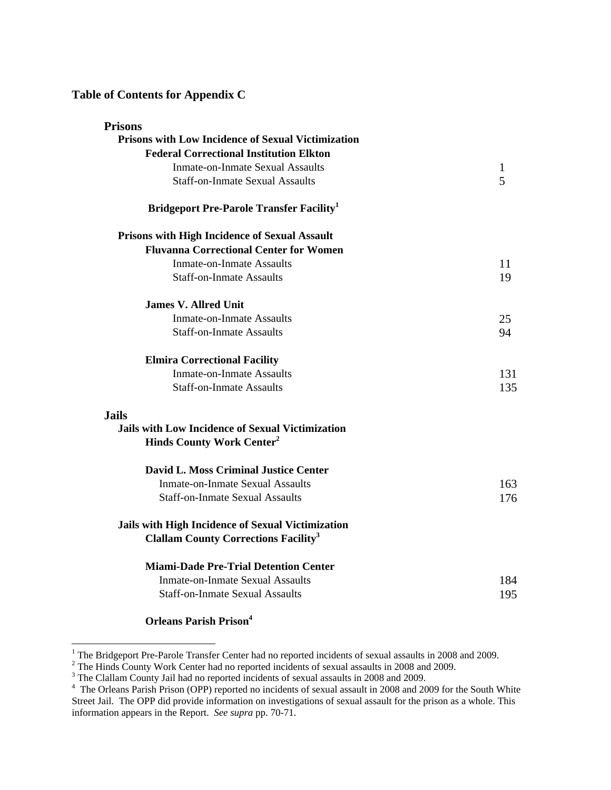#### **Table of Contents for Appendix C**

| <b>Prisons</b>                                            |     |
|-----------------------------------------------------------|-----|
| <b>Prisons with Low Incidence of Sexual Victimization</b> |     |
| <b>Federal Correctional Institution Elkton</b>            |     |
| <b>Inmate-on-Inmate Sexual Assaults</b>                   | 1   |
| <b>Staff-on-Inmate Sexual Assaults</b>                    | 5   |
| <b>Bridgeport Pre-Parole Transfer Facility</b>            |     |
| <b>Prisons with High Incidence of Sexual Assault</b>      |     |
| <b>Fluvanna Correctional Center for Women</b>             |     |
| <b>Inmate-on-Inmate Assaults</b>                          | 11  |
| <b>Staff-on-Inmate Assaults</b>                           | 19  |
| <b>James V. Allred Unit</b>                               |     |
| <b>Inmate-on-Inmate Assaults</b>                          | 25  |
| <b>Staff-on-Inmate Assaults</b>                           | 94  |
| <b>Elmira Correctional Facility</b>                       |     |
| <b>Inmate-on-Inmate Assaults</b>                          | 131 |
| <b>Staff-on-Inmate Assaults</b>                           | 135 |
| <b>Jails</b>                                              |     |
| <b>Jails with Low Incidence of Sexual Victimization</b>   |     |
| <b>Hinds County Work Center<sup>2</sup></b>               |     |
| <b>David L. Moss Criminal Justice Center</b>              |     |
| <b>Inmate-on-Inmate Sexual Assaults</b>                   | 163 |
| <b>Staff-on-Inmate Sexual Assaults</b>                    | 176 |
| Jails with High Incidence of Sexual Victimization         |     |
| <b>Clallam County Corrections Facility<sup>3</sup></b>    |     |
| <b>Miami-Dade Pre-Trial Detention Center</b>              |     |
| <b>Inmate-on-Inmate Sexual Assaults</b>                   | 184 |
| <b>Staff-on-Inmate Sexual Assaults</b>                    | 195 |
|                                                           |     |

**Orleans Parish Prison<sup>4</sup>** 

<span id="page-1-3"></span><span id="page-1-2"></span><span id="page-1-1"></span><span id="page-1-0"></span>

<sup>&</sup>lt;sup>1</sup> The Bridgeport Pre-Parole Transfer Center had no reported incidents of sexual assaults in 2008 and 2009.<br><sup>2</sup> The Hinds County Work Center had no reported incidents of sexual assaults in 2008 and 2009.<br><sup>3</sup> The Clallam Street Jail. The OPP did provide information on investigations of sexual assault for the prison as a whole. This information appears in the Report. *See supra* pp. 70-71.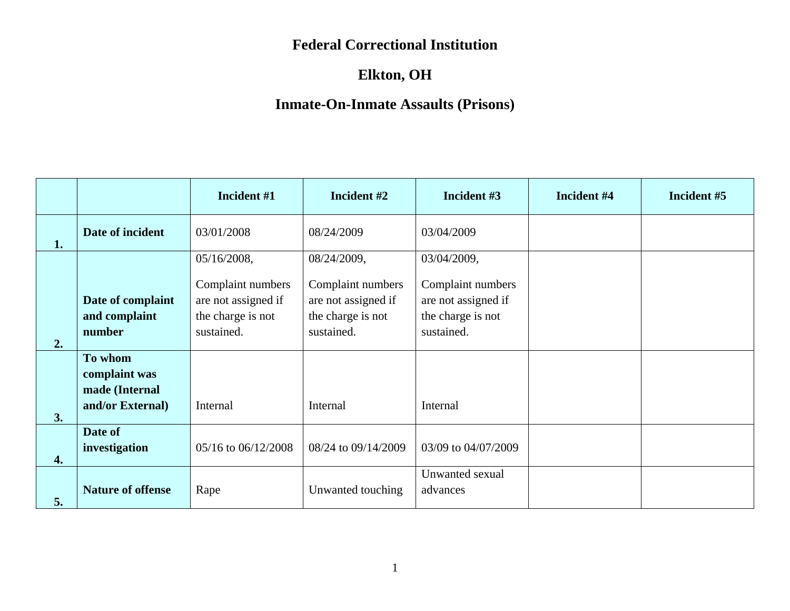# **Elkton, OH**

|                    |                                                                | Incident #1                                                                 | Incident #2                                                                 | Incident #3                                                                 | Incident #4 | Incident #5 |
|--------------------|----------------------------------------------------------------|-----------------------------------------------------------------------------|-----------------------------------------------------------------------------|-----------------------------------------------------------------------------|-------------|-------------|
| 1.                 | Date of incident                                               | 03/01/2008                                                                  | 08/24/2009                                                                  | 03/04/2009                                                                  |             |             |
|                    |                                                                | 05/16/2008,                                                                 | 08/24/2009,                                                                 | 03/04/2009,                                                                 |             |             |
| 2.                 | Date of complaint<br>and complaint<br>number                   | Complaint numbers<br>are not assigned if<br>the charge is not<br>sustained. | Complaint numbers<br>are not assigned if<br>the charge is not<br>sustained. | Complaint numbers<br>are not assigned if<br>the charge is not<br>sustained. |             |             |
| 3.                 | To whom<br>complaint was<br>made (Internal<br>and/or External) | Internal                                                                    | Internal                                                                    | Internal                                                                    |             |             |
| $\boldsymbol{4}$ . | Date of<br>investigation                                       | 05/16 to 06/12/2008                                                         | 08/24 to 09/14/2009                                                         | 03/09 to 04/07/2009                                                         |             |             |
| 5.                 | <b>Nature of offense</b>                                       | Rape                                                                        | Unwanted touching                                                           | Unwanted sexual<br>advances                                                 |             |             |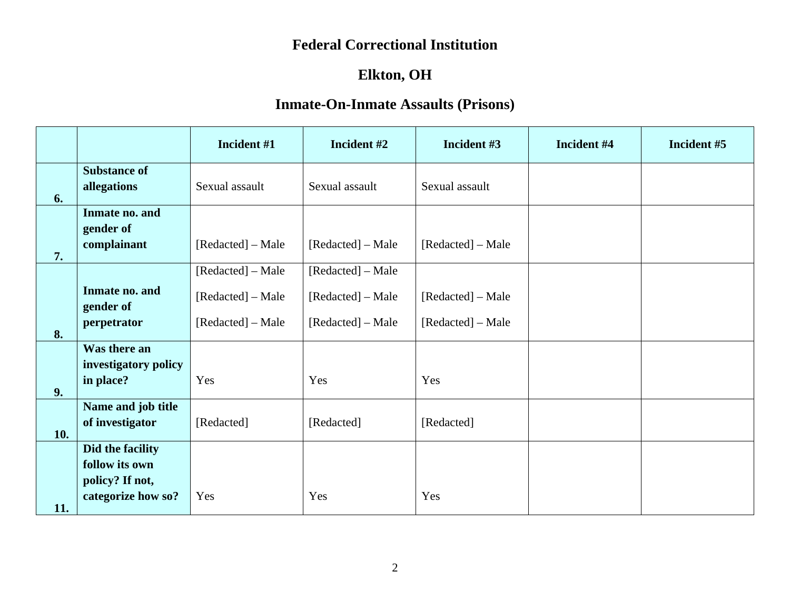# **Elkton, OH**

|     |                                                                             | Incident #1                                                 | Incident #2                                                 | Incident #3                            | Incident #4 | Incident #5 |
|-----|-----------------------------------------------------------------------------|-------------------------------------------------------------|-------------------------------------------------------------|----------------------------------------|-------------|-------------|
| 6.  | <b>Substance of</b><br>allegations                                          | Sexual assault                                              | Sexual assault                                              | Sexual assault                         |             |             |
| 7.  | Inmate no. and<br>gender of<br>complainant                                  | [Redacted] – Male                                           | [Redacted] – Male                                           | [Redacted] – Male                      |             |             |
| 8.  | Inmate no. and<br>gender of<br>perpetrator                                  | [Redacted] – Male<br>[Redacted] – Male<br>[Redacted] – Male | [Redacted] – Male<br>[Redacted] – Male<br>[Redacted] – Male | [Redacted] – Male<br>[Redacted] – Male |             |             |
| 9.  | Was there an<br>investigatory policy<br>in place?                           | Yes                                                         | Yes                                                         | Yes                                    |             |             |
| 10. | Name and job title<br>of investigator                                       | [Redacted]                                                  | [Redacted]                                                  | [Redacted]                             |             |             |
| 11. | Did the facility<br>follow its own<br>policy? If not,<br>categorize how so? | Yes                                                         | Yes                                                         | Yes                                    |             |             |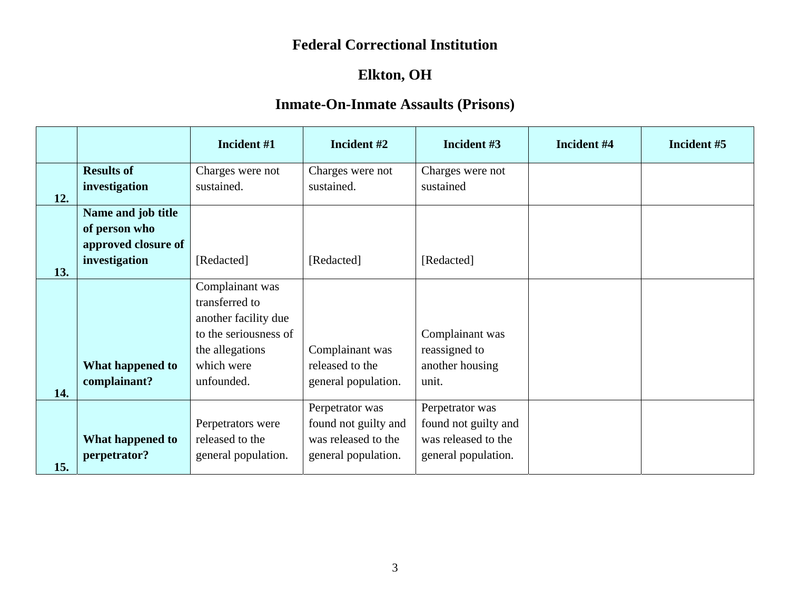# **Elkton, OH**

|     |                     | Incident #1           | Incident #2          | Incident #3          | Incident #4 | Incident #5 |
|-----|---------------------|-----------------------|----------------------|----------------------|-------------|-------------|
|     | <b>Results of</b>   | Charges were not      | Charges were not     | Charges were not     |             |             |
| 12. | investigation       | sustained.            | sustained.           | sustained            |             |             |
|     | Name and job title  |                       |                      |                      |             |             |
|     | of person who       |                       |                      |                      |             |             |
|     | approved closure of |                       |                      |                      |             |             |
|     | investigation       | [Redacted]            | [Redacted]           | [Redacted]           |             |             |
| 13. |                     |                       |                      |                      |             |             |
|     |                     | Complainant was       |                      |                      |             |             |
|     |                     | transferred to        |                      |                      |             |             |
|     |                     | another facility due  |                      |                      |             |             |
|     |                     | to the seriousness of |                      | Complainant was      |             |             |
|     |                     | the allegations       | Complainant was      | reassigned to        |             |             |
|     | What happened to    | which were            | released to the      | another housing      |             |             |
| 14. | complainant?        | unfounded.            | general population.  | unit.                |             |             |
|     |                     |                       | Perpetrator was      | Perpetrator was      |             |             |
|     |                     | Perpetrators were     | found not guilty and | found not guilty and |             |             |
|     | What happened to    | released to the       | was released to the  | was released to the  |             |             |
|     | perpetrator?        | general population.   | general population.  | general population.  |             |             |
| 15. |                     |                       |                      |                      |             |             |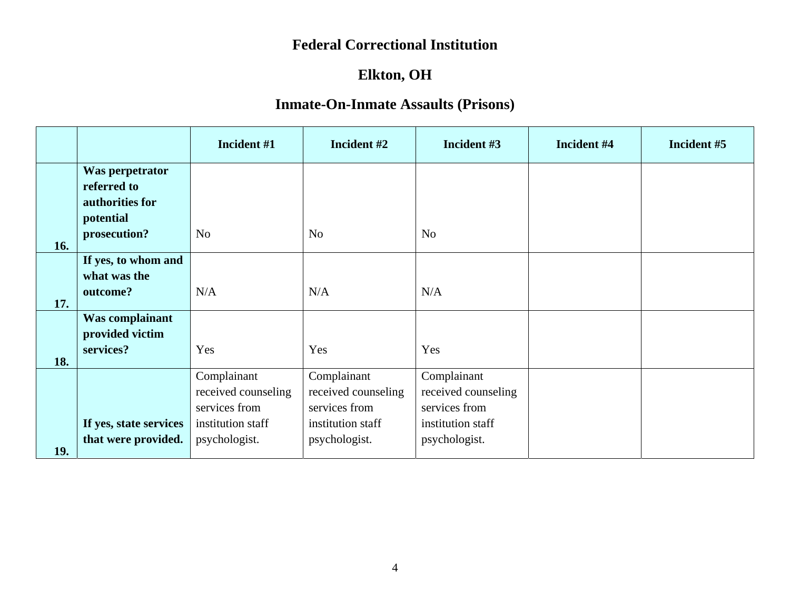# **Elkton, OH**

|     |                                | Incident #1         | Incident #2         | Incident #3         | Incident #4 | Incident #5 |
|-----|--------------------------------|---------------------|---------------------|---------------------|-------------|-------------|
|     | Was perpetrator                |                     |                     |                     |             |             |
|     | referred to<br>authorities for |                     |                     |                     |             |             |
|     | potential                      |                     |                     |                     |             |             |
| 16. | prosecution?                   | N <sub>o</sub>      | N <sub>o</sub>      | N <sub>o</sub>      |             |             |
|     | If yes, to whom and            |                     |                     |                     |             |             |
|     | what was the                   |                     |                     |                     |             |             |
| 17. | outcome?                       | N/A                 | N/A                 | N/A                 |             |             |
|     | Was complainant                |                     |                     |                     |             |             |
|     | provided victim                |                     |                     |                     |             |             |
| 18. | services?                      | Yes                 | Yes                 | Yes                 |             |             |
|     |                                | Complainant         | Complainant         | Complainant         |             |             |
|     |                                | received counseling | received counseling | received counseling |             |             |
|     |                                | services from       | services from       | services from       |             |             |
|     | If yes, state services         | institution staff   | institution staff   | institution staff   |             |             |
| 19. | that were provided.            | psychologist.       | psychologist.       | psychologist.       |             |             |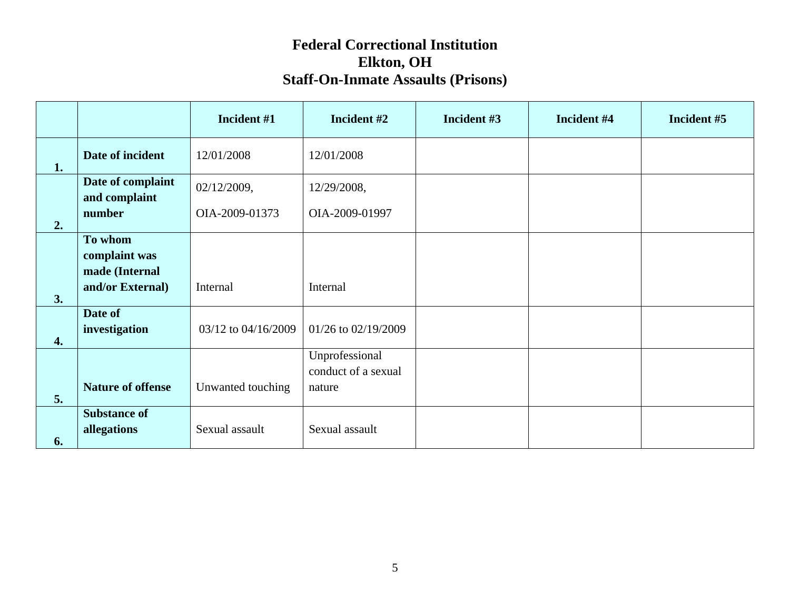|                        |                                                                | Incident #1         | Incident #2                                     | Incident #3 | Incident #4 | Incident #5 |
|------------------------|----------------------------------------------------------------|---------------------|-------------------------------------------------|-------------|-------------|-------------|
| 1.                     | Date of incident                                               | 12/01/2008          | 12/01/2008                                      |             |             |             |
|                        | Date of complaint<br>and complaint                             | 02/12/2009,         | 12/29/2008,                                     |             |             |             |
| 2.                     | number                                                         | OIA-2009-01373      | OIA-2009-01997                                  |             |             |             |
|                        | To whom<br>complaint was<br>made (Internal<br>and/or External) | Internal            | Internal                                        |             |             |             |
| 3.<br>$\overline{4}$ . | Date of<br>investigation                                       | 03/12 to 04/16/2009 | 01/26 to 02/19/2009                             |             |             |             |
| 5.                     | <b>Nature of offense</b>                                       | Unwanted touching   | Unprofessional<br>conduct of a sexual<br>nature |             |             |             |
| 6.                     | <b>Substance of</b><br>allegations                             | Sexual assault      | Sexual assault                                  |             |             |             |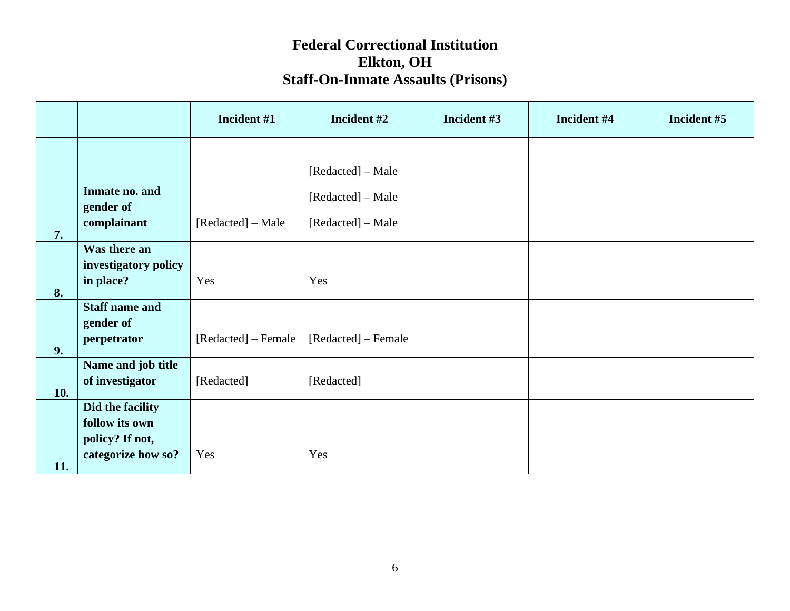|     |                                                                             | Incident #1         | Incident #2                                                 | Incident #3 | Incident #4 | Incident #5 |
|-----|-----------------------------------------------------------------------------|---------------------|-------------------------------------------------------------|-------------|-------------|-------------|
| 7.  | Inmate no. and<br>gender of<br>complainant                                  | [Redacted] – Male   | [Redacted] – Male<br>[Redacted] – Male<br>[Redacted] – Male |             |             |             |
| 8.  | Was there an<br>investigatory policy<br>in place?                           | Yes                 | Yes                                                         |             |             |             |
| 9.  | <b>Staff name and</b><br>gender of<br>perpetrator                           | [Redacted] – Female | [Redacted] – Female                                         |             |             |             |
| 10. | Name and job title<br>of investigator                                       | [Redacted]          | [Redacted]                                                  |             |             |             |
| 11. | Did the facility<br>follow its own<br>policy? If not,<br>categorize how so? | Yes                 | Yes                                                         |             |             |             |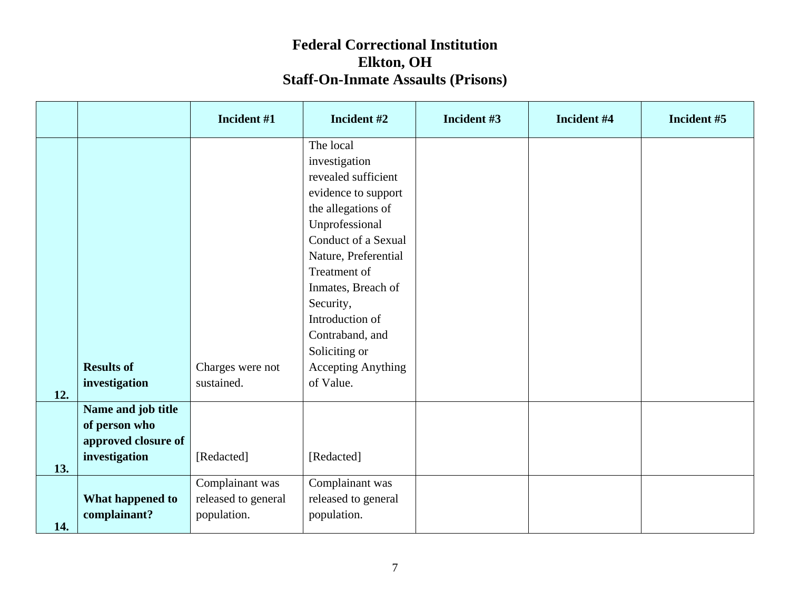|     |                     | Incident #1         | Incident #2               | Incident #3 | Incident #4 | Incident #5 |
|-----|---------------------|---------------------|---------------------------|-------------|-------------|-------------|
|     |                     |                     | The local                 |             |             |             |
|     |                     |                     | investigation             |             |             |             |
|     |                     |                     | revealed sufficient       |             |             |             |
|     |                     |                     | evidence to support       |             |             |             |
|     |                     |                     | the allegations of        |             |             |             |
|     |                     |                     | Unprofessional            |             |             |             |
|     |                     |                     | Conduct of a Sexual       |             |             |             |
|     |                     |                     | Nature, Preferential      |             |             |             |
|     |                     |                     | Treatment of              |             |             |             |
|     |                     |                     | Inmates, Breach of        |             |             |             |
|     |                     |                     | Security,                 |             |             |             |
|     |                     |                     | Introduction of           |             |             |             |
|     |                     |                     | Contraband, and           |             |             |             |
|     |                     |                     | Soliciting or             |             |             |             |
|     | <b>Results of</b>   | Charges were not    | <b>Accepting Anything</b> |             |             |             |
| 12. | investigation       | sustained.          | of Value.                 |             |             |             |
|     | Name and job title  |                     |                           |             |             |             |
|     | of person who       |                     |                           |             |             |             |
|     | approved closure of |                     |                           |             |             |             |
| 13. | investigation       | [Redacted]          | [Redacted]                |             |             |             |
|     |                     | Complainant was     | Complainant was           |             |             |             |
|     | What happened to    | released to general | released to general       |             |             |             |
|     | complainant?        | population.         | population.               |             |             |             |
| 14. |                     |                     |                           |             |             |             |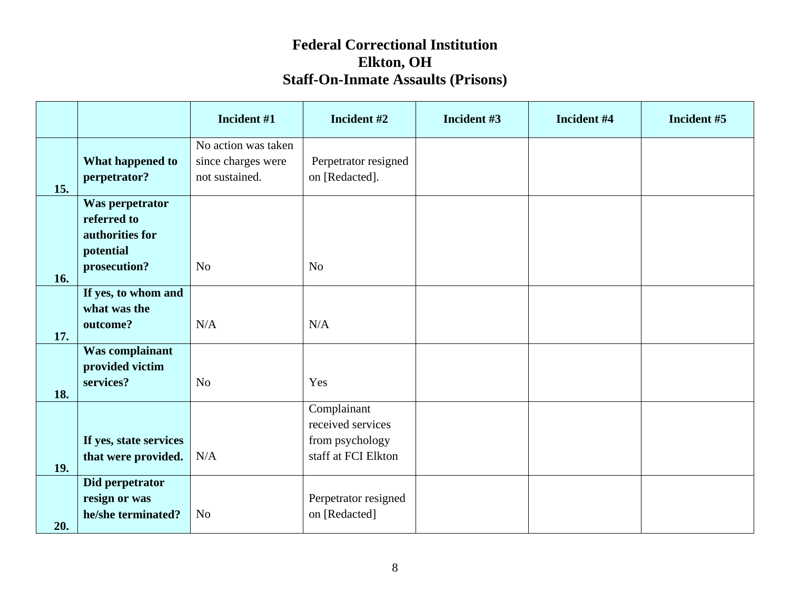|            |                                                                                | Incident #1                                                 | Incident #2                                                                | Incident #3 | Incident #4 | Incident #5 |
|------------|--------------------------------------------------------------------------------|-------------------------------------------------------------|----------------------------------------------------------------------------|-------------|-------------|-------------|
| 15.        | What happened to<br>perpetrator?                                               | No action was taken<br>since charges were<br>not sustained. | Perpetrator resigned<br>on [Redacted].                                     |             |             |             |
| 16.        | Was perpetrator<br>referred to<br>authorities for<br>potential<br>prosecution? | N <sub>o</sub>                                              | N <sub>o</sub>                                                             |             |             |             |
| 17.        | If yes, to whom and<br>what was the<br>outcome?                                | N/A                                                         | N/A                                                                        |             |             |             |
| 18.        | Was complainant<br>provided victim<br>services?                                | N <sub>o</sub>                                              | Yes                                                                        |             |             |             |
| <b>19.</b> | If yes, state services<br>that were provided.                                  | N/A                                                         | Complainant<br>received services<br>from psychology<br>staff at FCI Elkton |             |             |             |
| 20.        | Did perpetrator<br>resign or was<br>he/she terminated?                         | N <sub>o</sub>                                              | Perpetrator resigned<br>on [Redacted]                                      |             |             |             |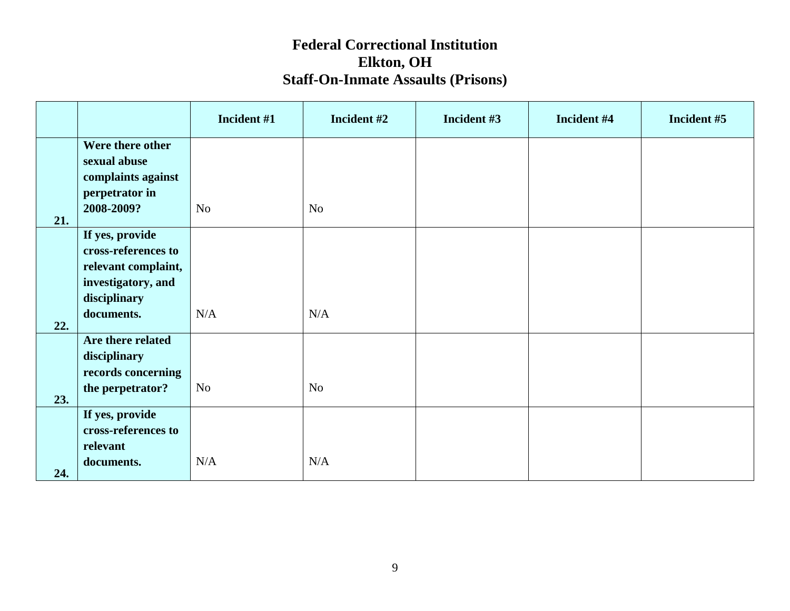|     |                                    | Incident #1    | Incident #2 | Incident #3 | Incident #4 | Incident #5 |
|-----|------------------------------------|----------------|-------------|-------------|-------------|-------------|
|     | Were there other                   |                |             |             |             |             |
|     | sexual abuse<br>complaints against |                |             |             |             |             |
|     | perpetrator in                     |                |             |             |             |             |
| 21. | 2008-2009?                         | No             | No          |             |             |             |
|     | If yes, provide                    |                |             |             |             |             |
|     | cross-references to                |                |             |             |             |             |
|     | relevant complaint,                |                |             |             |             |             |
|     | investigatory, and<br>disciplinary |                |             |             |             |             |
|     | documents.                         | $\rm N/A$      | N/A         |             |             |             |
| 22. |                                    |                |             |             |             |             |
|     | Are there related<br>disciplinary  |                |             |             |             |             |
|     | records concerning                 |                |             |             |             |             |
|     | the perpetrator?                   | N <sub>o</sub> | No          |             |             |             |
| 23. | If yes, provide                    |                |             |             |             |             |
|     | cross-references to                |                |             |             |             |             |
|     | relevant                           |                |             |             |             |             |
| 24. | documents.                         | N/A            | N/A         |             |             |             |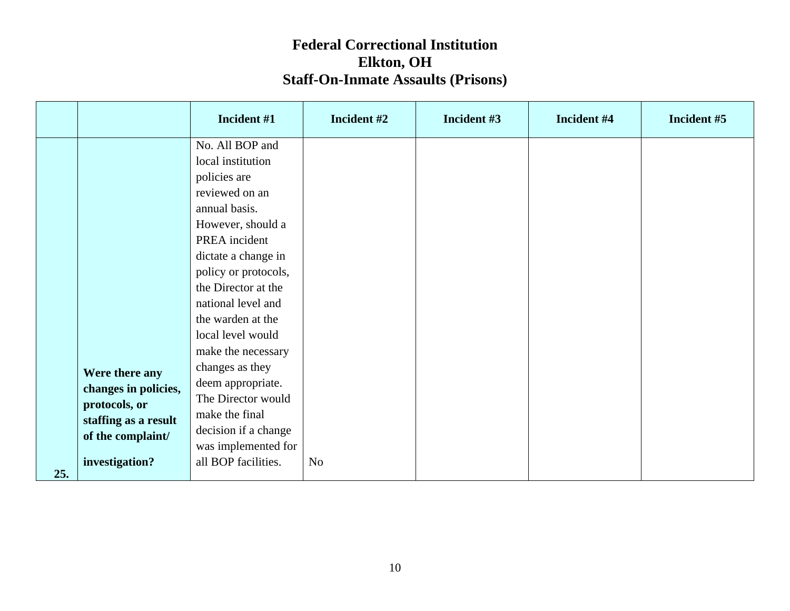|     |                                                                                                      | Incident #1                                                                                                                                                                                                                                                                                                                                                                                                              | Incident #2    | Incident #3 | Incident #4 | Incident #5 |
|-----|------------------------------------------------------------------------------------------------------|--------------------------------------------------------------------------------------------------------------------------------------------------------------------------------------------------------------------------------------------------------------------------------------------------------------------------------------------------------------------------------------------------------------------------|----------------|-------------|-------------|-------------|
|     | Were there any<br>changes in policies,<br>protocols, or<br>staffing as a result<br>of the complaint/ | No. All BOP and<br>local institution<br>policies are<br>reviewed on an<br>annual basis.<br>However, should a<br>PREA incident<br>dictate a change in<br>policy or protocols,<br>the Director at the<br>national level and<br>the warden at the<br>local level would<br>make the necessary<br>changes as they<br>deem appropriate.<br>The Director would<br>make the final<br>decision if a change<br>was implemented for |                |             |             |             |
| 25. | investigation?                                                                                       | all BOP facilities.                                                                                                                                                                                                                                                                                                                                                                                                      | N <sub>o</sub> |             |             |             |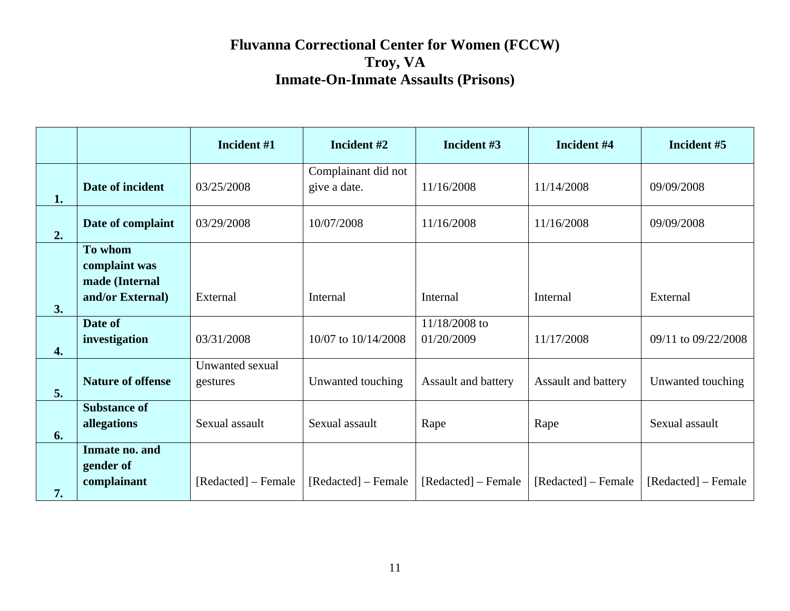|    |                                                                | Incident #1                 | Incident #2                         | Incident #3                 | Incident #4         | Incident #5         |
|----|----------------------------------------------------------------|-----------------------------|-------------------------------------|-----------------------------|---------------------|---------------------|
| 1. | Date of incident                                               | 03/25/2008                  | Complainant did not<br>give a date. | 11/16/2008                  | 11/14/2008          | 09/09/2008          |
| 2. | Date of complaint                                              | 03/29/2008                  | 10/07/2008                          | 11/16/2008                  | 11/16/2008          | 09/09/2008          |
| 3. | To whom<br>complaint was<br>made (Internal<br>and/or External) | External                    | Internal                            | Internal                    | Internal            | External            |
| 4. | Date of<br>investigation                                       | 03/31/2008                  | 10/07 to 10/14/2008                 | 11/18/2008 to<br>01/20/2009 | 11/17/2008          | 09/11 to 09/22/2008 |
| 5. | <b>Nature of offense</b>                                       | Unwanted sexual<br>gestures | Unwanted touching                   | <b>Assault and battery</b>  | Assault and battery | Unwanted touching   |
| 6. | <b>Substance of</b><br>allegations                             | Sexual assault              | Sexual assault                      | Rape                        | Rape                | Sexual assault      |
| 7. | Inmate no. and<br>gender of<br>complainant                     | [Redacted] – Female         | [Redacted] – Female                 | [Redacted] – Female         | [Redacted] – Female | [Redacted] – Female |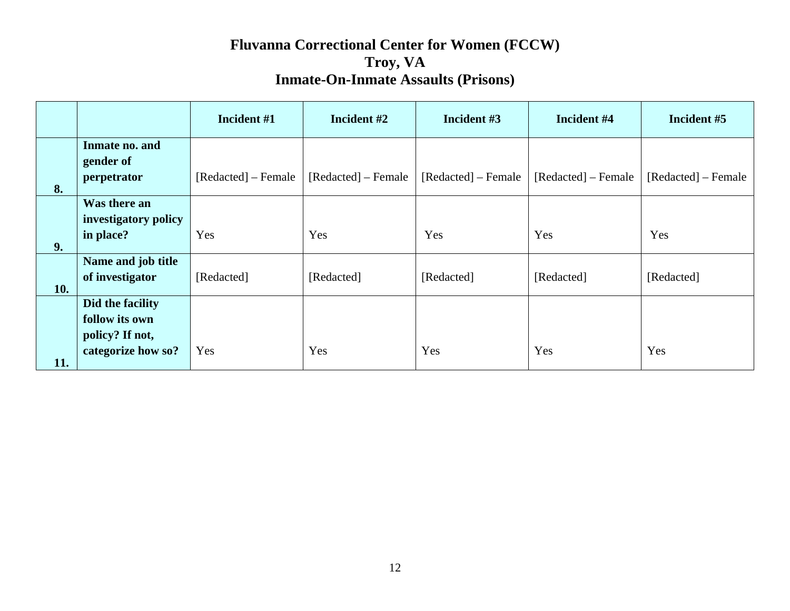|     |                                                                             | Incident #1         | Incident #2         | Incident #3         | Incident #4         | Incident #5         |
|-----|-----------------------------------------------------------------------------|---------------------|---------------------|---------------------|---------------------|---------------------|
| 8.  | Inmate no. and<br>gender of<br>perpetrator                                  | [Redacted] – Female | [Redacted] – Female | [Redacted] – Female | [Redacted] – Female | [Redacted] – Female |
| 9.  | Was there an<br>investigatory policy<br>in place?                           | Yes                 | Yes                 | Yes                 | Yes                 | Yes                 |
| 10. | Name and job title<br>of investigator                                       | [Redacted]          | [Redacted]          | [Redacted]          | [Redacted]          | [Redacted]          |
| 11. | Did the facility<br>follow its own<br>policy? If not,<br>categorize how so? | Yes                 | Yes                 | Yes                 | Yes                 | Yes                 |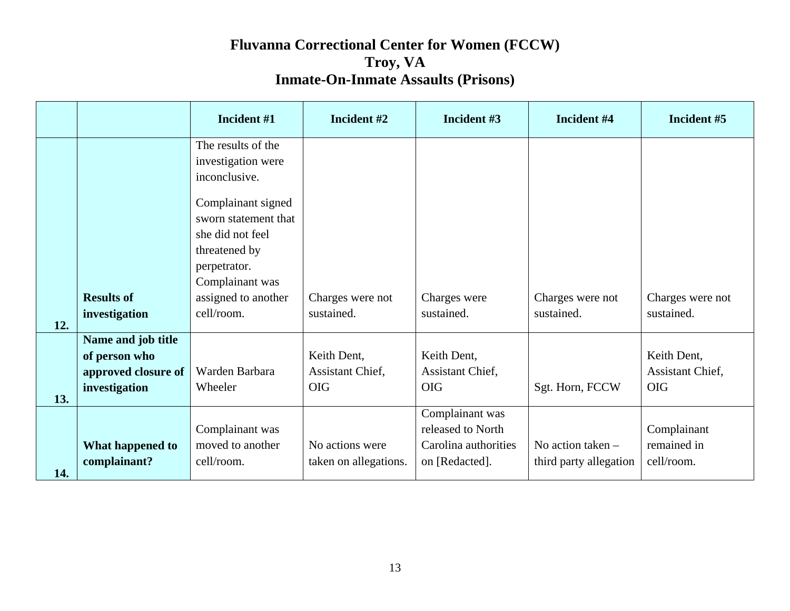|     |                     | Incident #1                              | Incident #2           | Incident #3          | Incident #4            | Incident #5      |
|-----|---------------------|------------------------------------------|-----------------------|----------------------|------------------------|------------------|
|     |                     | The results of the<br>investigation were |                       |                      |                        |                  |
|     |                     | inconclusive.                            |                       |                      |                        |                  |
|     |                     | Complainant signed                       |                       |                      |                        |                  |
|     |                     | sworn statement that<br>she did not feel |                       |                      |                        |                  |
|     |                     | threatened by                            |                       |                      |                        |                  |
|     |                     | perpetrator.                             |                       |                      |                        |                  |
|     |                     | Complainant was                          |                       |                      |                        |                  |
|     | <b>Results of</b>   | assigned to another                      | Charges were not      | Charges were         | Charges were not       | Charges were not |
| 12. | investigation       | cell/room.                               | sustained.            | sustained.           | sustained.             | sustained.       |
|     | Name and job title  |                                          |                       |                      |                        |                  |
|     | of person who       |                                          | Keith Dent,           | Keith Dent,          |                        | Keith Dent,      |
|     | approved closure of | Warden Barbara                           | Assistant Chief,      | Assistant Chief,     |                        | Assistant Chief, |
| 13. | investigation       | Wheeler                                  | <b>OIG</b>            | <b>OIG</b>           | Sgt. Horn, FCCW        | <b>OIG</b>       |
|     |                     |                                          |                       | Complainant was      |                        |                  |
|     |                     | Complainant was                          |                       | released to North    |                        | Complainant      |
|     | What happened to    | moved to another                         | No actions were       | Carolina authorities | No action taken $-$    | remained in      |
| 14. | complainant?        | cell/room.                               | taken on allegations. | on [Redacted].       | third party allegation | cell/room.       |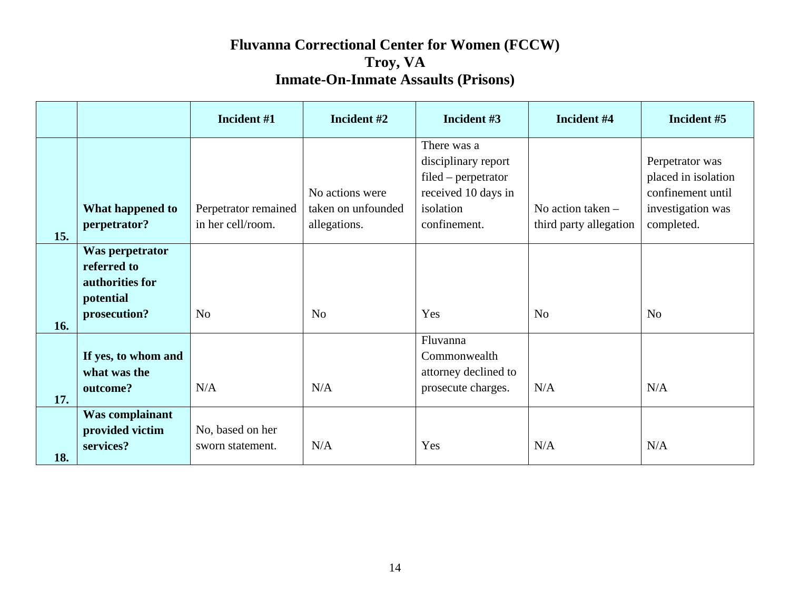|            |                                                                                | Incident #1                               | Incident #2                                           | Incident #3                                                                                                     | Incident #4                                 | Incident #5                                                                                    |
|------------|--------------------------------------------------------------------------------|-------------------------------------------|-------------------------------------------------------|-----------------------------------------------------------------------------------------------------------------|---------------------------------------------|------------------------------------------------------------------------------------------------|
|            | What happened to<br>perpetrator?                                               | Perpetrator remained<br>in her cell/room. | No actions were<br>taken on unfounded<br>allegations. | There was a<br>disciplinary report<br>$filed - perpetrator$<br>received 10 days in<br>isolation<br>confinement. | No action taken -<br>third party allegation | Perpetrator was<br>placed in isolation<br>confinement until<br>investigation was<br>completed. |
| 15.<br>16. | Was perpetrator<br>referred to<br>authorities for<br>potential<br>prosecution? | N <sub>0</sub>                            | N <sub>0</sub>                                        | Yes                                                                                                             | N <sub>o</sub>                              | N <sub>o</sub>                                                                                 |
| 17.        | If yes, to whom and<br>what was the<br>outcome?                                | N/A                                       | N/A                                                   | Fluvanna<br>Commonwealth<br>attorney declined to<br>prosecute charges.                                          | N/A                                         | N/A                                                                                            |
| 18.        | Was complainant<br>provided victim<br>services?                                | No, based on her<br>sworn statement.      | N/A                                                   | Yes                                                                                                             | N/A                                         | N/A                                                                                            |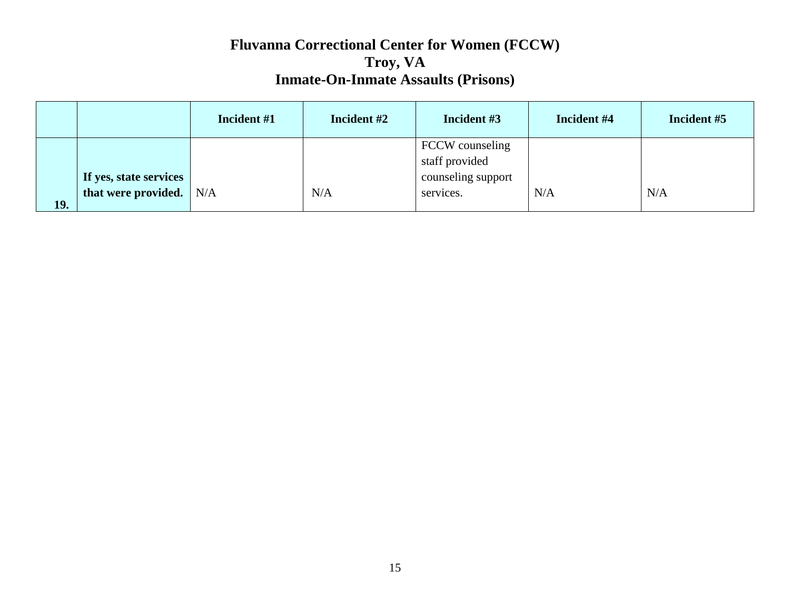|            |                           | Incident #1 | Incident #2 | Incident #3        | Incident #4 | Incident #5 |
|------------|---------------------------|-------------|-------------|--------------------|-------------|-------------|
|            |                           |             |             | FCCW counseling    |             |             |
|            |                           |             |             | staff provided     |             |             |
|            | If yes, state services    |             |             | counseling support |             |             |
|            | that were provided. $N/A$ |             | N/A         | services.          | N/A         | N/A         |
| <b>19.</b> |                           |             |             |                    |             |             |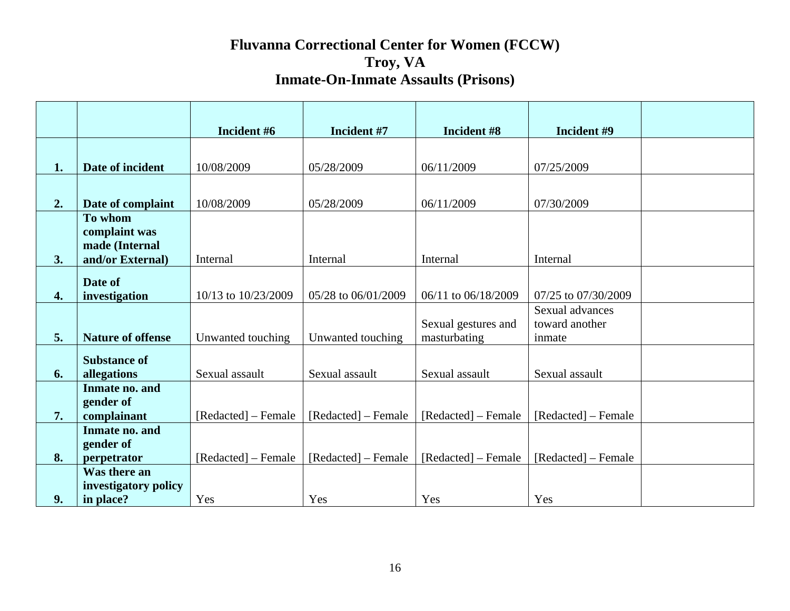|    |                                 | Incident #6         | Incident #7         | Incident #8         | Incident #9         |  |
|----|---------------------------------|---------------------|---------------------|---------------------|---------------------|--|
|    |                                 |                     |                     |                     |                     |  |
| 1. | Date of incident                | 10/08/2009          | 05/28/2009          | 06/11/2009          | 07/25/2009          |  |
|    |                                 |                     |                     |                     |                     |  |
| 2. | Date of complaint               | 10/08/2009          | 05/28/2009          | 06/11/2009          | 07/30/2009          |  |
|    | To whom                         |                     |                     |                     |                     |  |
|    | complaint was<br>made (Internal |                     |                     |                     |                     |  |
| 3. | and/or External)                | Internal            | Internal            | Internal            | Internal            |  |
|    |                                 |                     |                     |                     |                     |  |
| 4. | Date of<br>investigation        | 10/13 to 10/23/2009 | 05/28 to 06/01/2009 | 06/11 to 06/18/2009 | 07/25 to 07/30/2009 |  |
|    |                                 |                     |                     |                     | Sexual advances     |  |
|    |                                 |                     |                     | Sexual gestures and | toward another      |  |
| 5. | <b>Nature of offense</b>        | Unwanted touching   | Unwanted touching   | masturbating        | inmate              |  |
|    | <b>Substance of</b>             |                     |                     |                     |                     |  |
| 6. | allegations                     | Sexual assault      | Sexual assault      | Sexual assault      | Sexual assault      |  |
|    | Inmate no. and                  |                     |                     |                     |                     |  |
|    | gender of                       |                     |                     |                     |                     |  |
| 7. | complainant                     | [Redacted] – Female | [Redacted] – Female | [Redacted] – Female | [Redacted] – Female |  |
|    | Inmate no. and<br>gender of     |                     |                     |                     |                     |  |
| 8. | perpetrator                     | [Redacted] – Female | [Redacted] – Female | [Redacted] – Female | [Redacted] – Female |  |
|    | Was there an                    |                     |                     |                     |                     |  |
|    | investigatory policy            |                     |                     |                     |                     |  |
| 9. | in place?                       | Yes                 | Yes                 | Yes                 | Yes                 |  |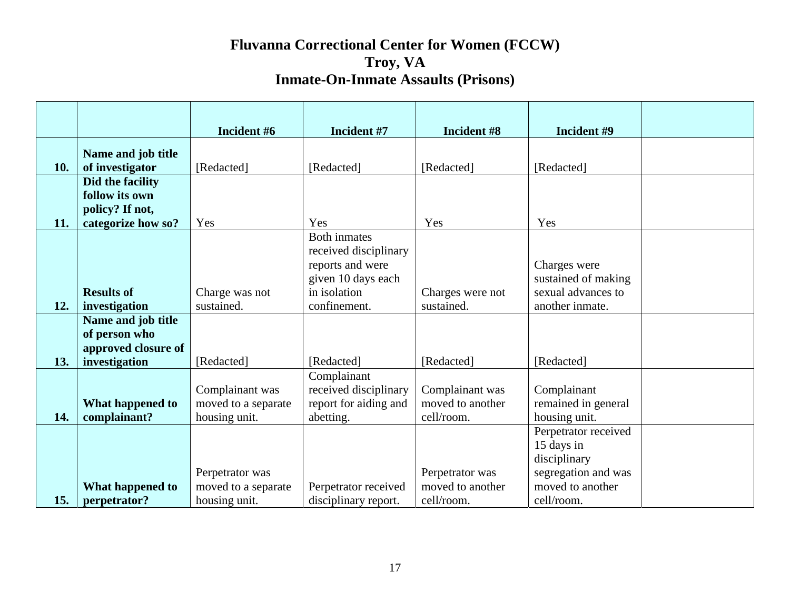|     |                     | Incident #6         | Incident #7           | Incident #8      | Incident #9          |  |
|-----|---------------------|---------------------|-----------------------|------------------|----------------------|--|
|     | Name and job title  |                     |                       |                  |                      |  |
| 10. | of investigator     | [Redacted]          | [Redacted]            | [Redacted]       | [Redacted]           |  |
|     | Did the facility    |                     |                       |                  |                      |  |
|     | follow its own      |                     |                       |                  |                      |  |
|     | policy? If not,     |                     |                       |                  |                      |  |
| 11. | categorize how so?  | Yes                 | Yes                   | Yes              | Yes                  |  |
|     |                     |                     | <b>Both inmates</b>   |                  |                      |  |
|     |                     |                     | received disciplinary |                  |                      |  |
|     |                     |                     | reports and were      |                  | Charges were         |  |
|     |                     |                     | given 10 days each    |                  | sustained of making  |  |
|     | <b>Results of</b>   | Charge was not      | in isolation          | Charges were not | sexual advances to   |  |
| 12. | investigation       | sustained.          | confinement.          | sustained.       | another inmate.      |  |
|     | Name and job title  |                     |                       |                  |                      |  |
|     | of person who       |                     |                       |                  |                      |  |
|     | approved closure of |                     |                       |                  |                      |  |
| 13. | investigation       | [Redacted]          | [Redacted]            | [Redacted]       | [Redacted]           |  |
|     |                     |                     | Complainant           |                  |                      |  |
|     |                     | Complainant was     | received disciplinary | Complainant was  | Complainant          |  |
|     | What happened to    | moved to a separate | report for aiding and | moved to another | remained in general  |  |
| 14. | complainant?        | housing unit.       | abetting.             | cell/room.       | housing unit.        |  |
|     |                     |                     |                       |                  | Perpetrator received |  |
|     |                     |                     |                       |                  | 15 days in           |  |
|     |                     |                     |                       |                  | disciplinary         |  |
|     |                     | Perpetrator was     |                       | Perpetrator was  | segregation and was  |  |
|     | What happened to    | moved to a separate | Perpetrator received  | moved to another | moved to another     |  |
| 15. | perpetrator?        | housing unit.       | disciplinary report.  | cell/room.       | cell/room.           |  |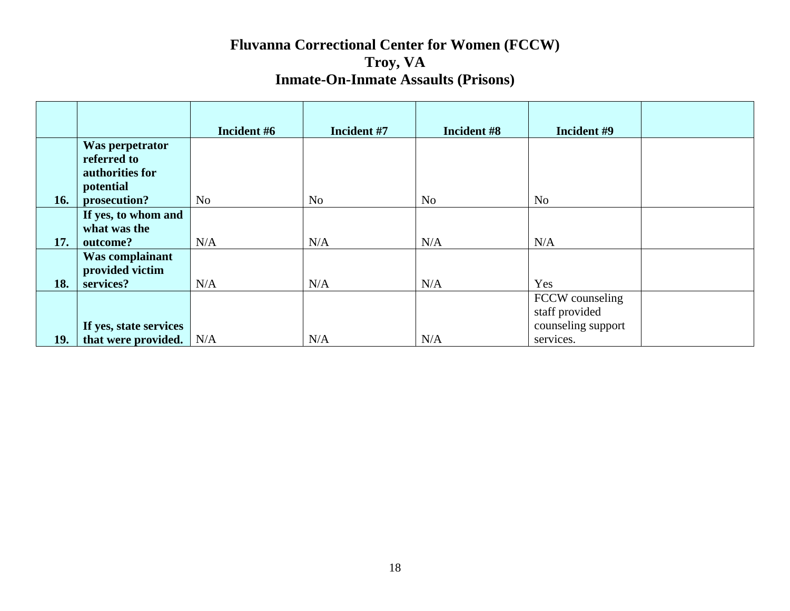|            |                        | Incident #6    | Incident #7    | Incident #8    | Incident #9        |
|------------|------------------------|----------------|----------------|----------------|--------------------|
|            | Was perpetrator        |                |                |                |                    |
|            | referred to            |                |                |                |                    |
|            | authorities for        |                |                |                |                    |
|            | potential              |                |                |                |                    |
| 16.        | prosecution?           | N <sub>0</sub> | N <sub>o</sub> | N <sub>o</sub> | N <sub>o</sub>     |
|            | If yes, to whom and    |                |                |                |                    |
|            | what was the           |                |                |                |                    |
| 17.        | outcome?               | N/A            | N/A            | N/A            | N/A                |
|            | Was complainant        |                |                |                |                    |
|            | provided victim        |                |                |                |                    |
| 18.        | services?              | N/A            | N/A            | N/A            | Yes                |
|            |                        |                |                |                | FCCW counseling    |
|            |                        |                |                |                | staff provided     |
|            | If yes, state services |                |                |                | counseling support |
| <b>19.</b> | that were provided.    | N/A            | N/A            | N/A            | services.          |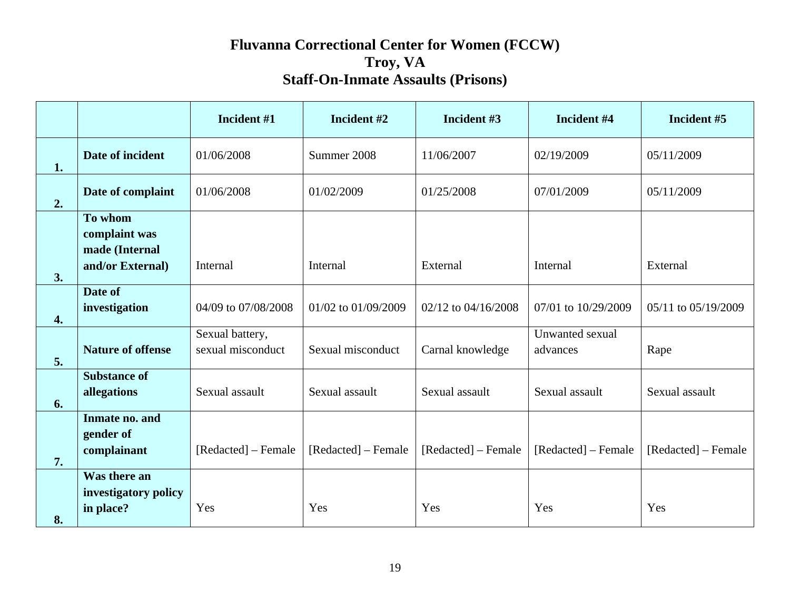|    |                                                                | Incident #1                          | Incident #2         | Incident #3         | Incident #4                 | Incident #5         |
|----|----------------------------------------------------------------|--------------------------------------|---------------------|---------------------|-----------------------------|---------------------|
| 1. | Date of incident                                               | 01/06/2008                           | Summer 2008         | 11/06/2007          | 02/19/2009                  | 05/11/2009          |
| 2. | Date of complaint                                              | 01/06/2008                           | 01/02/2009          | 01/25/2008          | 07/01/2009                  | 05/11/2009          |
| 3. | To whom<br>complaint was<br>made (Internal<br>and/or External) | Internal                             | Internal            | External            | Internal                    | External            |
| 4. | Date of<br>investigation                                       | 04/09 to 07/08/2008                  | 01/02 to 01/09/2009 | 02/12 to 04/16/2008 | 07/01 to 10/29/2009         | 05/11 to 05/19/2009 |
| 5. | <b>Nature of offense</b>                                       | Sexual battery,<br>sexual misconduct | Sexual misconduct   | Carnal knowledge    | Unwanted sexual<br>advances | Rape                |
| 6. | <b>Substance of</b><br>allegations                             | Sexual assault                       | Sexual assault      | Sexual assault      | Sexual assault              | Sexual assault      |
| 7. | Inmate no. and<br>gender of<br>complainant                     | [Redacted] – Female                  | [Redacted] – Female | [Redacted] – Female | [Redacted] – Female         | [Redacted] – Female |
| 8. | Was there an<br>investigatory policy<br>in place?              | Yes                                  | Yes                 | Yes                 | Yes                         | Yes                 |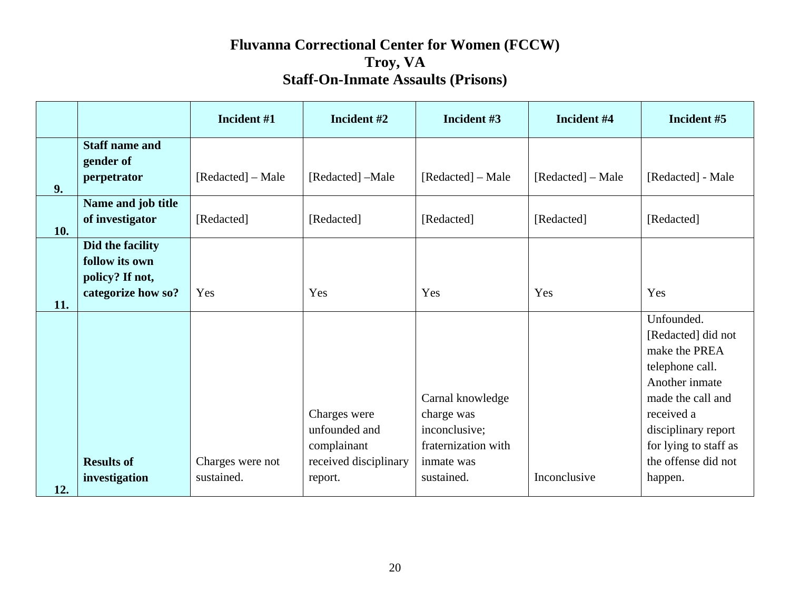|     |                                                                             | Incident #1       | Incident #2                                                           | Incident #3                                                                          | Incident #4       | Incident #5                                                                                                                                                                                      |
|-----|-----------------------------------------------------------------------------|-------------------|-----------------------------------------------------------------------|--------------------------------------------------------------------------------------|-------------------|--------------------------------------------------------------------------------------------------------------------------------------------------------------------------------------------------|
| 9.  | <b>Staff name and</b><br>gender of<br>perpetrator                           | [Redacted] – Male | [Redacted] -Male                                                      | [Redacted] – Male                                                                    | [Redacted] – Male | [Redacted] - Male                                                                                                                                                                                |
| 10. | Name and job title<br>of investigator                                       | [Redacted]        | [Redacted]                                                            | [Redacted]                                                                           | [Redacted]        | [Redacted]                                                                                                                                                                                       |
| 11. | Did the facility<br>follow its own<br>policy? If not,<br>categorize how so? | Yes               | Yes                                                                   | Yes                                                                                  | Yes               | Yes                                                                                                                                                                                              |
|     | <b>Results of</b>                                                           | Charges were not  | Charges were<br>unfounded and<br>complainant<br>received disciplinary | Carnal knowledge<br>charge was<br>inconclusive;<br>fraternization with<br>inmate was |                   | Unfounded.<br>[Redacted] did not<br>make the PREA<br>telephone call.<br>Another inmate<br>made the call and<br>received a<br>disciplinary report<br>for lying to staff as<br>the offense did not |
| 12. | investigation                                                               | sustained.        | report.                                                               | sustained.                                                                           | Inconclusive      | happen.                                                                                                                                                                                          |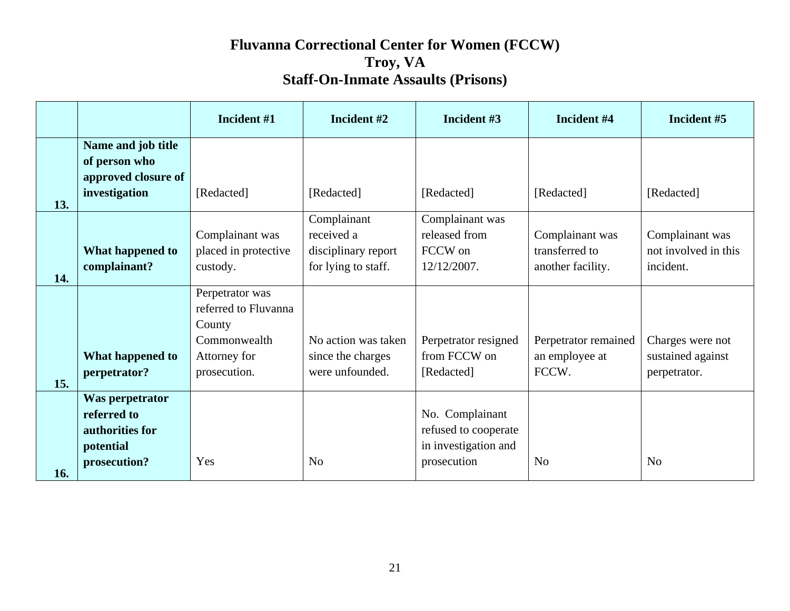|     |                                                                                | Incident #1                                                                                       | Incident #2                                                             | Incident #3                                                                    | Incident #4                                            | Incident #5                                           |
|-----|--------------------------------------------------------------------------------|---------------------------------------------------------------------------------------------------|-------------------------------------------------------------------------|--------------------------------------------------------------------------------|--------------------------------------------------------|-------------------------------------------------------|
| 13. | Name and job title<br>of person who<br>approved closure of<br>investigation    | [Redacted]                                                                                        | [Redacted]                                                              | [Redacted]                                                                     | [Redacted]                                             | [Redacted]                                            |
| 14. | What happened to<br>complainant?                                               | Complainant was<br>placed in protective<br>custody.                                               | Complainant<br>received a<br>disciplinary report<br>for lying to staff. | Complainant was<br>released from<br>FCCW on<br>12/12/2007.                     | Complainant was<br>transferred to<br>another facility. | Complainant was<br>not involved in this<br>incident.  |
| 15. | What happened to<br>perpetrator?                                               | Perpetrator was<br>referred to Fluvanna<br>County<br>Commonwealth<br>Attorney for<br>prosecution. | No action was taken<br>since the charges<br>were unfounded.             | Perpetrator resigned<br>from FCCW on<br>[Redacted]                             | Perpetrator remained<br>an employee at<br>FCCW.        | Charges were not<br>sustained against<br>perpetrator. |
| 16. | Was perpetrator<br>referred to<br>authorities for<br>potential<br>prosecution? | Yes                                                                                               | N <sub>o</sub>                                                          | No. Complainant<br>refused to cooperate<br>in investigation and<br>prosecution | N <sub>o</sub>                                         | N <sub>o</sub>                                        |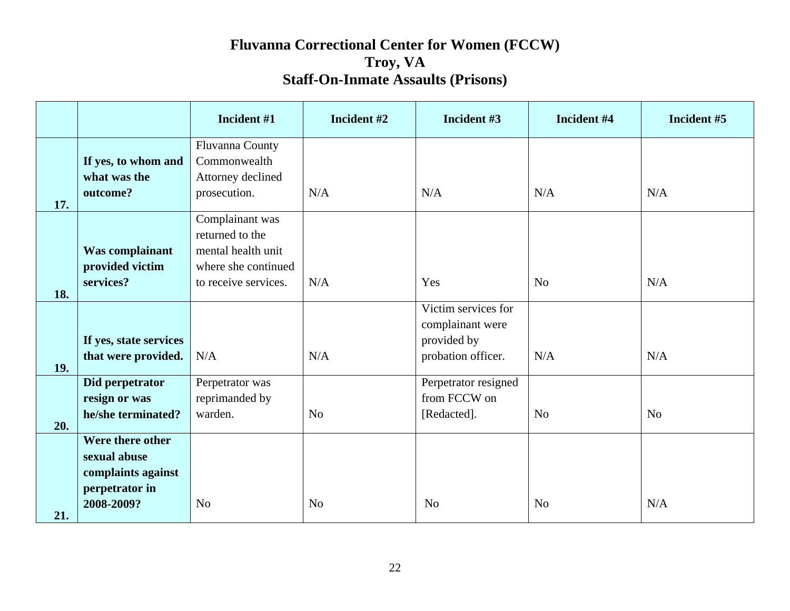|     |                                                                                        | Incident #1                                                                                             | Incident #2    | Incident #3                                                                  | Incident #4    | Incident #5    |
|-----|----------------------------------------------------------------------------------------|---------------------------------------------------------------------------------------------------------|----------------|------------------------------------------------------------------------------|----------------|----------------|
| 17. | If yes, to whom and<br>what was the<br>outcome?                                        | Fluvanna County<br>Commonwealth<br>Attorney declined<br>prosecution.                                    | N/A            | N/A                                                                          | N/A            | N/A            |
| 18. | Was complainant<br>provided victim<br>services?                                        | Complainant was<br>returned to the<br>mental health unit<br>where she continued<br>to receive services. | N/A            | Yes                                                                          | N <sub>o</sub> | N/A            |
| 19. | If yes, state services<br>that were provided.                                          | N/A                                                                                                     | N/A            | Victim services for<br>complainant were<br>provided by<br>probation officer. | N/A            | N/A            |
| 20. | Did perpetrator<br>resign or was<br>he/she terminated?                                 | Perpetrator was<br>reprimanded by<br>warden.                                                            | N <sub>o</sub> | Perpetrator resigned<br>from FCCW on<br>[Redacted].                          | N <sub>o</sub> | N <sub>o</sub> |
| 21. | Were there other<br>sexual abuse<br>complaints against<br>perpetrator in<br>2008-2009? | N <sub>o</sub>                                                                                          | N <sub>o</sub> | N <sub>o</sub>                                                               | N <sub>o</sub> | N/A            |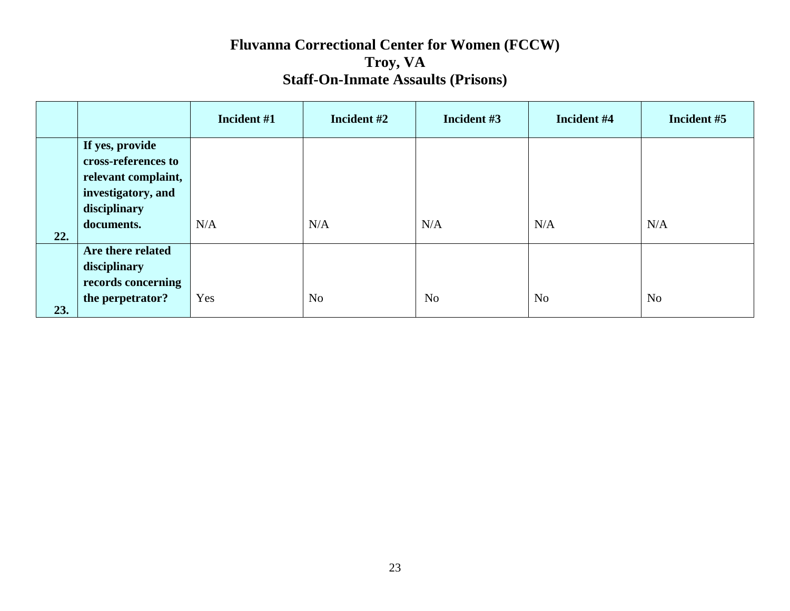|     |                                                                                                     | Incident #1 | Incident #2    | Incident #3    | Incident #4    | Incident #5    |
|-----|-----------------------------------------------------------------------------------------------------|-------------|----------------|----------------|----------------|----------------|
|     | If yes, provide<br>cross-references to<br>relevant complaint,<br>investigatory, and<br>disciplinary |             |                |                |                |                |
| 22. | documents.                                                                                          | N/A         | N/A            | N/A            | N/A            | N/A            |
|     | Are there related<br>disciplinary<br>records concerning                                             |             |                |                |                |                |
| 23. | the perpetrator?                                                                                    | Yes         | N <sub>o</sub> | N <sub>o</sub> | N <sub>o</sub> | N <sub>o</sub> |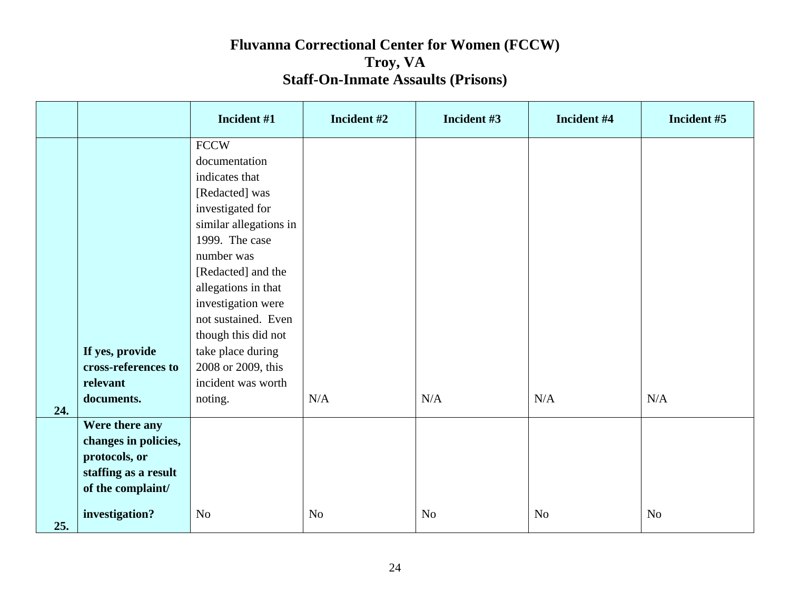|     |                      | Incident #1            | Incident #2    | Incident #3    | Incident #4    | Incident #5    |
|-----|----------------------|------------------------|----------------|----------------|----------------|----------------|
|     |                      | <b>FCCW</b>            |                |                |                |                |
|     |                      | documentation          |                |                |                |                |
|     |                      | indicates that         |                |                |                |                |
|     |                      | [Redacted] was         |                |                |                |                |
|     |                      | investigated for       |                |                |                |                |
|     |                      | similar allegations in |                |                |                |                |
|     |                      | 1999. The case         |                |                |                |                |
|     |                      | number was             |                |                |                |                |
|     |                      | [Redacted] and the     |                |                |                |                |
|     |                      | allegations in that    |                |                |                |                |
|     |                      | investigation were     |                |                |                |                |
|     |                      | not sustained. Even    |                |                |                |                |
|     |                      | though this did not    |                |                |                |                |
|     | If yes, provide      | take place during      |                |                |                |                |
|     | cross-references to  | 2008 or 2009, this     |                |                |                |                |
|     | relevant             | incident was worth     |                |                |                |                |
| 24. | documents.           | noting.                | N/A            | N/A            | N/A            | N/A            |
|     | Were there any       |                        |                |                |                |                |
|     | changes in policies, |                        |                |                |                |                |
|     | protocols, or        |                        |                |                |                |                |
|     | staffing as a result |                        |                |                |                |                |
|     | of the complaint/    |                        |                |                |                |                |
| 25. | investigation?       | N <sub>o</sub>         | N <sub>o</sub> | N <sub>o</sub> | N <sub>o</sub> | N <sub>o</sub> |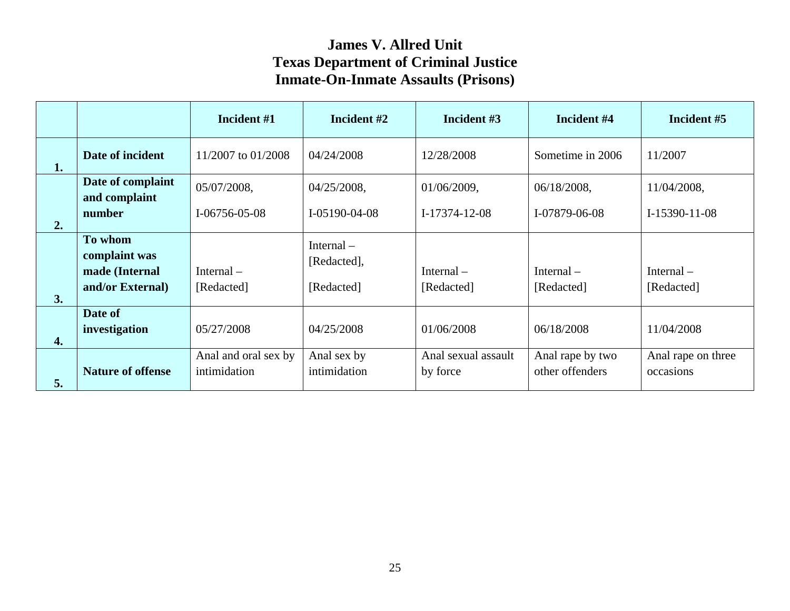|    |                                    | Incident #1          | Incident #2                 | Incident #3         | Incident #4      | Incident #5        |
|----|------------------------------------|----------------------|-----------------------------|---------------------|------------------|--------------------|
| 1. | Date of incident                   | 11/2007 to 01/2008   | 04/24/2008                  | 12/28/2008          | Sometime in 2006 | 11/2007            |
|    | Date of complaint<br>and complaint | 05/07/2008,          | 04/25/2008,                 | 01/06/2009,         | 06/18/2008,      | 11/04/2008,        |
| 2. | number                             | I-06756-05-08        | I-05190-04-08               | I-17374-12-08       | I-07879-06-08    | I-15390-11-08      |
|    | To whom<br>complaint was           |                      | Internal $-$<br>[Redacted], |                     |                  |                    |
|    | made (Internal                     | Internal $-$         |                             | Internal $-$        | Internal $-$     | Internal $-$       |
| 3. | and/or External)                   | [Redacted]           | [Redacted]                  | [Redacted]          | [Redacted]       | [Redacted]         |
|    | Date of<br>investigation           | 05/27/2008           | 04/25/2008                  | 01/06/2008          | 06/18/2008       | 11/04/2008         |
| 4. |                                    |                      |                             |                     |                  |                    |
|    |                                    | Anal and oral sex by | Anal sex by                 | Anal sexual assault | Anal rape by two | Anal rape on three |
| 5. | <b>Nature of offense</b>           | intimidation         | intimidation                | by force            | other offenders  | occasions          |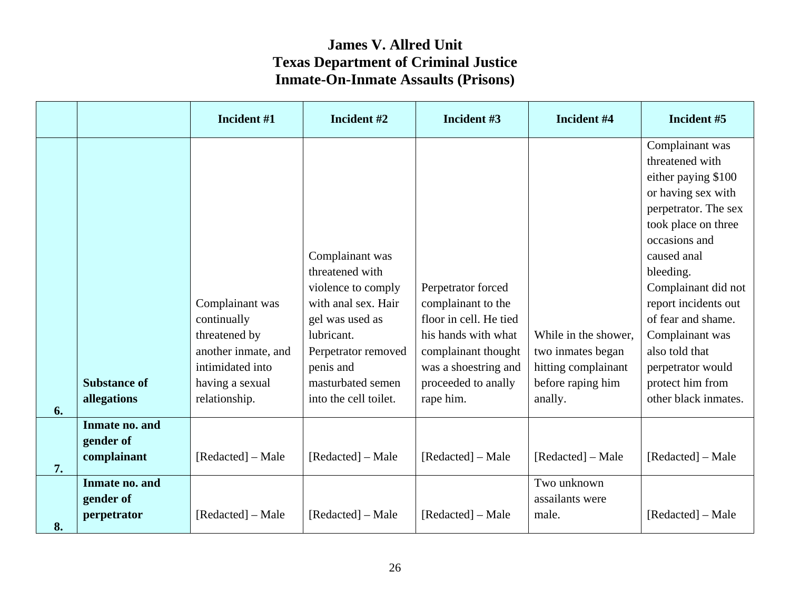|    |                                            | Incident #1                                                                                                                    | Incident #2                                                                                                                                                                                        | Incident #3                                                                                                                                                                  | Incident #4                                                                                      | Incident #5                                                                                                                                                                                                                                                                                                                                            |
|----|--------------------------------------------|--------------------------------------------------------------------------------------------------------------------------------|----------------------------------------------------------------------------------------------------------------------------------------------------------------------------------------------------|------------------------------------------------------------------------------------------------------------------------------------------------------------------------------|--------------------------------------------------------------------------------------------------|--------------------------------------------------------------------------------------------------------------------------------------------------------------------------------------------------------------------------------------------------------------------------------------------------------------------------------------------------------|
| 6. | <b>Substance of</b><br>allegations         | Complainant was<br>continually<br>threatened by<br>another inmate, and<br>intimidated into<br>having a sexual<br>relationship. | Complainant was<br>threatened with<br>violence to comply<br>with anal sex. Hair<br>gel was used as<br>lubricant.<br>Perpetrator removed<br>penis and<br>masturbated semen<br>into the cell toilet. | Perpetrator forced<br>complainant to the<br>floor in cell. He tied<br>his hands with what<br>complainant thought<br>was a shoestring and<br>proceeded to anally<br>rape him. | While in the shower,<br>two inmates began<br>hitting complainant<br>before raping him<br>anally. | Complainant was<br>threatened with<br>either paying \$100<br>or having sex with<br>perpetrator. The sex<br>took place on three<br>occasions and<br>caused anal<br>bleeding.<br>Complainant did not<br>report incidents out<br>of fear and shame.<br>Complainant was<br>also told that<br>perpetrator would<br>protect him from<br>other black inmates. |
| 7. | Inmate no. and<br>gender of<br>complainant | [Redacted] – Male                                                                                                              | [Redacted] – Male                                                                                                                                                                                  | [Redacted] – Male                                                                                                                                                            | [Redacted] – Male                                                                                | [Redacted] – Male                                                                                                                                                                                                                                                                                                                                      |
| 8. | Inmate no. and<br>gender of<br>perpetrator | [Redacted] - Male                                                                                                              | [Redacted] – Male                                                                                                                                                                                  | [Redacted] – Male                                                                                                                                                            | Two unknown<br>assailants were<br>male.                                                          | [Redacted] – Male                                                                                                                                                                                                                                                                                                                                      |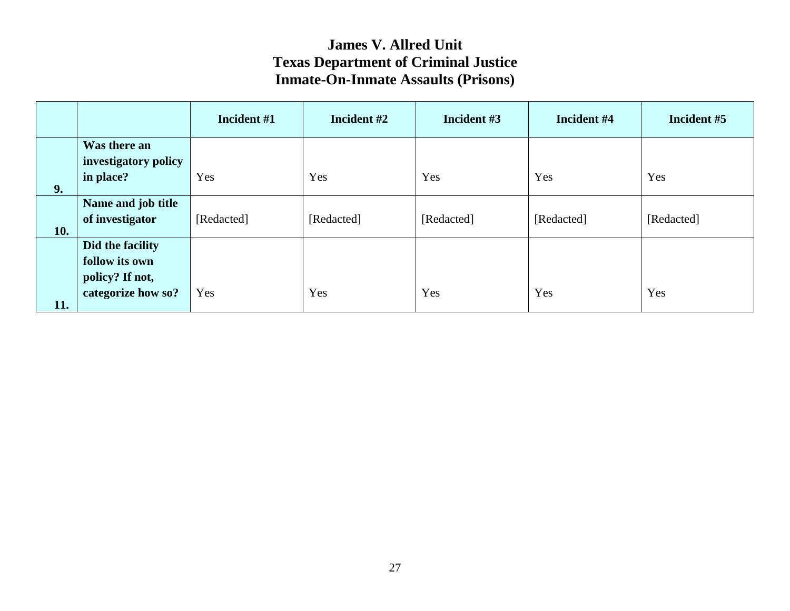|            |                                                                             | Incident #1 | Incident #2 | Incident #3 | Incident #4 | Incident #5 |
|------------|-----------------------------------------------------------------------------|-------------|-------------|-------------|-------------|-------------|
|            | Was there an<br>investigatory policy                                        |             |             |             |             |             |
| 9.         | in place?                                                                   | Yes         | Yes         | Yes         | Yes         | Yes         |
| <b>10.</b> | Name and job title<br>of investigator                                       | [Redacted]  | [Redacted]  | [Redacted]  | [Redacted]  | [Redacted]  |
|            | Did the facility<br>follow its own<br>policy? If not,<br>categorize how so? | Yes         | Yes         | Yes         | Yes         | Yes         |
| 11.        |                                                                             |             |             |             |             |             |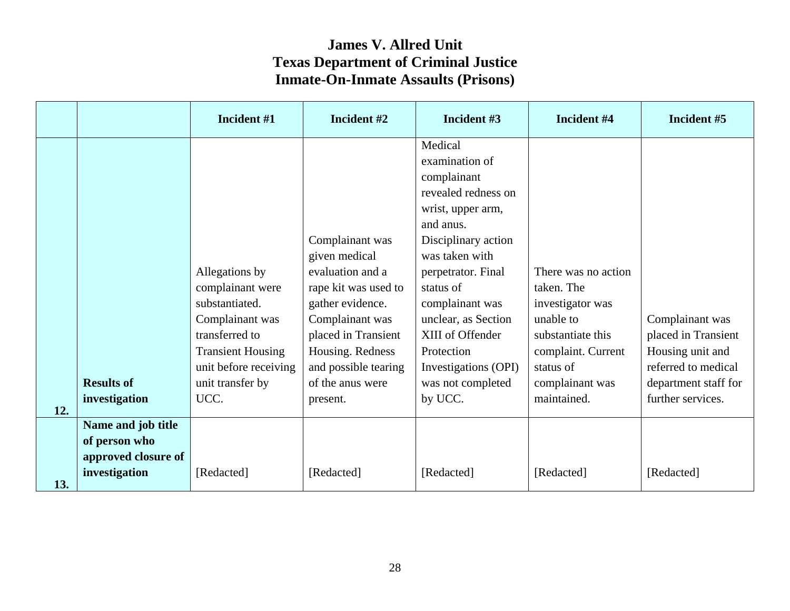|     |                                                                             | Incident #1                                                                                                                                                                | Incident #2                                                                                                                                                                                                            | Incident #3                                                                                                                                                                                                                                                                                                       | Incident #4                                                                                                                                                  | Incident #5                                                                                                                    |
|-----|-----------------------------------------------------------------------------|----------------------------------------------------------------------------------------------------------------------------------------------------------------------------|------------------------------------------------------------------------------------------------------------------------------------------------------------------------------------------------------------------------|-------------------------------------------------------------------------------------------------------------------------------------------------------------------------------------------------------------------------------------------------------------------------------------------------------------------|--------------------------------------------------------------------------------------------------------------------------------------------------------------|--------------------------------------------------------------------------------------------------------------------------------|
| 12. | <b>Results of</b><br>investigation                                          | Allegations by<br>complainant were<br>substantiated.<br>Complainant was<br>transferred to<br><b>Transient Housing</b><br>unit before receiving<br>unit transfer by<br>UCC. | Complainant was<br>given medical<br>evaluation and a<br>rape kit was used to<br>gather evidence.<br>Complainant was<br>placed in Transient<br>Housing. Redness<br>and possible tearing<br>of the anus were<br>present. | Medical<br>examination of<br>complainant<br>revealed redness on<br>wrist, upper arm,<br>and anus.<br>Disciplinary action<br>was taken with<br>perpetrator. Final<br>status of<br>complainant was<br>unclear, as Section<br>XIII of Offender<br>Protection<br>Investigations (OPI)<br>was not completed<br>by UCC. | There was no action<br>taken. The<br>investigator was<br>unable to<br>substantiate this<br>complaint. Current<br>status of<br>complainant was<br>maintained. | Complainant was<br>placed in Transient<br>Housing unit and<br>referred to medical<br>department staff for<br>further services. |
| 13. | Name and job title<br>of person who<br>approved closure of<br>investigation | [Redacted]                                                                                                                                                                 | [Redacted]                                                                                                                                                                                                             | [Redacted]                                                                                                                                                                                                                                                                                                        | [Redacted]                                                                                                                                                   | [Redacted]                                                                                                                     |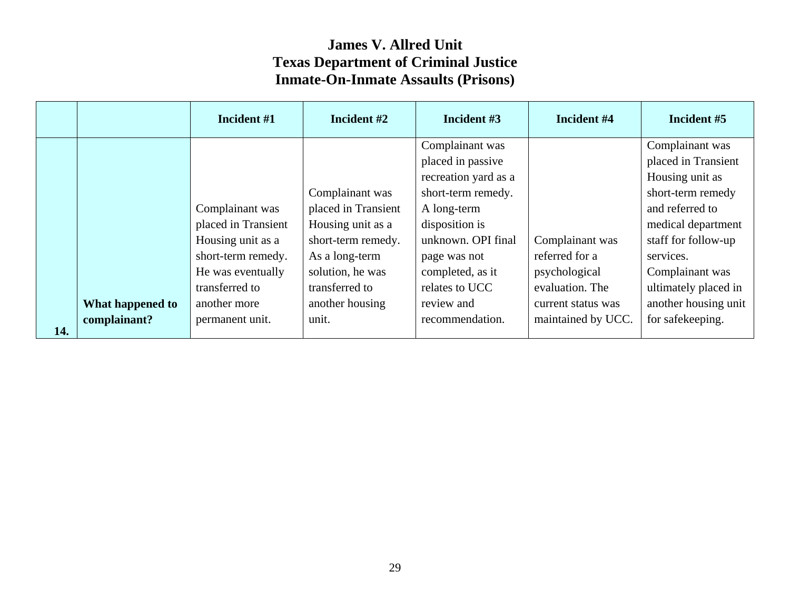|     |                  | Incident #1         | Incident #2         | Incident #3                          | Incident #4        | Incident #5                            |
|-----|------------------|---------------------|---------------------|--------------------------------------|--------------------|----------------------------------------|
|     |                  |                     |                     | Complainant was<br>placed in passive |                    | Complainant was<br>placed in Transient |
|     |                  |                     |                     | recreation yard as a                 |                    | Housing unit as                        |
|     |                  |                     | Complainant was     | short-term remedy.                   |                    | short-term remedy                      |
|     |                  | Complainant was     | placed in Transient | A long-term                          |                    | and referred to                        |
|     |                  | placed in Transient | Housing unit as a   | disposition is                       |                    | medical department                     |
|     |                  | Housing unit as a   | short-term remedy.  | unknown. OPI final                   | Complainant was    | staff for follow-up                    |
|     |                  | short-term remedy.  | As a long-term      | page was not                         | referred for a     | services.                              |
|     |                  | He was eventually   | solution, he was    | completed, as it                     | psychological      | Complainant was                        |
|     |                  | transferred to      | transferred to      | relates to UCC                       | evaluation. The    | ultimately placed in                   |
|     | What happened to | another more        | another housing     | review and                           | current status was | another housing unit                   |
| 14. | complainant?     | permanent unit.     | unit.               | recommendation.                      | maintained by UCC. | for safekeeping.                       |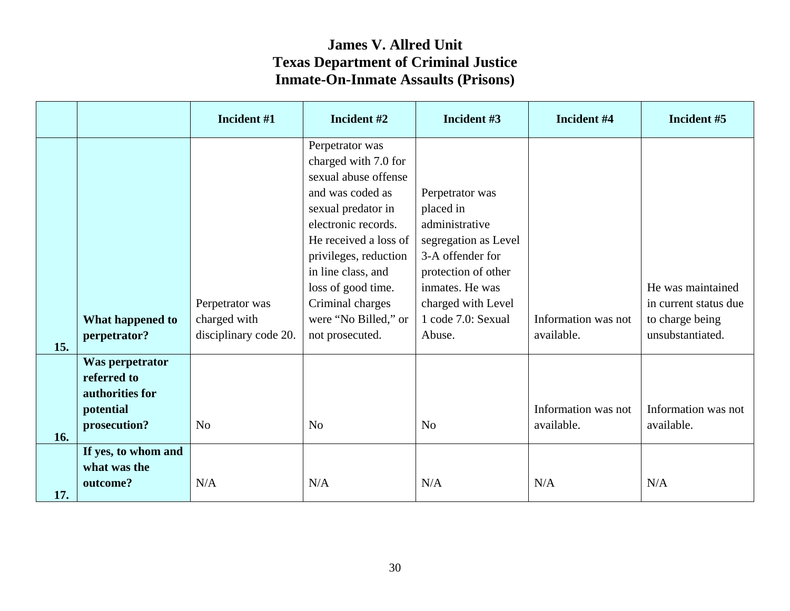|     |                                                                                | Incident #1                     | Incident #2                                                                                                                                                                                                                    | Incident #3                                                                                                                          | Incident #4                       | Incident #5                              |
|-----|--------------------------------------------------------------------------------|---------------------------------|--------------------------------------------------------------------------------------------------------------------------------------------------------------------------------------------------------------------------------|--------------------------------------------------------------------------------------------------------------------------------------|-----------------------------------|------------------------------------------|
|     |                                                                                |                                 | Perpetrator was<br>charged with 7.0 for<br>sexual abuse offense<br>and was coded as<br>sexual predator in<br>electronic records.<br>He received a loss of<br>privileges, reduction<br>in line class, and<br>loss of good time. | Perpetrator was<br>placed in<br>administrative<br>segregation as Level<br>3-A offender for<br>protection of other<br>inmates. He was |                                   | He was maintained                        |
|     | What happened to                                                               | Perpetrator was<br>charged with | Criminal charges<br>were "No Billed," or                                                                                                                                                                                       | charged with Level<br>1 code 7.0: Sexual                                                                                             | Information was not               | in current status due<br>to charge being |
| 15. | perpetrator?                                                                   | disciplinary code 20.           | not prosecuted.                                                                                                                                                                                                                | Abuse.                                                                                                                               | available.                        | unsubstantiated.                         |
| 16. | Was perpetrator<br>referred to<br>authorities for<br>potential<br>prosecution? | N <sub>o</sub>                  | N <sub>o</sub>                                                                                                                                                                                                                 | N <sub>o</sub>                                                                                                                       | Information was not<br>available. | Information was not<br>available.        |
| 17. | If yes, to whom and<br>what was the<br>outcome?                                | N/A                             | N/A                                                                                                                                                                                                                            | N/A                                                                                                                                  | N/A                               | N/A                                      |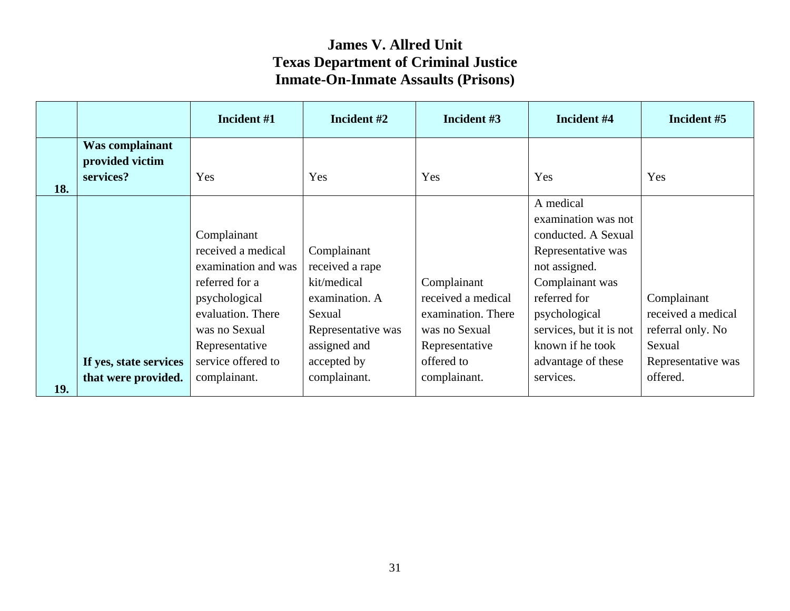|     |                                                 | Incident #1                                                                                                                                                               | Incident #2                                                                                                                    | Incident #3                                                                                              | Incident #4                                                                                                                                                                                                             | Incident #5                                                                            |
|-----|-------------------------------------------------|---------------------------------------------------------------------------------------------------------------------------------------------------------------------------|--------------------------------------------------------------------------------------------------------------------------------|----------------------------------------------------------------------------------------------------------|-------------------------------------------------------------------------------------------------------------------------------------------------------------------------------------------------------------------------|----------------------------------------------------------------------------------------|
| 18. | Was complainant<br>provided victim<br>services? | Yes                                                                                                                                                                       | Yes                                                                                                                            | Yes                                                                                                      | Yes                                                                                                                                                                                                                     | Yes                                                                                    |
|     | If yes, state services                          | Complainant<br>received a medical<br>examination and was<br>referred for a<br>psychological<br>evaluation. There<br>was no Sexual<br>Representative<br>service offered to | Complainant<br>received a rape<br>kit/medical<br>examination. A<br>Sexual<br>Representative was<br>assigned and<br>accepted by | Complainant<br>received a medical<br>examination. There<br>was no Sexual<br>Representative<br>offered to | A medical<br>examination was not<br>conducted. A Sexual<br>Representative was<br>not assigned.<br>Complainant was<br>referred for<br>psychological<br>services, but it is not<br>known if he took<br>advantage of these | Complainant<br>received a medical<br>referral only. No<br>Sexual<br>Representative was |
| 19. | that were provided.                             | complainant.                                                                                                                                                              | complainant.                                                                                                                   | complainant.                                                                                             | services.                                                                                                                                                                                                               | offered.                                                                               |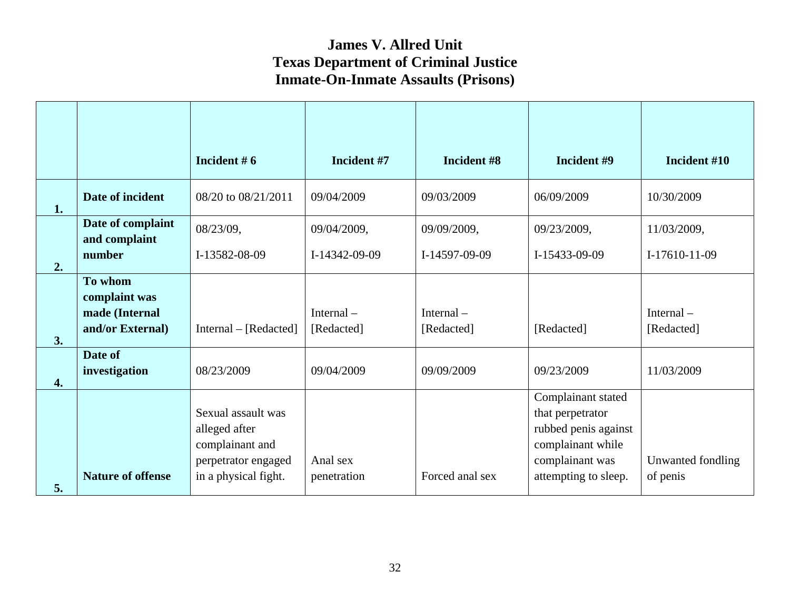|                  |                                    | Incident $# 6$                                                                                        | Incident #7             | Incident #8     | Incident #9                                                                                                                    | Incident #10                  |
|------------------|------------------------------------|-------------------------------------------------------------------------------------------------------|-------------------------|-----------------|--------------------------------------------------------------------------------------------------------------------------------|-------------------------------|
| 1.               | Date of incident                   | 08/20 to 08/21/2011                                                                                   | 09/04/2009              | 09/03/2009      | 06/09/2009                                                                                                                     | 10/30/2009                    |
|                  | Date of complaint<br>and complaint | 08/23/09,                                                                                             | 09/04/2009,             | 09/09/2009,     | 09/23/2009,                                                                                                                    | 11/03/2009,                   |
| 2.               | number                             | I-13582-08-09                                                                                         | I-14342-09-09           | I-14597-09-09   | I-15433-09-09                                                                                                                  | I-17610-11-09                 |
|                  | To whom<br>complaint was           |                                                                                                       |                         |                 |                                                                                                                                |                               |
|                  | made (Internal                     |                                                                                                       | Internal $-$            | Internal $-$    | [Redacted]                                                                                                                     | Internal $-$                  |
| 3.               | and/or External)                   | Internal – [Redacted]                                                                                 | [Redacted]              | [Redacted]      |                                                                                                                                | [Redacted]                    |
| $\overline{4}$ . | Date of<br>investigation           | 08/23/2009                                                                                            | 09/04/2009              | 09/09/2009      | 09/23/2009                                                                                                                     | 11/03/2009                    |
| 5.               | <b>Nature of offense</b>           | Sexual assault was<br>alleged after<br>complainant and<br>perpetrator engaged<br>in a physical fight. | Anal sex<br>penetration | Forced anal sex | Complainant stated<br>that perpetrator<br>rubbed penis against<br>complainant while<br>complainant was<br>attempting to sleep. | Unwanted fondling<br>of penis |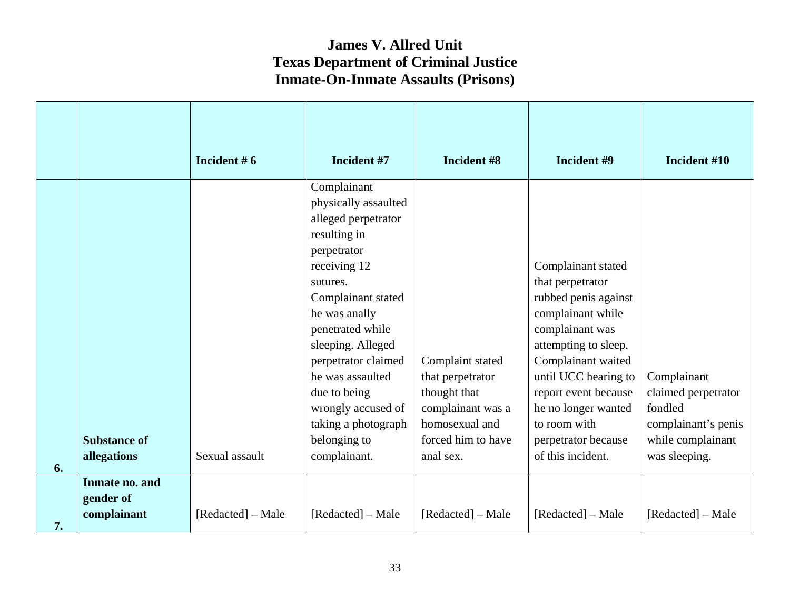|    |                                            | Incident $# 6$    | Incident #7                                                                                                                                                                                                                                                                                                                                   | Incident #8                                                                                                                    | Incident #9                                                                                                                                                                                                                                                                             | Incident #10                                                                                               |
|----|--------------------------------------------|-------------------|-----------------------------------------------------------------------------------------------------------------------------------------------------------------------------------------------------------------------------------------------------------------------------------------------------------------------------------------------|--------------------------------------------------------------------------------------------------------------------------------|-----------------------------------------------------------------------------------------------------------------------------------------------------------------------------------------------------------------------------------------------------------------------------------------|------------------------------------------------------------------------------------------------------------|
| 6. | <b>Substance of</b><br>allegations         | Sexual assault    | Complainant<br>physically assaulted<br>alleged perpetrator<br>resulting in<br>perpetrator<br>receiving 12<br>sutures.<br>Complainant stated<br>he was anally<br>penetrated while<br>sleeping. Alleged<br>perpetrator claimed<br>he was assaulted<br>due to being<br>wrongly accused of<br>taking a photograph<br>belonging to<br>complainant. | Complaint stated<br>that perpetrator<br>thought that<br>complainant was a<br>homosexual and<br>forced him to have<br>anal sex. | Complainant stated<br>that perpetrator<br>rubbed penis against<br>complainant while<br>complainant was<br>attempting to sleep.<br>Complainant waited<br>until UCC hearing to<br>report event because<br>he no longer wanted<br>to room with<br>perpetrator because<br>of this incident. | Complainant<br>claimed perpetrator<br>fondled<br>complainant's penis<br>while complainant<br>was sleeping. |
| 7. | Inmate no. and<br>gender of<br>complainant | [Redacted] - Male | [Redacted] – Male                                                                                                                                                                                                                                                                                                                             | [Redacted] – Male                                                                                                              | [Redacted] – Male                                                                                                                                                                                                                                                                       | [Redacted] – Male                                                                                          |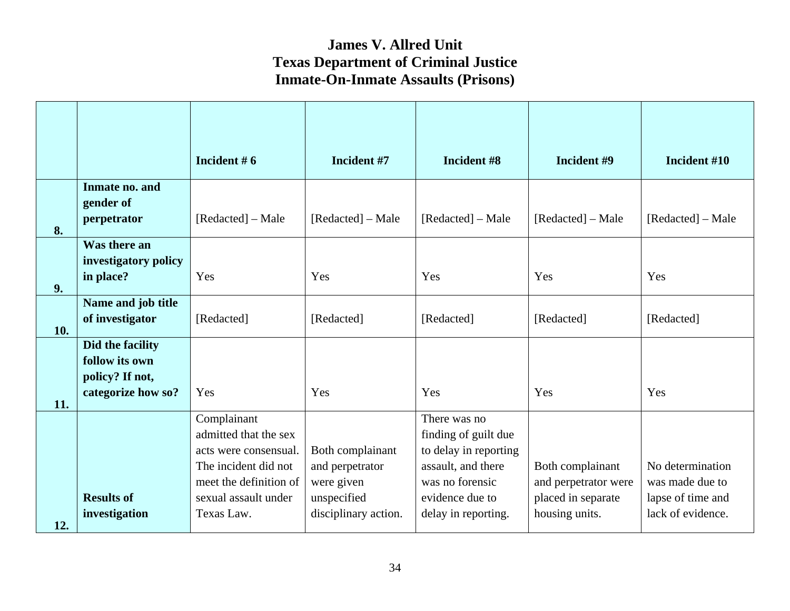|           |                                                                             | Incident $# 6$                                                                                                                                        | Incident #7                                                                              | Incident #8                                                                                                                                      | Incident #9                                                                      | Incident #10                                                                  |
|-----------|-----------------------------------------------------------------------------|-------------------------------------------------------------------------------------------------------------------------------------------------------|------------------------------------------------------------------------------------------|--------------------------------------------------------------------------------------------------------------------------------------------------|----------------------------------------------------------------------------------|-------------------------------------------------------------------------------|
|           | Inmate no. and<br>gender of<br>perpetrator                                  | [Redacted] – Male                                                                                                                                     | [Redacted] – Male                                                                        | [Redacted] – Male                                                                                                                                | [Redacted] – Male                                                                | [Redacted] – Male                                                             |
| 8.        | Was there an<br>investigatory policy<br>in place?                           | Yes                                                                                                                                                   | Yes                                                                                      | Yes                                                                                                                                              | Yes                                                                              | Yes                                                                           |
| 9.<br>10. | Name and job title<br>of investigator                                       | [Redacted]                                                                                                                                            | [Redacted]                                                                               | [Redacted]                                                                                                                                       | [Redacted]                                                                       | [Redacted]                                                                    |
| 11.       | Did the facility<br>follow its own<br>policy? If not,<br>categorize how so? | Yes                                                                                                                                                   | Yes                                                                                      | Yes                                                                                                                                              | Yes                                                                              | Yes                                                                           |
| 12.       | <b>Results of</b><br>investigation                                          | Complainant<br>admitted that the sex<br>acts were consensual.<br>The incident did not<br>meet the definition of<br>sexual assault under<br>Texas Law. | Both complainant<br>and perpetrator<br>were given<br>unspecified<br>disciplinary action. | There was no<br>finding of guilt due<br>to delay in reporting<br>assault, and there<br>was no forensic<br>evidence due to<br>delay in reporting. | Both complainant<br>and perpetrator were<br>placed in separate<br>housing units. | No determination<br>was made due to<br>lapse of time and<br>lack of evidence. |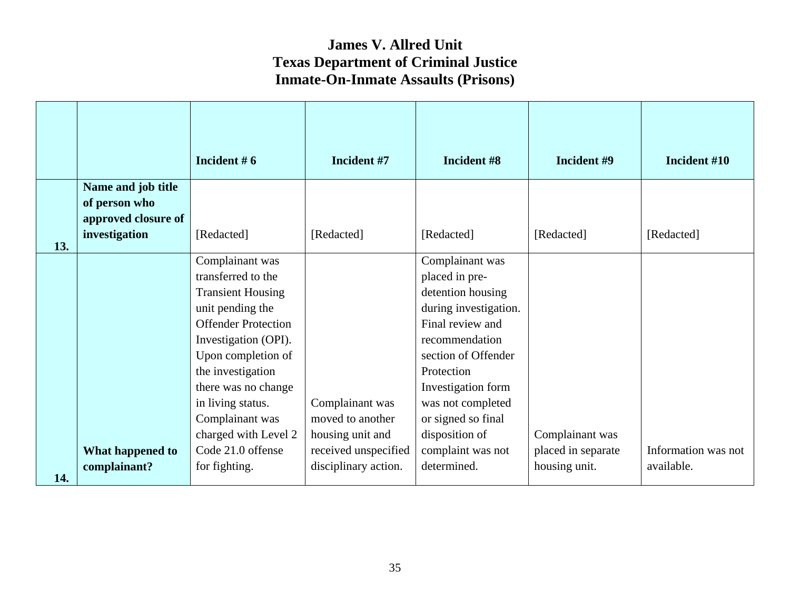|     |                                                            | Incident $# 6$                                                                                                                                                                                                                                                                                     | Incident #7                                                                     | Incident #8                                                                                                                                                                                                                                                        | Incident #9                           | Incident #10        |
|-----|------------------------------------------------------------|----------------------------------------------------------------------------------------------------------------------------------------------------------------------------------------------------------------------------------------------------------------------------------------------------|---------------------------------------------------------------------------------|--------------------------------------------------------------------------------------------------------------------------------------------------------------------------------------------------------------------------------------------------------------------|---------------------------------------|---------------------|
|     | Name and job title<br>of person who<br>approved closure of |                                                                                                                                                                                                                                                                                                    |                                                                                 |                                                                                                                                                                                                                                                                    |                                       |                     |
| 13. | investigation                                              | [Redacted]                                                                                                                                                                                                                                                                                         | [Redacted]                                                                      | [Redacted]                                                                                                                                                                                                                                                         | [Redacted]                            | [Redacted]          |
|     | What happened to                                           | Complainant was<br>transferred to the<br><b>Transient Housing</b><br>unit pending the<br><b>Offender Protection</b><br>Investigation (OPI).<br>Upon completion of<br>the investigation<br>there was no change<br>in living status.<br>Complainant was<br>charged with Level 2<br>Code 21.0 offense | Complainant was<br>moved to another<br>housing unit and<br>received unspecified | Complainant was<br>placed in pre-<br>detention housing<br>during investigation.<br>Final review and<br>recommendation<br>section of Offender<br>Protection<br>Investigation form<br>was not completed<br>or signed so final<br>disposition of<br>complaint was not | Complainant was<br>placed in separate | Information was not |
| 14. | complainant?                                               | for fighting.                                                                                                                                                                                                                                                                                      | disciplinary action.                                                            | determined.                                                                                                                                                                                                                                                        | housing unit.                         | available.          |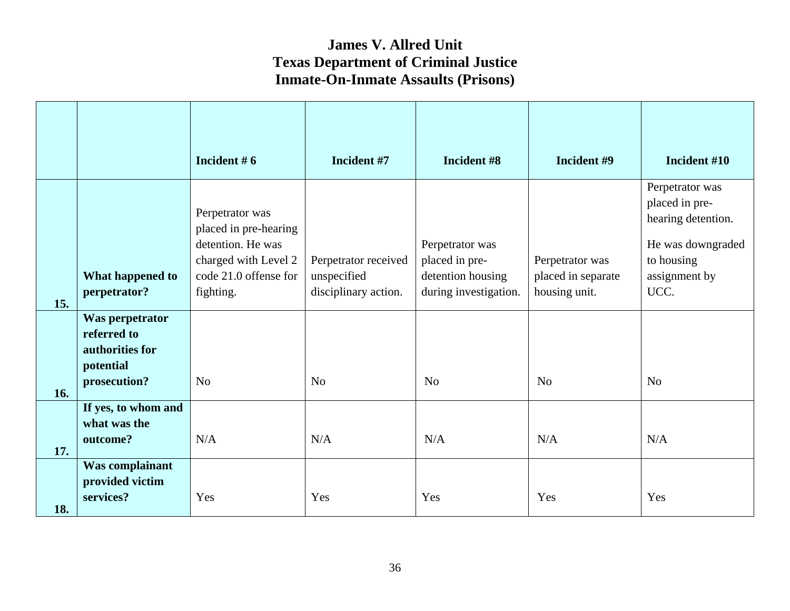|     |                                                                                | Incident $# 6$                                                                                                              | Incident #7                                                 | Incident #8                                                                     | Incident #9                                            | Incident #10                                                                                                        |
|-----|--------------------------------------------------------------------------------|-----------------------------------------------------------------------------------------------------------------------------|-------------------------------------------------------------|---------------------------------------------------------------------------------|--------------------------------------------------------|---------------------------------------------------------------------------------------------------------------------|
| 15. | What happened to<br>perpetrator?                                               | Perpetrator was<br>placed in pre-hearing<br>detention. He was<br>charged with Level 2<br>code 21.0 offense for<br>fighting. | Perpetrator received<br>unspecified<br>disciplinary action. | Perpetrator was<br>placed in pre-<br>detention housing<br>during investigation. | Perpetrator was<br>placed in separate<br>housing unit. | Perpetrator was<br>placed in pre-<br>hearing detention.<br>He was downgraded<br>to housing<br>assignment by<br>UCC. |
| 16. | Was perpetrator<br>referred to<br>authorities for<br>potential<br>prosecution? | N <sub>o</sub>                                                                                                              | N <sub>o</sub>                                              | N <sub>o</sub>                                                                  | N <sub>o</sub>                                         | N <sub>o</sub>                                                                                                      |
| 17. | If yes, to whom and<br>what was the<br>outcome?                                | N/A                                                                                                                         | N/A                                                         | N/A                                                                             | N/A                                                    | N/A                                                                                                                 |
| 18. | Was complainant<br>provided victim<br>services?                                | Yes                                                                                                                         | Yes                                                         | Yes                                                                             | Yes                                                    | Yes                                                                                                                 |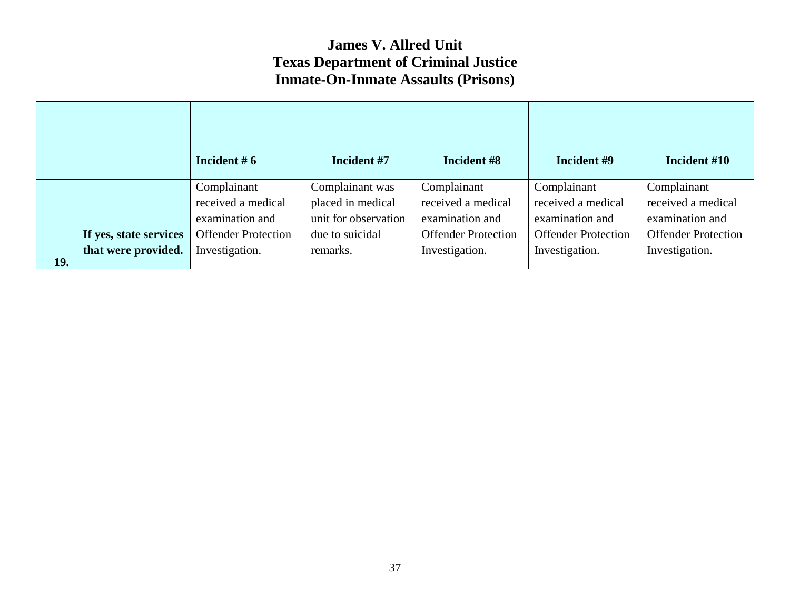|     |                        | Incident $# 6$             | Incident #7          | Incident #8                | Incident #9                | Incident #10               |
|-----|------------------------|----------------------------|----------------------|----------------------------|----------------------------|----------------------------|
|     |                        | Complainant                | Complainant was      | Complainant                | Complainant                | Complainant                |
|     |                        | received a medical         | placed in medical    | received a medical         | received a medical         | received a medical         |
|     |                        | examination and            | unit for observation | examination and            | examination and            | examination and            |
|     | If yes, state services | <b>Offender Protection</b> | due to suicidal      | <b>Offender Protection</b> | <b>Offender Protection</b> | <b>Offender Protection</b> |
| 19. | that were provided.    | Investigation.             | remarks.             | Investigation.             | Investigation.             | Investigation.             |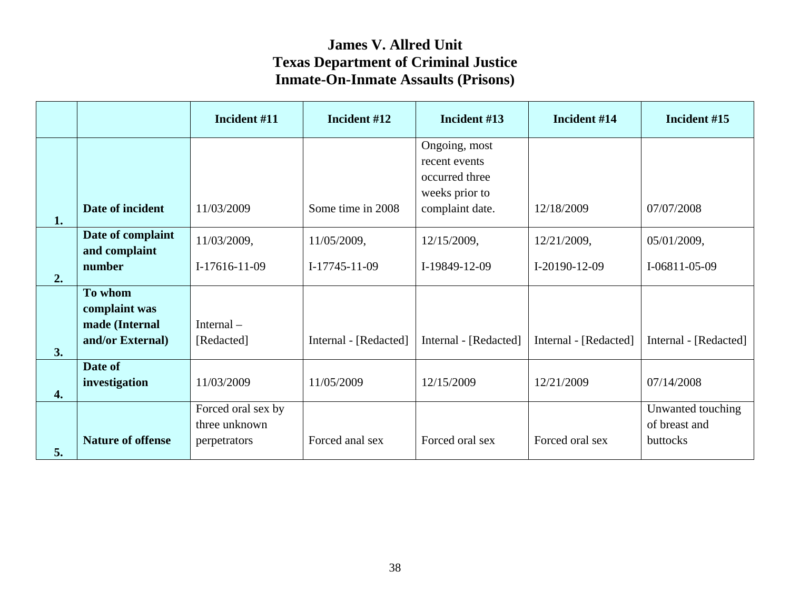|                  |                          | Incident #11       | Incident #12          | Incident #13          | Incident #14          | Incident #15          |
|------------------|--------------------------|--------------------|-----------------------|-----------------------|-----------------------|-----------------------|
|                  |                          |                    |                       | Ongoing, most         |                       |                       |
|                  |                          |                    |                       | recent events         |                       |                       |
|                  |                          |                    |                       | occurred three        |                       |                       |
|                  |                          |                    |                       | weeks prior to        |                       |                       |
| 1.               | Date of incident         | 11/03/2009         | Some time in 2008     | complaint date.       | 12/18/2009            | 07/07/2008            |
|                  | Date of complaint        | 11/03/2009,        | 11/05/2009,           | 12/15/2009,           | 12/21/2009,           | 05/01/2009,           |
|                  | and complaint            |                    |                       |                       |                       |                       |
| 2.               | number                   | $I-17616-11-09$    | $I-17745-11-09$       | I-19849-12-09         | I-20190-12-09         | I-06811-05-09         |
|                  | To whom                  |                    |                       |                       |                       |                       |
|                  | complaint was            |                    |                       |                       |                       |                       |
|                  | made (Internal           | Internal-          |                       |                       |                       |                       |
|                  | and/or External)         | [Redacted]         | Internal - [Redacted] | Internal - [Redacted] | Internal - [Redacted] | Internal - [Redacted] |
| 3.               |                          |                    |                       |                       |                       |                       |
|                  | Date of                  |                    |                       |                       |                       |                       |
| $\overline{4}$ . | investigation            | 11/03/2009         | 11/05/2009            | 12/15/2009            | 12/21/2009            | 07/14/2008            |
|                  |                          | Forced oral sex by |                       |                       |                       | Unwanted touching     |
|                  |                          | three unknown      |                       |                       |                       | of breast and         |
|                  | <b>Nature of offense</b> | perpetrators       | Forced anal sex       | Forced oral sex       | Forced oral sex       | buttocks              |
| 5.               |                          |                    |                       |                       |                       |                       |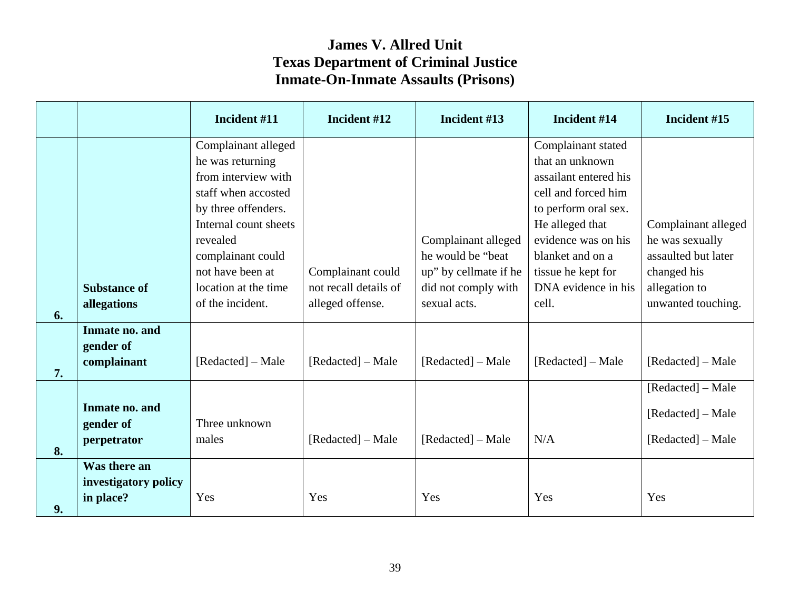|    |                      | Incident #11          | Incident #12          | Incident #13          | Incident #14          | Incident #15        |
|----|----------------------|-----------------------|-----------------------|-----------------------|-----------------------|---------------------|
|    |                      | Complainant alleged   |                       |                       | Complainant stated    |                     |
|    |                      | he was returning      |                       |                       | that an unknown       |                     |
|    |                      | from interview with   |                       |                       | assailant entered his |                     |
|    |                      | staff when accosted   |                       |                       | cell and forced him   |                     |
|    |                      | by three offenders.   |                       |                       | to perform oral sex.  |                     |
|    |                      | Internal count sheets |                       |                       | He alleged that       | Complainant alleged |
|    |                      | revealed              |                       | Complainant alleged   | evidence was on his   | he was sexually     |
|    |                      | complainant could     |                       | he would be "beat"    | blanket and on a      | assaulted but later |
|    |                      | not have been at      | Complainant could     | up" by cellmate if he | tissue he kept for    | changed his         |
|    | <b>Substance of</b>  | location at the time  | not recall details of | did not comply with   | DNA evidence in his   | allegation to       |
| 6. | allegations          | of the incident.      | alleged offense.      | sexual acts.          | cell.                 | unwanted touching.  |
|    | Inmate no. and       |                       |                       |                       |                       |                     |
|    | gender of            |                       |                       |                       |                       |                     |
|    | complainant          | [Redacted] – Male     | [Redacted] – Male     | [Redacted] – Male     | [Redacted] – Male     | [Redacted] – Male   |
| 7. |                      |                       |                       |                       |                       |                     |
|    |                      |                       |                       |                       |                       | [Redacted] – Male   |
|    | Inmate no. and       |                       |                       |                       |                       | [Redacted] – Male   |
|    | gender of            | Three unknown         |                       |                       |                       |                     |
|    | perpetrator          | males                 | [Redacted] – Male     | [Redacted] – Male     | N/A                   | [Redacted] – Male   |
| 8. |                      |                       |                       |                       |                       |                     |
|    | Was there an         |                       |                       |                       |                       |                     |
|    | investigatory policy |                       |                       |                       |                       |                     |
| 9. | in place?            | Yes                   | Yes                   | Yes                   | Yes                   | Yes                 |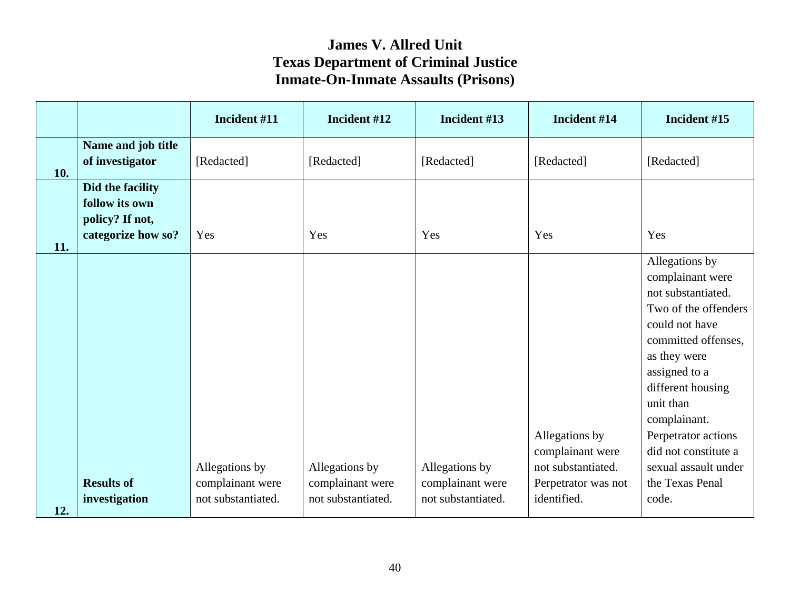|     |                                                                             | Incident #11                       | Incident #12                       | Incident #13                       | Incident #14                                                                    | Incident #15                                                                                                                                                                                                                                                                                           |
|-----|-----------------------------------------------------------------------------|------------------------------------|------------------------------------|------------------------------------|---------------------------------------------------------------------------------|--------------------------------------------------------------------------------------------------------------------------------------------------------------------------------------------------------------------------------------------------------------------------------------------------------|
| 10. | Name and job title<br>of investigator                                       | [Redacted]                         | [Redacted]                         | [Redacted]                         | [Redacted]                                                                      | [Redacted]                                                                                                                                                                                                                                                                                             |
| 11. | Did the facility<br>follow its own<br>policy? If not,<br>categorize how so? | Yes                                | Yes                                | Yes                                | Yes                                                                             | Yes                                                                                                                                                                                                                                                                                                    |
|     | <b>Results of</b>                                                           | Allegations by<br>complainant were | Allegations by<br>complainant were | Allegations by<br>complainant were | Allegations by<br>complainant were<br>not substantiated.<br>Perpetrator was not | Allegations by<br>complainant were<br>not substantiated.<br>Two of the offenders<br>could not have<br>committed offenses,<br>as they were<br>assigned to a<br>different housing<br>unit than<br>complainant.<br>Perpetrator actions<br>did not constitute a<br>sexual assault under<br>the Texas Penal |
| 12. | investigation                                                               | not substantiated.                 | not substantiated.                 | not substantiated.                 | identified.                                                                     | code.                                                                                                                                                                                                                                                                                                  |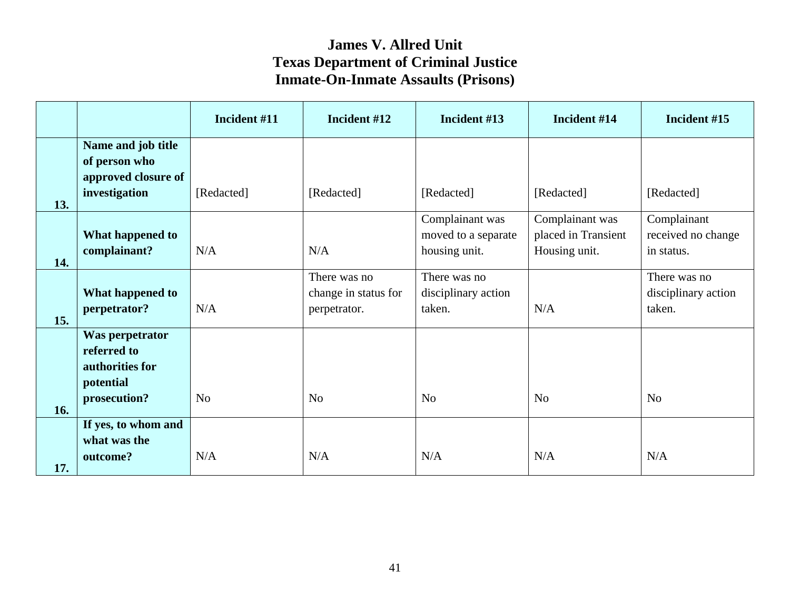|            |                                                                                | Incident #11   | Incident #12                                         | Incident #13                                            | Incident #14                                            | Incident #15                                    |
|------------|--------------------------------------------------------------------------------|----------------|------------------------------------------------------|---------------------------------------------------------|---------------------------------------------------------|-------------------------------------------------|
|            | Name and job title<br>of person who<br>approved closure of<br>investigation    | [Redacted]     | [Redacted]                                           | [Redacted]                                              | [Redacted]                                              | [Redacted]                                      |
| 13.<br>14. | What happened to<br>complainant?                                               | N/A            | N/A                                                  | Complainant was<br>moved to a separate<br>housing unit. | Complainant was<br>placed in Transient<br>Housing unit. | Complainant<br>received no change<br>in status. |
| 15.        | What happened to<br>perpetrator?                                               | N/A            | There was no<br>change in status for<br>perpetrator. | There was no<br>disciplinary action<br>taken.           | N/A                                                     | There was no<br>disciplinary action<br>taken.   |
| 16.        | Was perpetrator<br>referred to<br>authorities for<br>potential<br>prosecution? | N <sub>o</sub> | N <sub>o</sub>                                       | N <sub>o</sub>                                          | N <sub>0</sub>                                          | N <sub>o</sub>                                  |
| 17.        | If yes, to whom and<br>what was the<br>outcome?                                | N/A            | N/A                                                  | N/A                                                     | N/A                                                     | N/A                                             |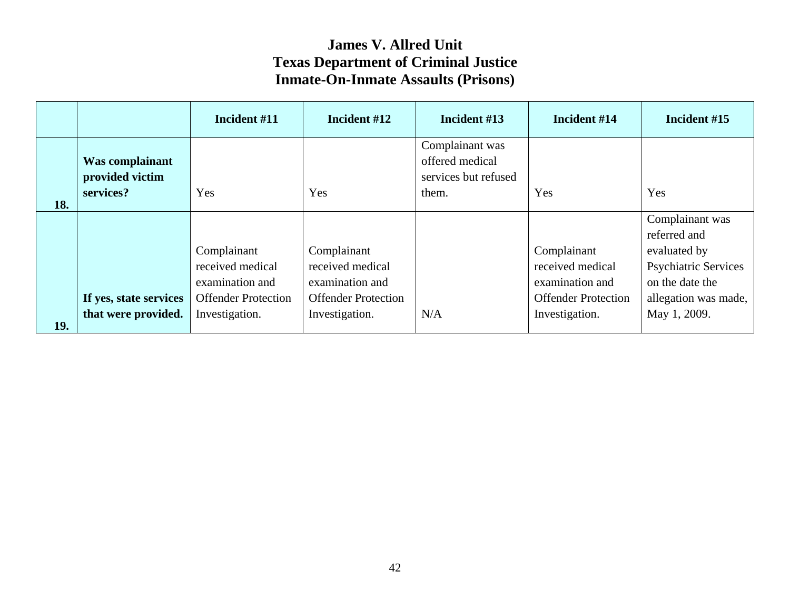|     |                                                 | Incident #11               | Incident #12               | Incident #13                                                        | Incident #14               | Incident #15                    |
|-----|-------------------------------------------------|----------------------------|----------------------------|---------------------------------------------------------------------|----------------------------|---------------------------------|
|     | Was complainant<br>provided victim<br>services? | Yes                        | Yes                        | Complainant was<br>offered medical<br>services but refused<br>them. | Yes                        | Yes                             |
| 18. |                                                 |                            |                            |                                                                     |                            |                                 |
|     |                                                 |                            |                            |                                                                     |                            | Complainant was<br>referred and |
|     |                                                 | Complainant                | Complainant                |                                                                     | Complainant                | evaluated by                    |
|     |                                                 | received medical           | received medical           |                                                                     | received medical           | <b>Psychiatric Services</b>     |
|     |                                                 | examination and            | examination and            |                                                                     | examination and            | on the date the                 |
|     | If yes, state services                          | <b>Offender Protection</b> | <b>Offender Protection</b> |                                                                     | <b>Offender Protection</b> | allegation was made,            |
| 19. | that were provided.                             | Investigation.             | Investigation.             | N/A                                                                 | Investigation.             | May 1, 2009.                    |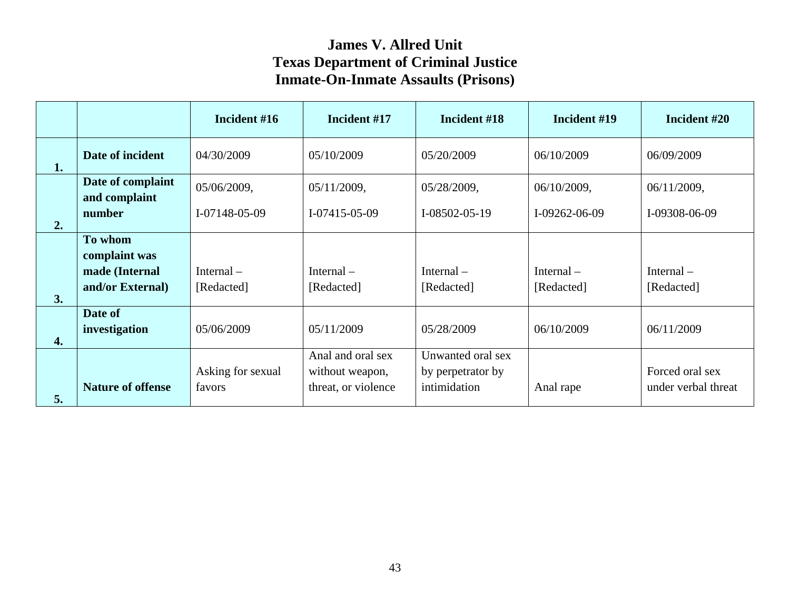|                  |                                    | Incident #16                | Incident #17                                                | Incident #18                                           | Incident #19               | Incident #20                           |
|------------------|------------------------------------|-----------------------------|-------------------------------------------------------------|--------------------------------------------------------|----------------------------|----------------------------------------|
| 1.               | Date of incident                   | 04/30/2009                  | 05/10/2009                                                  | 05/20/2009                                             | 06/10/2009                 | 06/09/2009                             |
|                  | Date of complaint<br>and complaint | 05/06/2009,                 | 05/11/2009,                                                 | 05/28/2009,                                            | 06/10/2009,                | 06/11/2009,                            |
| 2.               | number                             | $I - 07148 - 05 - 09$       | $I-07415-05-09$                                             | $I-08502-05-19$                                        | $I-09262-06-09$            | I-09308-06-09                          |
|                  | To whom<br>complaint was           |                             |                                                             |                                                        |                            |                                        |
| 3.               | made (Internal<br>and/or External) | Internal $-$<br>[Redacted]  | Internal $-$<br>[Redacted]                                  | Internal $-$<br>[Redacted]                             | Internal $-$<br>[Redacted] | Internal $-$<br>[Redacted]             |
| $\overline{4}$ . | Date of<br>investigation           | 05/06/2009                  | 05/11/2009                                                  | 05/28/2009                                             | 06/10/2009                 | 06/11/2009                             |
| 5.               | <b>Nature of offense</b>           | Asking for sexual<br>favors | Anal and oral sex<br>without weapon,<br>threat, or violence | Unwanted oral sex<br>by perpetrator by<br>intimidation | Anal rape                  | Forced oral sex<br>under verbal threat |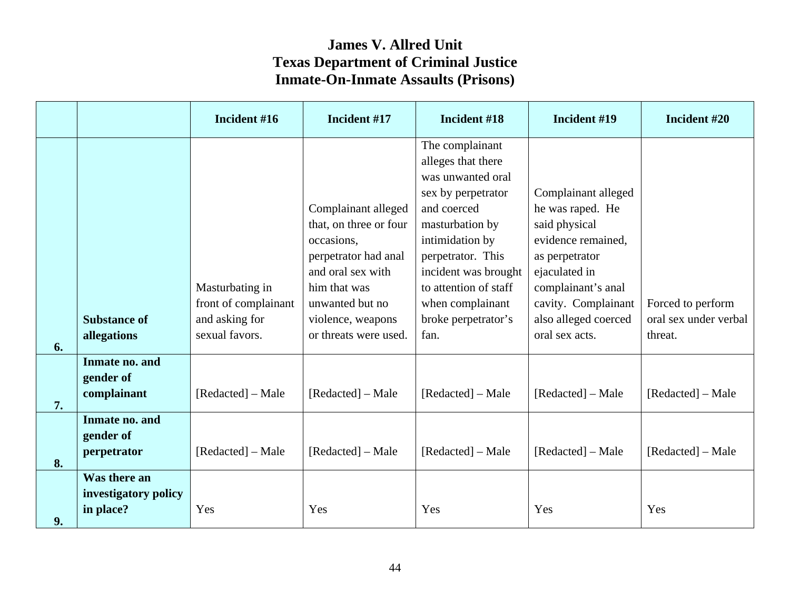|    |                                                   | Incident #16                                                                | Incident #17                                                                                                                                                                              | Incident #18                                                                                                                                                                                                                                                   | Incident #19                                                                                                                                                                                             | Incident #20                                          |
|----|---------------------------------------------------|-----------------------------------------------------------------------------|-------------------------------------------------------------------------------------------------------------------------------------------------------------------------------------------|----------------------------------------------------------------------------------------------------------------------------------------------------------------------------------------------------------------------------------------------------------------|----------------------------------------------------------------------------------------------------------------------------------------------------------------------------------------------------------|-------------------------------------------------------|
| 6. | <b>Substance of</b><br>allegations                | Masturbating in<br>front of complainant<br>and asking for<br>sexual favors. | Complainant alleged<br>that, on three or four<br>occasions,<br>perpetrator had anal<br>and oral sex with<br>him that was<br>unwanted but no<br>violence, weapons<br>or threats were used. | The complainant<br>alleges that there<br>was unwanted oral<br>sex by perpetrator<br>and coerced<br>masturbation by<br>intimidation by<br>perpetrator. This<br>incident was brought<br>to attention of staff<br>when complainant<br>broke perpetrator's<br>fan. | Complainant alleged<br>he was raped. He<br>said physical<br>evidence remained,<br>as perpetrator<br>ejaculated in<br>complainant's anal<br>cavity. Complainant<br>also alleged coerced<br>oral sex acts. | Forced to perform<br>oral sex under verbal<br>threat. |
| 7. | Inmate no. and<br>gender of<br>complainant        | [Redacted] – Male                                                           | [Redacted] – Male                                                                                                                                                                         | [Redacted] – Male                                                                                                                                                                                                                                              | [Redacted] – Male                                                                                                                                                                                        | [Redacted] – Male                                     |
| 8. | Inmate no. and<br>gender of<br>perpetrator        | [Redacted] – Male                                                           | [Redacted] – Male                                                                                                                                                                         | [Redacted] – Male                                                                                                                                                                                                                                              | [Redacted] – Male                                                                                                                                                                                        | [Redacted] – Male                                     |
| 9. | Was there an<br>investigatory policy<br>in place? | Yes                                                                         | Yes                                                                                                                                                                                       | Yes                                                                                                                                                                                                                                                            | Yes                                                                                                                                                                                                      | Yes                                                   |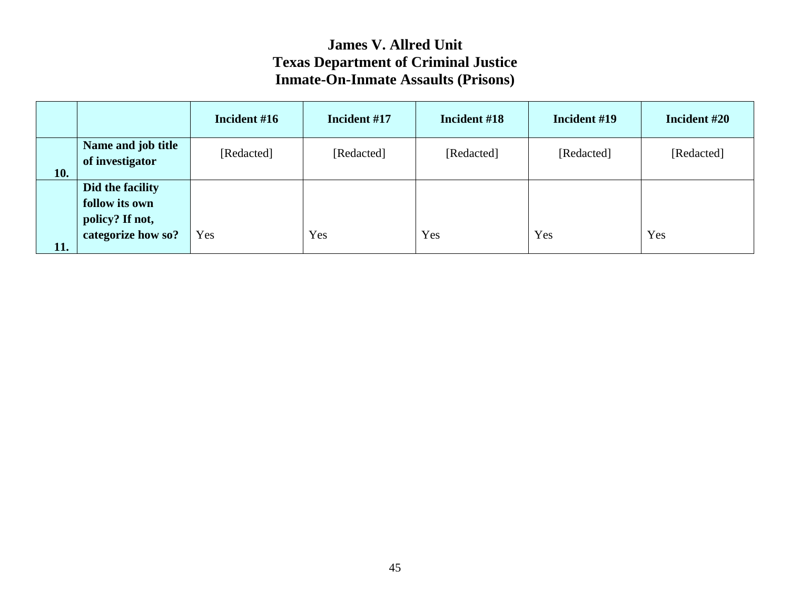|            |                                                                             | Incident #16 | Incident #17 | Incident #18 | Incident #19 | Incident #20 |
|------------|-----------------------------------------------------------------------------|--------------|--------------|--------------|--------------|--------------|
| <b>10.</b> | Name and job title<br>of investigator                                       | [Redacted]   | [Redacted]   | [Redacted]   | [Redacted]   | [Redacted]   |
| 11.        | Did the facility<br>follow its own<br>policy? If not,<br>categorize how so? | <b>Yes</b>   | Yes          | Yes          | Yes          | Yes          |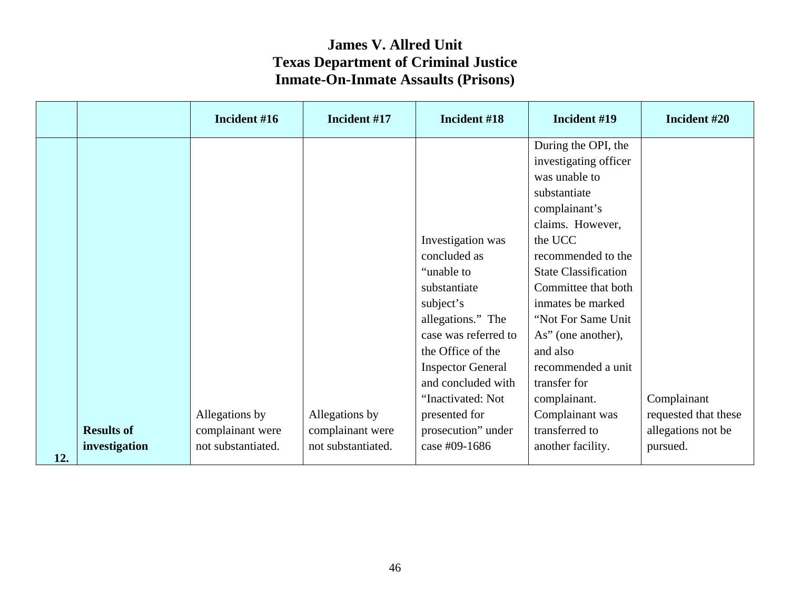|     |                   | Incident #16       | Incident #17       | Incident #18             | Incident #19                                 | Incident #20         |
|-----|-------------------|--------------------|--------------------|--------------------------|----------------------------------------------|----------------------|
|     |                   |                    |                    |                          | During the OPI, the<br>investigating officer |                      |
|     |                   |                    |                    |                          | was unable to                                |                      |
|     |                   |                    |                    |                          | substantiate                                 |                      |
|     |                   |                    |                    |                          | complainant's                                |                      |
|     |                   |                    |                    |                          | claims. However,                             |                      |
|     |                   |                    |                    | Investigation was        | the UCC                                      |                      |
|     |                   |                    |                    | concluded as             | recommended to the                           |                      |
|     |                   |                    |                    | "unable to"              | <b>State Classification</b>                  |                      |
|     |                   |                    |                    | substantiate             | Committee that both                          |                      |
|     |                   |                    |                    | subject's                | inmates be marked                            |                      |
|     |                   |                    |                    | allegations." The        | "Not For Same Unit                           |                      |
|     |                   |                    |                    | case was referred to     | As" (one another),                           |                      |
|     |                   |                    |                    | the Office of the        | and also                                     |                      |
|     |                   |                    |                    | <b>Inspector General</b> | recommended a unit                           |                      |
|     |                   |                    |                    | and concluded with       | transfer for                                 |                      |
|     |                   |                    |                    | "Inactivated: Not        | complainant.                                 | Complainant          |
|     |                   | Allegations by     | Allegations by     | presented for            | Complainant was                              | requested that these |
|     | <b>Results of</b> | complainant were   | complainant were   | prosecution" under       | transferred to                               | allegations not be   |
| 12. | investigation     | not substantiated. | not substantiated. | case #09-1686            | another facility.                            | pursued.             |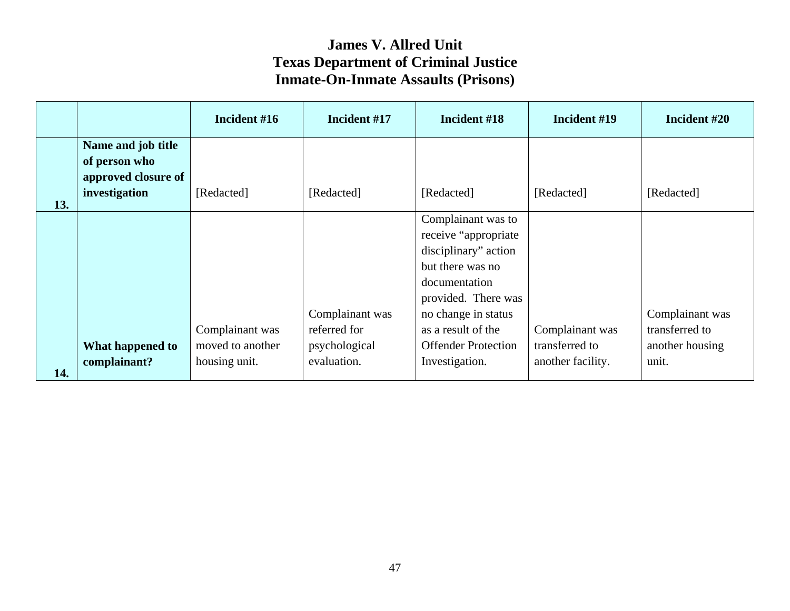|     |                                                                             | Incident #16                                         | Incident #17                                                    | Incident #18                                                                                                                                                                                                                | Incident #19                                           | Incident #20                                                  |
|-----|-----------------------------------------------------------------------------|------------------------------------------------------|-----------------------------------------------------------------|-----------------------------------------------------------------------------------------------------------------------------------------------------------------------------------------------------------------------------|--------------------------------------------------------|---------------------------------------------------------------|
| 13. | Name and job title<br>of person who<br>approved closure of<br>investigation | [Redacted]                                           | [Redacted]                                                      | [Redacted]                                                                                                                                                                                                                  | [Redacted]                                             | [Redacted]                                                    |
| 14. | What happened to<br>complainant?                                            | Complainant was<br>moved to another<br>housing unit. | Complainant was<br>referred for<br>psychological<br>evaluation. | Complainant was to<br>receive "appropriate<br>disciplinary" action<br>but there was no<br>documentation<br>provided. There was<br>no change in status<br>as a result of the<br><b>Offender Protection</b><br>Investigation. | Complainant was<br>transferred to<br>another facility. | Complainant was<br>transferred to<br>another housing<br>unit. |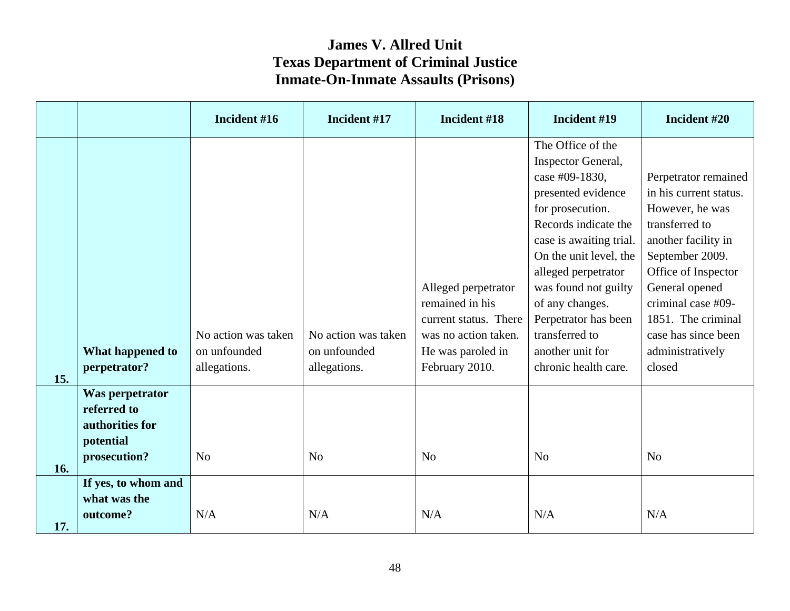|     |                                                                                | Incident #16                                        | Incident #17                                        | Incident #18                                                                                                                   | Incident #19                                                                                                                                                                                                                                                                                                                             | Incident #20                                                                                                                                                                                                                                                            |
|-----|--------------------------------------------------------------------------------|-----------------------------------------------------|-----------------------------------------------------|--------------------------------------------------------------------------------------------------------------------------------|------------------------------------------------------------------------------------------------------------------------------------------------------------------------------------------------------------------------------------------------------------------------------------------------------------------------------------------|-------------------------------------------------------------------------------------------------------------------------------------------------------------------------------------------------------------------------------------------------------------------------|
| 15. | What happened to<br>perpetrator?                                               | No action was taken<br>on unfounded<br>allegations. | No action was taken<br>on unfounded<br>allegations. | Alleged perpetrator<br>remained in his<br>current status. There<br>was no action taken.<br>He was paroled in<br>February 2010. | The Office of the<br>Inspector General,<br>case #09-1830,<br>presented evidence<br>for prosecution.<br>Records indicate the<br>case is awaiting trial.<br>On the unit level, the<br>alleged perpetrator<br>was found not guilty<br>of any changes.<br>Perpetrator has been<br>transferred to<br>another unit for<br>chronic health care. | Perpetrator remained<br>in his current status.<br>However, he was<br>transferred to<br>another facility in<br>September 2009.<br>Office of Inspector<br>General opened<br>criminal case #09-<br>1851. The criminal<br>case has since been<br>administratively<br>closed |
| 16. | Was perpetrator<br>referred to<br>authorities for<br>potential<br>prosecution? | N <sub>o</sub>                                      | N <sub>0</sub>                                      | N <sub>o</sub>                                                                                                                 | No                                                                                                                                                                                                                                                                                                                                       | N <sub>o</sub>                                                                                                                                                                                                                                                          |
| 17. | If yes, to whom and<br>what was the<br>outcome?                                | N/A                                                 | N/A                                                 | N/A                                                                                                                            | N/A                                                                                                                                                                                                                                                                                                                                      | N/A                                                                                                                                                                                                                                                                     |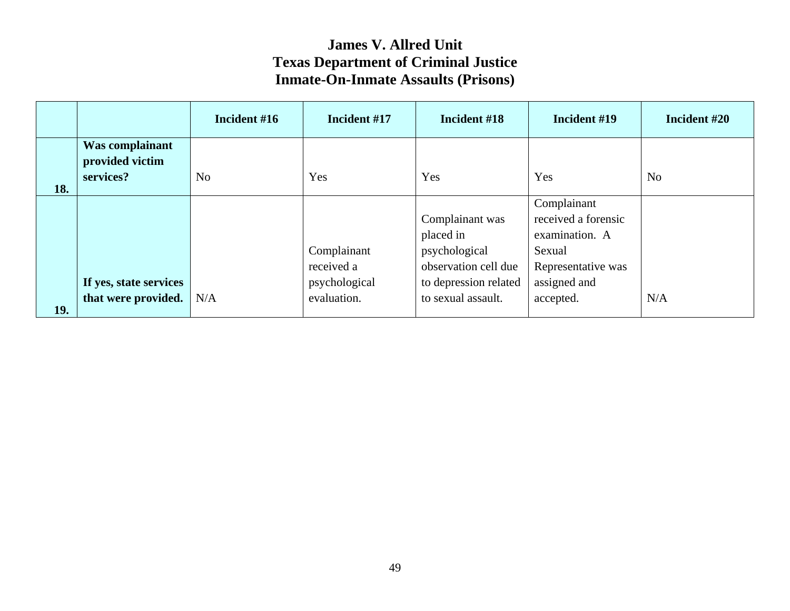|     |                                                 | Incident #16 | Incident #17                                              | Incident #18                                                                                                         | Incident #19                                                                                                      | Incident #20   |
|-----|-------------------------------------------------|--------------|-----------------------------------------------------------|----------------------------------------------------------------------------------------------------------------------|-------------------------------------------------------------------------------------------------------------------|----------------|
| 18. | Was complainant<br>provided victim<br>services? | No           | Yes                                                       | Yes                                                                                                                  | Yes                                                                                                               | N <sub>0</sub> |
| 19. | If yes, state services<br>that were provided.   | N/A          | Complainant<br>received a<br>psychological<br>evaluation. | Complainant was<br>placed in<br>psychological<br>observation cell due<br>to depression related<br>to sexual assault. | Complainant<br>received a forensic<br>examination. A<br>Sexual<br>Representative was<br>assigned and<br>accepted. | N/A            |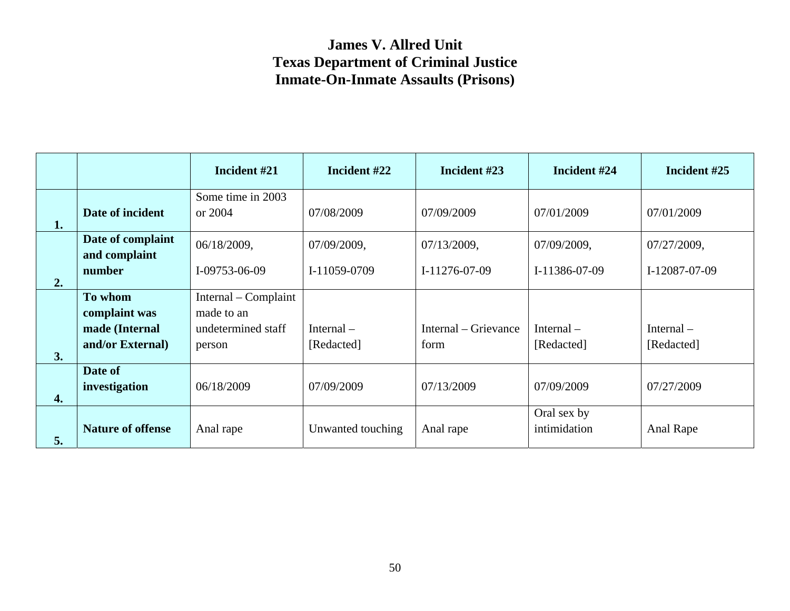|    |                                    | Incident #21                 | Incident #22      | Incident #23         | Incident #24                | Incident #25  |
|----|------------------------------------|------------------------------|-------------------|----------------------|-----------------------------|---------------|
| 1. | Date of incident                   | Some time in 2003<br>or 2004 | 07/08/2009        | 07/09/2009           | 07/01/2009                  | 07/01/2009    |
|    | Date of complaint<br>and complaint | 06/18/2009,                  | 07/09/2009,       | 07/13/2009,          | 07/09/2009,                 | 07/27/2009,   |
| 2. | number                             | I-09753-06-09                | I-11059-0709      | I-11276-07-09        | I-11386-07-09               | I-12087-07-09 |
|    | To whom                            | Internal – Complaint         |                   |                      |                             |               |
|    | complaint was                      | made to an                   |                   |                      |                             |               |
|    | made (Internal                     | undetermined staff           | Internal $-$      | Internal – Grievance | Internal $-$                | Internal $-$  |
| 3. | and/or External)                   | person                       | [Redacted]        | form                 | [Redacted]                  | [Redacted]    |
| 4. | Date of<br>investigation           | 06/18/2009                   | 07/09/2009        | 07/13/2009           | 07/09/2009                  | 07/27/2009    |
| 5. | <b>Nature of offense</b>           | Anal rape                    | Unwanted touching | Anal rape            | Oral sex by<br>intimidation | Anal Rape     |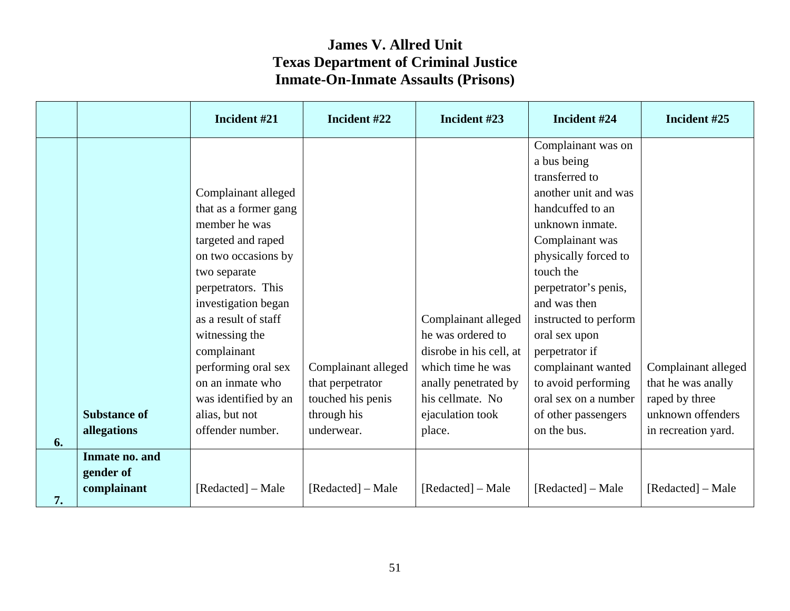|    |                                            | Incident #21                                                                                                                                                                                                                                                                                                                              | Incident #22                                                                              | Incident #23                                                                                                                                                       | Incident #24                                                                                                                                                                                                                                                                                                                                                                              | Incident #25                                                                                            |
|----|--------------------------------------------|-------------------------------------------------------------------------------------------------------------------------------------------------------------------------------------------------------------------------------------------------------------------------------------------------------------------------------------------|-------------------------------------------------------------------------------------------|--------------------------------------------------------------------------------------------------------------------------------------------------------------------|-------------------------------------------------------------------------------------------------------------------------------------------------------------------------------------------------------------------------------------------------------------------------------------------------------------------------------------------------------------------------------------------|---------------------------------------------------------------------------------------------------------|
| 6. | <b>Substance of</b><br>allegations         | Complainant alleged<br>that as a former gang<br>member he was<br>targeted and raped<br>on two occasions by<br>two separate<br>perpetrators. This<br>investigation began<br>as a result of staff<br>witnessing the<br>complainant<br>performing oral sex<br>on an inmate who<br>was identified by an<br>alias, but not<br>offender number. | Complainant alleged<br>that perpetrator<br>touched his penis<br>through his<br>underwear. | Complainant alleged<br>he was ordered to<br>disrobe in his cell, at<br>which time he was<br>anally penetrated by<br>his cellmate. No<br>ejaculation took<br>place. | Complainant was on<br>a bus being<br>transferred to<br>another unit and was<br>handcuffed to an<br>unknown inmate.<br>Complainant was<br>physically forced to<br>touch the<br>perpetrator's penis,<br>and was then<br>instructed to perform<br>oral sex upon<br>perpetrator if<br>complainant wanted<br>to avoid performing<br>oral sex on a number<br>of other passengers<br>on the bus. | Complainant alleged<br>that he was anally<br>raped by three<br>unknown offenders<br>in recreation yard. |
| 7. | Inmate no. and<br>gender of<br>complainant | [Redacted] – Male                                                                                                                                                                                                                                                                                                                         | [Redacted] – Male                                                                         | [Redacted] – Male                                                                                                                                                  | [Redacted] – Male                                                                                                                                                                                                                                                                                                                                                                         | [Redacted] – Male                                                                                       |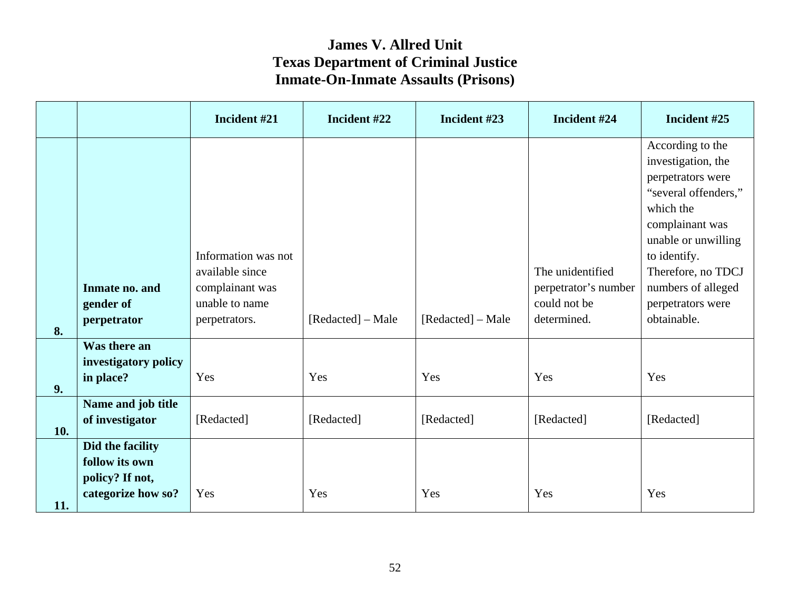|     |                                                                             | Incident #21                                                                                 | Incident #22      | Incident #23      | Incident #24                                                            | Incident #25                                                                                                                                                                                                                               |
|-----|-----------------------------------------------------------------------------|----------------------------------------------------------------------------------------------|-------------------|-------------------|-------------------------------------------------------------------------|--------------------------------------------------------------------------------------------------------------------------------------------------------------------------------------------------------------------------------------------|
| 8.  | Inmate no. and<br>gender of<br>perpetrator                                  | Information was not<br>available since<br>complainant was<br>unable to name<br>perpetrators. | [Redacted] – Male | [Redacted] – Male | The unidentified<br>perpetrator's number<br>could not be<br>determined. | According to the<br>investigation, the<br>perpetrators were<br>"several offenders,"<br>which the<br>complainant was<br>unable or unwilling<br>to identify.<br>Therefore, no TDCJ<br>numbers of alleged<br>perpetrators were<br>obtainable. |
| 9.  | Was there an<br>investigatory policy<br>in place?<br>Name and job title     | Yes                                                                                          | Yes               | Yes               | Yes                                                                     | Yes                                                                                                                                                                                                                                        |
| 10. | of investigator                                                             | [Redacted]                                                                                   | [Redacted]        | [Redacted]        | [Redacted]                                                              | [Redacted]                                                                                                                                                                                                                                 |
| 11. | Did the facility<br>follow its own<br>policy? If not,<br>categorize how so? | Yes                                                                                          | Yes               | Yes               | Yes                                                                     | Yes                                                                                                                                                                                                                                        |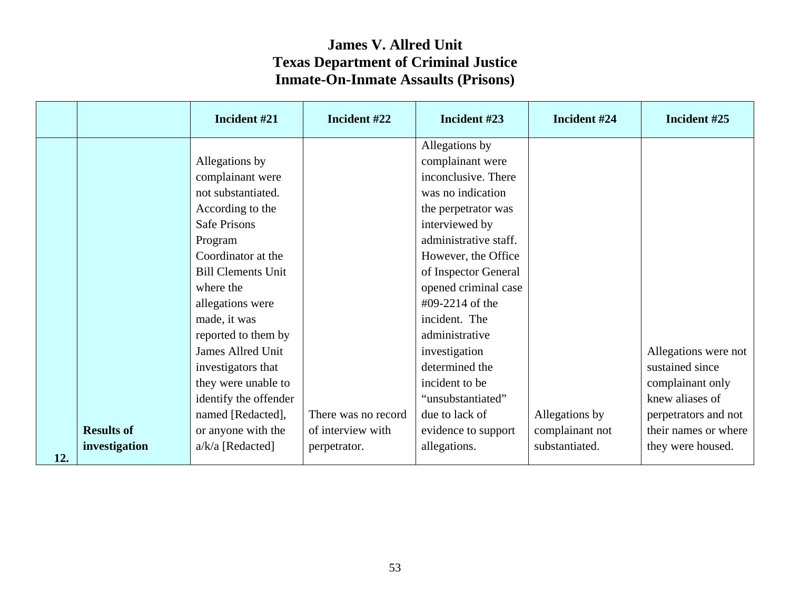|     |                   | Incident #21              | Incident #22        | Incident #23                       | Incident #24    | Incident #25         |
|-----|-------------------|---------------------------|---------------------|------------------------------------|-----------------|----------------------|
|     |                   | Allegations by            |                     | Allegations by<br>complainant were |                 |                      |
|     |                   | complainant were          |                     | inconclusive. There                |                 |                      |
|     |                   | not substantiated.        |                     | was no indication                  |                 |                      |
|     |                   | According to the          |                     | the perpetrator was                |                 |                      |
|     |                   | <b>Safe Prisons</b>       |                     | interviewed by                     |                 |                      |
|     |                   | Program                   |                     | administrative staff.              |                 |                      |
|     |                   | Coordinator at the        |                     | However, the Office                |                 |                      |
|     |                   | <b>Bill Clements Unit</b> |                     | of Inspector General               |                 |                      |
|     |                   | where the                 |                     | opened criminal case               |                 |                      |
|     |                   | allegations were          |                     | #09-2214 of the                    |                 |                      |
|     |                   | made, it was              |                     | incident. The                      |                 |                      |
|     |                   | reported to them by       |                     | administrative                     |                 |                      |
|     |                   | James Allred Unit         |                     | investigation                      |                 | Allegations were not |
|     |                   | investigators that        |                     | determined the                     |                 | sustained since      |
|     |                   | they were unable to       |                     | incident to be                     |                 | complainant only     |
|     |                   | identify the offender     |                     | "unsubstantiated"                  |                 | knew aliases of      |
|     |                   | named [Redacted],         | There was no record | due to lack of                     | Allegations by  | perpetrators and not |
|     | <b>Results of</b> | or anyone with the        | of interview with   | evidence to support                | complainant not | their names or where |
| 12. | investigation     | $a/k/a$ [Redacted]        | perpetrator.        | allegations.                       | substantiated.  | they were housed.    |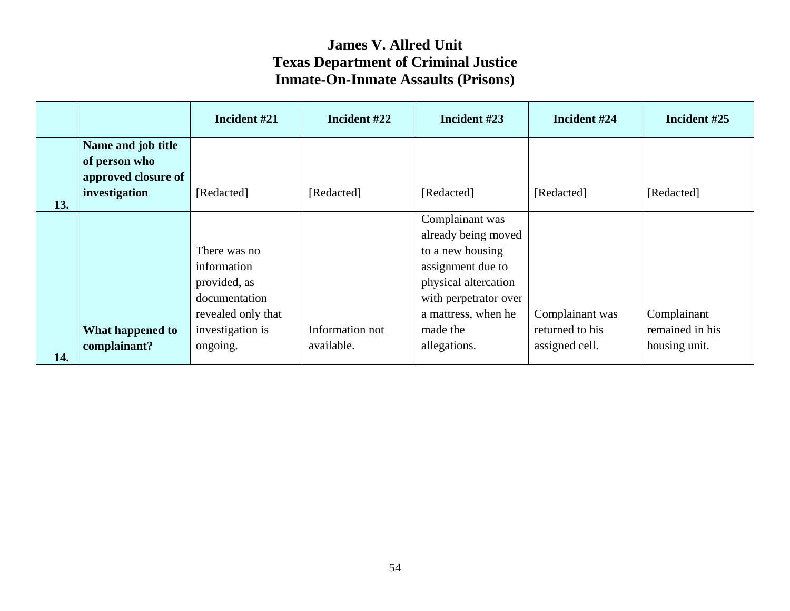|     |                                                                             | Incident #21                                                                                                       | Incident #22                  | Incident #23                                                                                                                                                                        | Incident #24                                         | Incident #25                                    |
|-----|-----------------------------------------------------------------------------|--------------------------------------------------------------------------------------------------------------------|-------------------------------|-------------------------------------------------------------------------------------------------------------------------------------------------------------------------------------|------------------------------------------------------|-------------------------------------------------|
| 13. | Name and job title<br>of person who<br>approved closure of<br>investigation | [Redacted]                                                                                                         | [Redacted]                    | [Redacted]                                                                                                                                                                          | [Redacted]                                           | [Redacted]                                      |
| 14. | What happened to<br>complainant?                                            | There was no<br>information<br>provided, as<br>documentation<br>revealed only that<br>investigation is<br>ongoing. | Information not<br>available. | Complainant was<br>already being moved<br>to a new housing<br>assignment due to<br>physical altercation<br>with perpetrator over<br>a mattress, when he<br>made the<br>allegations. | Complainant was<br>returned to his<br>assigned cell. | Complainant<br>remained in his<br>housing unit. |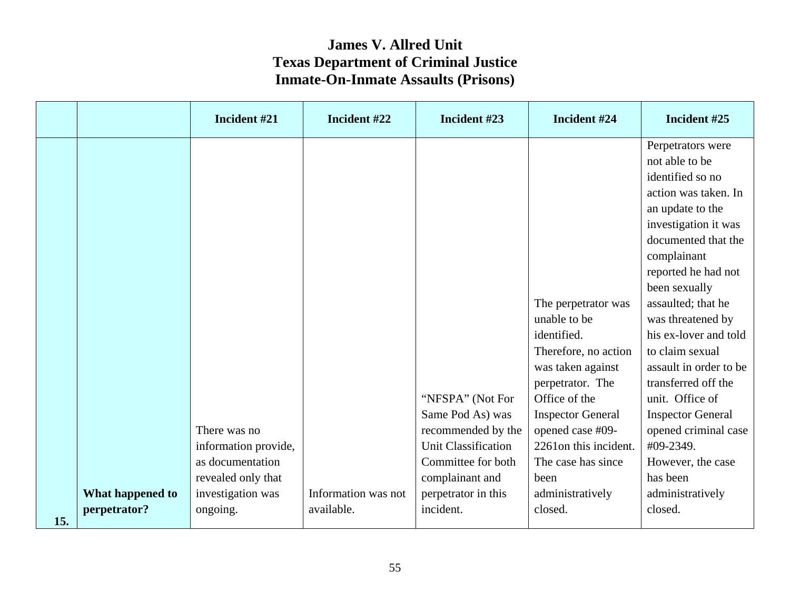|     |                                  | Incident #21                                        | Incident #22                      | Incident #23                                                                             | Incident #24                                                                                                                                                                                                   | Incident #25                                                                                                                                                                                                                                                                                                                                                                                                                          |
|-----|----------------------------------|-----------------------------------------------------|-----------------------------------|------------------------------------------------------------------------------------------|----------------------------------------------------------------------------------------------------------------------------------------------------------------------------------------------------------------|---------------------------------------------------------------------------------------------------------------------------------------------------------------------------------------------------------------------------------------------------------------------------------------------------------------------------------------------------------------------------------------------------------------------------------------|
|     |                                  | There was no<br>information provide,                |                                   | "NFSPA" (Not For<br>Same Pod As) was<br>recommended by the<br><b>Unit Classification</b> | The perpetrator was<br>unable to be<br>identified.<br>Therefore, no action<br>was taken against<br>perpetrator. The<br>Office of the<br><b>Inspector General</b><br>opened case #09-<br>2261 on this incident. | Perpetrators were<br>not able to be<br>identified so no<br>action was taken. In<br>an update to the<br>investigation it was<br>documented that the<br>complainant<br>reported he had not<br>been sexually<br>assaulted; that he<br>was threatened by<br>his ex-lover and told<br>to claim sexual<br>assault in order to be<br>transferred off the<br>unit. Office of<br><b>Inspector General</b><br>opened criminal case<br>#09-2349. |
|     |                                  | as documentation                                    |                                   | Committee for both                                                                       | The case has since                                                                                                                                                                                             | However, the case                                                                                                                                                                                                                                                                                                                                                                                                                     |
| 15. | What happened to<br>perpetrator? | revealed only that<br>investigation was<br>ongoing. | Information was not<br>available. | complainant and<br>perpetrator in this<br>incident.                                      | been<br>administratively<br>closed.                                                                                                                                                                            | has been<br>administratively<br>closed.                                                                                                                                                                                                                                                                                                                                                                                               |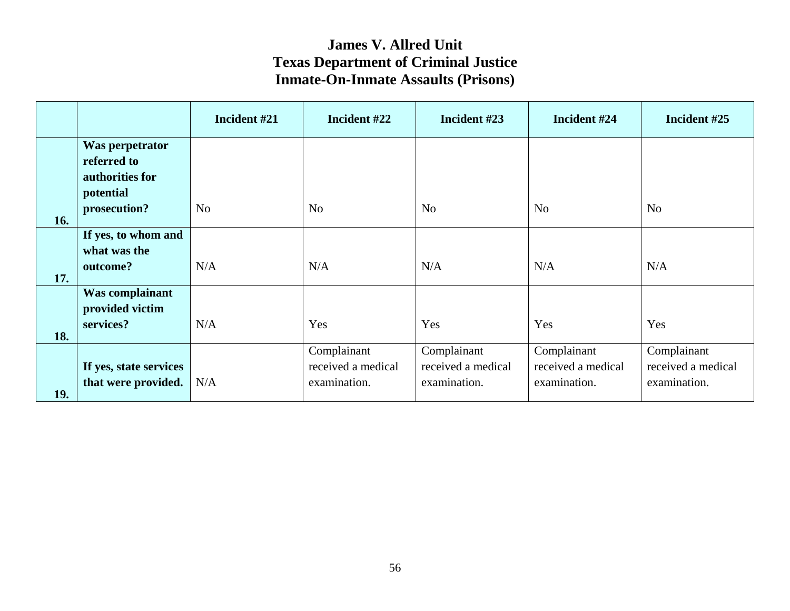|     |                        | Incident #21   | Incident #22       | Incident #23       | Incident #24       | Incident #25       |
|-----|------------------------|----------------|--------------------|--------------------|--------------------|--------------------|
|     | Was perpetrator        |                |                    |                    |                    |                    |
|     | referred to            |                |                    |                    |                    |                    |
|     | authorities for        |                |                    |                    |                    |                    |
|     | potential              |                |                    |                    |                    |                    |
|     | prosecution?           | N <sub>o</sub> | N <sub>o</sub>     | N <sub>o</sub>     | N <sub>o</sub>     | N <sub>o</sub>     |
| 16. |                        |                |                    |                    |                    |                    |
|     | If yes, to whom and    |                |                    |                    |                    |                    |
|     | what was the           |                |                    |                    |                    |                    |
|     | outcome?               | N/A            | N/A                | N/A                | N/A                | N/A                |
| 17. |                        |                |                    |                    |                    |                    |
|     | Was complainant        |                |                    |                    |                    |                    |
|     | provided victim        |                |                    |                    |                    |                    |
|     | services?              | N/A            | Yes                | Yes                | Yes                | Yes                |
| 18. |                        |                |                    |                    |                    |                    |
|     |                        |                | Complainant        | Complainant        | Complainant        | Complainant        |
|     | If yes, state services |                | received a medical | received a medical | received a medical | received a medical |
|     | that were provided.    | N/A            | examination.       | examination.       | examination.       | examination.       |
| 19. |                        |                |                    |                    |                    |                    |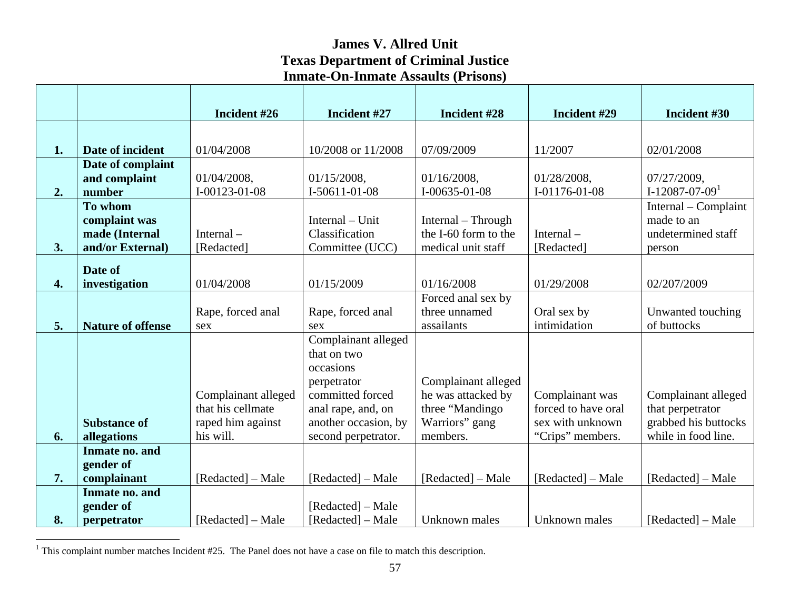|                    |                          | Incident #26        | Incident #27         | Incident #28         | Incident #29        | Incident #30         |
|--------------------|--------------------------|---------------------|----------------------|----------------------|---------------------|----------------------|
|                    |                          |                     |                      |                      |                     |                      |
| 1.                 | Date of incident         | 01/04/2008          | 10/2008 or 11/2008   | 07/09/2009           | 11/2007             | 02/01/2008           |
|                    | Date of complaint        |                     |                      |                      |                     |                      |
|                    | and complaint            | 01/04/2008,         | $01/15/2008$ ,       | 01/16/2008,          | 01/28/2008,         | 07/27/2009,          |
| 2.                 | number                   | I-00123-01-08       | I-50611-01-08        | $I-00635-01-08$      | I-01176-01-08       | $I-12087-07-091$     |
|                    | To whom                  |                     |                      |                      |                     | Internal – Complaint |
|                    | complaint was            |                     | Internal – Unit      | Internal – Through   |                     | made to an           |
|                    | made (Internal           | Internal $-$        | Classification       | the I-60 form to the | Internal $-$        | undetermined staff   |
| 3.                 | and/or External)         | [Redacted]          | Committee (UCC)      | medical unit staff   | [Redacted]          | person               |
|                    | Date of                  |                     |                      |                      |                     |                      |
| $\boldsymbol{4}$ . | investigation            | 01/04/2008          | 01/15/2009           | 01/16/2008           | 01/29/2008          | 02/207/2009          |
|                    |                          |                     |                      | Forced anal sex by   |                     |                      |
|                    |                          | Rape, forced anal   | Rape, forced anal    | three unnamed        | Oral sex by         | Unwanted touching    |
| 5.                 | <b>Nature of offense</b> | sex                 | sex                  | assailants           | intimidation        | of buttocks          |
|                    |                          |                     | Complainant alleged  |                      |                     |                      |
|                    |                          |                     | that on two          |                      |                     |                      |
|                    |                          |                     | occasions            |                      |                     |                      |
|                    |                          |                     | perpetrator          | Complainant alleged  |                     |                      |
|                    |                          | Complainant alleged | committed forced     | he was attacked by   | Complainant was     | Complainant alleged  |
|                    |                          | that his cellmate   | anal rape, and, on   | three "Mandingo"     | forced to have oral | that perpetrator     |
|                    | <b>Substance of</b>      | raped him against   | another occasion, by | Warriors" gang       | sex with unknown    | grabbed his buttocks |
| 6.                 | allegations              | his will.           | second perpetrator.  | members.             | "Crips" members.    | while in food line.  |
|                    | Inmate no. and           |                     |                      |                      |                     |                      |
|                    | gender of                |                     |                      |                      |                     |                      |
| 7.                 | complainant              | [Redacted] - Male   | [Redacted] – Male    | [Redacted] - Male    | [Redacted] – Male   | [Redacted] - Male    |
|                    | Inmate no. and           |                     |                      |                      |                     |                      |
|                    | gender of                |                     | [Redacted] – Male    |                      |                     |                      |
| 8.                 | perpetrator              | [Redacted] – Male   | [Redacted] – Male    | Unknown males        | Unknown males       | [Redacted] – Male    |

<span id="page-58-0"></span><sup>&</sup>lt;sup>1</sup> This complaint number matches Incident #25. The Panel does not have a case on file to match this description.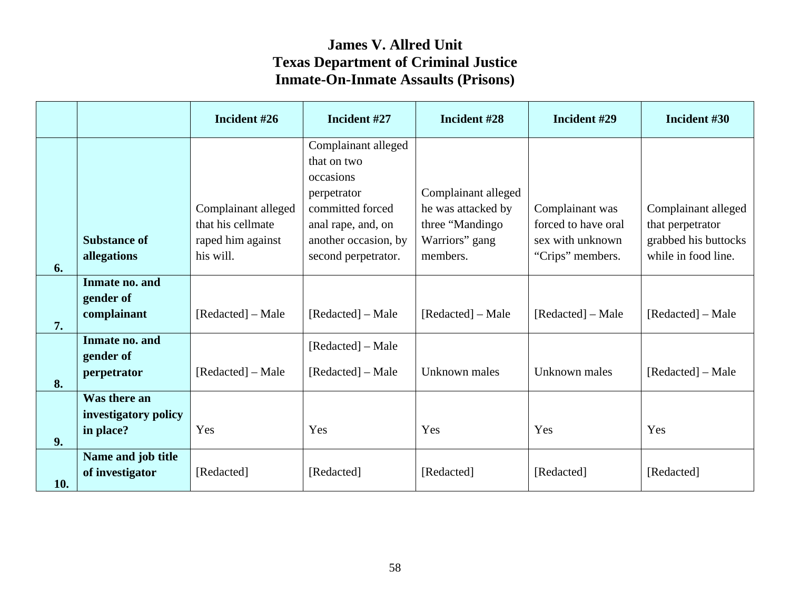|     |                                                   | Incident #26                                                  | Incident #27                                                                                                                     | Incident #28                                                                    | Incident #29                                               | Incident #30                                                    |
|-----|---------------------------------------------------|---------------------------------------------------------------|----------------------------------------------------------------------------------------------------------------------------------|---------------------------------------------------------------------------------|------------------------------------------------------------|-----------------------------------------------------------------|
|     | <b>Substance of</b>                               | Complainant alleged<br>that his cellmate<br>raped him against | Complainant alleged<br>that on two<br>occasions<br>perpetrator<br>committed forced<br>anal rape, and, on<br>another occasion, by | Complainant alleged<br>he was attacked by<br>three "Mandingo"<br>Warriors" gang | Complainant was<br>forced to have oral<br>sex with unknown | Complainant alleged<br>that perpetrator<br>grabbed his buttocks |
| 6.  | allegations                                       | his will.                                                     | second perpetrator.                                                                                                              | members.                                                                        | "Crips" members.                                           | while in food line.                                             |
| 7.  | Inmate no. and<br>gender of<br>complainant        | [Redacted] – Male                                             | [Redacted] – Male                                                                                                                | [Redacted] – Male                                                               | [Redacted] – Male                                          | [Redacted] – Male                                               |
| 8.  | Inmate no. and<br>gender of<br>perpetrator        | [Redacted] – Male                                             | [Redacted] – Male<br>[Redacted] – Male                                                                                           | Unknown males                                                                   | Unknown males                                              | [Redacted] – Male                                               |
| 9.  | Was there an<br>investigatory policy<br>in place? | Yes                                                           | Yes                                                                                                                              | Yes                                                                             | Yes                                                        | Yes                                                             |
| 10. | Name and job title<br>of investigator             | [Redacted]                                                    | [Redacted]                                                                                                                       | [Redacted]                                                                      | [Redacted]                                                 | [Redacted]                                                      |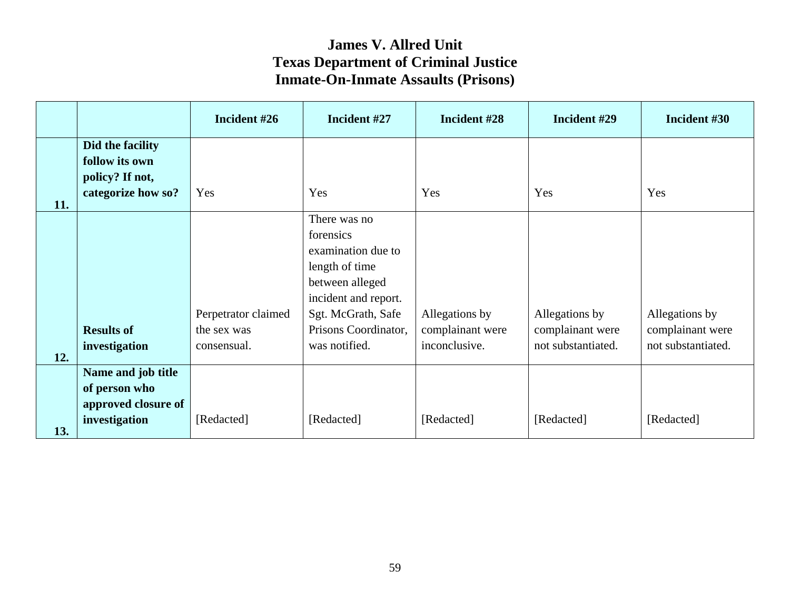|     |                                                                             | Incident #26                                      | Incident #27                                                                                                                                                                | Incident #28                                        | Incident #29                                             | Incident #30                                             |
|-----|-----------------------------------------------------------------------------|---------------------------------------------------|-----------------------------------------------------------------------------------------------------------------------------------------------------------------------------|-----------------------------------------------------|----------------------------------------------------------|----------------------------------------------------------|
| 11. | Did the facility<br>follow its own<br>policy? If not,<br>categorize how so? | Yes                                               | Yes                                                                                                                                                                         | Yes                                                 | Yes                                                      | Yes                                                      |
| 12. | <b>Results of</b><br>investigation                                          | Perpetrator claimed<br>the sex was<br>consensual. | There was no<br>forensics<br>examination due to<br>length of time<br>between alleged<br>incident and report.<br>Sgt. McGrath, Safe<br>Prisons Coordinator,<br>was notified. | Allegations by<br>complainant were<br>inconclusive. | Allegations by<br>complainant were<br>not substantiated. | Allegations by<br>complainant were<br>not substantiated. |
| 13. | Name and job title<br>of person who<br>approved closure of<br>investigation | [Redacted]                                        | [Redacted]                                                                                                                                                                  | [Redacted]                                          | [Redacted]                                               | [Redacted]                                               |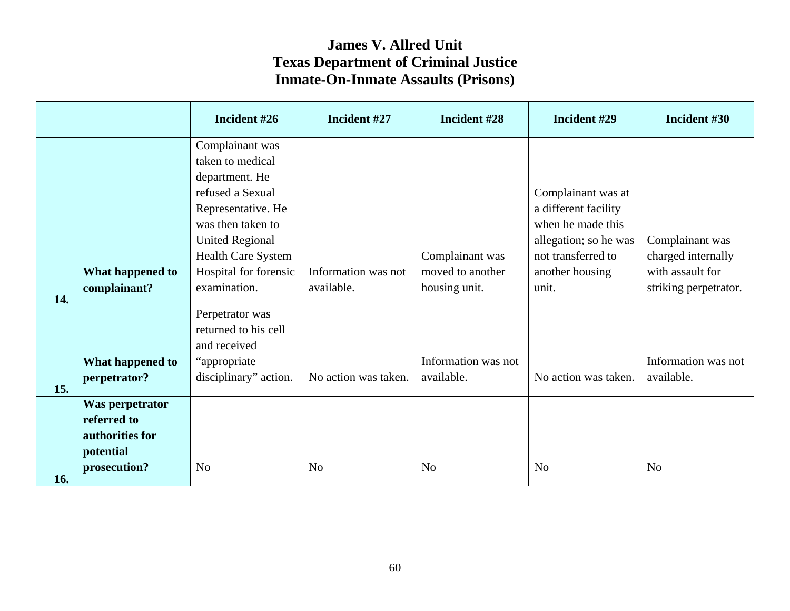|            |                                                                                | Incident #26                                                                                                                                                         | Incident #27                      | Incident #28                      | Incident #29                                                                                                   | Incident #30                              |
|------------|--------------------------------------------------------------------------------|----------------------------------------------------------------------------------------------------------------------------------------------------------------------|-----------------------------------|-----------------------------------|----------------------------------------------------------------------------------------------------------------|-------------------------------------------|
|            |                                                                                | Complainant was<br>taken to medical<br>department. He<br>refused a Sexual<br>Representative. He<br>was then taken to<br><b>United Regional</b><br>Health Care System |                                   | Complainant was                   | Complainant was at<br>a different facility<br>when he made this<br>allegation; so he was<br>not transferred to | Complainant was<br>charged internally     |
| 14.        | What happened to<br>complainant?                                               | Hospital for forensic<br>examination.                                                                                                                                | Information was not<br>available. | moved to another<br>housing unit. | another housing<br>unit.                                                                                       | with assault for<br>striking perpetrator. |
|            | What happened to<br>perpetrator?                                               | Perpetrator was<br>returned to his cell<br>and received<br>"appropriate"<br>disciplinary" action.                                                                    | No action was taken.              | Information was not<br>available. | No action was taken.                                                                                           | Information was not<br>available.         |
| 15.<br>16. | Was perpetrator<br>referred to<br>authorities for<br>potential<br>prosecution? | N <sub>o</sub>                                                                                                                                                       | N <sub>o</sub>                    | N <sub>o</sub>                    | N <sub>o</sub>                                                                                                 | N <sub>o</sub>                            |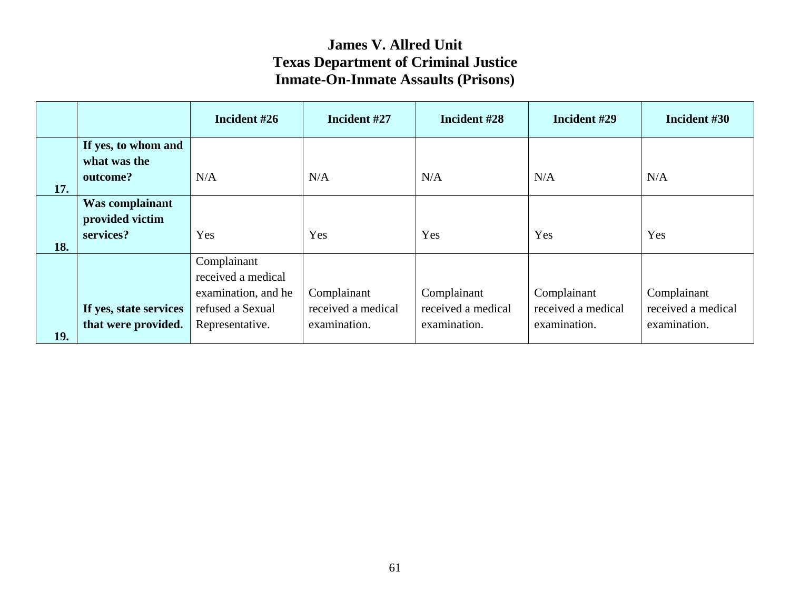|     |                                               | Incident #26                                             | Incident #27                       | Incident #28                       | Incident #29                       | Incident #30                       |
|-----|-----------------------------------------------|----------------------------------------------------------|------------------------------------|------------------------------------|------------------------------------|------------------------------------|
|     | If yes, to whom and<br>what was the           |                                                          |                                    |                                    |                                    |                                    |
| 17. | outcome?                                      | N/A                                                      | N/A                                | N/A                                | N/A                                | N/A                                |
|     | Was complainant<br>provided victim            |                                                          |                                    |                                    |                                    |                                    |
| 18. | services?                                     | Yes                                                      | Yes                                | Yes                                | Yes                                | Yes                                |
|     |                                               | Complainant<br>received a medical<br>examination, and he | Complainant                        | Complainant                        | Complainant                        | Complainant                        |
| 19. | If yes, state services<br>that were provided. | refused a Sexual<br>Representative.                      | received a medical<br>examination. | received a medical<br>examination. | received a medical<br>examination. | received a medical<br>examination. |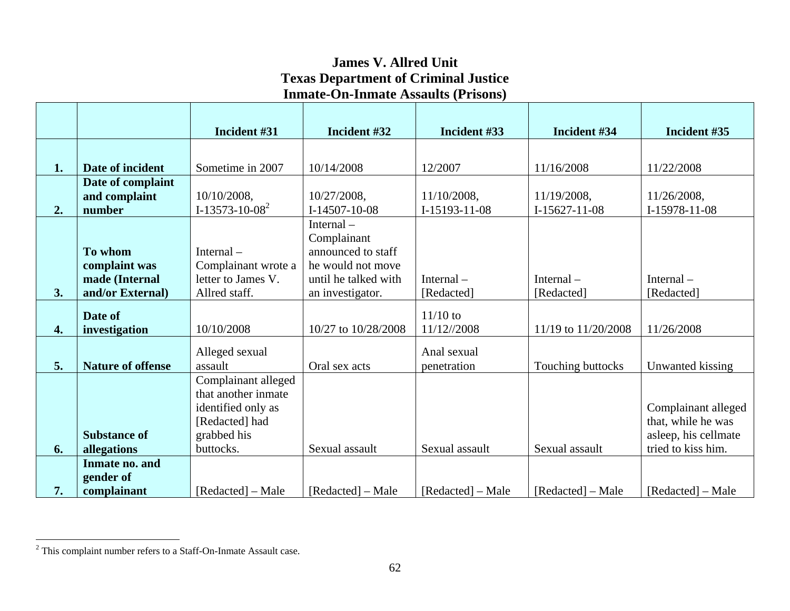|    |                          | Incident #31               | Incident #32         | Incident #33      | Incident #34        | Incident #35         |
|----|--------------------------|----------------------------|----------------------|-------------------|---------------------|----------------------|
|    |                          |                            |                      |                   |                     |                      |
| 1. | Date of incident         | Sometime in 2007           | 10/14/2008           | 12/2007           | 11/16/2008          | 11/22/2008           |
|    | Date of complaint        |                            |                      |                   |                     |                      |
|    | and complaint            | 10/10/2008,                | 10/27/2008,          | 11/10/2008,       | 11/19/2008,         | 11/26/2008,          |
| 2. | number                   | I-13573-10-08 <sup>2</sup> | $I-14507-10-08$      | I-15193-11-08     | $I-15627-11-08$     | I-15978-11-08        |
|    |                          |                            | Internal-            |                   |                     |                      |
|    |                          |                            | Complainant          |                   |                     |                      |
|    | To whom                  | Internal $-$               | announced to staff   |                   |                     |                      |
|    | complaint was            | Complainant wrote a        | he would not move    |                   |                     |                      |
|    | made (Internal           | letter to James V.         | until he talked with | Internal $-$      | Internal $-$        | Internal $-$         |
| 3. | and/or External)         | Allred staff.              | an investigator.     | [Redacted]        | [Redacted]          | [Redacted]           |
|    | Date of                  |                            |                      | $11/10$ to        |                     |                      |
| 4. | investigation            | 10/10/2008                 | 10/27 to 10/28/2008  | 11/12//2008       | 11/19 to 11/20/2008 | 11/26/2008           |
|    |                          | Alleged sexual             |                      | Anal sexual       |                     |                      |
| 5. | <b>Nature of offense</b> | assault                    | Oral sex acts        | penetration       | Touching buttocks   | Unwanted kissing     |
|    |                          | Complainant alleged        |                      |                   |                     |                      |
|    |                          | that another inmate        |                      |                   |                     |                      |
|    |                          | identified only as         |                      |                   |                     | Complainant alleged  |
|    |                          | [Redacted] had             |                      |                   |                     | that, while he was   |
|    | <b>Substance of</b>      | grabbed his                |                      |                   |                     | asleep, his cellmate |
| 6. | allegations              | buttocks.                  | Sexual assault       | Sexual assault    | Sexual assault      | tried to kiss him.   |
|    | Inmate no. and           |                            |                      |                   |                     |                      |
|    | gender of                |                            |                      |                   |                     |                      |
| 7. | complainant              | [Redacted] – Male          | [Redacted] – Male    | [Redacted] – Male | [Redacted] – Male   | [Redacted] – Male    |

<span id="page-63-0"></span><sup>2</sup> This complaint number refers to a Staff-On-Inmate Assault case.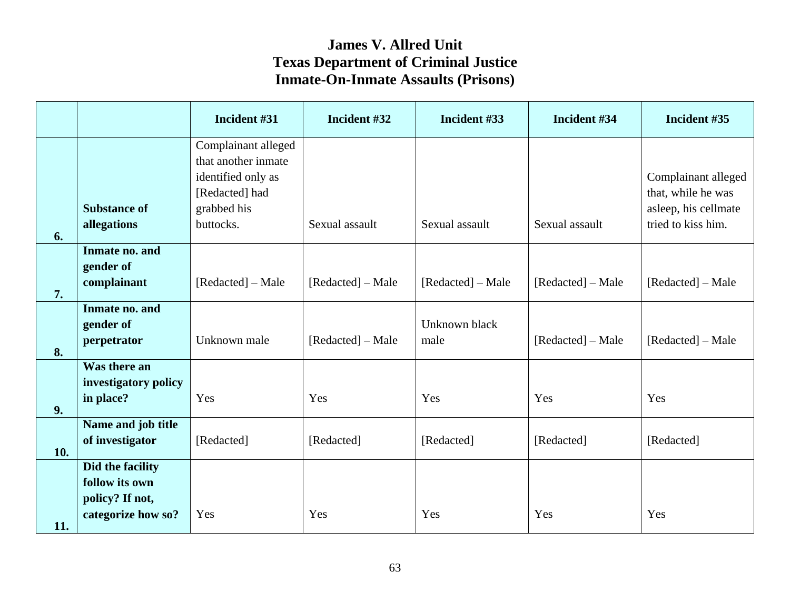| Complainant alleged                                              |                     |                       |                   |                                                                                         |
|------------------------------------------------------------------|---------------------|-----------------------|-------------------|-----------------------------------------------------------------------------------------|
| identified only as<br>[Redacted] had<br>grabbed his<br>buttocks. | Sexual assault      | Sexual assault        | Sexual assault    | Complainant alleged<br>that, while he was<br>asleep, his cellmate<br>tried to kiss him. |
| [Redacted] – Male                                                | [Redacted] – Male   | [Redacted] – Male     | [Redacted] – Male | [Redacted] – Male                                                                       |
| Unknown male                                                     | [Redacted] – Male   | Unknown black<br>male | [Redacted] – Male | [Redacted] – Male                                                                       |
| Yes                                                              | Yes                 | Yes                   | Yes               | Yes                                                                                     |
| [Redacted]                                                       | [Redacted]          | [Redacted]            | [Redacted]        | [Redacted]                                                                              |
| Yes                                                              | Yes                 | Yes                   | Yes               | Yes                                                                                     |
|                                                                  | that another inmate |                       |                   |                                                                                         |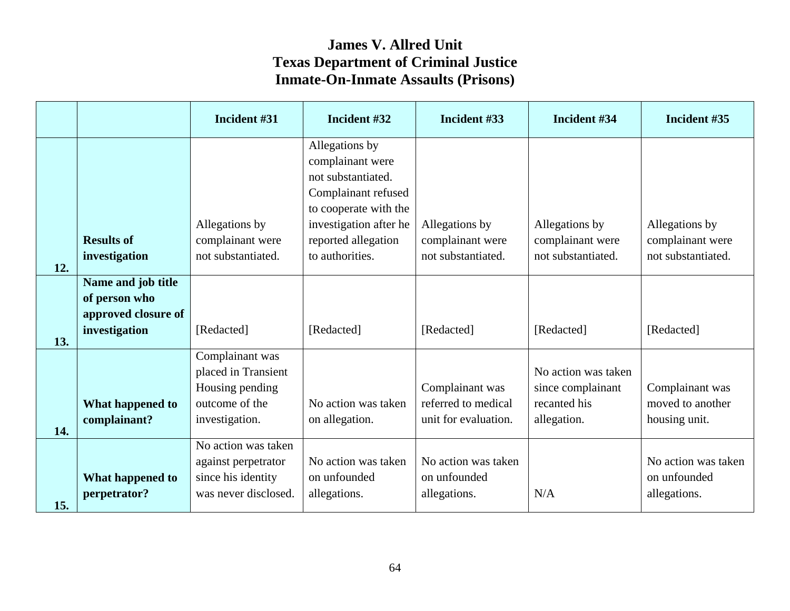|     |                     | Incident #31                      | Incident #32           | Incident #33                           | Incident #34                      | Incident #35                        |
|-----|---------------------|-----------------------------------|------------------------|----------------------------------------|-----------------------------------|-------------------------------------|
|     |                     |                                   | Allegations by         |                                        |                                   |                                     |
|     |                     |                                   | complainant were       |                                        |                                   |                                     |
|     |                     |                                   | not substantiated.     |                                        |                                   |                                     |
|     |                     |                                   | Complainant refused    |                                        |                                   |                                     |
|     |                     |                                   | to cooperate with the  |                                        |                                   |                                     |
|     |                     | Allegations by                    | investigation after he | Allegations by                         | Allegations by                    | Allegations by                      |
|     | <b>Results of</b>   | complainant were                  | reported allegation    | complainant were                       | complainant were                  | complainant were                    |
| 12. | investigation       | not substantiated.                | to authorities.        | not substantiated.                     | not substantiated.                | not substantiated.                  |
|     | Name and job title  |                                   |                        |                                        |                                   |                                     |
|     | of person who       |                                   |                        |                                        |                                   |                                     |
|     | approved closure of |                                   |                        |                                        |                                   |                                     |
|     | investigation       | [Redacted]                        | [Redacted]             | [Redacted]                             | [Redacted]                        | [Redacted]                          |
| 13. |                     |                                   |                        |                                        |                                   |                                     |
|     |                     | Complainant was                   |                        |                                        |                                   |                                     |
|     |                     | placed in Transient               |                        |                                        | No action was taken               |                                     |
|     |                     | Housing pending<br>outcome of the | No action was taken    | Complainant was<br>referred to medical | since complainant<br>recanted his | Complainant was<br>moved to another |
|     | What happened to    |                                   |                        | unit for evaluation.                   |                                   |                                     |
| 14. | complainant?        | investigation.                    | on allegation.         |                                        | allegation.                       | housing unit.                       |
|     |                     | No action was taken               |                        |                                        |                                   |                                     |
|     |                     | against perpetrator               | No action was taken    | No action was taken                    |                                   | No action was taken                 |
|     | What happened to    | since his identity                | on unfounded           | on unfounded                           |                                   | on unfounded                        |
|     | perpetrator?        | was never disclosed.              | allegations.           | allegations.                           | N/A                               | allegations.                        |
| 15. |                     |                                   |                        |                                        |                                   |                                     |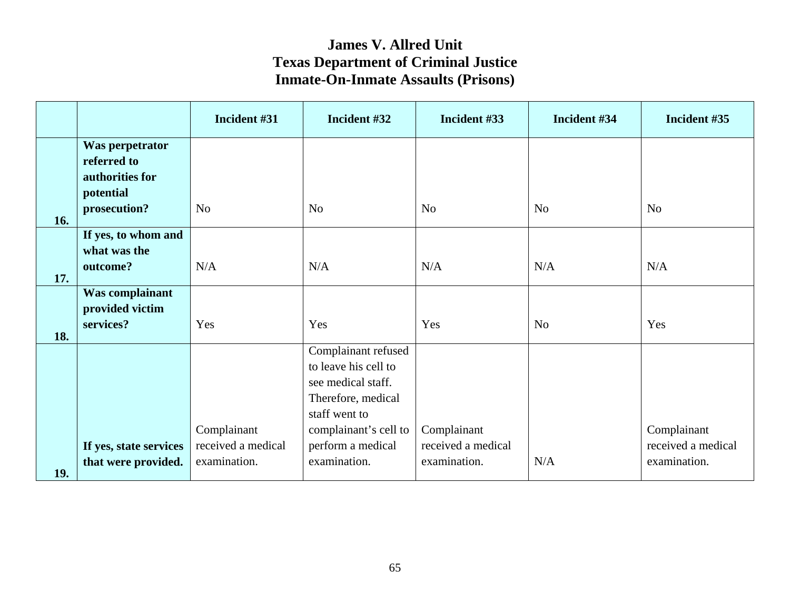|     |                                                   | Incident #31                       | Incident #32                                                                                                                      | Incident #33                       | Incident #34   | Incident #35                       |
|-----|---------------------------------------------------|------------------------------------|-----------------------------------------------------------------------------------------------------------------------------------|------------------------------------|----------------|------------------------------------|
|     | Was perpetrator<br>referred to<br>authorities for |                                    |                                                                                                                                   |                                    |                |                                    |
| 16. | potential<br>prosecution?                         | N <sub>o</sub>                     | N <sub>o</sub>                                                                                                                    | N <sub>o</sub>                     | N <sub>o</sub> | N <sub>o</sub>                     |
|     | If yes, to whom and<br>what was the<br>outcome?   | N/A                                | N/A                                                                                                                               | N/A                                | N/A            | N/A                                |
| 17. | Was complainant                                   |                                    |                                                                                                                                   |                                    |                |                                    |
| 18. | provided victim<br>services?                      | Yes                                | Yes                                                                                                                               | Yes                                | N <sub>o</sub> | Yes                                |
|     |                                                   | Complainant                        | Complainant refused<br>to leave his cell to<br>see medical staff.<br>Therefore, medical<br>staff went to<br>complainant's cell to | Complainant                        |                | Complainant                        |
| 19. | If yes, state services<br>that were provided.     | received a medical<br>examination. | perform a medical<br>examination.                                                                                                 | received a medical<br>examination. | N/A            | received a medical<br>examination. |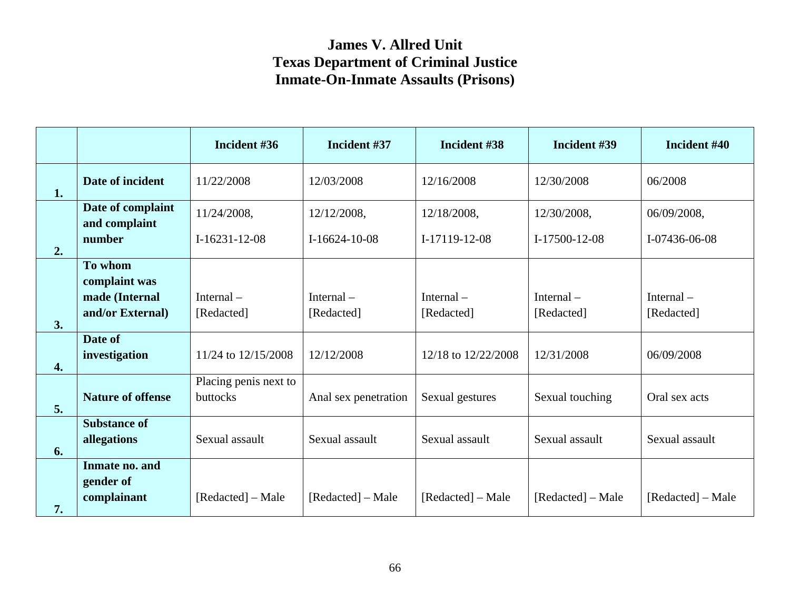|    |                                            | Incident #36                      | Incident #37               | Incident #38               | Incident #39               | Incident #40            |
|----|--------------------------------------------|-----------------------------------|----------------------------|----------------------------|----------------------------|-------------------------|
| 1. | Date of incident                           | 11/22/2008                        | 12/03/2008                 | 12/16/2008                 | 12/30/2008                 | 06/2008                 |
|    | Date of complaint<br>and complaint         | 11/24/2008,                       | 12/12/2008,                | 12/18/2008,                | 12/30/2008,                | 06/09/2008,             |
| 2. | number                                     | $I-16231-12-08$                   | $I-16624-10-08$            | I-17119-12-08              | $I-17500-12-08$            | I-07436-06-08           |
|    | To whom<br>complaint was                   |                                   |                            |                            |                            |                         |
|    | made (Internal<br>and/or External)         | Internal $-$<br>[Redacted]        | Internal $-$<br>[Redacted] | Internal $-$<br>[Redacted] | Internal $-$<br>[Redacted] | Internal-<br>[Redacted] |
| 3. | Date of                                    |                                   |                            |                            |                            |                         |
| 4. | investigation                              | 11/24 to 12/15/2008               | 12/12/2008                 | 12/18 to 12/22/2008        | 12/31/2008                 | 06/09/2008              |
| 5. | <b>Nature of offense</b>                   | Placing penis next to<br>buttocks | Anal sex penetration       | Sexual gestures            | Sexual touching            | Oral sex acts           |
| 6. | <b>Substance of</b><br>allegations         | Sexual assault                    | Sexual assault             | Sexual assault             | Sexual assault             | Sexual assault          |
| 7. | Inmate no. and<br>gender of<br>complainant | [Redacted] – Male                 | [Redacted] – Male          | [Redacted] – Male          | [Redacted] – Male          | [Redacted] – Male       |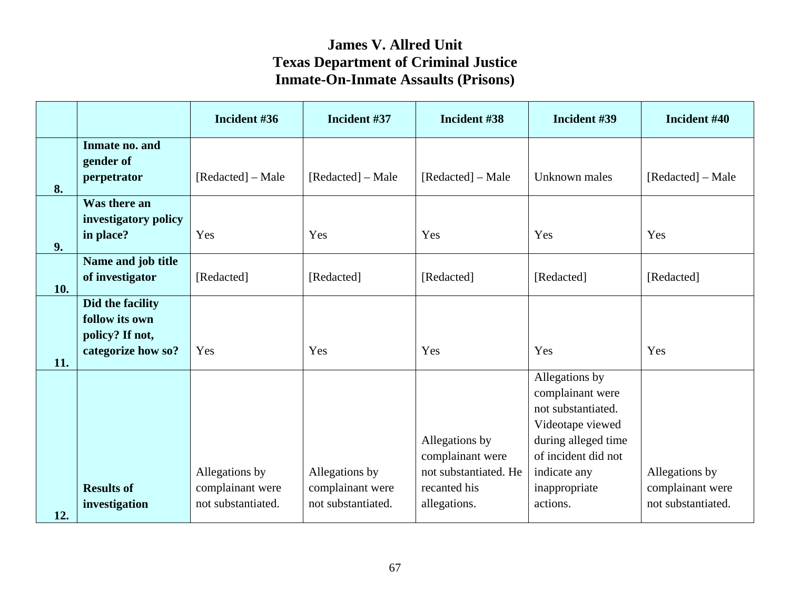|     |                                                                             | Incident #36                                             | Incident #37                                             | Incident #38                                                                                | Incident #39                                                                                                                                                            | Incident #40                                             |
|-----|-----------------------------------------------------------------------------|----------------------------------------------------------|----------------------------------------------------------|---------------------------------------------------------------------------------------------|-------------------------------------------------------------------------------------------------------------------------------------------------------------------------|----------------------------------------------------------|
| 8.  | Inmate no. and<br>gender of<br>perpetrator                                  | [Redacted] – Male                                        | [Redacted] – Male                                        | [Redacted] – Male                                                                           | Unknown males                                                                                                                                                           | [Redacted] – Male                                        |
| 9.  | Was there an<br>investigatory policy<br>in place?                           | Yes                                                      | Yes                                                      | Yes                                                                                         | Yes                                                                                                                                                                     | Yes                                                      |
| 10. | Name and job title<br>of investigator                                       | [Redacted]                                               | [Redacted]                                               | [Redacted]                                                                                  | [Redacted]                                                                                                                                                              | [Redacted]                                               |
|     | Did the facility<br>follow its own<br>policy? If not,<br>categorize how so? | Yes                                                      | Yes                                                      | Yes                                                                                         | Yes                                                                                                                                                                     | Yes                                                      |
| 11. | <b>Results of</b><br>investigation                                          | Allegations by<br>complainant were<br>not substantiated. | Allegations by<br>complainant were<br>not substantiated. | Allegations by<br>complainant were<br>not substantiated. He<br>recanted his<br>allegations. | Allegations by<br>complainant were<br>not substantiated.<br>Videotape viewed<br>during alleged time<br>of incident did not<br>indicate any<br>inappropriate<br>actions. | Allegations by<br>complainant were<br>not substantiated. |
| 12. |                                                                             |                                                          |                                                          |                                                                                             |                                                                                                                                                                         |                                                          |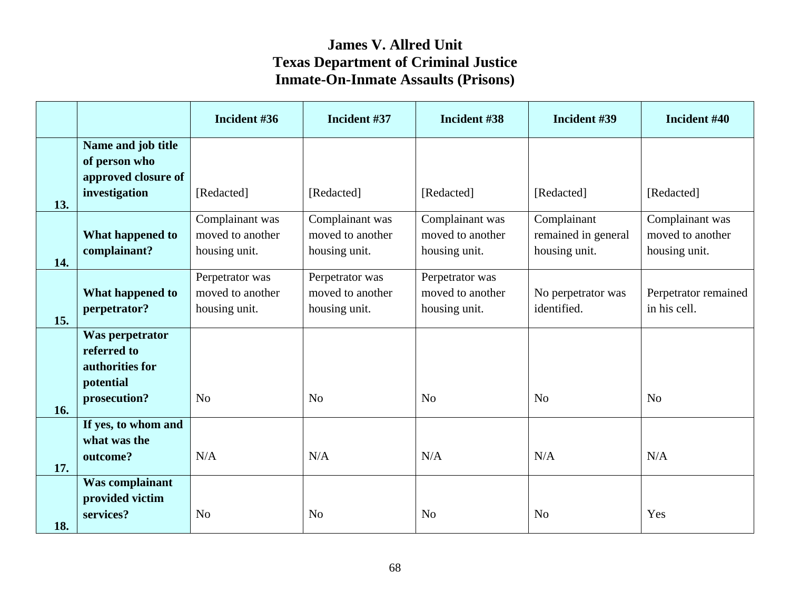|     |                                                                                | Incident #36                                         | Incident #37                                         | Incident #38                                         | Incident #39                                        | Incident #40                                         |
|-----|--------------------------------------------------------------------------------|------------------------------------------------------|------------------------------------------------------|------------------------------------------------------|-----------------------------------------------------|------------------------------------------------------|
| 13. | Name and job title<br>of person who<br>approved closure of<br>investigation    | [Redacted]                                           | [Redacted]                                           | [Redacted]                                           | [Redacted]                                          | [Redacted]                                           |
| 14. | What happened to<br>complainant?                                               | Complainant was<br>moved to another<br>housing unit. | Complainant was<br>moved to another<br>housing unit. | Complainant was<br>moved to another<br>housing unit. | Complainant<br>remained in general<br>housing unit. | Complainant was<br>moved to another<br>housing unit. |
| 15. | What happened to<br>perpetrator?                                               | Perpetrator was<br>moved to another<br>housing unit. | Perpetrator was<br>moved to another<br>housing unit. | Perpetrator was<br>moved to another<br>housing unit. | No perpetrator was<br>identified.                   | Perpetrator remained<br>in his cell.                 |
| 16. | Was perpetrator<br>referred to<br>authorities for<br>potential<br>prosecution? | N <sub>o</sub>                                       | N <sub>o</sub>                                       | N <sub>o</sub>                                       | N <sub>o</sub>                                      | N <sub>o</sub>                                       |
| 17. | If yes, to whom and<br>what was the<br>outcome?                                | N/A                                                  | N/A                                                  | N/A                                                  | N/A                                                 | N/A                                                  |
| 18. | <b>Was complainant</b><br>provided victim<br>services?                         | N <sub>o</sub>                                       | N <sub>o</sub>                                       | N <sub>o</sub>                                       | N <sub>o</sub>                                      | Yes                                                  |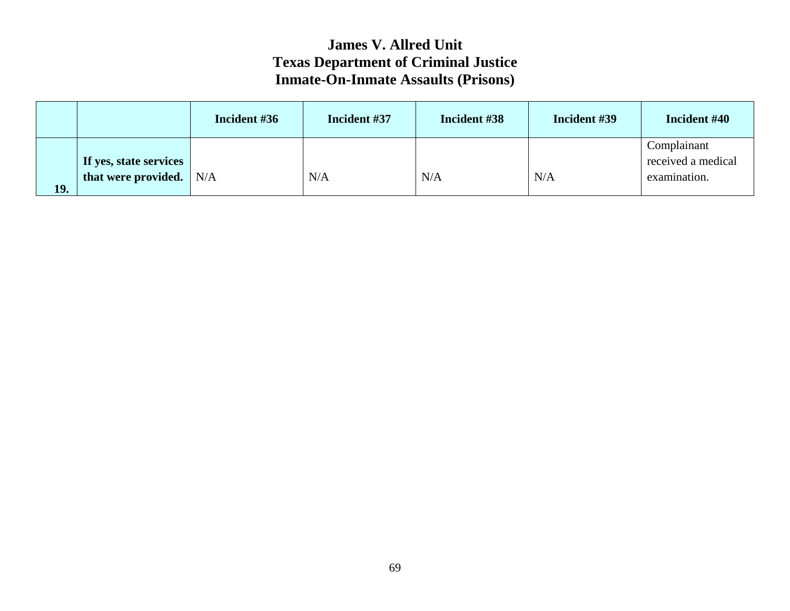|     |                                               | Incident #36 | Incident #37 | Incident #38 | Incident #39 | Incident #40                                      |
|-----|-----------------------------------------------|--------------|--------------|--------------|--------------|---------------------------------------------------|
| 19. | If yes, state services<br>that were provided. | N/A          | N/A          | N/A          | N/A          | Complainant<br>received a medical<br>examination. |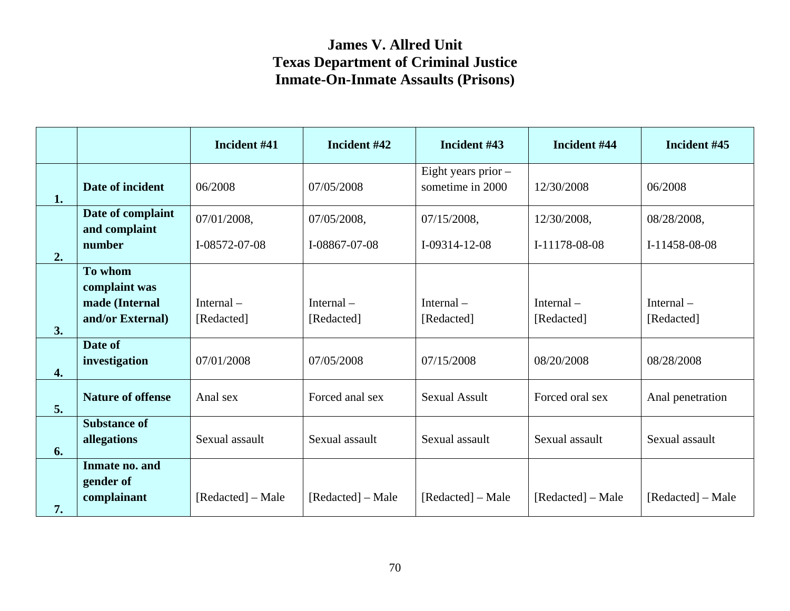|                    |                                                                | Incident #41                 | Incident #42                 | Incident #43                            | Incident #44                 | Incident #45                 |
|--------------------|----------------------------------------------------------------|------------------------------|------------------------------|-----------------------------------------|------------------------------|------------------------------|
| 1.                 | Date of incident                                               | 06/2008                      | 07/05/2008                   | Eight years prior -<br>sometime in 2000 | 12/30/2008                   | 06/2008                      |
| 2.                 | Date of complaint<br>and complaint<br>number                   | 07/01/2008,<br>I-08572-07-08 | 07/05/2008,<br>I-08867-07-08 | 07/15/2008,<br>I-09314-12-08            | 12/30/2008,<br>I-11178-08-08 | 08/28/2008,<br>I-11458-08-08 |
| 3.                 | To whom<br>complaint was<br>made (Internal<br>and/or External) | Internal $-$<br>[Redacted]   | Internal $-$<br>[Redacted]   | Internal $-$<br>[Redacted]              | Internal $-$<br>[Redacted]   | Internal $-$<br>[Redacted]   |
| $\boldsymbol{4}$ . | Date of<br>investigation                                       | 07/01/2008                   | 07/05/2008                   | 07/15/2008                              | 08/20/2008                   | 08/28/2008                   |
| 5.                 | <b>Nature of offense</b>                                       | Anal sex                     | Forced anal sex              | <b>Sexual Assult</b>                    | Forced oral sex              | Anal penetration             |
| 6.                 | <b>Substance of</b><br>allegations                             | Sexual assault               | Sexual assault               | Sexual assault                          | Sexual assault               | Sexual assault               |
| 7.                 | Inmate no. and<br>gender of<br>complainant                     | [Redacted] – Male            | [Redacted] – Male            | [Redacted] – Male                       | [Redacted] – Male            | [Redacted] – Male            |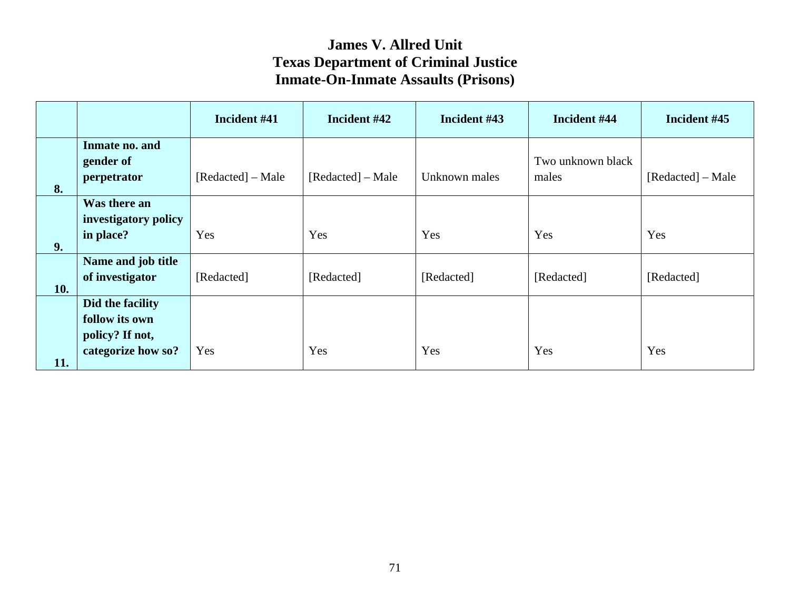|     |                                                                             | Incident #41      | Incident #42      | Incident #43  | Incident #44               | Incident #45      |
|-----|-----------------------------------------------------------------------------|-------------------|-------------------|---------------|----------------------------|-------------------|
| 8.  | Inmate no. and<br>gender of<br>perpetrator                                  | [Redacted] – Male | [Redacted] – Male | Unknown males | Two unknown black<br>males | [Redacted] – Male |
| 9.  | Was there an<br>investigatory policy<br>in place?                           | Yes               | Yes               | Yes           | Yes                        | Yes               |
| 10. | Name and job title<br>of investigator                                       | [Redacted]        | [Redacted]        | [Redacted]    | [Redacted]                 | [Redacted]        |
| 11. | Did the facility<br>follow its own<br>policy? If not,<br>categorize how so? | Yes               | Yes               | Yes           | Yes                        | Yes               |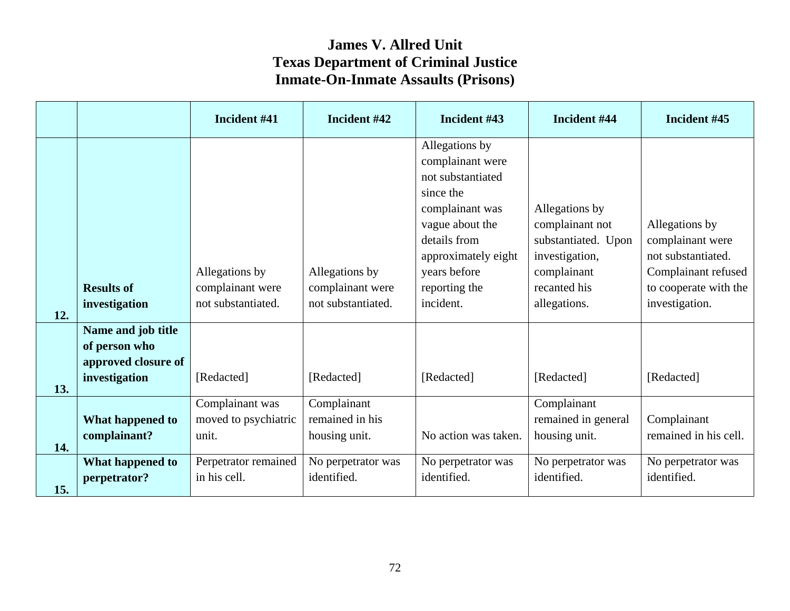|     |                                                                             | Incident #41                                             | Incident #42                                             | Incident #43                                                                                                                                                                                    | Incident #44                                                                                                              | Incident #45                                                                                                               |
|-----|-----------------------------------------------------------------------------|----------------------------------------------------------|----------------------------------------------------------|-------------------------------------------------------------------------------------------------------------------------------------------------------------------------------------------------|---------------------------------------------------------------------------------------------------------------------------|----------------------------------------------------------------------------------------------------------------------------|
| 12. | <b>Results of</b><br>investigation                                          | Allegations by<br>complainant were<br>not substantiated. | Allegations by<br>complainant were<br>not substantiated. | Allegations by<br>complainant were<br>not substantiated<br>since the<br>complainant was<br>vague about the<br>details from<br>approximately eight<br>years before<br>reporting the<br>incident. | Allegations by<br>complainant not<br>substantiated. Upon<br>investigation,<br>complainant<br>recanted his<br>allegations. | Allegations by<br>complainant were<br>not substantiated.<br>Complainant refused<br>to cooperate with the<br>investigation. |
| 13. | Name and job title<br>of person who<br>approved closure of<br>investigation | [Redacted]                                               | [Redacted]                                               | [Redacted]                                                                                                                                                                                      | [Redacted]                                                                                                                | [Redacted]                                                                                                                 |
| 14. | What happened to<br>complainant?                                            | Complainant was<br>moved to psychiatric<br>unit.         | Complainant<br>remained in his<br>housing unit.          | No action was taken.                                                                                                                                                                            | Complainant<br>remained in general<br>housing unit.                                                                       | Complainant<br>remained in his cell.                                                                                       |
| 15. | What happened to<br>perpetrator?                                            | Perpetrator remained<br>in his cell.                     | No perpetrator was<br>identified.                        | No perpetrator was<br>identified.                                                                                                                                                               | No perpetrator was<br>identified.                                                                                         | No perpetrator was<br>identified.                                                                                          |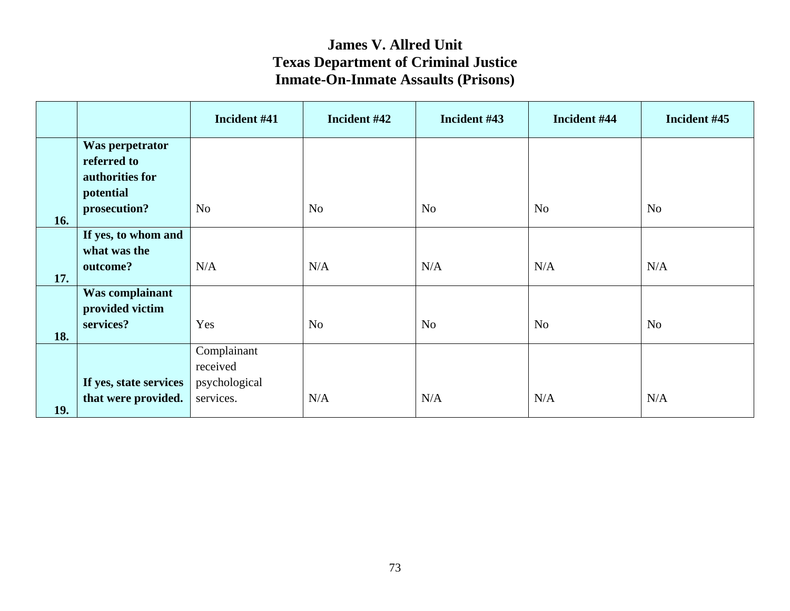|     |                        | Incident #41   | Incident #42   | Incident #43   | Incident #44   | Incident #45   |
|-----|------------------------|----------------|----------------|----------------|----------------|----------------|
|     | Was perpetrator        |                |                |                |                |                |
|     | referred to            |                |                |                |                |                |
|     | authorities for        |                |                |                |                |                |
|     | potential              |                |                |                |                |                |
| 16. | prosecution?           | N <sub>o</sub> | N <sub>o</sub> | N <sub>o</sub> | N <sub>o</sub> | N <sub>o</sub> |
|     | If yes, to whom and    |                |                |                |                |                |
|     | what was the           |                |                |                |                |                |
|     | outcome?               | N/A            | N/A            | N/A            | N/A            | N/A            |
| 17. |                        |                |                |                |                |                |
|     | Was complainant        |                |                |                |                |                |
|     | provided victim        |                |                |                |                |                |
| 18. | services?              | Yes            | N <sub>o</sub> | N <sub>o</sub> | N <sub>o</sub> | N <sub>o</sub> |
|     |                        | Complainant    |                |                |                |                |
|     |                        | received       |                |                |                |                |
|     | If yes, state services | psychological  |                |                |                |                |
| 19. | that were provided.    | services.      | N/A            | N/A            | N/A            | N/A            |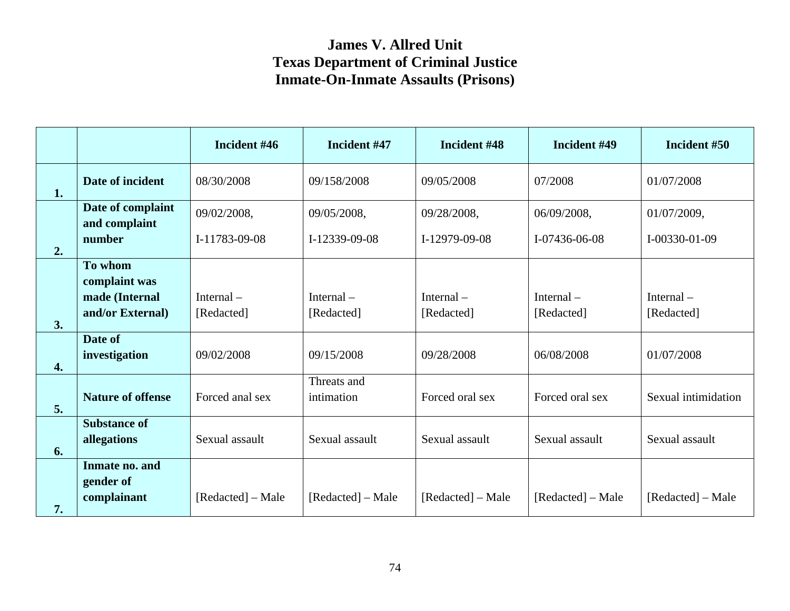|                    |                                            | Incident #46      | Incident #47              | Incident #48      | Incident #49      | Incident #50        |
|--------------------|--------------------------------------------|-------------------|---------------------------|-------------------|-------------------|---------------------|
| 1.                 | Date of incident                           | 08/30/2008        | 09/158/2008               | 09/05/2008        | 07/2008           | 01/07/2008          |
|                    | Date of complaint<br>and complaint         | 09/02/2008,       | 09/05/2008,               | 09/28/2008,       | 06/09/2008,       | 01/07/2009,         |
| 2.                 | number                                     | I-11783-09-08     | I-12339-09-08             | I-12979-09-08     | I-07436-06-08     | I-00330-01-09       |
|                    | To whom<br>complaint was                   |                   |                           |                   |                   |                     |
|                    | made (Internal                             | Internal $-$      | Internal $-$              | Internal $-$      | Internal $-$      | Internal $-$        |
| 3.                 | and/or External)                           | [Redacted]        | [Redacted]                | [Redacted]        | [Redacted]        | [Redacted]          |
| $\boldsymbol{4}$ . | Date of<br>investigation                   | 09/02/2008        | 09/15/2008                | 09/28/2008        | 06/08/2008        | 01/07/2008          |
| 5.                 | <b>Nature of offense</b>                   | Forced anal sex   | Threats and<br>intimation | Forced oral sex   | Forced oral sex   | Sexual intimidation |
| 6.                 | <b>Substance of</b><br>allegations         | Sexual assault    | Sexual assault            | Sexual assault    | Sexual assault    | Sexual assault      |
| 7.                 | Inmate no. and<br>gender of<br>complainant | [Redacted] – Male | [Redacted] – Male         | [Redacted] – Male | [Redacted] – Male | [Redacted] – Male   |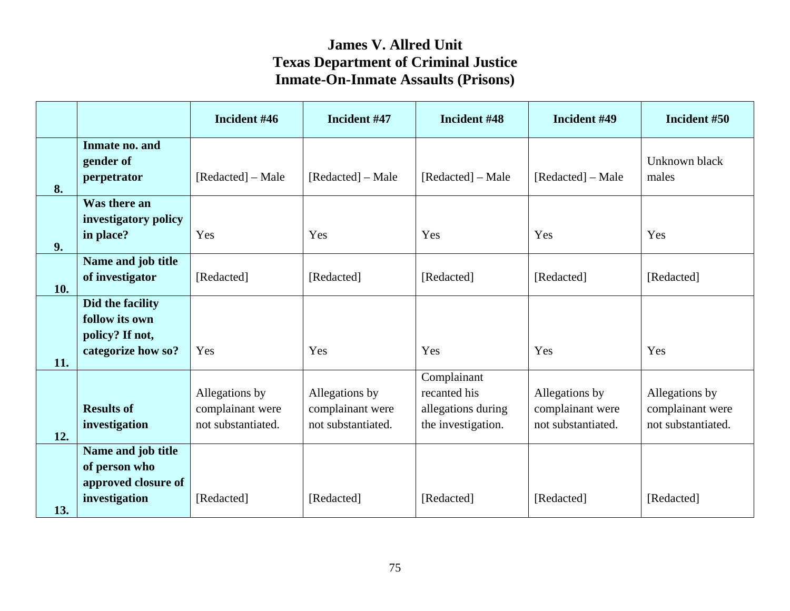|     |                                                                             | Incident #46                                             | Incident #47                                             | Incident #48                                                            | Incident #49                                             | Incident #50                                             |
|-----|-----------------------------------------------------------------------------|----------------------------------------------------------|----------------------------------------------------------|-------------------------------------------------------------------------|----------------------------------------------------------|----------------------------------------------------------|
| 8.  | Inmate no. and<br>gender of<br>perpetrator                                  | [Redacted] – Male                                        | [Redacted] – Male                                        | [Redacted] – Male                                                       | [Redacted] – Male                                        | Unknown black<br>males                                   |
| 9.  | Was there an<br>investigatory policy<br>in place?                           | Yes                                                      | Yes                                                      | Yes                                                                     | Yes                                                      | Yes                                                      |
| 10. | Name and job title<br>of investigator                                       | [Redacted]                                               | [Redacted]                                               | [Redacted]                                                              | [Redacted]                                               | [Redacted]                                               |
| 11. | Did the facility<br>follow its own<br>policy? If not,<br>categorize how so? | Yes                                                      | Yes                                                      | Yes                                                                     | Yes                                                      | Yes                                                      |
| 12. | <b>Results of</b><br>investigation                                          | Allegations by<br>complainant were<br>not substantiated. | Allegations by<br>complainant were<br>not substantiated. | Complainant<br>recanted his<br>allegations during<br>the investigation. | Allegations by<br>complainant were<br>not substantiated. | Allegations by<br>complainant were<br>not substantiated. |
| 13. | Name and job title<br>of person who<br>approved closure of<br>investigation | [Redacted]                                               | [Redacted]                                               | [Redacted]                                                              | [Redacted]                                               | [Redacted]                                               |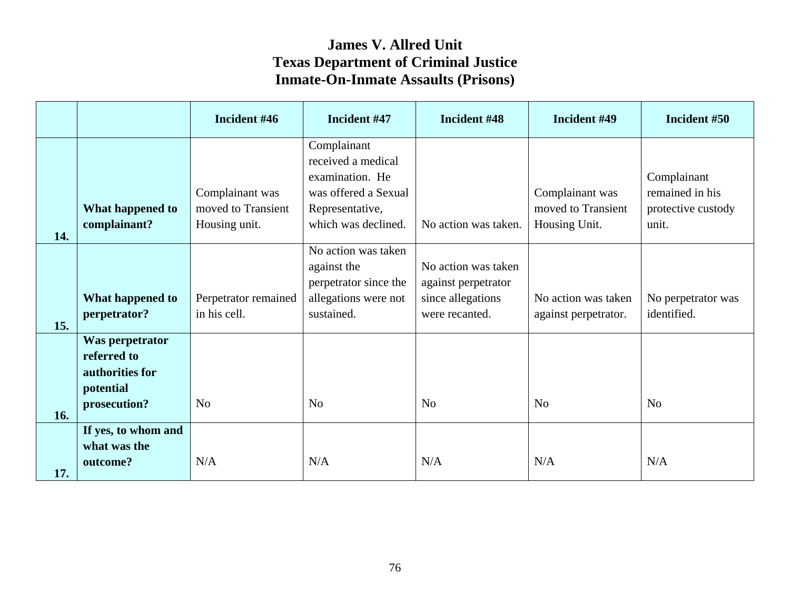|     |                                                                                | Incident #46                                           | Incident #47                                                                                                           | Incident #48                                                                      | Incident #49                                           | Incident #50                                                  |
|-----|--------------------------------------------------------------------------------|--------------------------------------------------------|------------------------------------------------------------------------------------------------------------------------|-----------------------------------------------------------------------------------|--------------------------------------------------------|---------------------------------------------------------------|
| 14. | What happened to<br>complainant?                                               | Complainant was<br>moved to Transient<br>Housing unit. | Complainant<br>received a medical<br>examination. He<br>was offered a Sexual<br>Representative,<br>which was declined. | No action was taken.                                                              | Complainant was<br>moved to Transient<br>Housing Unit. | Complainant<br>remained in his<br>protective custody<br>unit. |
| 15. | What happened to<br>perpetrator?                                               | Perpetrator remained<br>in his cell.                   | No action was taken<br>against the<br>perpetrator since the<br>allegations were not<br>sustained.                      | No action was taken<br>against perpetrator<br>since allegations<br>were recanted. | No action was taken<br>against perpetrator.            | No perpetrator was<br>identified.                             |
| 16. | Was perpetrator<br>referred to<br>authorities for<br>potential<br>prosecution? | N <sub>0</sub>                                         | N <sub>o</sub>                                                                                                         | N <sub>o</sub>                                                                    | N <sub>o</sub>                                         | N <sub>o</sub>                                                |
| 17. | If yes, to whom and<br>what was the<br>outcome?                                | N/A                                                    | N/A                                                                                                                    | N/A                                                                               | N/A                                                    | N/A                                                           |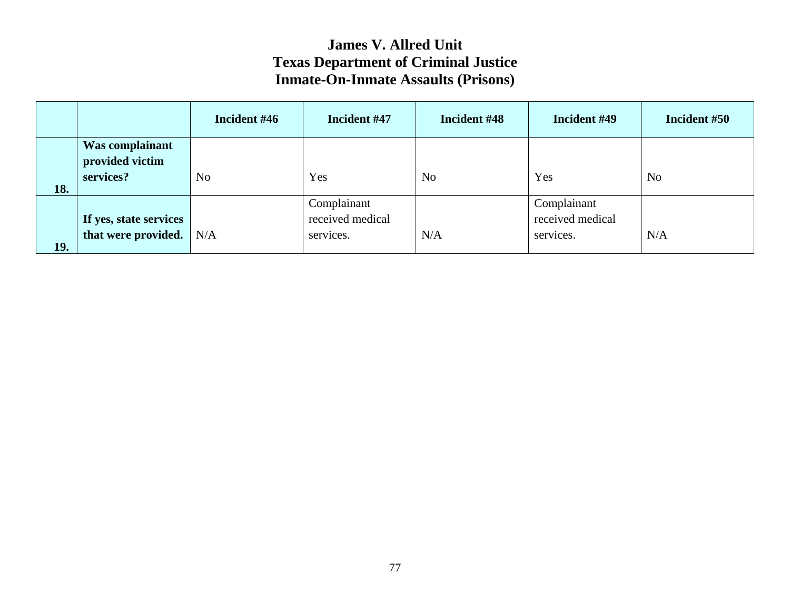|            |                                    | Incident #46   | Incident #47     | Incident #48   | Incident #49     | Incident #50 |
|------------|------------------------------------|----------------|------------------|----------------|------------------|--------------|
|            | Was complainant<br>provided victim |                |                  |                |                  |              |
| 18.        | services?                          | N <sub>o</sub> | Yes              | N <sub>o</sub> | Yes              | No           |
|            |                                    |                | Complainant      |                | Complainant      |              |
|            | If yes, state services             |                | received medical |                | received medical |              |
| <b>19.</b> | that were provided.                | N/A            | services.        | N/A            | services.        | N/A          |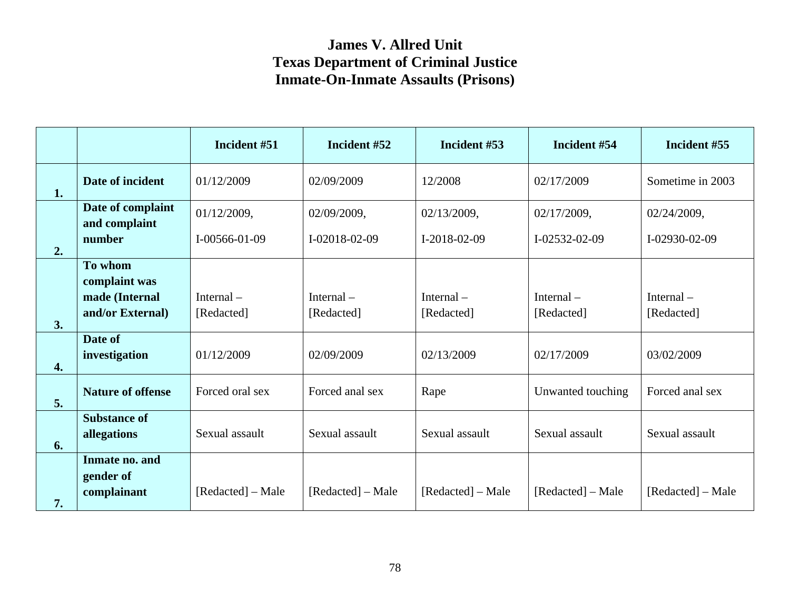|                    |                                            | Incident #51      | Incident #52      | Incident #53      | Incident #54      | Incident #55      |
|--------------------|--------------------------------------------|-------------------|-------------------|-------------------|-------------------|-------------------|
| 1.                 | Date of incident                           | 01/12/2009        | 02/09/2009        | 12/2008           | 02/17/2009        | Sometime in 2003  |
|                    | Date of complaint<br>and complaint         | 01/12/2009,       | 02/09/2009,       | 02/13/2009,       | 02/17/2009,       | 02/24/2009,       |
| 2.                 | number                                     | $I-00566-01-09$   | I-02018-02-09     | $I-2018-02-09$    | I-02532-02-09     | I-02930-02-09     |
|                    | To whom<br>complaint was<br>made (Internal | Internal $-$      | Internal $-$      | Internal $-$      | Internal $-$      | Internal $-$      |
| 3.                 | and/or External)                           | [Redacted]        | [Redacted]        | [Redacted]        | [Redacted]        | [Redacted]        |
| $\boldsymbol{4}$ . | Date of<br>investigation                   | 01/12/2009        | 02/09/2009        | 02/13/2009        | 02/17/2009        | 03/02/2009        |
| 5.                 | <b>Nature of offense</b>                   | Forced oral sex   | Forced anal sex   | Rape              | Unwanted touching | Forced anal sex   |
| 6.                 | <b>Substance of</b><br>allegations         | Sexual assault    | Sexual assault    | Sexual assault    | Sexual assault    | Sexual assault    |
| 7.                 | Inmate no. and<br>gender of<br>complainant | [Redacted] – Male | [Redacted] – Male | [Redacted] – Male | [Redacted] – Male | [Redacted] – Male |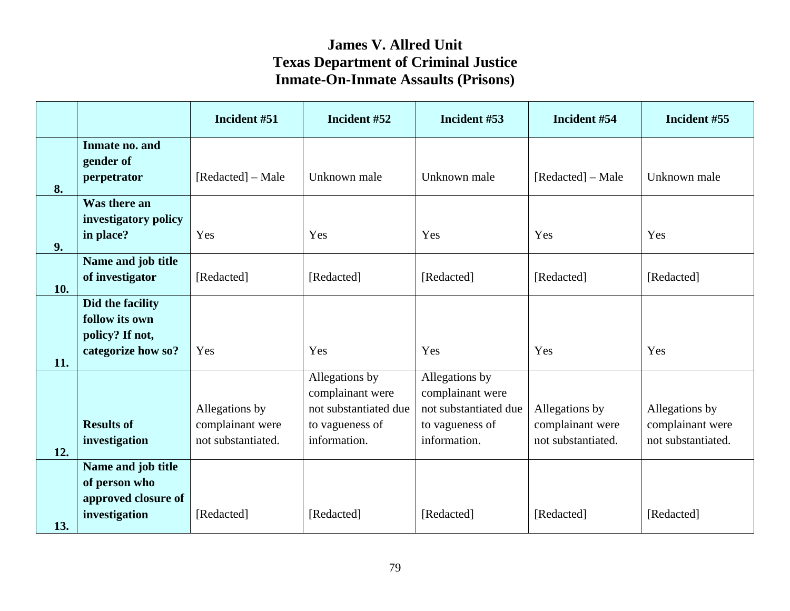|     |                                                                             | Incident #51                                             | Incident #52                                                                                   | Incident #53                                                                                   | Incident #54                                             | Incident #55                                             |
|-----|-----------------------------------------------------------------------------|----------------------------------------------------------|------------------------------------------------------------------------------------------------|------------------------------------------------------------------------------------------------|----------------------------------------------------------|----------------------------------------------------------|
| 8.  | Inmate no. and<br>gender of<br>perpetrator                                  | [Redacted] – Male                                        | Unknown male                                                                                   | Unknown male                                                                                   | [Redacted] – Male                                        | Unknown male                                             |
| 9.  | Was there an<br>investigatory policy<br>in place?                           | Yes                                                      | Yes                                                                                            | Yes                                                                                            | Yes                                                      | Yes                                                      |
| 10. | Name and job title<br>of investigator                                       | [Redacted]                                               | [Redacted]                                                                                     | [Redacted]                                                                                     | [Redacted]                                               | [Redacted]                                               |
| 11. | Did the facility<br>follow its own<br>policy? If not,<br>categorize how so? | Yes                                                      | Yes                                                                                            | Yes                                                                                            | Yes                                                      | Yes                                                      |
| 12. | <b>Results of</b><br>investigation                                          | Allegations by<br>complainant were<br>not substantiated. | Allegations by<br>complainant were<br>not substantiated due<br>to vagueness of<br>information. | Allegations by<br>complainant were<br>not substantiated due<br>to vagueness of<br>information. | Allegations by<br>complainant were<br>not substantiated. | Allegations by<br>complainant were<br>not substantiated. |
| 13. | Name and job title<br>of person who<br>approved closure of<br>investigation | [Redacted]                                               | [Redacted]                                                                                     | [Redacted]                                                                                     | [Redacted]                                               | [Redacted]                                               |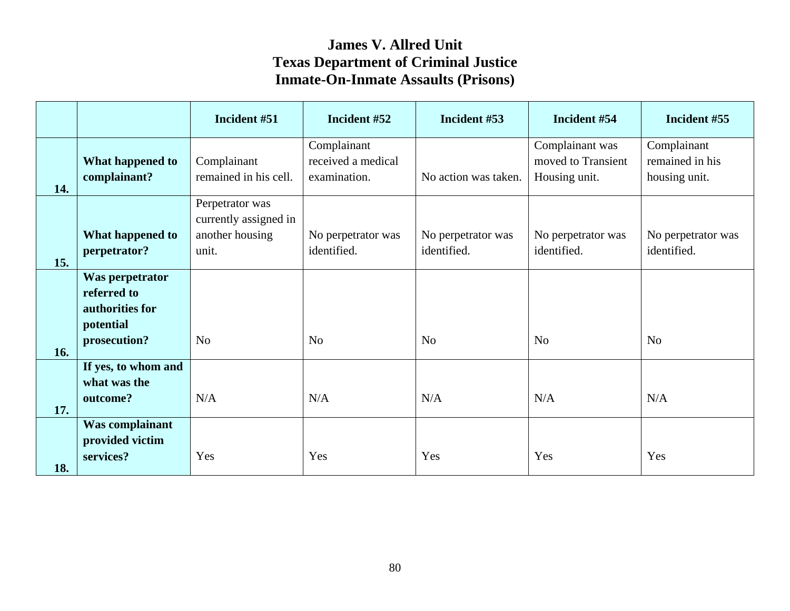|     |                                                                                | Incident #51                                                         | Incident #52                                      | Incident #53                      | Incident #54                                           | Incident #55                                    |
|-----|--------------------------------------------------------------------------------|----------------------------------------------------------------------|---------------------------------------------------|-----------------------------------|--------------------------------------------------------|-------------------------------------------------|
| 14. | What happened to<br>complainant?                                               | Complainant<br>remained in his cell.                                 | Complainant<br>received a medical<br>examination. | No action was taken.              | Complainant was<br>moved to Transient<br>Housing unit. | Complainant<br>remained in his<br>housing unit. |
| 15. | What happened to<br>perpetrator?                                               | Perpetrator was<br>currently assigned in<br>another housing<br>unit. | No perpetrator was<br>identified.                 | No perpetrator was<br>identified. | No perpetrator was<br>identified.                      | No perpetrator was<br>identified.               |
| 16. | Was perpetrator<br>referred to<br>authorities for<br>potential<br>prosecution? | N <sub>o</sub>                                                       | N <sub>o</sub>                                    | N <sub>o</sub>                    | N <sub>o</sub>                                         | N <sub>o</sub>                                  |
| 17. | If yes, to whom and<br>what was the<br>outcome?                                | N/A                                                                  | N/A                                               | N/A                               | N/A                                                    | N/A                                             |
| 18. | <b>Was complainant</b><br>provided victim<br>services?                         | Yes                                                                  | Yes                                               | Yes                               | Yes                                                    | Yes                                             |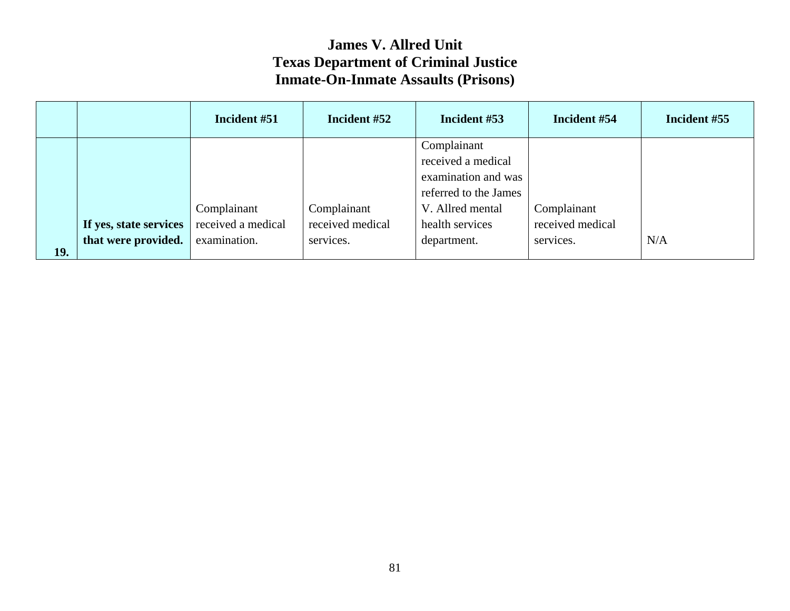|     |                        | Incident #51       | Incident #52     | Incident #53          | Incident #54     | Incident #55 |
|-----|------------------------|--------------------|------------------|-----------------------|------------------|--------------|
|     |                        |                    |                  | Complainant           |                  |              |
|     |                        |                    |                  | received a medical    |                  |              |
|     |                        |                    |                  | examination and was   |                  |              |
|     |                        |                    |                  | referred to the James |                  |              |
|     |                        | Complainant        | Complainant      | V. Allred mental      | Complainant      |              |
|     | If yes, state services | received a medical | received medical | health services       | received medical |              |
|     | that were provided.    | examination.       | services.        | department.           | services.        | N/A          |
| 19. |                        |                    |                  |                       |                  |              |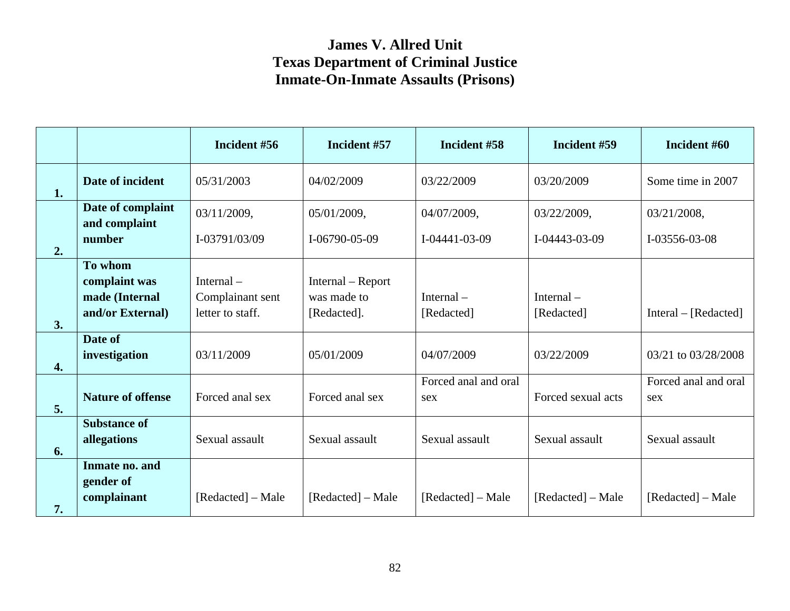|    |                                    | Incident #56      | Incident #57      | Incident #58          | Incident #59          | Incident #60             |
|----|------------------------------------|-------------------|-------------------|-----------------------|-----------------------|--------------------------|
| 1. | Date of incident                   | 05/31/2003        | 04/02/2009        | 03/22/2009            | 03/20/2009            | Some time in 2007        |
|    | Date of complaint<br>and complaint | 03/11/2009,       | 05/01/2009,       | 04/07/2009,           | 03/22/2009,           | 03/21/2008,              |
| 2. | number                             | I-03791/03/09     | I-06790-05-09     | $I - 04441 - 03 - 09$ | $I - 04443 - 03 - 09$ | I-03556-03-08            |
|    | To whom                            |                   |                   |                       |                       |                          |
|    | complaint was                      | Internal $-$      | Internal – Report |                       |                       |                          |
|    | made (Internal                     | Complainant sent  | was made to       | Internal $-$          | Internal-             |                          |
| 3. | and/or External)                   | letter to staff.  | [Redacted].       | [Redacted]            | [Redacted]            | $[Integral - [Reduced]]$ |
|    | Date of                            |                   |                   |                       |                       |                          |
| 4. | investigation                      | 03/11/2009        | 05/01/2009        | 04/07/2009            | 03/22/2009            | 03/21 to 03/28/2008      |
|    |                                    |                   |                   | Forced anal and oral  |                       | Forced anal and oral     |
| 5. | <b>Nature of offense</b>           | Forced anal sex   | Forced anal sex   | sex                   | Forced sexual acts    | sex                      |
| 6. | <b>Substance of</b><br>allegations | Sexual assault    | Sexual assault    | Sexual assault        | Sexual assault        | Sexual assault           |
|    | Inmate no. and                     |                   |                   |                       |                       |                          |
| 7. | gender of<br>complainant           | [Redacted] – Male | [Redacted] – Male | [Redacted] – Male     | [Redacted] – Male     | [Redacted] – Male        |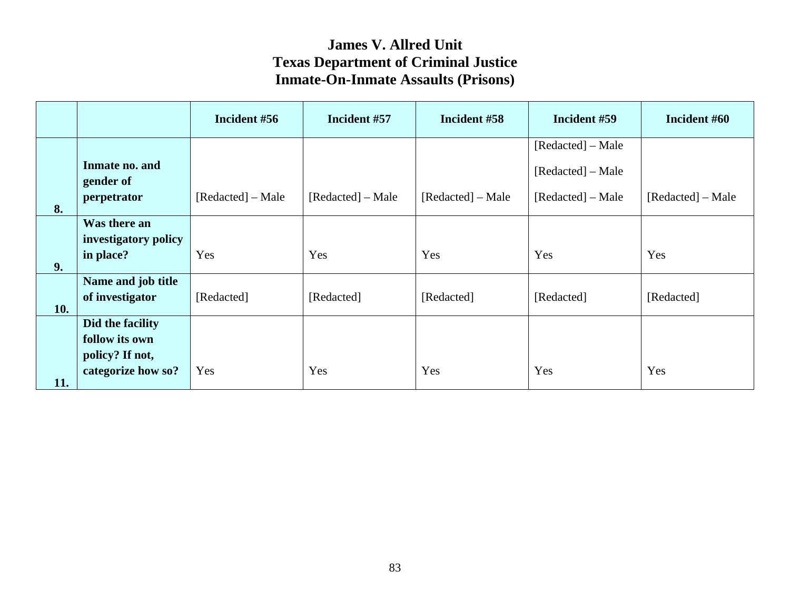|     |                                                                             | Incident #56      | Incident #57      | Incident #58      | Incident #59                                                | Incident #60      |
|-----|-----------------------------------------------------------------------------|-------------------|-------------------|-------------------|-------------------------------------------------------------|-------------------|
| 8.  | Inmate no. and<br>gender of<br>perpetrator                                  | [Redacted] – Male | [Redacted] – Male | [Redacted] – Male | [Redacted] – Male<br>[Redacted] – Male<br>[Redacted] – Male | [Redacted] – Male |
| 9.  | Was there an<br>investigatory policy<br>in place?                           | Yes               | Yes               | Yes               | Yes                                                         | Yes               |
| 10. | Name and job title<br>of investigator                                       | [Redacted]        | [Redacted]        | [Redacted]        | [Redacted]                                                  | [Redacted]        |
| 11. | Did the facility<br>follow its own<br>policy? If not,<br>categorize how so? | Yes               | Yes               | Yes               | Yes                                                         | Yes               |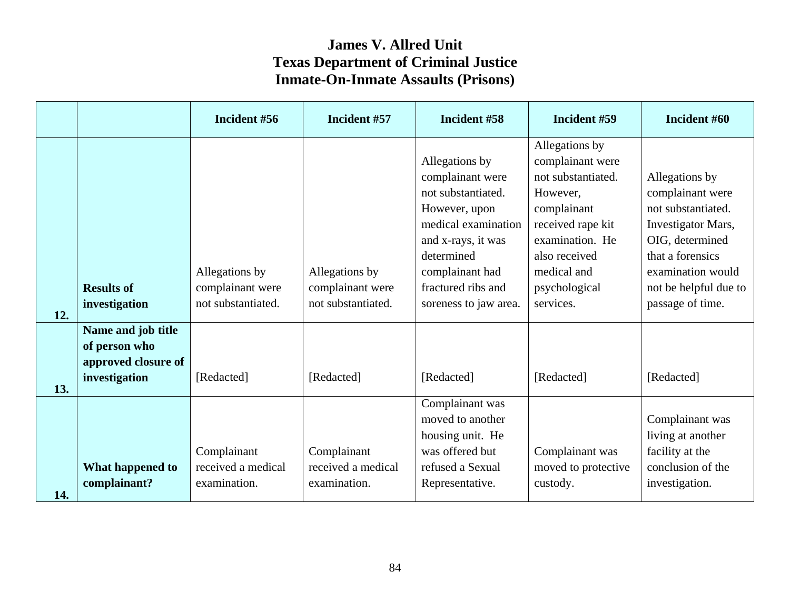|     |                                                                             | Incident #56                                             | Incident #57                                             | Incident #58                                                                                                                                                                                           | Incident #59                                                                                                                                                                              | Incident #60                                                                                                                                                                            |
|-----|-----------------------------------------------------------------------------|----------------------------------------------------------|----------------------------------------------------------|--------------------------------------------------------------------------------------------------------------------------------------------------------------------------------------------------------|-------------------------------------------------------------------------------------------------------------------------------------------------------------------------------------------|-----------------------------------------------------------------------------------------------------------------------------------------------------------------------------------------|
| 12. | <b>Results of</b><br>investigation                                          | Allegations by<br>complainant were<br>not substantiated. | Allegations by<br>complainant were<br>not substantiated. | Allegations by<br>complainant were<br>not substantiated.<br>However, upon<br>medical examination<br>and x-rays, it was<br>determined<br>complainant had<br>fractured ribs and<br>soreness to jaw area. | Allegations by<br>complainant were<br>not substantiated.<br>However,<br>complainant<br>received rape kit<br>examination. He<br>also received<br>medical and<br>psychological<br>services. | Allegations by<br>complainant were<br>not substantiated.<br>Investigator Mars,<br>OIG, determined<br>that a forensics<br>examination would<br>not be helpful due to<br>passage of time. |
| 13. | Name and job title<br>of person who<br>approved closure of<br>investigation | [Redacted]                                               | [Redacted]                                               | [Redacted]                                                                                                                                                                                             | [Redacted]                                                                                                                                                                                | [Redacted]                                                                                                                                                                              |
| 14. | What happened to<br>complainant?                                            | Complainant<br>received a medical<br>examination.        | Complainant<br>received a medical<br>examination.        | Complainant was<br>moved to another<br>housing unit. He<br>was offered but<br>refused a Sexual<br>Representative.                                                                                      | Complainant was<br>moved to protective<br>custody.                                                                                                                                        | Complainant was<br>living at another<br>facility at the<br>conclusion of the<br>investigation.                                                                                          |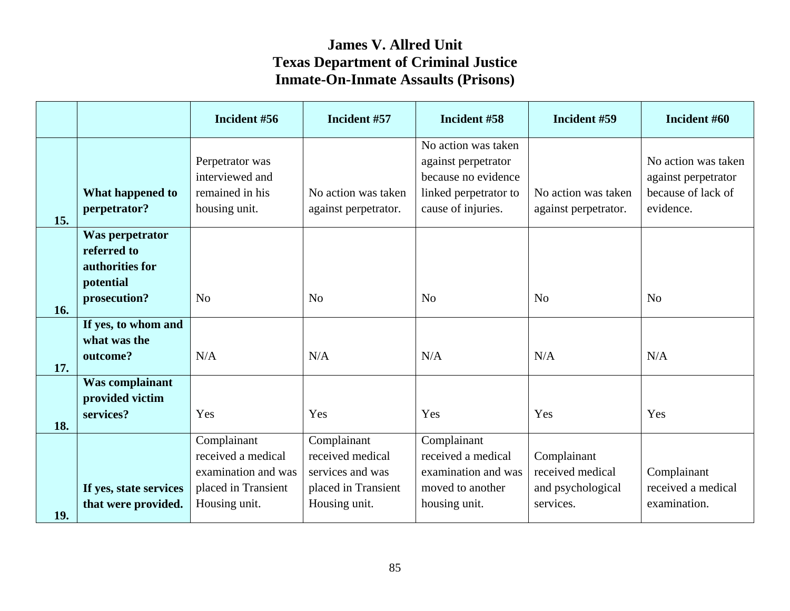|     |                                                                                | Incident #56                                                                                     | Incident #57                                                                                | Incident #58                                                                                                     | Incident #59                                                      | Incident #60                                                                  |
|-----|--------------------------------------------------------------------------------|--------------------------------------------------------------------------------------------------|---------------------------------------------------------------------------------------------|------------------------------------------------------------------------------------------------------------------|-------------------------------------------------------------------|-------------------------------------------------------------------------------|
| 15. | <b>What happened to</b><br>perpetrator?                                        | Perpetrator was<br>interviewed and<br>remained in his<br>housing unit.                           | No action was taken<br>against perpetrator.                                                 | No action was taken<br>against perpetrator<br>because no evidence<br>linked perpetrator to<br>cause of injuries. | No action was taken<br>against perpetrator.                       | No action was taken<br>against perpetrator<br>because of lack of<br>evidence. |
| 16. | Was perpetrator<br>referred to<br>authorities for<br>potential<br>prosecution? | N <sub>o</sub>                                                                                   | N <sub>o</sub>                                                                              | N <sub>0</sub>                                                                                                   | N <sub>o</sub>                                                    | N <sub>o</sub>                                                                |
| 17. | If yes, to whom and<br>what was the<br>outcome?                                | N/A                                                                                              | N/A                                                                                         | N/A                                                                                                              | N/A                                                               | N/A                                                                           |
| 18. | <b>Was complainant</b><br>provided victim<br>services?                         | Yes                                                                                              | Yes                                                                                         | Yes                                                                                                              | Yes                                                               | Yes                                                                           |
| 19. | If yes, state services<br>that were provided.                                  | Complainant<br>received a medical<br>examination and was<br>placed in Transient<br>Housing unit. | Complainant<br>received medical<br>services and was<br>placed in Transient<br>Housing unit. | Complainant<br>received a medical<br>examination and was<br>moved to another<br>housing unit.                    | Complainant<br>received medical<br>and psychological<br>services. | Complainant<br>received a medical<br>examination.                             |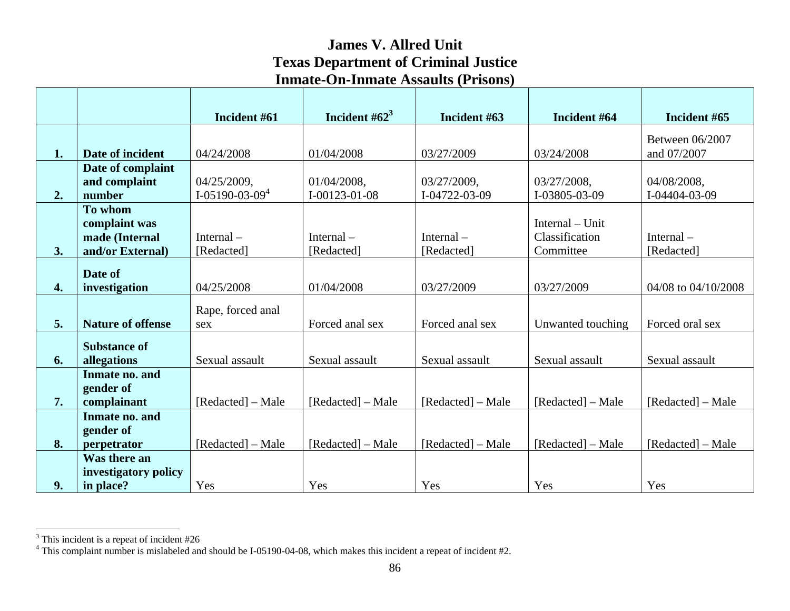|                    |                             | Incident #61      | Incident # $62^3$     | Incident #63      | Incident #64      | Incident #65        |
|--------------------|-----------------------------|-------------------|-----------------------|-------------------|-------------------|---------------------|
|                    |                             |                   |                       |                   |                   | Between 06/2007     |
| 1.                 | Date of incident            | 04/24/2008        | 01/04/2008            | 03/27/2009        | 03/24/2008        | and 07/2007         |
|                    | Date of complaint           |                   |                       |                   |                   |                     |
|                    | and complaint               | 04/25/2009,       | 01/04/2008,           | 03/27/2009,       | 03/27/2008,       | 04/08/2008,         |
| 2.                 | number<br>To whom           | $I-05190-03-094$  | $I - 00123 - 01 - 08$ | I-04722-03-09     | I-03805-03-09     | I-04404-03-09       |
|                    | complaint was               |                   |                       |                   | Internal – Unit   |                     |
|                    | made (Internal              | Internal $-$      | Internal $-$          | Internal $-$      | Classification    | Internal $-$        |
| 3.                 | and/or External)            | [Redacted]        | [Redacted]            | [Redacted]        | Committee         | [Redacted]          |
|                    | Date of                     |                   |                       |                   |                   |                     |
| $\boldsymbol{4}$ . | investigation               | 04/25/2008        | 01/04/2008            | 03/27/2009        | 03/27/2009        | 04/08 to 04/10/2008 |
|                    |                             | Rape, forced anal |                       |                   |                   |                     |
| 5.                 | <b>Nature of offense</b>    | sex               | Forced anal sex       | Forced anal sex   | Unwanted touching | Forced oral sex     |
|                    | <b>Substance of</b>         |                   |                       |                   |                   |                     |
| 6.                 | allegations                 | Sexual assault    | Sexual assault        | Sexual assault    | Sexual assault    | Sexual assault      |
|                    | Inmate no. and              |                   |                       |                   |                   |                     |
|                    | gender of                   |                   |                       |                   |                   |                     |
| 7.                 | complainant                 | [Redacted] – Male | [Redacted] – Male     | [Redacted] – Male | [Redacted] – Male | [Redacted] – Male   |
|                    | Inmate no. and<br>gender of |                   |                       |                   |                   |                     |
| 8.                 | perpetrator                 | [Redacted] – Male | [Redacted] – Male     | [Redacted] – Male | [Redacted] – Male | [Redacted] – Male   |
|                    | Was there an                |                   |                       |                   |                   |                     |
|                    | investigatory policy        |                   |                       |                   |                   |                     |
| 9.                 | in place?                   | Yes               | Yes                   | Yes               | Yes               | Yes                 |

 $3$  This incident is a repeat of incident #26

 $4$  This complaint number is mislabeled and should be I-05190-04-08, which makes this incident a repeat of incident #2.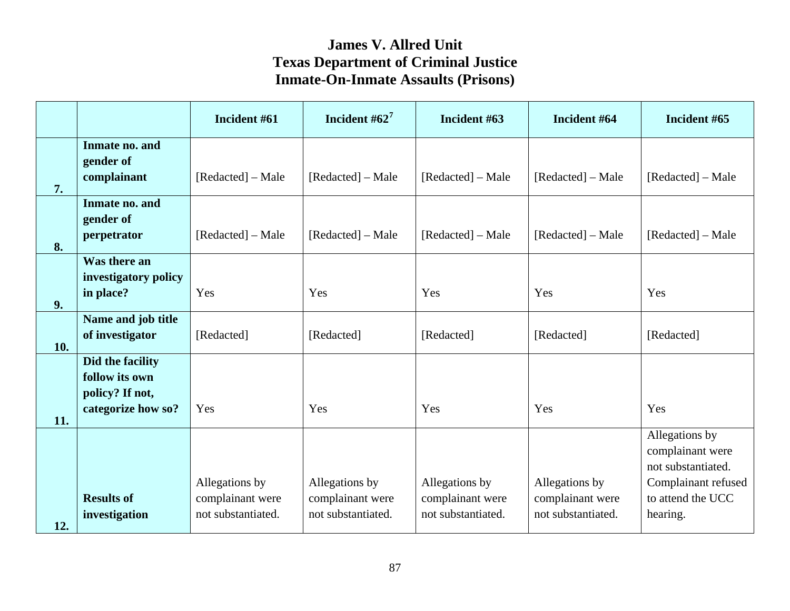|     |                                                                             | Incident #61                                             | Incident # $62^7$                                        | Incident #63                                             | Incident #64                                             | Incident #65                                                                                                     |
|-----|-----------------------------------------------------------------------------|----------------------------------------------------------|----------------------------------------------------------|----------------------------------------------------------|----------------------------------------------------------|------------------------------------------------------------------------------------------------------------------|
| 7.  | Inmate no. and<br>gender of<br>complainant                                  | [Redacted] – Male                                        | [Redacted] - Male                                        | [Redacted] – Male                                        | [Redacted] – Male                                        | [Redacted] – Male                                                                                                |
| 8.  | Inmate no. and<br>gender of<br>perpetrator                                  | [Redacted] – Male                                        | [Redacted] - Male                                        | [Redacted] - Male                                        | [Redacted] – Male                                        | [Redacted] – Male                                                                                                |
| 9.  | Was there an<br>investigatory policy<br>in place?                           | Yes                                                      | Yes                                                      | Yes                                                      | Yes                                                      | Yes                                                                                                              |
| 10. | Name and job title<br>of investigator                                       | [Redacted]                                               | [Redacted]                                               | [Redacted]                                               | [Redacted]                                               | [Redacted]                                                                                                       |
| 11. | Did the facility<br>follow its own<br>policy? If not,<br>categorize how so? | Yes                                                      | Yes                                                      | Yes                                                      | Yes                                                      | Yes                                                                                                              |
| 12. | <b>Results of</b><br>investigation                                          | Allegations by<br>complainant were<br>not substantiated. | Allegations by<br>complainant were<br>not substantiated. | Allegations by<br>complainant were<br>not substantiated. | Allegations by<br>complainant were<br>not substantiated. | Allegations by<br>complainant were<br>not substantiated.<br>Complainant refused<br>to attend the UCC<br>hearing. |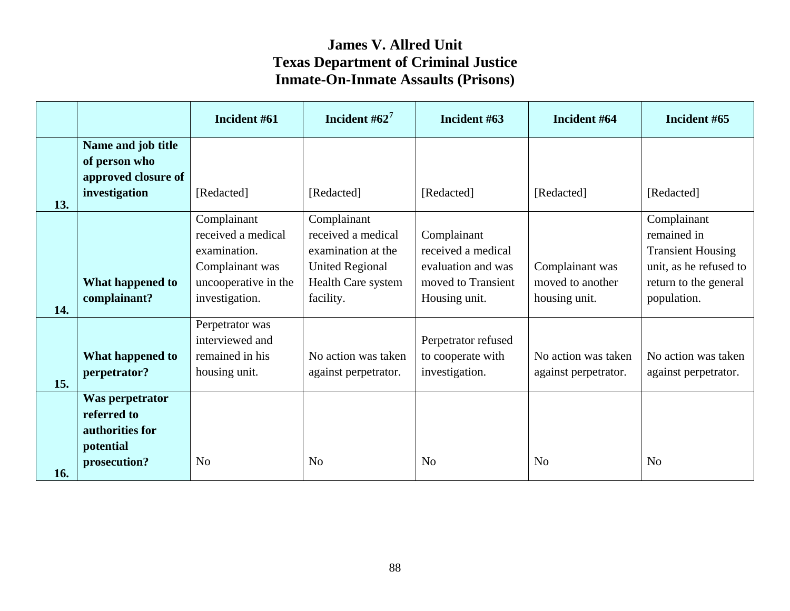|     |                                                                                       | Incident #61                                                                                                   | Incident # $62^7$                                                                                                           | Incident #63                                                                                   | Incident #64                                         | Incident #65                                                                                                             |
|-----|---------------------------------------------------------------------------------------|----------------------------------------------------------------------------------------------------------------|-----------------------------------------------------------------------------------------------------------------------------|------------------------------------------------------------------------------------------------|------------------------------------------------------|--------------------------------------------------------------------------------------------------------------------------|
| 13. | Name and job title<br>of person who<br>approved closure of<br>investigation           | [Redacted]                                                                                                     | [Redacted]                                                                                                                  | [Redacted]                                                                                     | [Redacted]                                           | [Redacted]                                                                                                               |
| 14. | What happened to<br>complainant?                                                      | Complainant<br>received a medical<br>examination.<br>Complainant was<br>uncooperative in the<br>investigation. | Complainant<br>received a medical<br>examination at the<br><b>United Regional</b><br><b>Health Care system</b><br>facility. | Complainant<br>received a medical<br>evaluation and was<br>moved to Transient<br>Housing unit. | Complainant was<br>moved to another<br>housing unit. | Complainant<br>remained in<br><b>Transient Housing</b><br>unit, as he refused to<br>return to the general<br>population. |
| 15. | What happened to<br>perpetrator?<br>Was perpetrator<br>referred to<br>authorities for | Perpetrator was<br>interviewed and<br>remained in his<br>housing unit.                                         | No action was taken<br>against perpetrator.                                                                                 | Perpetrator refused<br>to cooperate with<br>investigation.                                     | No action was taken<br>against perpetrator.          | No action was taken<br>against perpetrator.                                                                              |
| 16. | potential<br>prosecution?                                                             | N <sub>o</sub>                                                                                                 | N <sub>o</sub>                                                                                                              | N <sub>0</sub>                                                                                 | N <sub>o</sub>                                       | N <sub>0</sub>                                                                                                           |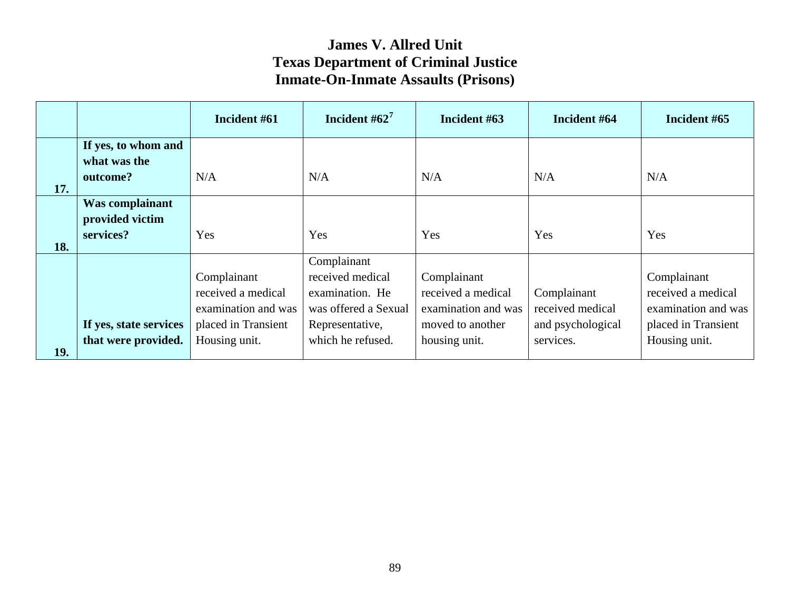|            |                                     | Incident #61        | Incident $#62^7$     | Incident #63        | Incident #64      | Incident #65        |
|------------|-------------------------------------|---------------------|----------------------|---------------------|-------------------|---------------------|
|            | If yes, to whom and<br>what was the |                     |                      |                     |                   |                     |
| 17.        | outcome?                            | N/A                 | N/A                  | N/A                 | N/A               | N/A                 |
|            | Was complainant<br>provided victim  |                     |                      |                     |                   |                     |
| 18.        | services?                           | Yes                 | Yes                  | Yes                 | Yes               | Yes                 |
|            |                                     |                     | Complainant          |                     |                   |                     |
|            |                                     | Complainant         | received medical     | Complainant         |                   | Complainant         |
|            |                                     | received a medical  | examination. He      | received a medical  | Complainant       | received a medical  |
|            |                                     | examination and was | was offered a Sexual | examination and was | received medical  | examination and was |
|            | If yes, state services              | placed in Transient | Representative,      | moved to another    | and psychological | placed in Transient |
| <b>19.</b> | that were provided.                 | Housing unit.       | which he refused.    | housing unit.       | services.         | Housing unit.       |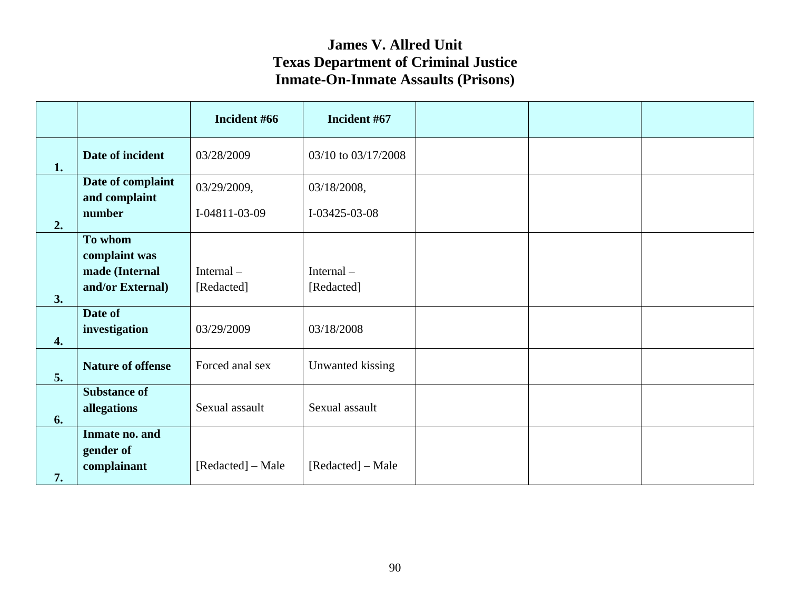|    |                                            | Incident #66      | Incident #67        |  |  |
|----|--------------------------------------------|-------------------|---------------------|--|--|
| 1. | Date of incident                           | 03/28/2009        | 03/10 to 03/17/2008 |  |  |
|    | Date of complaint<br>and complaint         | 03/29/2009,       | 03/18/2008,         |  |  |
| 2. | number                                     | I-04811-03-09     | I-03425-03-08       |  |  |
|    | To whom<br>complaint was                   |                   |                     |  |  |
|    | made (Internal                             | Internal-         | Internal-           |  |  |
| 3. | and/or External)                           | [Redacted]        | [Redacted]          |  |  |
| 4. | Date of<br>investigation                   | 03/29/2009        | 03/18/2008          |  |  |
| 5. | <b>Nature of offense</b>                   | Forced anal sex   | Unwanted kissing    |  |  |
| 6. | <b>Substance of</b><br>allegations         | Sexual assault    | Sexual assault      |  |  |
| 7. | Inmate no. and<br>gender of<br>complainant | [Redacted] – Male | [Redacted] – Male   |  |  |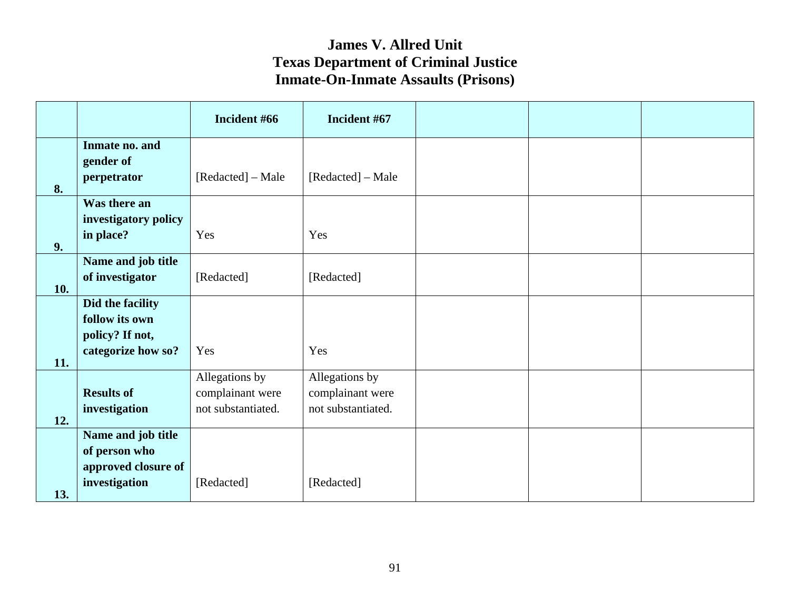|     |                      | Incident #66       | Incident #67       |  |  |
|-----|----------------------|--------------------|--------------------|--|--|
|     | Inmate no. and       |                    |                    |  |  |
|     | gender of            | [Redacted] – Male  | [Redacted] – Male  |  |  |
| 8.  | perpetrator          |                    |                    |  |  |
|     | Was there an         |                    |                    |  |  |
|     | investigatory policy |                    |                    |  |  |
| 9.  | in place?            | Yes                | Yes                |  |  |
|     | Name and job title   |                    |                    |  |  |
| 10. | of investigator      | [Redacted]         | [Redacted]         |  |  |
|     | Did the facility     |                    |                    |  |  |
|     | follow its own       |                    |                    |  |  |
|     | policy? If not,      |                    |                    |  |  |
| 11. | categorize how so?   | Yes                | Yes                |  |  |
|     |                      | Allegations by     | Allegations by     |  |  |
|     | <b>Results of</b>    | complainant were   | complainant were   |  |  |
| 12. | investigation        | not substantiated. | not substantiated. |  |  |
|     | Name and job title   |                    |                    |  |  |
|     | of person who        |                    |                    |  |  |
|     | approved closure of  |                    |                    |  |  |
| 13. | investigation        | [Redacted]         | [Redacted]         |  |  |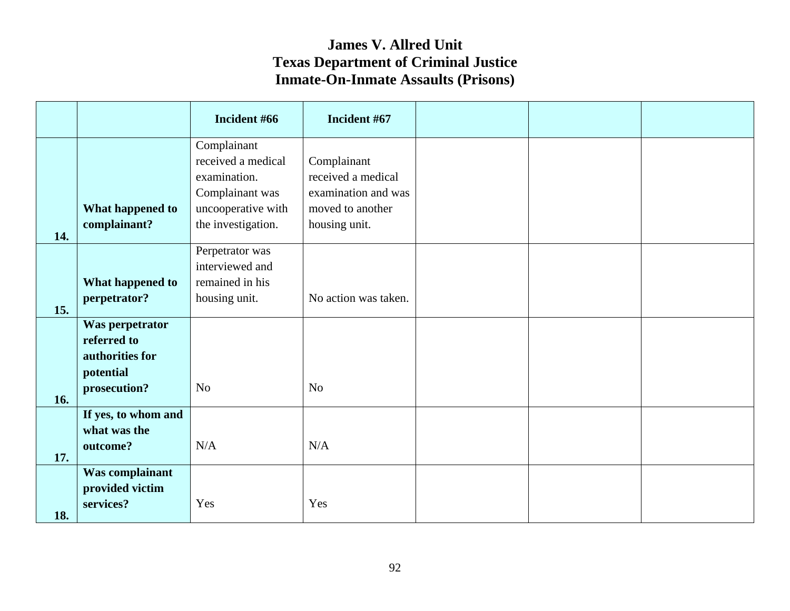|     |                                     | Incident #66                      | Incident #67         |  |  |
|-----|-------------------------------------|-----------------------------------|----------------------|--|--|
|     |                                     | Complainant<br>received a medical | Complainant          |  |  |
|     |                                     | examination.                      | received a medical   |  |  |
|     |                                     | Complainant was                   | examination and was  |  |  |
|     | What happened to                    | uncooperative with                | moved to another     |  |  |
|     | complainant?                        | the investigation.                | housing unit.        |  |  |
| 14. |                                     | Perpetrator was                   |                      |  |  |
|     |                                     | interviewed and                   |                      |  |  |
|     | What happened to                    | remained in his                   |                      |  |  |
|     | perpetrator?                        | housing unit.                     | No action was taken. |  |  |
| 15. |                                     |                                   |                      |  |  |
|     | Was perpetrator<br>referred to      |                                   |                      |  |  |
|     | authorities for                     |                                   |                      |  |  |
|     | potential                           |                                   |                      |  |  |
|     | prosecution?                        | N <sub>o</sub>                    | N <sub>o</sub>       |  |  |
| 16. |                                     |                                   |                      |  |  |
|     | If yes, to whom and<br>what was the |                                   |                      |  |  |
|     | outcome?                            | N/A                               | N/A                  |  |  |
| 17. |                                     |                                   |                      |  |  |
|     | Was complainant                     |                                   |                      |  |  |
|     | provided victim<br>services?        | Yes                               | Yes                  |  |  |
| 18. |                                     |                                   |                      |  |  |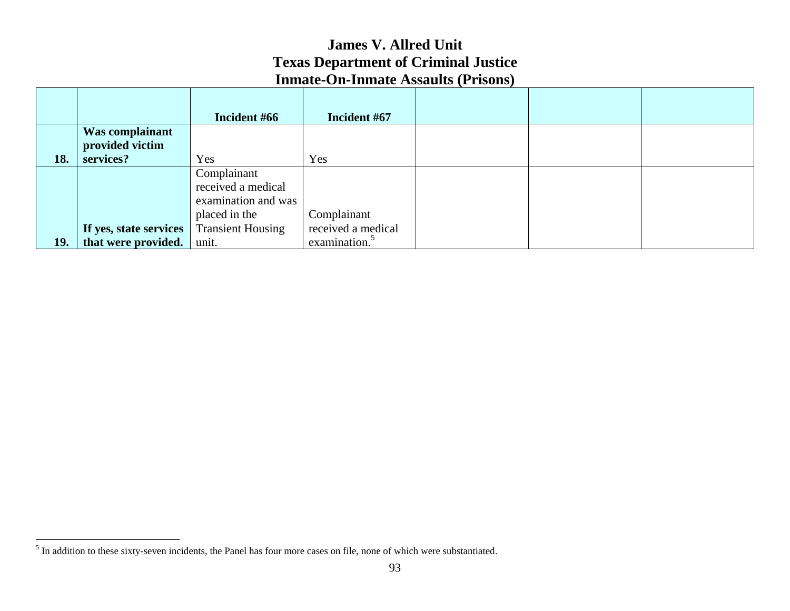|     |                        | Incident #66             | Incident #67              |  |  |
|-----|------------------------|--------------------------|---------------------------|--|--|
|     | Was complainant        |                          |                           |  |  |
|     | provided victim        |                          |                           |  |  |
| 18. | services?              | Yes                      | Yes                       |  |  |
|     |                        | Complainant              |                           |  |  |
|     |                        | received a medical       |                           |  |  |
|     |                        | examination and was      |                           |  |  |
|     |                        | placed in the            | Complainant               |  |  |
|     | If yes, state services | <b>Transient Housing</b> | received a medical        |  |  |
| 19. | that were provided.    | unit.                    | examination. <sup>5</sup> |  |  |

<sup>&</sup>lt;sup>5</sup> In addition to these sixty-seven incidents, the Panel has four more cases on file, none of which were substantiated.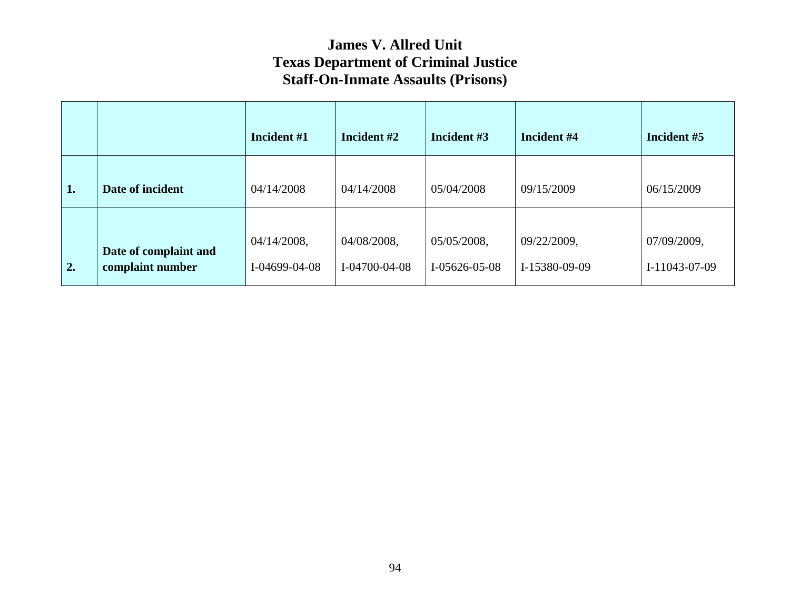|    |                                           | Incident #1                     | Incident #2                  | Incident #3                    | Incident #4                  | Incident #5                  |
|----|-------------------------------------------|---------------------------------|------------------------------|--------------------------------|------------------------------|------------------------------|
| 1. | Date of incident                          | 04/14/2008                      | 04/14/2008                   | 05/04/2008                     | 09/15/2009                   | 06/15/2009                   |
| 2. | Date of complaint and<br>complaint number | $04/14/2008$ ,<br>I-04699-04-08 | 04/08/2008,<br>I-04700-04-08 | 05/05/2008,<br>$I-05626-05-08$ | 09/22/2009,<br>I-15380-09-09 | 07/09/2009,<br>I-11043-07-09 |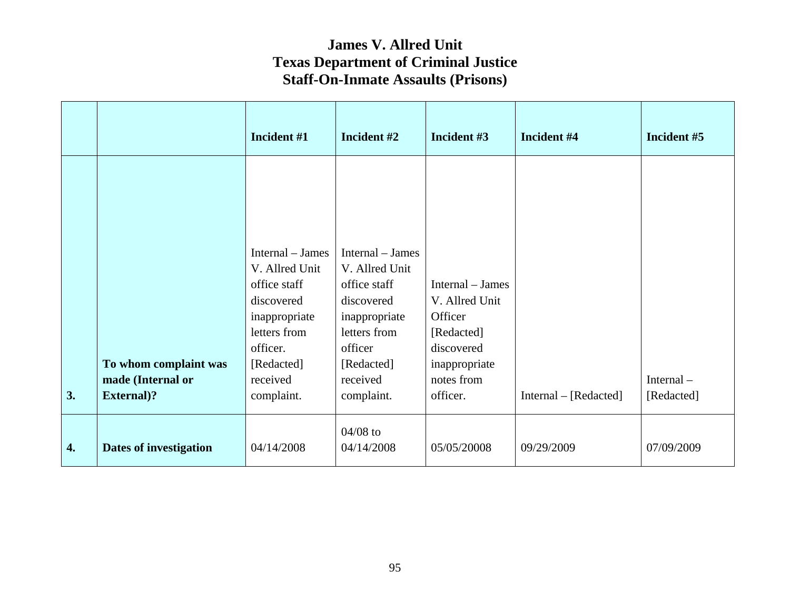|                  |                        | Incident #1      | Incident #2      | Incident #3      | Incident #4             | Incident #5 |
|------------------|------------------------|------------------|------------------|------------------|-------------------------|-------------|
|                  |                        |                  |                  |                  |                         |             |
|                  |                        |                  |                  |                  |                         |             |
|                  |                        | Internal – James | Internal – James |                  |                         |             |
|                  |                        | V. Allred Unit   | V. Allred Unit   |                  |                         |             |
|                  |                        | office staff     | office staff     | Internal – James |                         |             |
|                  |                        | discovered       | discovered       | V. Allred Unit   |                         |             |
|                  |                        | inappropriate    | inappropriate    | Officer          |                         |             |
|                  |                        | letters from     | letters from     | [Redacted]       |                         |             |
|                  |                        | officer.         | officer          | discovered       |                         |             |
|                  | To whom complaint was  | [Redacted]       | [Redacted]       | inappropriate    |                         |             |
|                  | made (Internal or      | received         | received         | notes from       |                         | Internal-   |
| 3.               | <b>External</b> )?     | complaint.       | complaint.       | officer.         | $Internal - [Redacted]$ | [Redacted]  |
|                  |                        |                  |                  |                  |                         |             |
|                  |                        |                  | $04/08$ to       |                  |                         |             |
| $\overline{4}$ . | Dates of investigation | 04/14/2008       | 04/14/2008       | 05/05/20008      | 09/29/2009              | 07/09/2009  |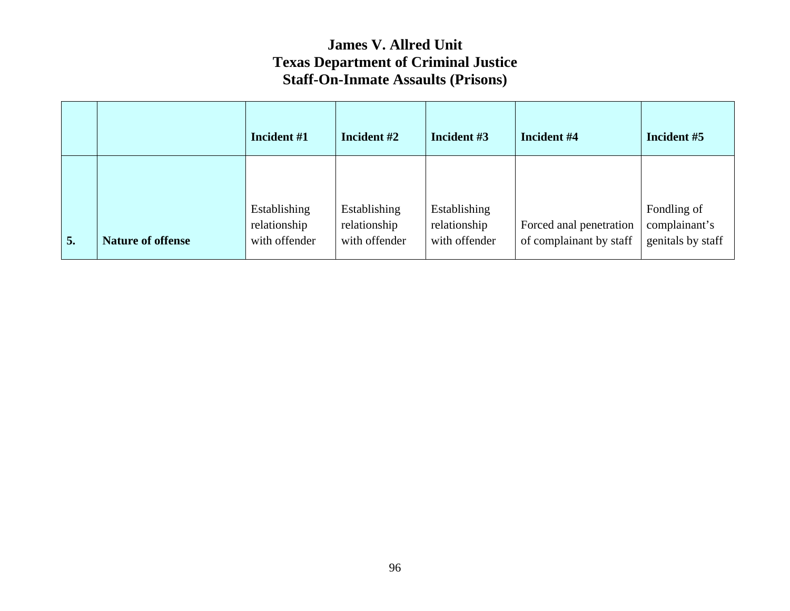|    |                          | Incident #1                                   | Incident #2                                   | Incident #3                                   | Incident #4                                        | Incident #5                                       |
|----|--------------------------|-----------------------------------------------|-----------------------------------------------|-----------------------------------------------|----------------------------------------------------|---------------------------------------------------|
| 5. | <b>Nature of offense</b> | Establishing<br>relationship<br>with offender | Establishing<br>relationship<br>with offender | Establishing<br>relationship<br>with offender | Forced anal penetration<br>of complainant by staff | Fondling of<br>complainant's<br>genitals by staff |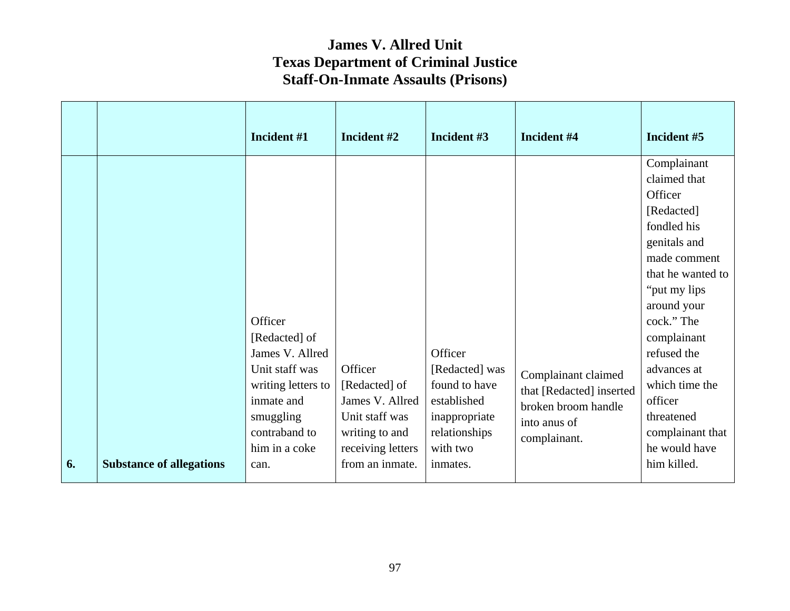|    |                                 | Incident #1                                                                                                                                      | Incident #2                                                                                          | Incident #3                                                                                             | Incident #4                                                                                            | Incident #5                                                                                                                                                                                                                                                                                         |
|----|---------------------------------|--------------------------------------------------------------------------------------------------------------------------------------------------|------------------------------------------------------------------------------------------------------|---------------------------------------------------------------------------------------------------------|--------------------------------------------------------------------------------------------------------|-----------------------------------------------------------------------------------------------------------------------------------------------------------------------------------------------------------------------------------------------------------------------------------------------------|
|    |                                 | Officer<br>[Redacted] of<br>James V. Allred<br>Unit staff was<br>writing letters to<br>inmate and<br>smuggling<br>contraband to<br>him in a coke | Officer<br>[Redacted] of<br>James V. Allred<br>Unit staff was<br>writing to and<br>receiving letters | Officer<br>[Redacted] was<br>found to have<br>established<br>inappropriate<br>relationships<br>with two | Complainant claimed<br>that [Redacted] inserted<br>broken broom handle<br>into anus of<br>complainant. | Complainant<br>claimed that<br>Officer<br>[Redacted]<br>fondled his<br>genitals and<br>made comment<br>that he wanted to<br>"put my lips"<br>around your<br>cock." The<br>complainant<br>refused the<br>advances at<br>which time the<br>officer<br>threatened<br>complainant that<br>he would have |
| 6. | <b>Substance of allegations</b> | can.                                                                                                                                             | from an inmate.                                                                                      | inmates.                                                                                                |                                                                                                        | him killed.                                                                                                                                                                                                                                                                                         |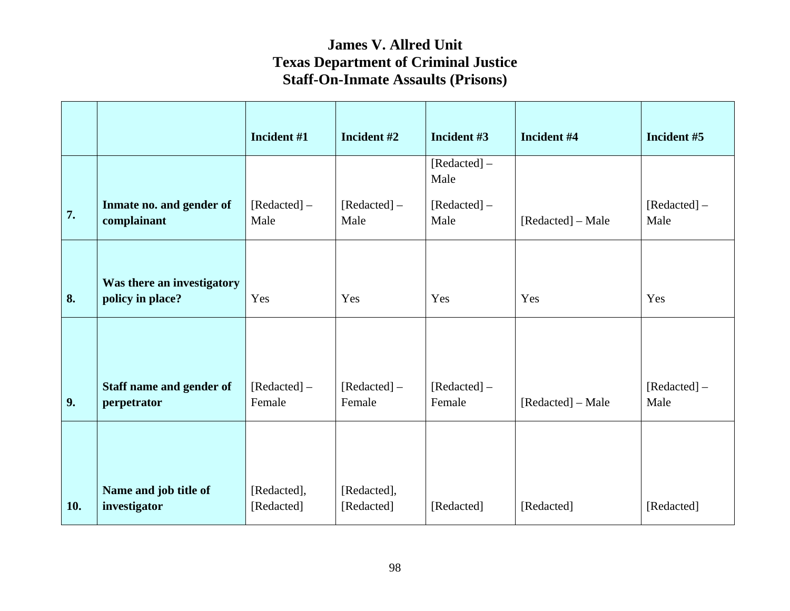|     |                                                | Incident #1               | Incident #2               | Incident #3            | Incident #4       | Incident #5           |
|-----|------------------------------------------------|---------------------------|---------------------------|------------------------|-------------------|-----------------------|
|     |                                                |                           |                           | [Redacted] –<br>Male   |                   |                       |
| 7.  | Inmate no. and gender of<br>complainant        | [Redacted] –<br>Male      | [Redacted] –<br>Male      | [Redacted] –<br>Male   | [Redacted] – Male | [Redacted] –<br>Male  |
| 8.  | Was there an investigatory<br>policy in place? | Yes                       | Yes                       | Yes                    | Yes               | Yes                   |
|     |                                                |                           |                           |                        |                   |                       |
| 9.  | Staff name and gender of<br>perpetrator        | [Redacted] –<br>Female    | $[Reduced] -$<br>Female   | [Redacted] –<br>Female | [Redacted] – Male | $[Reduced] -$<br>Male |
|     |                                                |                           |                           |                        |                   |                       |
| 10. | Name and job title of<br>investigator          | [Redacted],<br>[Redacted] | [Redacted],<br>[Redacted] | [Redacted]             | [Redacted]        | [Redacted]            |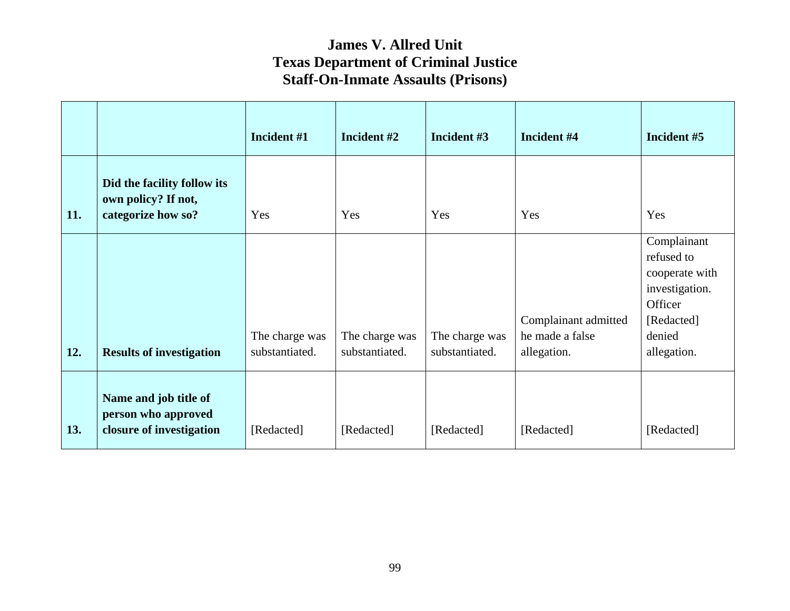|     |                                                                          | Incident #1                      | Incident #2                      | Incident #3                      | Incident #4                                            | Incident #5                                                                                                     |
|-----|--------------------------------------------------------------------------|----------------------------------|----------------------------------|----------------------------------|--------------------------------------------------------|-----------------------------------------------------------------------------------------------------------------|
| 11. | Did the facility follow its<br>own policy? If not,<br>categorize how so? | Yes                              | Yes                              | Yes                              | Yes                                                    | Yes                                                                                                             |
| 12. | <b>Results of investigation</b>                                          | The charge was<br>substantiated. | The charge was<br>substantiated. | The charge was<br>substantiated. | Complainant admitted<br>he made a false<br>allegation. | Complainant<br>refused to<br>cooperate with<br>investigation.<br>Officer<br>[Redacted]<br>denied<br>allegation. |
| 13. | Name and job title of<br>person who approved<br>closure of investigation | [Redacted]                       | [Redacted]                       | [Redacted]                       | [Redacted]                                             | [Redacted]                                                                                                      |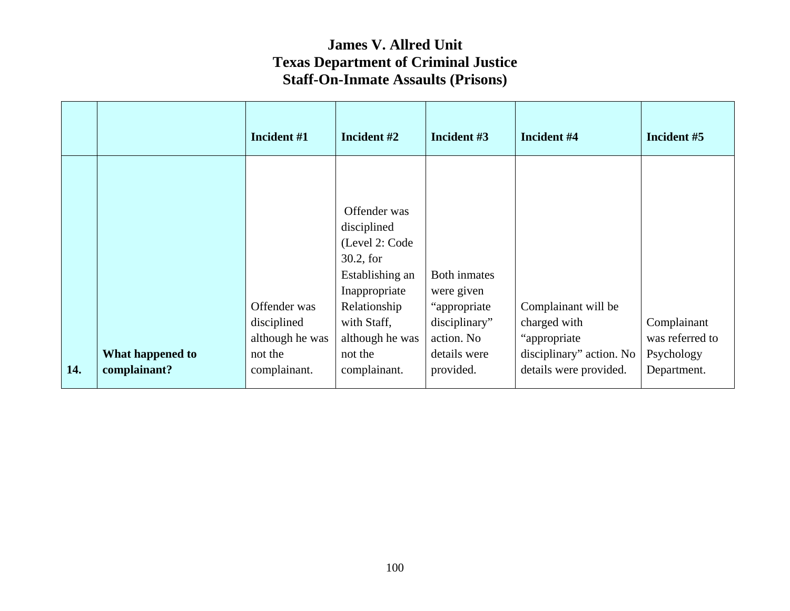|     |                  | Incident #1     | Incident #2                     | Incident #3   | Incident #4              | Incident #5     |
|-----|------------------|-----------------|---------------------------------|---------------|--------------------------|-----------------|
|     |                  |                 | Offender was<br>disciplined     |               |                          |                 |
|     |                  |                 | (Level 2: Code                  |               |                          |                 |
|     |                  |                 | $30.2$ , for<br>Establishing an | Both inmates  |                          |                 |
|     |                  |                 | Inappropriate                   | were given    |                          |                 |
|     |                  | Offender was    | Relationship                    | "appropriate" | Complainant will be      |                 |
|     |                  | disciplined     | with Staff,                     | disciplinary" | charged with             | Complainant     |
|     |                  | although he was | although he was                 | action. No    | "appropriate"            | was referred to |
|     | What happened to | not the         | not the                         | details were  | disciplinary" action. No | Psychology      |
| 14. | complainant?     | complainant.    | complainant.                    | provided.     | details were provided.   | Department.     |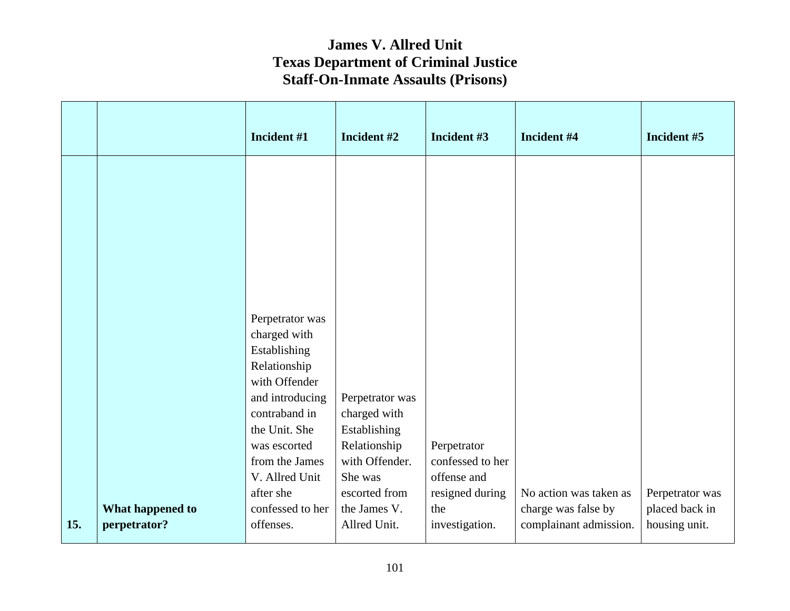|     |                                  | Incident #1                                       | Incident #2                                | Incident #3                                        | Incident #4                                   | Incident #5                     |
|-----|----------------------------------|---------------------------------------------------|--------------------------------------------|----------------------------------------------------|-----------------------------------------------|---------------------------------|
|     |                                  |                                                   |                                            |                                                    |                                               |                                 |
|     |                                  |                                                   |                                            |                                                    |                                               |                                 |
|     |                                  |                                                   |                                            |                                                    |                                               |                                 |
|     |                                  | Perpetrator was                                   |                                            |                                                    |                                               |                                 |
|     |                                  | charged with<br>Establishing<br>Relationship      |                                            |                                                    |                                               |                                 |
|     |                                  | with Offender<br>and introducing<br>contraband in | Perpetrator was<br>charged with            |                                                    |                                               |                                 |
|     |                                  | the Unit. She<br>was escorted                     | Establishing<br>Relationship               | Perpetrator                                        |                                               |                                 |
|     |                                  | from the James<br>V. Allred Unit<br>after she     | with Offender.<br>She was<br>escorted from | confessed to her<br>offense and<br>resigned during | No action was taken as                        | Perpetrator was                 |
| 15. | What happened to<br>perpetrator? | confessed to her<br>offenses.                     | the James V.<br>Allred Unit.               | the<br>investigation.                              | charge was false by<br>complainant admission. | placed back in<br>housing unit. |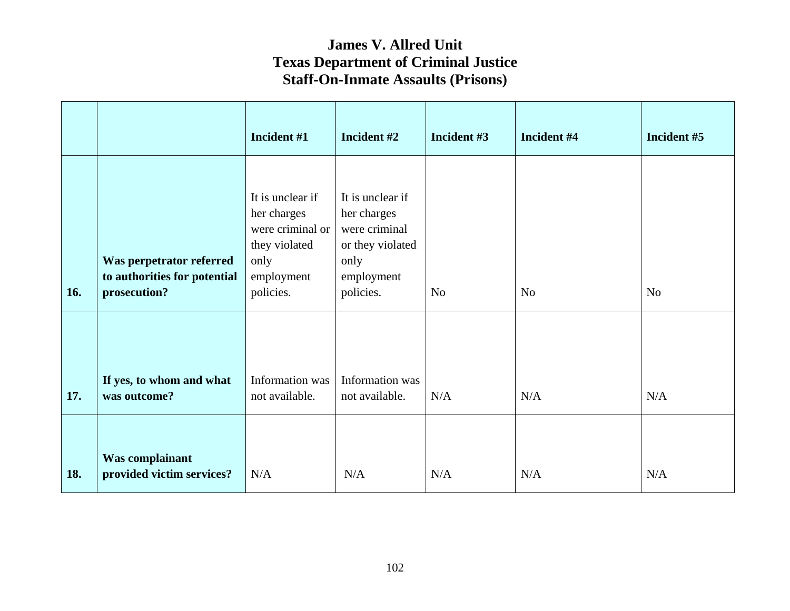|     |                                                                          | Incident #1                                                                                             | Incident #2                                                                                             | Incident #3 | Incident #4 | Incident #5 |
|-----|--------------------------------------------------------------------------|---------------------------------------------------------------------------------------------------------|---------------------------------------------------------------------------------------------------------|-------------|-------------|-------------|
| 16. | Was perpetrator referred<br>to authorities for potential<br>prosecution? | It is unclear if<br>her charges<br>were criminal or<br>they violated<br>only<br>employment<br>policies. | It is unclear if<br>her charges<br>were criminal<br>or they violated<br>only<br>employment<br>policies. | No          | No          | No          |
| 17. | If yes, to whom and what<br>was outcome?                                 | Information was<br>not available.                                                                       | Information was<br>not available.                                                                       | $\rm N/A$   | N/A         | N/A         |
| 18. | <b>Was complainant</b><br>provided victim services?                      | N/A                                                                                                     | N/A                                                                                                     | N/A         | N/A         | N/A         |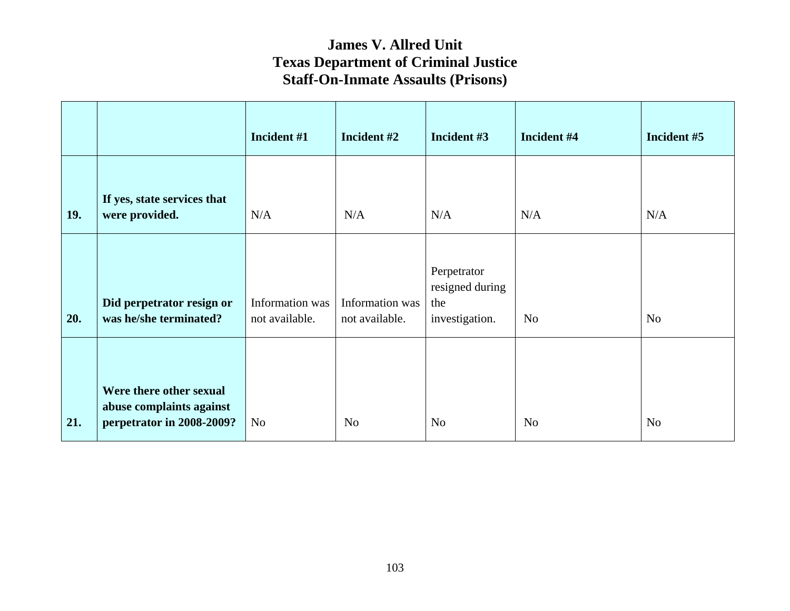|     |                                                                                  | Incident #1                       | Incident #2                       | Incident #3                                             | Incident #4    | Incident #5    |
|-----|----------------------------------------------------------------------------------|-----------------------------------|-----------------------------------|---------------------------------------------------------|----------------|----------------|
| 19. | If yes, state services that<br>were provided.                                    | N/A                               | N/A                               | N/A                                                     | N/A            | N/A            |
| 20. | Did perpetrator resign or<br>was he/she terminated?                              | Information was<br>not available. | Information was<br>not available. | Perpetrator<br>resigned during<br>the<br>investigation. | N <sub>o</sub> | N <sub>o</sub> |
| 21. | Were there other sexual<br>abuse complaints against<br>perpetrator in 2008-2009? | N <sub>o</sub>                    | N <sub>o</sub>                    | N <sub>0</sub>                                          | N <sub>o</sub> | N <sub>o</sub> |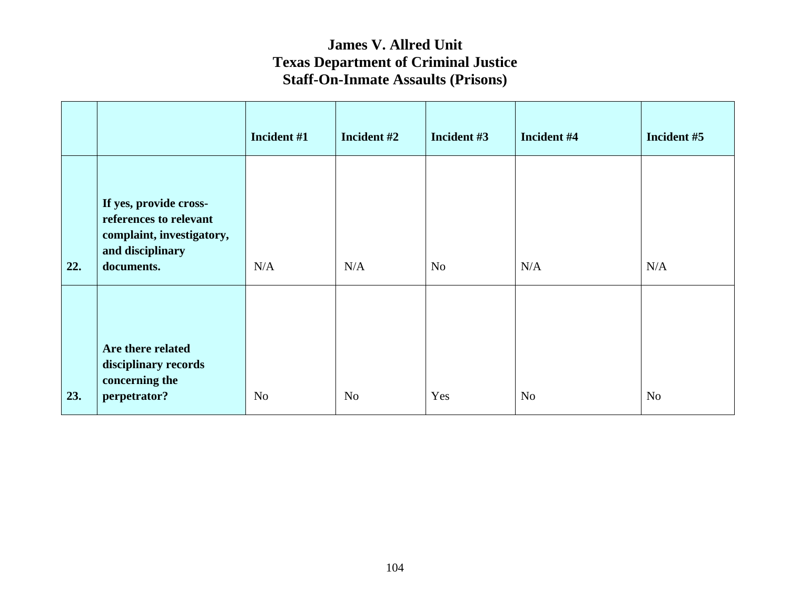|     |                                                                                                                 | Incident #1    | Incident #2    | Incident #3    | Incident #4    | Incident #5    |
|-----|-----------------------------------------------------------------------------------------------------------------|----------------|----------------|----------------|----------------|----------------|
| 22. | If yes, provide cross-<br>references to relevant<br>complaint, investigatory,<br>and disciplinary<br>documents. | N/A            | N/A            | N <sub>o</sub> | N/A            | N/A            |
| 23. | Are there related<br>disciplinary records<br>concerning the<br>perpetrator?                                     | N <sub>o</sub> | N <sub>o</sub> | Yes            | N <sub>o</sub> | N <sub>o</sub> |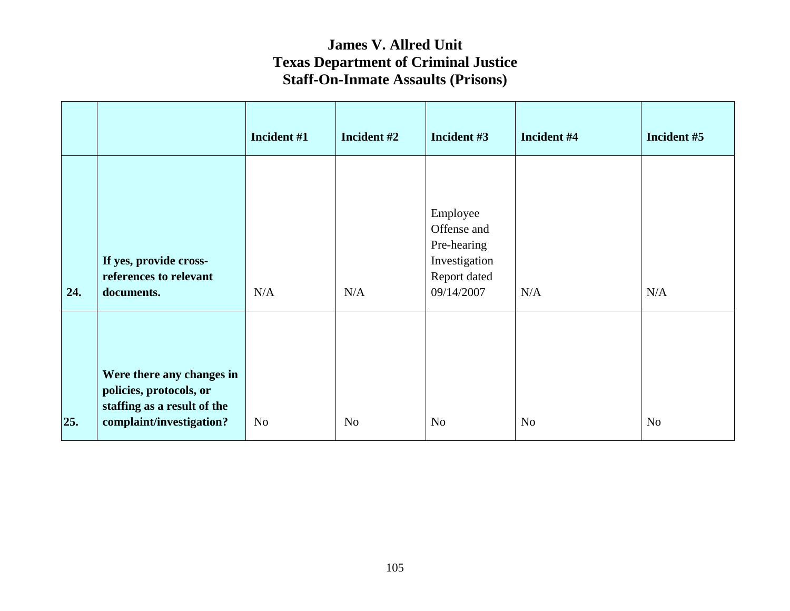|     |                                                                                                                 | Incident #1 | Incident #2    | Incident #3                                                                           | Incident #4    | Incident #5 |
|-----|-----------------------------------------------------------------------------------------------------------------|-------------|----------------|---------------------------------------------------------------------------------------|----------------|-------------|
| 24. | If yes, provide cross-<br>references to relevant<br>documents.                                                  | N/A         | N/A            | Employee<br>Offense and<br>Pre-hearing<br>Investigation<br>Report dated<br>09/14/2007 | N/A            | N/A         |
| 25. | Were there any changes in<br>policies, protocols, or<br>staffing as a result of the<br>complaint/investigation? | <b>No</b>   | N <sub>o</sub> | N <sub>o</sub>                                                                        | N <sub>o</sub> | No          |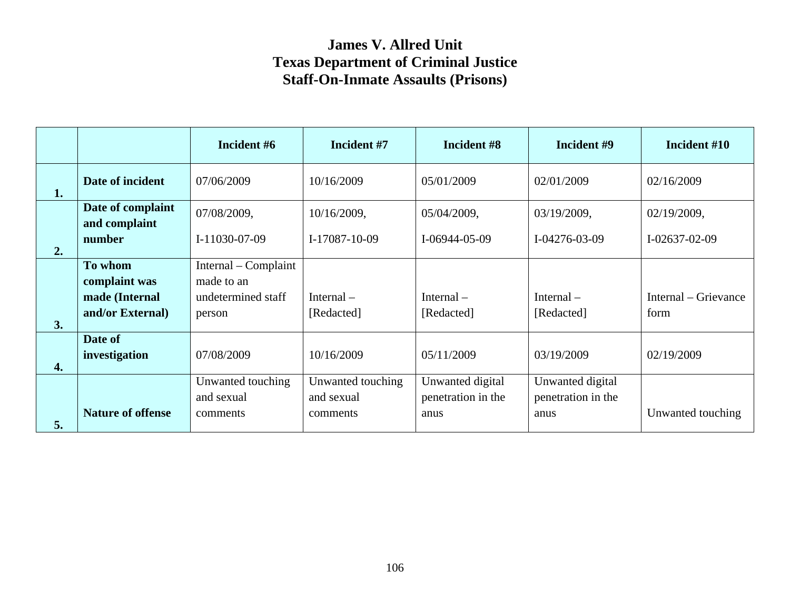|    |                                    | Incident #6          | Incident #7       | Incident #8        | Incident #9        | Incident #10         |
|----|------------------------------------|----------------------|-------------------|--------------------|--------------------|----------------------|
| 1. | Date of incident                   | 07/06/2009           | 10/16/2009        | 05/01/2009         | 02/01/2009         | 02/16/2009           |
|    | Date of complaint<br>and complaint | 07/08/2009,          | 10/16/2009,       | 05/04/2009,        | 03/19/2009,        | 02/19/2009,          |
| 2. | number                             | I-11030-07-09        | $I-17087-10-09$   | $I-06944-05-09$    | $I-04276-03-09$    | $I-02637-02-09$      |
|    | To whom                            | Internal – Complaint |                   |                    |                    |                      |
|    | complaint was                      | made to an           |                   |                    |                    |                      |
|    | made (Internal                     | undetermined staff   | Internal $-$      | Internal $-$       | Internal $-$       | Internal – Grievance |
|    | and/or External)                   | person               | [Redacted]        | [Redacted]         | [Redacted]         | form                 |
| 3. |                                    |                      |                   |                    |                    |                      |
|    | Date of                            |                      |                   |                    |                    |                      |
| 4. | investigation                      | 07/08/2009           | 10/16/2009        | 05/11/2009         | 03/19/2009         | 02/19/2009           |
|    |                                    | Unwanted touching    | Unwanted touching | Unwanted digital   | Unwanted digital   |                      |
|    |                                    | and sexual           | and sexual        | penetration in the | penetration in the |                      |
| 5. | <b>Nature of offense</b>           | comments             | comments          | anus               | anus               | Unwanted touching    |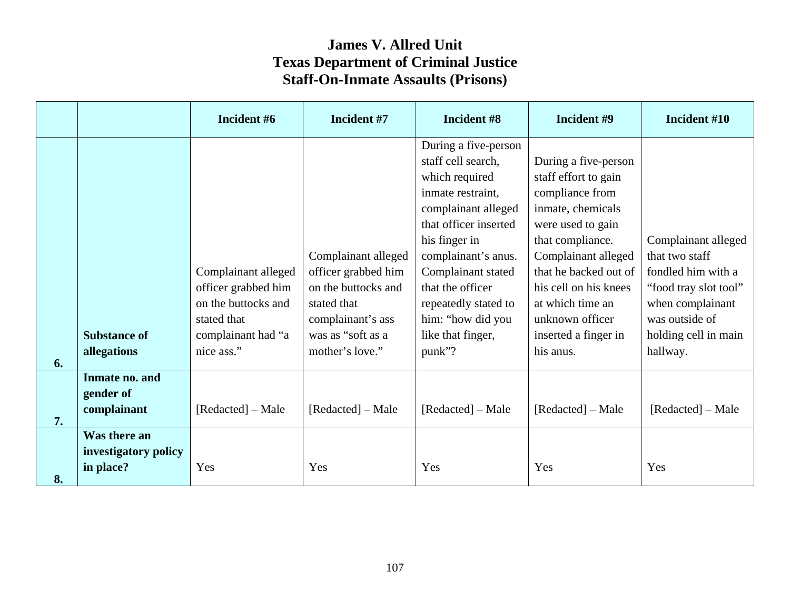|    |                                                   | Incident #6                                                                                                          | Incident #7                                                                                                                                   | Incident #8                                                                                                                                                                                                                                                                                     | Incident #9                                                                                                                                                                                                                                                                        | Incident #10                                                                                                                                                   |
|----|---------------------------------------------------|----------------------------------------------------------------------------------------------------------------------|-----------------------------------------------------------------------------------------------------------------------------------------------|-------------------------------------------------------------------------------------------------------------------------------------------------------------------------------------------------------------------------------------------------------------------------------------------------|------------------------------------------------------------------------------------------------------------------------------------------------------------------------------------------------------------------------------------------------------------------------------------|----------------------------------------------------------------------------------------------------------------------------------------------------------------|
| 6. | <b>Substance of</b><br>allegations                | Complainant alleged<br>officer grabbed him<br>on the buttocks and<br>stated that<br>complainant had "a<br>nice ass." | Complainant alleged<br>officer grabbed him<br>on the buttocks and<br>stated that<br>complainant's ass<br>was as "soft as a<br>mother's love." | During a five-person<br>staff cell search,<br>which required<br>inmate restraint,<br>complainant alleged<br>that officer inserted<br>his finger in<br>complainant's anus.<br>Complainant stated<br>that the officer<br>repeatedly stated to<br>him: "how did you<br>like that finger,<br>punk"? | During a five-person<br>staff effort to gain<br>compliance from<br>inmate, chemicals<br>were used to gain<br>that compliance.<br>Complainant alleged<br>that he backed out of<br>his cell on his knees<br>at which time an<br>unknown officer<br>inserted a finger in<br>his anus. | Complainant alleged<br>that two staff<br>fondled him with a<br>"food tray slot tool"<br>when complainant<br>was outside of<br>holding cell in main<br>hallway. |
| 7. | Inmate no. and<br>gender of<br>complainant        | [Redacted] – Male                                                                                                    | [Redacted] – Male                                                                                                                             | [Redacted] – Male                                                                                                                                                                                                                                                                               | [Redacted] - Male                                                                                                                                                                                                                                                                  | [Redacted] - Male                                                                                                                                              |
| 8. | Was there an<br>investigatory policy<br>in place? | Yes                                                                                                                  | Yes                                                                                                                                           | Yes                                                                                                                                                                                                                                                                                             | Yes                                                                                                                                                                                                                                                                                | Yes                                                                                                                                                            |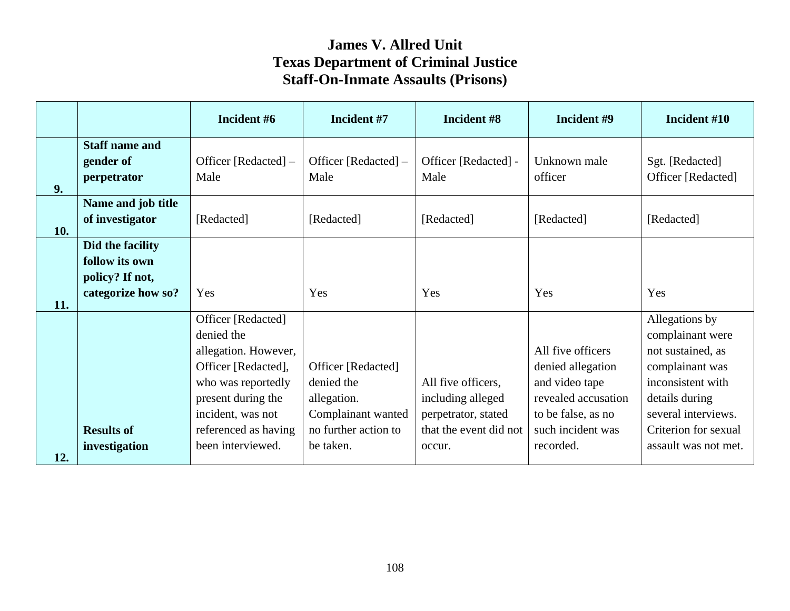|     |                                                                             | Incident #6                                                                                                                                                              | Incident #7                                                                                   | Incident #8                                                                              | Incident #9                                                                                                                | Incident #10                                                                                                                                                     |
|-----|-----------------------------------------------------------------------------|--------------------------------------------------------------------------------------------------------------------------------------------------------------------------|-----------------------------------------------------------------------------------------------|------------------------------------------------------------------------------------------|----------------------------------------------------------------------------------------------------------------------------|------------------------------------------------------------------------------------------------------------------------------------------------------------------|
| 9.  | <b>Staff name and</b><br>gender of<br>perpetrator                           | Officer [Redacted] –<br>Male                                                                                                                                             | Officer [Redacted] –<br>Male                                                                  | Officer [Redacted] -<br>Male                                                             | Unknown male<br>officer                                                                                                    | Sgt. [Redacted]<br>Officer [Redacted]                                                                                                                            |
| 10. | Name and job title<br>of investigator                                       | [Redacted]                                                                                                                                                               | [Redacted]                                                                                    | [Redacted]                                                                               | [Redacted]                                                                                                                 | [Redacted]                                                                                                                                                       |
| 11. | Did the facility<br>follow its own<br>policy? If not,<br>categorize how so? | Yes                                                                                                                                                                      | Yes                                                                                           | Yes                                                                                      | Yes                                                                                                                        | Yes                                                                                                                                                              |
|     | <b>Results of</b>                                                           | Officer [Redacted]<br>denied the<br>allegation. However,<br>Officer [Redacted],<br>who was reportedly<br>present during the<br>incident, was not<br>referenced as having | Officer [Redacted]<br>denied the<br>allegation.<br>Complainant wanted<br>no further action to | All five officers,<br>including alleged<br>perpetrator, stated<br>that the event did not | All five officers<br>denied allegation<br>and video tape<br>revealed accusation<br>to be false, as no<br>such incident was | Allegations by<br>complainant were<br>not sustained, as<br>complainant was<br>inconsistent with<br>details during<br>several interviews.<br>Criterion for sexual |
| 12. | investigation                                                               | been interviewed.                                                                                                                                                        | be taken.                                                                                     | occur.                                                                                   | recorded.                                                                                                                  | assault was not met.                                                                                                                                             |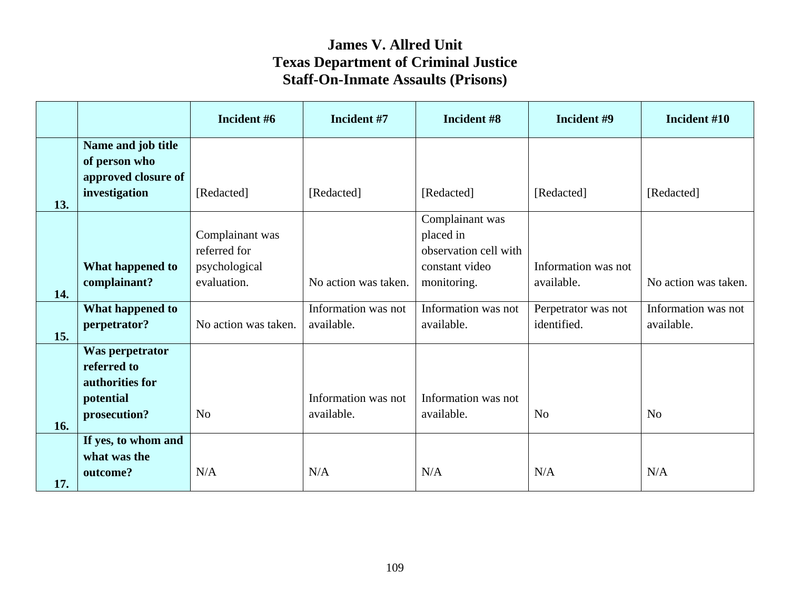|     |                                                                                | Incident #6                                                     | Incident #7                       | Incident #8                                                                            | Incident #9                        | Incident #10                      |
|-----|--------------------------------------------------------------------------------|-----------------------------------------------------------------|-----------------------------------|----------------------------------------------------------------------------------------|------------------------------------|-----------------------------------|
|     | Name and job title<br>of person who<br>approved closure of                     |                                                                 |                                   |                                                                                        |                                    |                                   |
| 13. | investigation                                                                  | [Redacted]                                                      | [Redacted]                        | [Redacted]                                                                             | [Redacted]                         | [Redacted]                        |
| 14. | What happened to<br>complainant?                                               | Complainant was<br>referred for<br>psychological<br>evaluation. | No action was taken.              | Complainant was<br>placed in<br>observation cell with<br>constant video<br>monitoring. | Information was not<br>available.  | No action was taken.              |
| 15. | What happened to<br>perpetrator?                                               | No action was taken.                                            | Information was not<br>available. | Information was not<br>available.                                                      | Perpetrator was not<br>identified. | Information was not<br>available. |
| 16. | Was perpetrator<br>referred to<br>authorities for<br>potential<br>prosecution? | N <sub>o</sub>                                                  | Information was not<br>available. | Information was not<br>available.                                                      | N <sub>o</sub>                     | N <sub>o</sub>                    |
| 17. | If yes, to whom and<br>what was the<br>outcome?                                | N/A                                                             | N/A                               | N/A                                                                                    | N/A                                | N/A                               |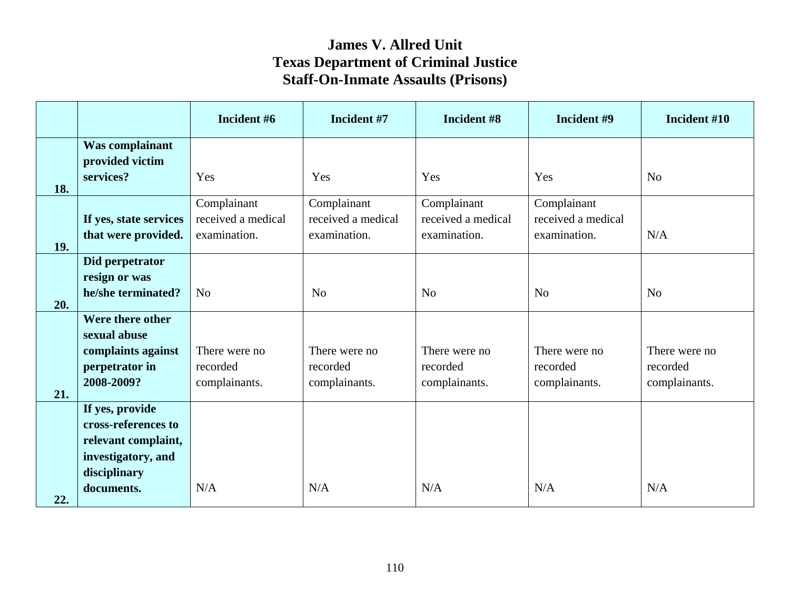|     |                        | Incident #6        | Incident #7                       | Incident #8                       | Incident #9                       | Incident #10   |
|-----|------------------------|--------------------|-----------------------------------|-----------------------------------|-----------------------------------|----------------|
|     | Was complainant        |                    |                                   |                                   |                                   |                |
|     | provided victim        |                    |                                   |                                   |                                   |                |
|     | services?              | Yes                | Yes                               | Yes                               | Yes                               | N <sub>o</sub> |
| 18. |                        |                    |                                   |                                   |                                   |                |
|     |                        | Complainant        | Complainant<br>received a medical | Complainant<br>received a medical | Complainant<br>received a medical |                |
|     | If yes, state services | received a medical |                                   |                                   |                                   |                |
| 19. | that were provided.    | examination.       | examination.                      | examination.                      | examination.                      | N/A            |
|     | Did perpetrator        |                    |                                   |                                   |                                   |                |
|     | resign or was          |                    |                                   |                                   |                                   |                |
|     | he/she terminated?     | N <sub>o</sub>     | N <sub>o</sub>                    | N <sub>o</sub>                    | N <sub>o</sub>                    | N <sub>o</sub> |
| 20. |                        |                    |                                   |                                   |                                   |                |
|     | Were there other       |                    |                                   |                                   |                                   |                |
|     | sexual abuse           |                    |                                   |                                   |                                   |                |
|     | complaints against     | There were no      | There were no                     | There were no                     | There were no                     | There were no  |
|     | perpetrator in         | recorded           | recorded                          | recorded                          | recorded                          | recorded       |
|     | 2008-2009?             | complainants.      | complainants.                     | complainants.                     | complainants.                     | complainants.  |
| 21. |                        |                    |                                   |                                   |                                   |                |
|     | If yes, provide        |                    |                                   |                                   |                                   |                |
|     | cross-references to    |                    |                                   |                                   |                                   |                |
|     | relevant complaint,    |                    |                                   |                                   |                                   |                |
|     | investigatory, and     |                    |                                   |                                   |                                   |                |
|     | disciplinary           |                    |                                   |                                   |                                   |                |
| 22. | documents.             | N/A                | N/A                               | N/A                               | N/A                               | N/A            |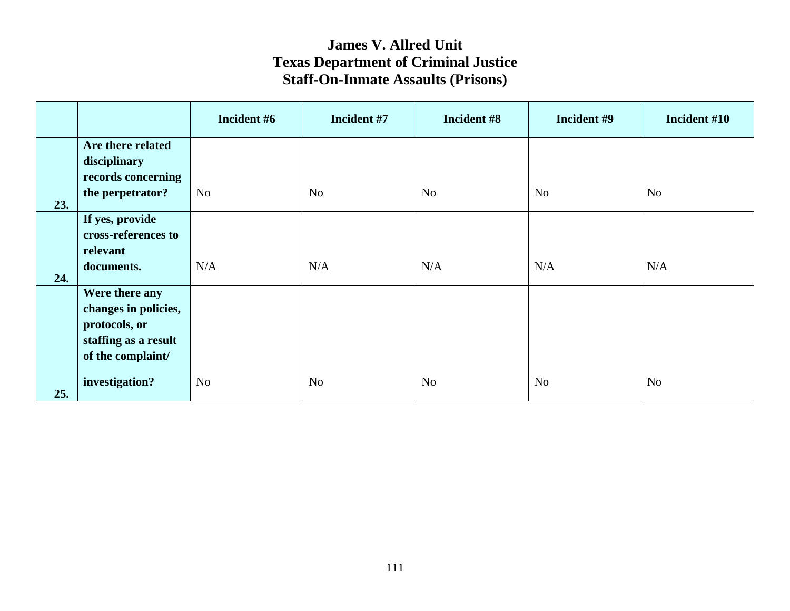|     |                      | Incident #6    | Incident #7    | Incident #8    | Incident #9    | Incident #10   |
|-----|----------------------|----------------|----------------|----------------|----------------|----------------|
|     | Are there related    |                |                |                |                |                |
|     | disciplinary         |                |                |                |                |                |
|     | records concerning   |                |                |                |                |                |
| 23. | the perpetrator?     | N <sub>o</sub> | N <sub>o</sub> | N <sub>o</sub> | N <sub>o</sub> | N <sub>o</sub> |
|     | If yes, provide      |                |                |                |                |                |
|     | cross-references to  |                |                |                |                |                |
|     | relevant             |                |                |                |                |                |
|     | documents.           | N/A            | N/A            | N/A            | N/A            | N/A            |
| 24. |                      |                |                |                |                |                |
|     | Were there any       |                |                |                |                |                |
|     | changes in policies, |                |                |                |                |                |
|     | protocols, or        |                |                |                |                |                |
|     | staffing as a result |                |                |                |                |                |
|     | of the complaint/    |                |                |                |                |                |
| 25. | investigation?       | N <sub>o</sub> | N <sub>o</sub> | N <sub>o</sub> | N <sub>o</sub> | N <sub>o</sub> |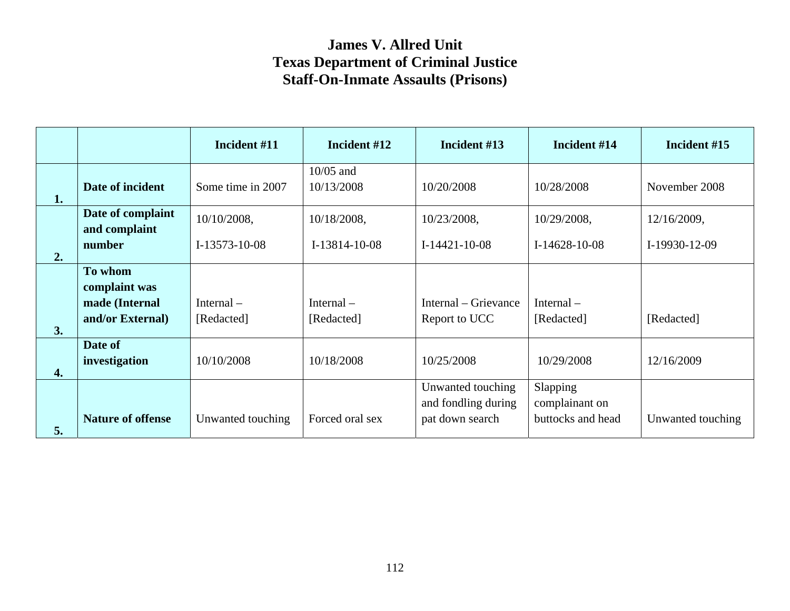|    |                                    | Incident #11      | Incident #12              | Incident #13                                                | Incident #14                                    | Incident #15      |
|----|------------------------------------|-------------------|---------------------------|-------------------------------------------------------------|-------------------------------------------------|-------------------|
| 1. | Date of incident                   | Some time in 2007 | $10/05$ and<br>10/13/2008 | 10/20/2008                                                  | 10/28/2008                                      | November 2008     |
|    | Date of complaint<br>and complaint | 10/10/2008,       | 10/18/2008,               | 10/23/2008,                                                 | 10/29/2008,                                     | 12/16/2009,       |
| 2. | number                             | I-13573-10-08     | $I-13814-10-08$           | $I-14421-10-08$                                             | $I-14628-10-08$                                 | I-19930-12-09     |
|    | To whom<br>complaint was           |                   |                           |                                                             |                                                 |                   |
|    | made (Internal                     | Internal $-$      | Internal $-$              | Internal – Grievance                                        | Internal $-$                                    |                   |
| 3. | and/or External)                   | [Redacted]        | [Redacted]                | Report to UCC                                               | [Redacted]                                      | [Redacted]        |
| 4. | Date of<br>investigation           | 10/10/2008        | 10/18/2008                | 10/25/2008                                                  | 10/29/2008                                      | 12/16/2009        |
| 5. | <b>Nature of offense</b>           | Unwanted touching | Forced oral sex           | Unwanted touching<br>and fondling during<br>pat down search | Slapping<br>complainant on<br>buttocks and head | Unwanted touching |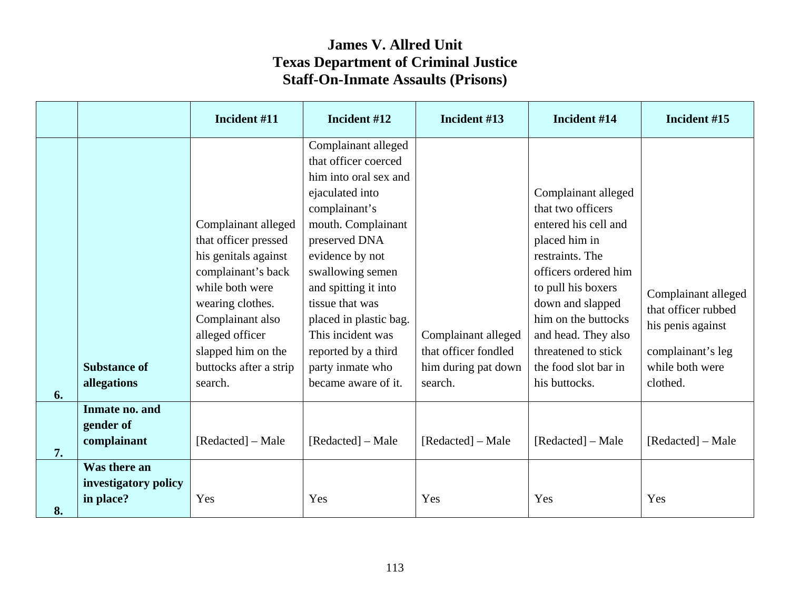|    |                                                   | Incident #11                                                                                                                                                                                                                       | Incident #12                                                                                                                                                                                                                                                                                                                                       | Incident #13                                                                  | Incident #14                                                                                                                                                                                                                                                                         | Incident #15                                                                                                        |
|----|---------------------------------------------------|------------------------------------------------------------------------------------------------------------------------------------------------------------------------------------------------------------------------------------|----------------------------------------------------------------------------------------------------------------------------------------------------------------------------------------------------------------------------------------------------------------------------------------------------------------------------------------------------|-------------------------------------------------------------------------------|--------------------------------------------------------------------------------------------------------------------------------------------------------------------------------------------------------------------------------------------------------------------------------------|---------------------------------------------------------------------------------------------------------------------|
| 6. | <b>Substance of</b><br>allegations                | Complainant alleged<br>that officer pressed<br>his genitals against<br>complainant's back<br>while both were<br>wearing clothes.<br>Complainant also<br>alleged officer<br>slapped him on the<br>buttocks after a strip<br>search. | Complainant alleged<br>that officer coerced<br>him into oral sex and<br>ejaculated into<br>complainant's<br>mouth. Complainant<br>preserved DNA<br>evidence by not<br>swallowing semen<br>and spitting it into<br>tissue that was<br>placed in plastic bag.<br>This incident was<br>reported by a third<br>party inmate who<br>became aware of it. | Complainant alleged<br>that officer fondled<br>him during pat down<br>search. | Complainant alleged<br>that two officers<br>entered his cell and<br>placed him in<br>restraints. The<br>officers ordered him<br>to pull his boxers<br>down and slapped<br>him on the buttocks<br>and head. They also<br>threatened to stick<br>the food slot bar in<br>his buttocks. | Complainant alleged<br>that officer rubbed<br>his penis against<br>complainant's leg<br>while both were<br>clothed. |
| 7. | Inmate no. and<br>gender of<br>complainant        | [Redacted] – Male                                                                                                                                                                                                                  | [Redacted] – Male                                                                                                                                                                                                                                                                                                                                  | [Redacted] – Male                                                             | [Redacted] – Male                                                                                                                                                                                                                                                                    | [Redacted] – Male                                                                                                   |
| 8. | Was there an<br>investigatory policy<br>in place? | Yes                                                                                                                                                                                                                                | Yes                                                                                                                                                                                                                                                                                                                                                | Yes                                                                           | Yes                                                                                                                                                                                                                                                                                  | Yes                                                                                                                 |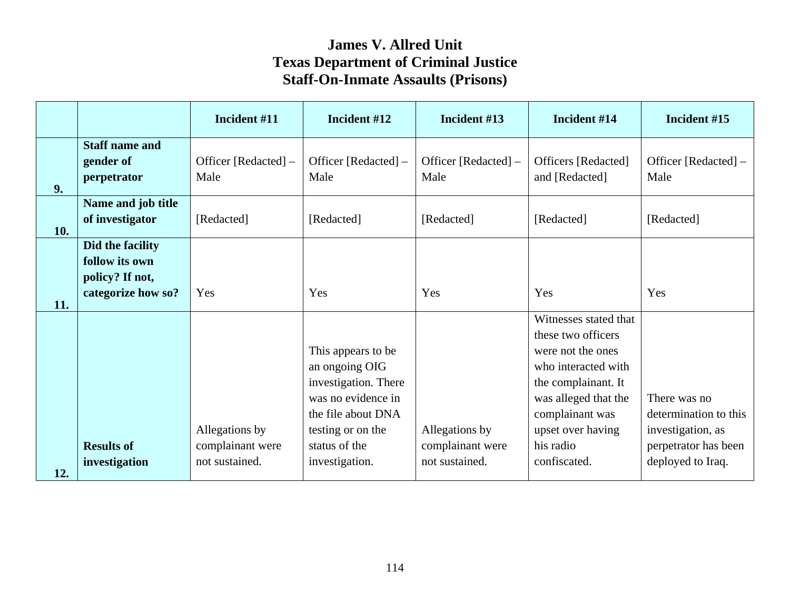|     |                                                                             | Incident #11                       | Incident #12                                                                                                                  | Incident #13                       | Incident #14                                                                                                                                          | Incident #15                                               |
|-----|-----------------------------------------------------------------------------|------------------------------------|-------------------------------------------------------------------------------------------------------------------------------|------------------------------------|-------------------------------------------------------------------------------------------------------------------------------------------------------|------------------------------------------------------------|
| 9.  | <b>Staff name and</b><br>gender of<br>perpetrator                           | Officer [Redacted] –<br>Male       | Officer [Redacted] –<br>Male                                                                                                  | Officer [Redacted] –<br>Male       | Officers [Redacted]<br>and [Redacted]                                                                                                                 | Officer [Redacted] –<br>Male                               |
| 10. | Name and job title<br>of investigator                                       | [Redacted]                         | [Redacted]                                                                                                                    | [Redacted]                         | [Redacted]                                                                                                                                            | [Redacted]                                                 |
|     | Did the facility<br>follow its own<br>policy? If not,<br>categorize how so? | Yes                                | Yes                                                                                                                           | Yes                                | Yes                                                                                                                                                   | Yes                                                        |
| 11. |                                                                             |                                    |                                                                                                                               |                                    | Witnesses stated that                                                                                                                                 |                                                            |
|     |                                                                             | Allegations by                     | This appears to be<br>an ongoing OIG<br>investigation. There<br>was no evidence in<br>the file about DNA<br>testing or on the | Allegations by                     | these two officers<br>were not the ones<br>who interacted with<br>the complainant. It<br>was alleged that the<br>complainant was<br>upset over having | There was no<br>determination to this<br>investigation, as |
| 12. | <b>Results of</b><br>investigation                                          | complainant were<br>not sustained. | status of the<br>investigation.                                                                                               | complainant were<br>not sustained. | his radio<br>confiscated.                                                                                                                             | perpetrator has been<br>deployed to Iraq.                  |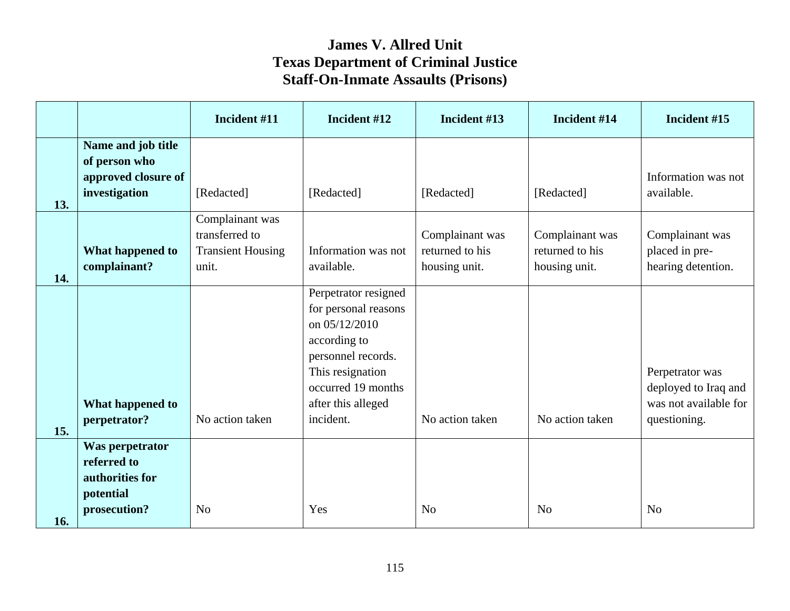|     |                                                                                | Incident #11                                                           | Incident #12                                                                                                                                                                     | Incident #13                                        | Incident #14                                        | Incident #15                                                                     |
|-----|--------------------------------------------------------------------------------|------------------------------------------------------------------------|----------------------------------------------------------------------------------------------------------------------------------------------------------------------------------|-----------------------------------------------------|-----------------------------------------------------|----------------------------------------------------------------------------------|
| 13. | Name and job title<br>of person who<br>approved closure of<br>investigation    | [Redacted]                                                             | [Redacted]                                                                                                                                                                       | [Redacted]                                          | [Redacted]                                          | Information was not<br>available.                                                |
| 14. | What happened to<br>complainant?                                               | Complainant was<br>transferred to<br><b>Transient Housing</b><br>unit. | Information was not<br>available.                                                                                                                                                | Complainant was<br>returned to his<br>housing unit. | Complainant was<br>returned to his<br>housing unit. | Complainant was<br>placed in pre-<br>hearing detention.                          |
| 15. | What happened to<br>perpetrator?                                               | No action taken                                                        | Perpetrator resigned<br>for personal reasons<br>on 05/12/2010<br>according to<br>personnel records.<br>This resignation<br>occurred 19 months<br>after this alleged<br>incident. | No action taken                                     | No action taken                                     | Perpetrator was<br>deployed to Iraq and<br>was not available for<br>questioning. |
| 16. | Was perpetrator<br>referred to<br>authorities for<br>potential<br>prosecution? | N <sub>o</sub>                                                         | Yes                                                                                                                                                                              | N <sub>0</sub>                                      | N <sub>0</sub>                                      | N <sub>o</sub>                                                                   |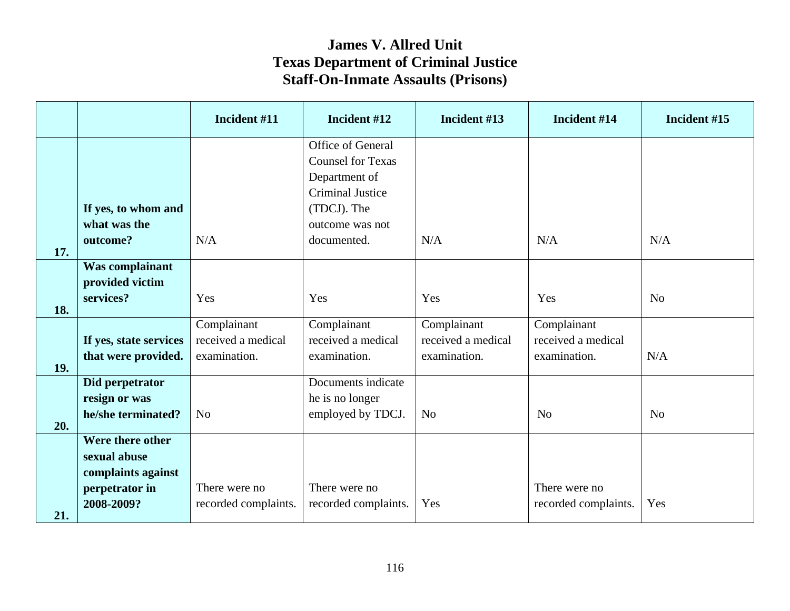|     |                        | Incident #11         | Incident #12             | Incident #13       | Incident #14         | Incident #15   |
|-----|------------------------|----------------------|--------------------------|--------------------|----------------------|----------------|
|     |                        |                      | Office of General        |                    |                      |                |
|     |                        |                      | <b>Counsel for Texas</b> |                    |                      |                |
|     |                        |                      | Department of            |                    |                      |                |
|     |                        |                      | <b>Criminal Justice</b>  |                    |                      |                |
|     | If yes, to whom and    |                      | (TDCJ). The              |                    |                      |                |
|     | what was the           |                      | outcome was not          |                    |                      |                |
|     | outcome?               | N/A                  | documented.              | N/A                | N/A                  | N/A            |
| 17. |                        |                      |                          |                    |                      |                |
|     | Was complainant        |                      |                          |                    |                      |                |
|     | provided victim        |                      |                          |                    |                      |                |
|     | services?              | Yes                  | Yes                      | Yes                | Yes                  | N <sub>0</sub> |
| 18. |                        | Complainant          | Complainant              | Complainant        | Complainant          |                |
|     | If yes, state services | received a medical   | received a medical       | received a medical | received a medical   |                |
|     | that were provided.    | examination.         | examination.             | examination.       | examination.         | N/A            |
| 19. |                        |                      |                          |                    |                      |                |
|     | Did perpetrator        |                      | Documents indicate       |                    |                      |                |
|     | resign or was          |                      | he is no longer          |                    |                      |                |
|     | he/she terminated?     | N <sub>0</sub>       | employed by TDCJ.        | N <sub>o</sub>     | No                   | N <sub>o</sub> |
| 20. |                        |                      |                          |                    |                      |                |
|     | Were there other       |                      |                          |                    |                      |                |
|     | sexual abuse           |                      |                          |                    |                      |                |
|     | complaints against     |                      |                          |                    |                      |                |
|     | perpetrator in         | There were no        | There were no            |                    | There were no        |                |
|     | 2008-2009?             | recorded complaints. | recorded complaints.     | Yes                | recorded complaints. | Yes            |
| 21. |                        |                      |                          |                    |                      |                |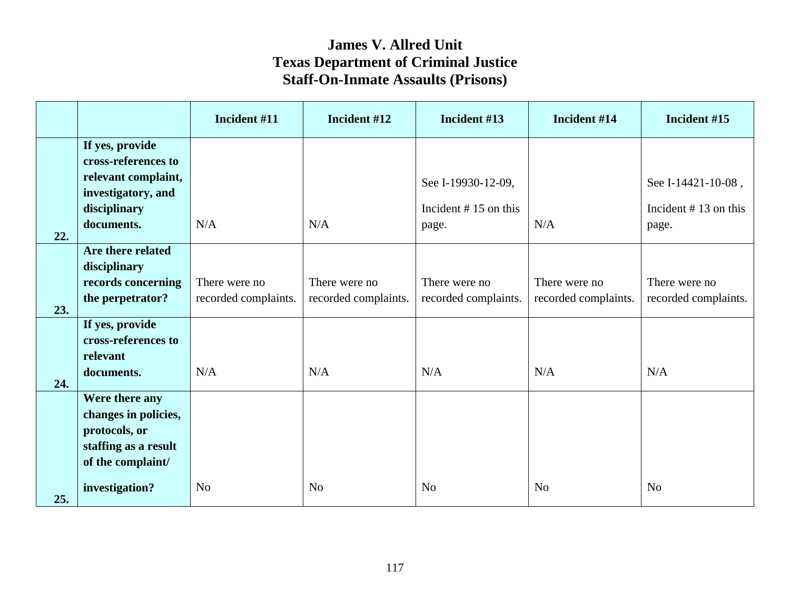|     |                                                                                                      | Incident #11                          | Incident #12                          | Incident #13                          | Incident #14                          | Incident #15                          |
|-----|------------------------------------------------------------------------------------------------------|---------------------------------------|---------------------------------------|---------------------------------------|---------------------------------------|---------------------------------------|
|     | If yes, provide<br>cross-references to<br>relevant complaint,<br>investigatory, and                  |                                       |                                       | See I-19930-12-09,                    |                                       | See I-14421-10-08,                    |
| 22. | disciplinary<br>documents.                                                                           | N/A                                   | N/A                                   | Incident $# 15$ on this<br>page.      | N/A                                   | Incident $# 13$ on this<br>page.      |
| 23. | Are there related<br>disciplinary<br>records concerning<br>the perpetrator?                          | There were no<br>recorded complaints. | There were no<br>recorded complaints. | There were no<br>recorded complaints. | There were no<br>recorded complaints. | There were no<br>recorded complaints. |
| 24. | If yes, provide<br>cross-references to<br>relevant<br>documents.                                     | N/A                                   | N/A                                   | N/A                                   | N/A                                   | N/A                                   |
|     | Were there any<br>changes in policies,<br>protocols, or<br>staffing as a result<br>of the complaint/ |                                       |                                       |                                       |                                       |                                       |
| 25. | investigation?                                                                                       | N <sub>o</sub>                        | N <sub>o</sub>                        | N <sub>o</sub>                        | N <sub>o</sub>                        | N <sub>o</sub>                        |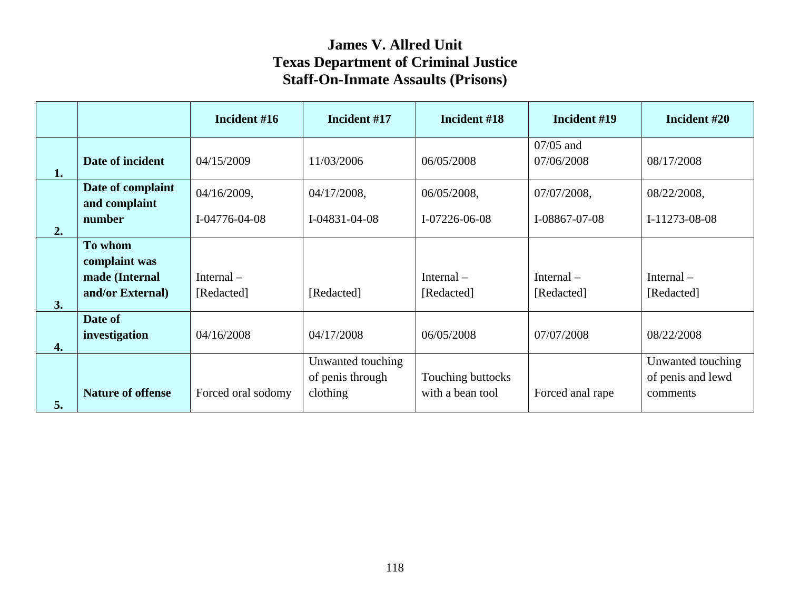|                  |                                                                | Incident #16                         | Incident #17                                      | Incident #18                          | Incident #19                 | Incident #20                                       |
|------------------|----------------------------------------------------------------|--------------------------------------|---------------------------------------------------|---------------------------------------|------------------------------|----------------------------------------------------|
| 1.               | Date of incident                                               | 04/15/2009                           | 11/03/2006                                        | 06/05/2008                            | $07/05$ and<br>07/06/2008    | 08/17/2008                                         |
| 2.               | Date of complaint<br>and complaint<br>number                   | 04/16/2009,<br>$I - 04776 - 04 - 08$ | 04/17/2008,<br>$I-04831-04-08$                    | 06/05/2008,<br>I-07226-06-08          | 07/07/2008,<br>I-08867-07-08 | 08/22/2008,<br>I-11273-08-08                       |
| 3.               | To whom<br>complaint was<br>made (Internal<br>and/or External) | Internal $-$<br>[Redacted]           | [Redacted]                                        | Internal $-$<br>[Redacted]            | Internal $-$<br>[Redacted]   | Internal $-$<br>[Redacted]                         |
| $\overline{4}$ . | Date of<br>investigation                                       | 04/16/2008                           | 04/17/2008                                        | 06/05/2008                            | 07/07/2008                   | 08/22/2008                                         |
| 5.               | <b>Nature of offense</b>                                       | Forced oral sodomy                   | Unwanted touching<br>of penis through<br>clothing | Touching buttocks<br>with a bean tool | Forced anal rape             | Unwanted touching<br>of penis and lewd<br>comments |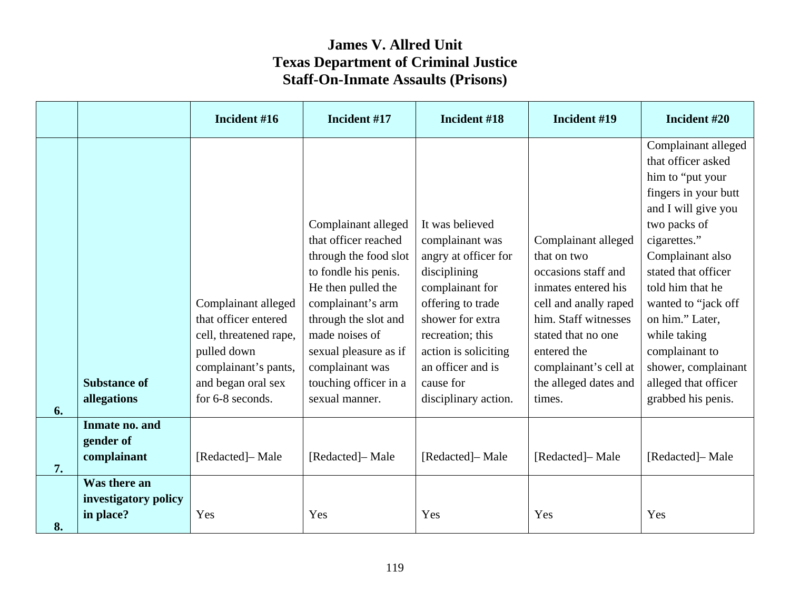|    |                                                   | Incident #16                                                                                                                                           | Incident #17                                                                                                                                                                                                                                                             | Incident #18                                                                                                                                                                                                                                 | Incident #19                                                                                                                                                                                                                       | Incident #20                                                                                                                                                                                                                                                                                                                                                 |
|----|---------------------------------------------------|--------------------------------------------------------------------------------------------------------------------------------------------------------|--------------------------------------------------------------------------------------------------------------------------------------------------------------------------------------------------------------------------------------------------------------------------|----------------------------------------------------------------------------------------------------------------------------------------------------------------------------------------------------------------------------------------------|------------------------------------------------------------------------------------------------------------------------------------------------------------------------------------------------------------------------------------|--------------------------------------------------------------------------------------------------------------------------------------------------------------------------------------------------------------------------------------------------------------------------------------------------------------------------------------------------------------|
| 6. | <b>Substance of</b><br>allegations                | Complainant alleged<br>that officer entered<br>cell, threatened rape,<br>pulled down<br>complainant's pants,<br>and began oral sex<br>for 6-8 seconds. | Complainant alleged<br>that officer reached<br>through the food slot<br>to fondle his penis.<br>He then pulled the<br>complainant's arm<br>through the slot and<br>made noises of<br>sexual pleasure as if<br>complainant was<br>touching officer in a<br>sexual manner. | It was believed<br>complainant was<br>angry at officer for<br>disciplining<br>complainant for<br>offering to trade<br>shower for extra<br>recreation; this<br>action is soliciting<br>an officer and is<br>cause for<br>disciplinary action. | Complainant alleged<br>that on two<br>occasions staff and<br>inmates entered his<br>cell and anally raped<br>him. Staff witnesses<br>stated that no one<br>entered the<br>complainant's cell at<br>the alleged dates and<br>times. | Complainant alleged<br>that officer asked<br>him to "put your<br>fingers in your butt<br>and I will give you<br>two packs of<br>cigarettes."<br>Complainant also<br>stated that officer<br>told him that he<br>wanted to "jack off<br>on him." Later,<br>while taking<br>complainant to<br>shower, complainant<br>alleged that officer<br>grabbed his penis. |
| 7. | Inmate no. and<br>gender of<br>complainant        | [Redacted]– Male                                                                                                                                       | [Redacted]-Male                                                                                                                                                                                                                                                          | [Redacted]-Male                                                                                                                                                                                                                              | [Redacted]- Male                                                                                                                                                                                                                   | [Redacted]-Male                                                                                                                                                                                                                                                                                                                                              |
| 8. | Was there an<br>investigatory policy<br>in place? | Yes                                                                                                                                                    | Yes                                                                                                                                                                                                                                                                      | Yes                                                                                                                                                                                                                                          | Yes                                                                                                                                                                                                                                | Yes                                                                                                                                                                                                                                                                                                                                                          |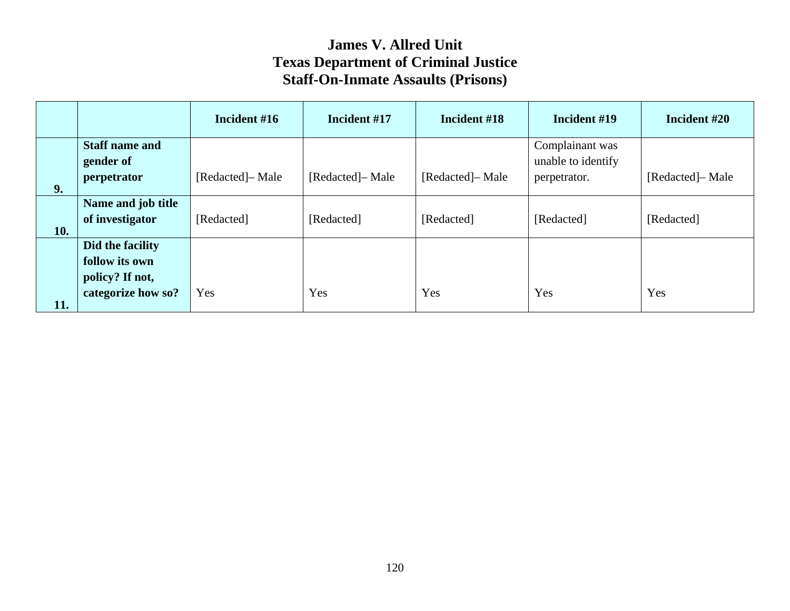|     |                                                       | Incident #16     | Incident #17     | Incident #18     | Incident #19                          | Incident #20    |
|-----|-------------------------------------------------------|------------------|------------------|------------------|---------------------------------------|-----------------|
|     | <b>Staff name and</b><br>gender of                    |                  |                  |                  | Complainant was<br>unable to identify |                 |
| 9.  | perpetrator                                           | [Redacted]- Male | [Redacted]- Male | [Redacted]– Male | perpetrator.                          | [Redacted]-Male |
| 10. | Name and job title<br>of investigator                 | [Redacted]       | [Redacted]       | [Redacted]       | [Redacted]                            | [Redacted]      |
|     | Did the facility<br>follow its own<br>policy? If not, |                  |                  |                  |                                       |                 |
| 11. | categorize how so?                                    | Yes              | Yes              | Yes              | Yes                                   | Yes             |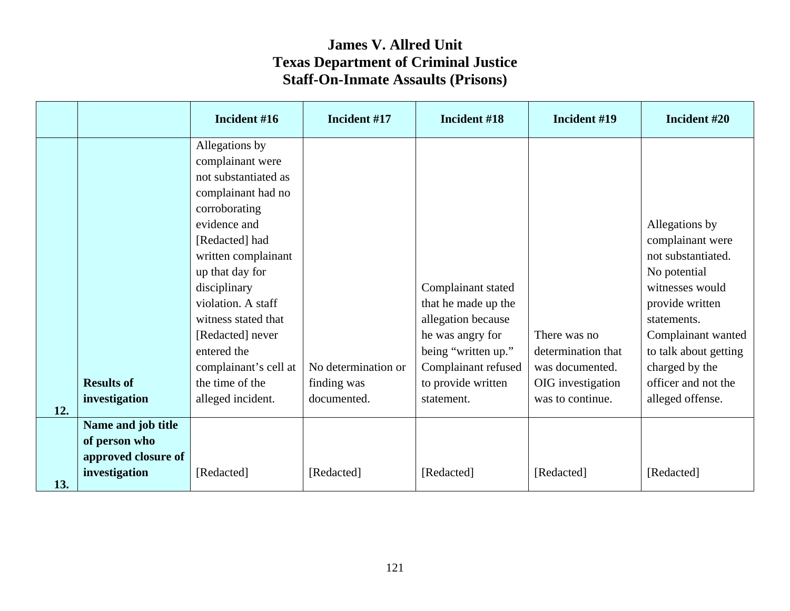|     |                                                                             | Incident #16                                                                                                                                                                                                                                                                                                                                   | Incident #17                                      | Incident #18                                                                                                                                                          | Incident #19                                                                                   | Incident #20                                                                                                                                                                                                                              |
|-----|-----------------------------------------------------------------------------|------------------------------------------------------------------------------------------------------------------------------------------------------------------------------------------------------------------------------------------------------------------------------------------------------------------------------------------------|---------------------------------------------------|-----------------------------------------------------------------------------------------------------------------------------------------------------------------------|------------------------------------------------------------------------------------------------|-------------------------------------------------------------------------------------------------------------------------------------------------------------------------------------------------------------------------------------------|
| 12. | <b>Results of</b><br>investigation                                          | Allegations by<br>complainant were<br>not substantiated as<br>complainant had no<br>corroborating<br>evidence and<br>[Redacted] had<br>written complainant<br>up that day for<br>disciplinary<br>violation. A staff<br>witness stated that<br>[Redacted] never<br>entered the<br>complainant's cell at<br>the time of the<br>alleged incident. | No determination or<br>finding was<br>documented. | Complainant stated<br>that he made up the<br>allegation because<br>he was angry for<br>being "written up."<br>Complainant refused<br>to provide written<br>statement. | There was no<br>determination that<br>was documented.<br>OIG investigation<br>was to continue. | Allegations by<br>complainant were<br>not substantiated.<br>No potential<br>witnesses would<br>provide written<br>statements.<br>Complainant wanted<br>to talk about getting<br>charged by the<br>officer and not the<br>alleged offense. |
| 13. | Name and job title<br>of person who<br>approved closure of<br>investigation | [Redacted]                                                                                                                                                                                                                                                                                                                                     | [Redacted]                                        | [Redacted]                                                                                                                                                            | [Redacted]                                                                                     | [Redacted]                                                                                                                                                                                                                                |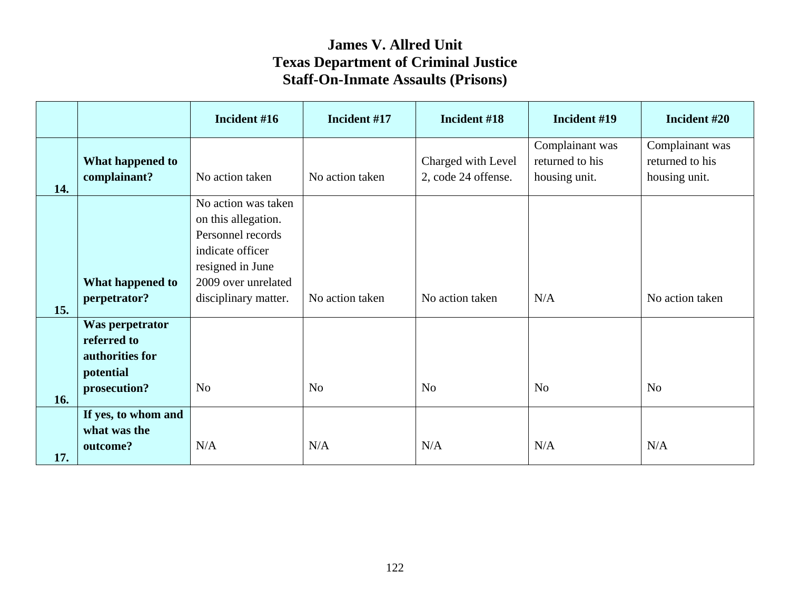|     |                                                                                | Incident #16                                                                                                                                           | Incident #17    | Incident #18                              | Incident #19                                        | Incident #20                                        |
|-----|--------------------------------------------------------------------------------|--------------------------------------------------------------------------------------------------------------------------------------------------------|-----------------|-------------------------------------------|-----------------------------------------------------|-----------------------------------------------------|
| 14. | What happened to<br>complainant?                                               | No action taken                                                                                                                                        | No action taken | Charged with Level<br>2, code 24 offense. | Complainant was<br>returned to his<br>housing unit. | Complainant was<br>returned to his<br>housing unit. |
| 15. | What happened to<br>perpetrator?                                               | No action was taken<br>on this allegation.<br>Personnel records<br>indicate officer<br>resigned in June<br>2009 over unrelated<br>disciplinary matter. | No action taken | No action taken                           | N/A                                                 | No action taken                                     |
| 16. | Was perpetrator<br>referred to<br>authorities for<br>potential<br>prosecution? | N <sub>o</sub>                                                                                                                                         | No              | No                                        | <b>No</b>                                           | N <sub>o</sub>                                      |
| 17. | If yes, to whom and<br>what was the<br>outcome?                                | N/A                                                                                                                                                    | N/A             | N/A                                       | N/A                                                 | N/A                                                 |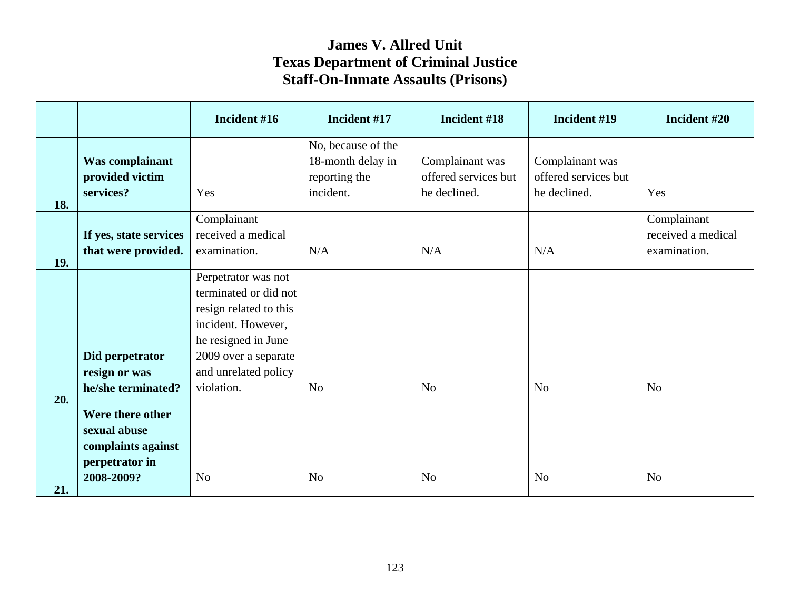|     |                        | Incident #16           | Incident #17       | Incident #18         | Incident #19         | Incident #20       |
|-----|------------------------|------------------------|--------------------|----------------------|----------------------|--------------------|
|     |                        |                        | No, because of the |                      |                      |                    |
|     | Was complainant        |                        | 18-month delay in  | Complainant was      | Complainant was      |                    |
|     | provided victim        |                        | reporting the      | offered services but | offered services but |                    |
|     | services?              | Yes                    | incident.          | he declined.         | he declined.         | Yes                |
| 18. |                        |                        |                    |                      |                      |                    |
|     |                        | Complainant            |                    |                      |                      | Complainant        |
|     | If yes, state services | received a medical     |                    |                      |                      | received a medical |
| 19. | that were provided.    | examination.           | N/A                | N/A                  | N/A                  | examination.       |
|     |                        | Perpetrator was not    |                    |                      |                      |                    |
|     |                        | terminated or did not  |                    |                      |                      |                    |
|     |                        | resign related to this |                    |                      |                      |                    |
|     |                        | incident. However,     |                    |                      |                      |                    |
|     |                        | he resigned in June    |                    |                      |                      |                    |
|     | Did perpetrator        | 2009 over a separate   |                    |                      |                      |                    |
|     | resign or was          | and unrelated policy   |                    |                      |                      |                    |
|     | he/she terminated?     | violation.             | N <sub>o</sub>     | N <sub>o</sub>       | N <sub>o</sub>       | N <sub>o</sub>     |
| 20. |                        |                        |                    |                      |                      |                    |
|     | Were there other       |                        |                    |                      |                      |                    |
|     | sexual abuse           |                        |                    |                      |                      |                    |
|     | complaints against     |                        |                    |                      |                      |                    |
|     | perpetrator in         |                        |                    |                      |                      |                    |
| 21. | 2008-2009?             | N <sub>o</sub>         | N <sub>o</sub>     | N <sub>o</sub>       | N <sub>o</sub>       | N <sub>o</sub>     |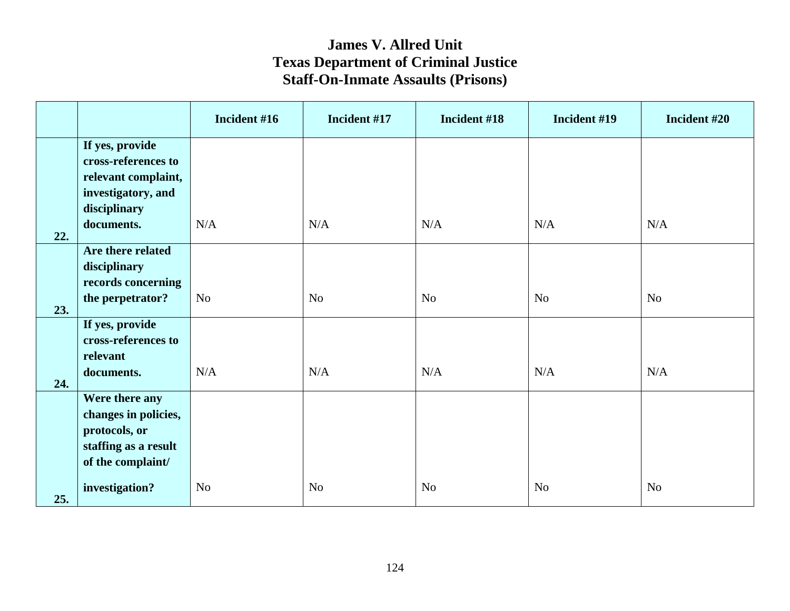|     |                                                                                                      | Incident #16   | Incident #17   | Incident #18   | Incident #19   | Incident #20   |
|-----|------------------------------------------------------------------------------------------------------|----------------|----------------|----------------|----------------|----------------|
|     | If yes, provide<br>cross-references to<br>relevant complaint,<br>investigatory, and<br>disciplinary  |                |                |                |                |                |
| 22. | documents.                                                                                           | N/A            | N/A            | N/A            | N/A            | N/A            |
|     | Are there related<br>disciplinary<br>records concerning                                              |                |                |                |                |                |
| 23. | the perpetrator?                                                                                     | N <sub>o</sub> | N <sub>o</sub> | N <sub>o</sub> | N <sub>o</sub> | N <sub>o</sub> |
|     | If yes, provide<br>cross-references to<br>relevant                                                   |                |                |                |                |                |
| 24. | documents.                                                                                           | N/A            | N/A            | N/A            | N/A            | N/A            |
|     | Were there any<br>changes in policies,<br>protocols, or<br>staffing as a result<br>of the complaint/ |                |                |                |                |                |
| 25. | investigation?                                                                                       | N <sub>o</sub> | No             | N <sub>o</sub> | N <sub>o</sub> | N <sub>o</sub> |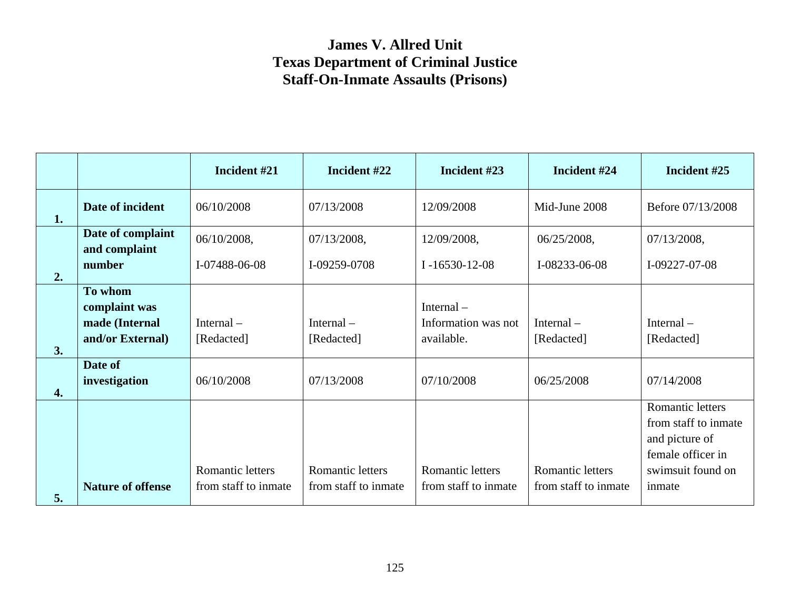|                                                     | Incident #21                             | Incident #22                                    | Incident #23                                      | Incident #24                             | Incident #25                                                                                                          |
|-----------------------------------------------------|------------------------------------------|-------------------------------------------------|---------------------------------------------------|------------------------------------------|-----------------------------------------------------------------------------------------------------------------------|
| Date of incident                                    | 06/10/2008                               | 07/13/2008                                      | 12/09/2008                                        | Mid-June 2008                            | Before 07/13/2008                                                                                                     |
| Date of complaint<br>and complaint                  | 06/10/2008,                              | 07/13/2008,                                     | 12/09/2008,                                       | 06/25/2008,                              | 07/13/2008,<br>I-09227-07-08                                                                                          |
|                                                     |                                          |                                                 |                                                   |                                          |                                                                                                                       |
| complaint was<br>made (Internal<br>and/or External) | Internal $-$<br>[Redacted]               | Internal $-$<br>[Redacted]                      | Internal $-$<br>Information was not<br>available. | Internal $-$<br>[Redacted]               | Internal $-$<br>[Redacted]                                                                                            |
| Date of<br>investigation                            | 06/10/2008                               | 07/13/2008                                      | 07/10/2008                                        | 06/25/2008                               | 07/14/2008                                                                                                            |
| <b>Nature of offense</b>                            | Romantic letters<br>from staff to inmate | <b>Romantic letters</b><br>from staff to inmate | Romantic letters<br>from staff to inmate          | Romantic letters<br>from staff to inmate | <b>Romantic letters</b><br>from staff to inmate<br>and picture of<br>female officer in<br>swimsuit found on<br>inmate |
|                                                     | number<br>To whom                        | I-07488-06-08                                   | I-09259-0708                                      | $I - 16530 - 12 - 08$                    | I-08233-06-08                                                                                                         |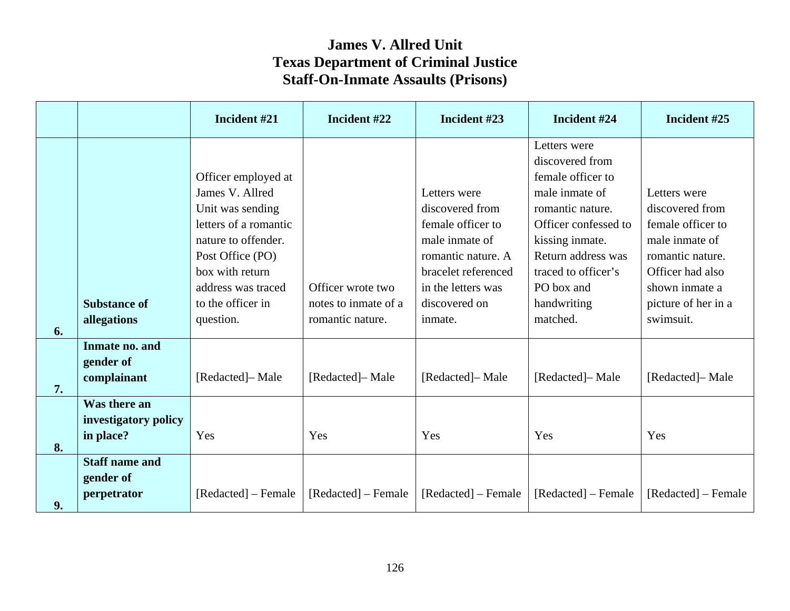|    |                                                   | Incident #21                                                                                                                                                                                              | Incident #22                                                  | Incident #23                                                                                                                                                          | Incident #24                                                                                                                                                                                                                | Incident #25                                                                                                                                                         |
|----|---------------------------------------------------|-----------------------------------------------------------------------------------------------------------------------------------------------------------------------------------------------------------|---------------------------------------------------------------|-----------------------------------------------------------------------------------------------------------------------------------------------------------------------|-----------------------------------------------------------------------------------------------------------------------------------------------------------------------------------------------------------------------------|----------------------------------------------------------------------------------------------------------------------------------------------------------------------|
| 6. | <b>Substance of</b><br>allegations                | Officer employed at<br>James V. Allred<br>Unit was sending<br>letters of a romantic<br>nature to offender.<br>Post Office (PO)<br>box with return<br>address was traced<br>to the officer in<br>question. | Officer wrote two<br>notes to inmate of a<br>romantic nature. | Letters were<br>discovered from<br>female officer to<br>male inmate of<br>romantic nature. A<br>bracelet referenced<br>in the letters was<br>discovered on<br>inmate. | Letters were<br>discovered from<br>female officer to<br>male inmate of<br>romantic nature.<br>Officer confessed to<br>kissing inmate.<br>Return address was<br>traced to officer's<br>PO box and<br>handwriting<br>matched. | Letters were<br>discovered from<br>female officer to<br>male inmate of<br>romantic nature.<br>Officer had also<br>shown inmate a<br>picture of her in a<br>swimsuit. |
| 7. | Inmate no. and<br>gender of<br>complainant        | [Redacted]- Male                                                                                                                                                                                          | [Redacted]– Male                                              | [Redacted]- Male                                                                                                                                                      | [Redacted]-Male                                                                                                                                                                                                             | [Redacted]- Male                                                                                                                                                     |
| 8. | Was there an<br>investigatory policy<br>in place? | Yes                                                                                                                                                                                                       | Yes                                                           | Yes                                                                                                                                                                   | Yes                                                                                                                                                                                                                         | Yes                                                                                                                                                                  |
| 9. | <b>Staff name and</b><br>gender of<br>perpetrator | [Redacted] – Female                                                                                                                                                                                       | [Redacted] – Female                                           | [Redacted] – Female                                                                                                                                                   | [Redacted] – Female                                                                                                                                                                                                         | [Redacted] – Female                                                                                                                                                  |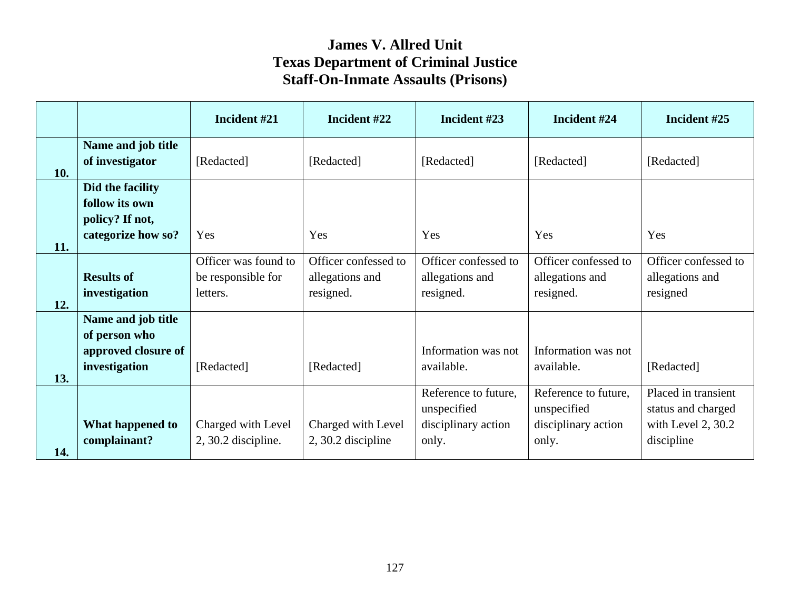|            |                                                                             | Incident #21                                           | Incident #22                                         | Incident #23                                                        | Incident #24                                                        | Incident #25                                                                  |
|------------|-----------------------------------------------------------------------------|--------------------------------------------------------|------------------------------------------------------|---------------------------------------------------------------------|---------------------------------------------------------------------|-------------------------------------------------------------------------------|
| 10.        | Name and job title<br>of investigator                                       | [Redacted]                                             | [Redacted]                                           | [Redacted]                                                          | [Redacted]                                                          | [Redacted]                                                                    |
|            | Did the facility<br>follow its own<br>policy? If not,<br>categorize how so? | Yes                                                    | Yes                                                  | Yes                                                                 | Yes                                                                 | Yes                                                                           |
| 11.<br>12. | <b>Results of</b><br>investigation                                          | Officer was found to<br>be responsible for<br>letters. | Officer confessed to<br>allegations and<br>resigned. | Officer confessed to<br>allegations and<br>resigned.                | Officer confessed to<br>allegations and<br>resigned.                | Officer confessed to<br>allegations and<br>resigned                           |
| 13.        | Name and job title<br>of person who<br>approved closure of<br>investigation | [Redacted]                                             | [Redacted]                                           | Information was not<br>available.                                   | Information was not<br>available.                                   | [Redacted]                                                                    |
| 14.        | What happened to<br>complainant?                                            | Charged with Level<br>$2, 30.2$ discipline.            | Charged with Level<br>2, 30.2 discipline             | Reference to future,<br>unspecified<br>disciplinary action<br>only. | Reference to future,<br>unspecified<br>disciplinary action<br>only. | Placed in transient<br>status and charged<br>with Level 2, 30.2<br>discipline |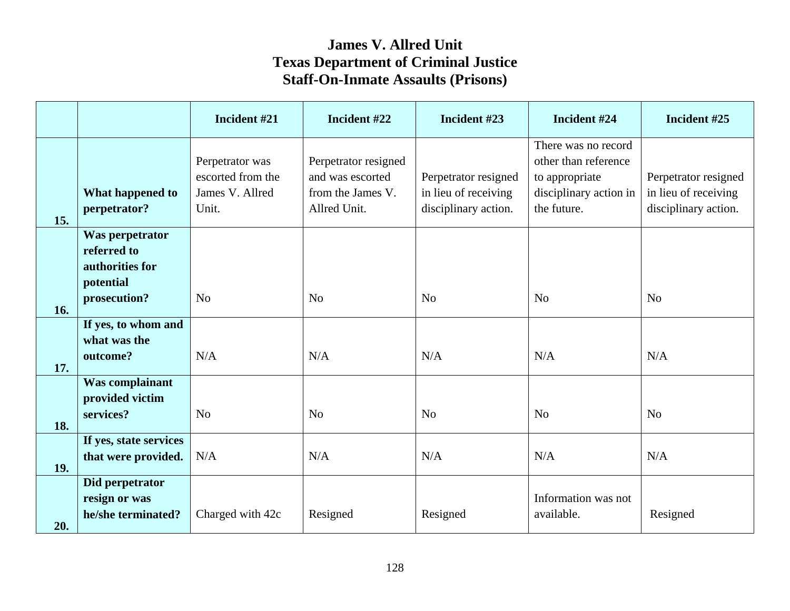|     |                                                                                | Incident #21                                                     | Incident #22                                                                  | Incident #23                                                         | Incident #24                                                                                           | Incident #25                                                         |
|-----|--------------------------------------------------------------------------------|------------------------------------------------------------------|-------------------------------------------------------------------------------|----------------------------------------------------------------------|--------------------------------------------------------------------------------------------------------|----------------------------------------------------------------------|
| 15. | What happened to<br>perpetrator?                                               | Perpetrator was<br>escorted from the<br>James V. Allred<br>Unit. | Perpetrator resigned<br>and was escorted<br>from the James V.<br>Allred Unit. | Perpetrator resigned<br>in lieu of receiving<br>disciplinary action. | There was no record<br>other than reference<br>to appropriate<br>disciplinary action in<br>the future. | Perpetrator resigned<br>in lieu of receiving<br>disciplinary action. |
| 16. | Was perpetrator<br>referred to<br>authorities for<br>potential<br>prosecution? | N <sub>o</sub>                                                   | N <sub>o</sub>                                                                | N <sub>o</sub>                                                       | N <sub>o</sub>                                                                                         | N <sub>o</sub>                                                       |
| 17. | If yes, to whom and<br>what was the<br>outcome?                                | N/A                                                              | N/A                                                                           | N/A                                                                  | N/A                                                                                                    | N/A                                                                  |
| 18. | Was complainant<br>provided victim<br>services?                                | N <sub>o</sub>                                                   | N <sub>o</sub>                                                                | N <sub>0</sub>                                                       | N <sub>o</sub>                                                                                         | N <sub>o</sub>                                                       |
| 19. | If yes, state services<br>that were provided.                                  | N/A                                                              | N/A                                                                           | N/A                                                                  | N/A                                                                                                    | N/A                                                                  |
| 20. | Did perpetrator<br>resign or was<br>he/she terminated?                         | Charged with 42c                                                 | Resigned                                                                      | Resigned                                                             | Information was not<br>available.                                                                      | Resigned                                                             |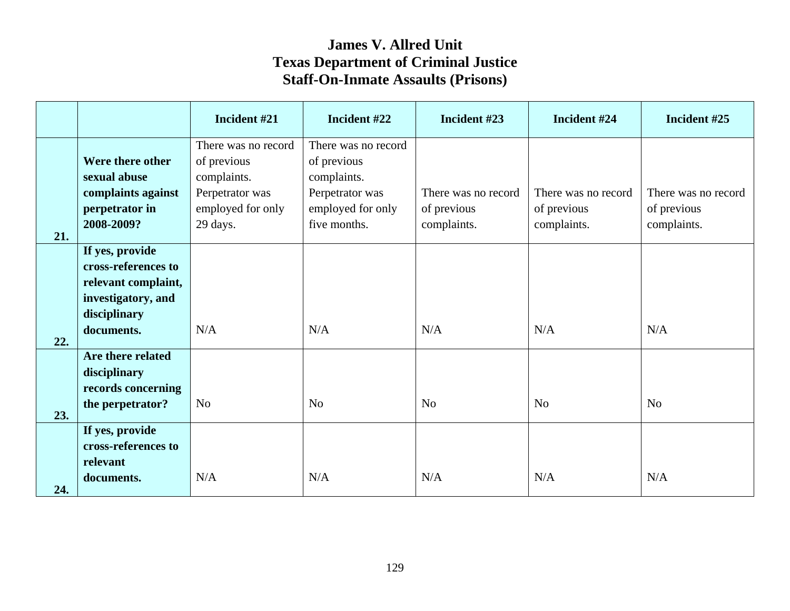|     |                                    | Incident #21        | Incident #22        | Incident #23        | Incident #24        | Incident #25        |
|-----|------------------------------------|---------------------|---------------------|---------------------|---------------------|---------------------|
|     |                                    | There was no record | There was no record |                     |                     |                     |
|     | Were there other                   | of previous         | of previous         |                     |                     |                     |
|     | sexual abuse                       | complaints.         | complaints.         |                     |                     |                     |
|     | complaints against                 | Perpetrator was     | Perpetrator was     | There was no record | There was no record | There was no record |
|     | perpetrator in                     | employed for only   | employed for only   | of previous         | of previous         | of previous         |
|     | 2008-2009?                         | 29 days.            | five months.        | complaints.         | complaints.         | complaints.         |
| 21. | If yes, provide                    |                     |                     |                     |                     |                     |
|     | cross-references to                |                     |                     |                     |                     |                     |
|     |                                    |                     |                     |                     |                     |                     |
|     | relevant complaint,                |                     |                     |                     |                     |                     |
|     | investigatory, and<br>disciplinary |                     |                     |                     |                     |                     |
|     | documents.                         | N/A                 | N/A                 | N/A                 | N/A                 | N/A                 |
| 22. |                                    |                     |                     |                     |                     |                     |
|     | Are there related                  |                     |                     |                     |                     |                     |
|     | disciplinary                       |                     |                     |                     |                     |                     |
|     | records concerning                 |                     |                     |                     |                     |                     |
|     | the perpetrator?                   | N <sub>o</sub>      | N <sub>o</sub>      | N <sub>o</sub>      | N <sub>o</sub>      | N <sub>o</sub>      |
| 23. | If yes, provide                    |                     |                     |                     |                     |                     |
|     | cross-references to                |                     |                     |                     |                     |                     |
|     | relevant                           |                     |                     |                     |                     |                     |
|     | documents.                         | N/A                 | N/A                 | N/A                 | N/A                 | N/A                 |
| 24. |                                    |                     |                     |                     |                     |                     |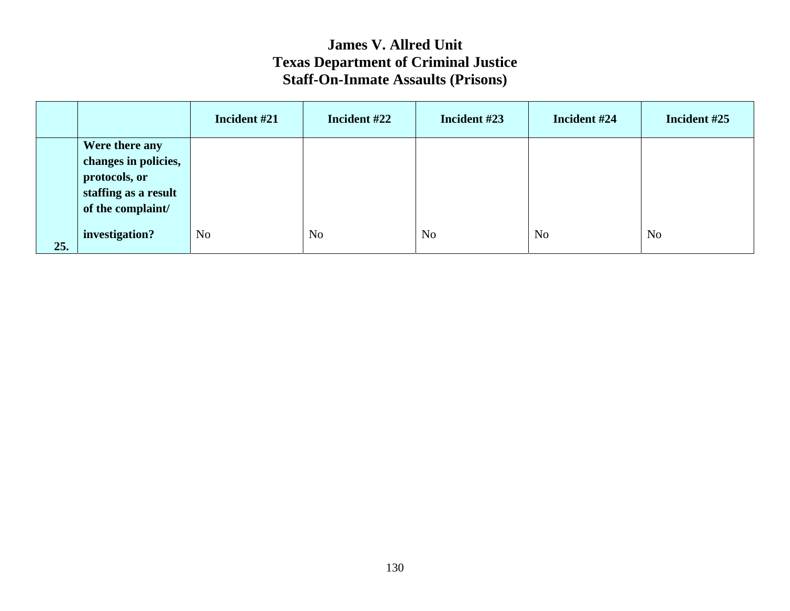|     |                                                                                                      | Incident #21   | Incident #22   | Incident #23   | Incident #24   | Incident #25   |
|-----|------------------------------------------------------------------------------------------------------|----------------|----------------|----------------|----------------|----------------|
|     | Were there any<br>changes in policies,<br>protocols, or<br>staffing as a result<br>of the complaint/ |                |                |                |                |                |
| 25. | investigation?                                                                                       | N <sub>o</sub> | N <sub>o</sub> | N <sub>o</sub> | N <sub>o</sub> | N <sub>o</sub> |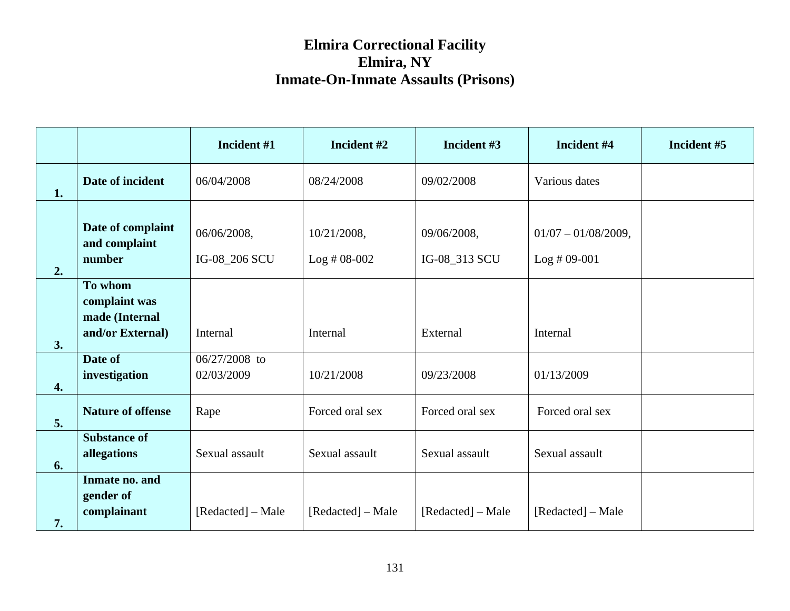|    |                                                                | Incident #1                  | Incident #2                  | Incident #3                  | Incident #4                             | Incident #5 |
|----|----------------------------------------------------------------|------------------------------|------------------------------|------------------------------|-----------------------------------------|-------------|
| 1. | Date of incident                                               | 06/04/2008                   | 08/24/2008                   | 09/02/2008                   | Various dates                           |             |
| 2. | Date of complaint<br>and complaint<br>number                   | 06/06/2008,<br>IG-08_206 SCU | 10/21/2008,<br>$Log #08-002$ | 09/06/2008,<br>IG-08_313 SCU | $01/07 - 01/08/2009$ ,<br>$Log #09-001$ |             |
| 3. | To whom<br>complaint was<br>made (Internal<br>and/or External) | Internal                     | Internal                     | External                     | Internal                                |             |
| 4. | Date of<br>investigation                                       | 06/27/2008 to<br>02/03/2009  | 10/21/2008                   | 09/23/2008                   | 01/13/2009                              |             |
| 5. | <b>Nature of offense</b>                                       | Rape                         | Forced oral sex              | Forced oral sex              | Forced oral sex                         |             |
| 6. | <b>Substance of</b><br>allegations                             | Sexual assault               | Sexual assault               | Sexual assault               | Sexual assault                          |             |
| 7. | Inmate no. and<br>gender of<br>complainant                     | [Redacted] – Male            | [Redacted] – Male            | [Redacted] – Male            | [Redacted] – Male                       |             |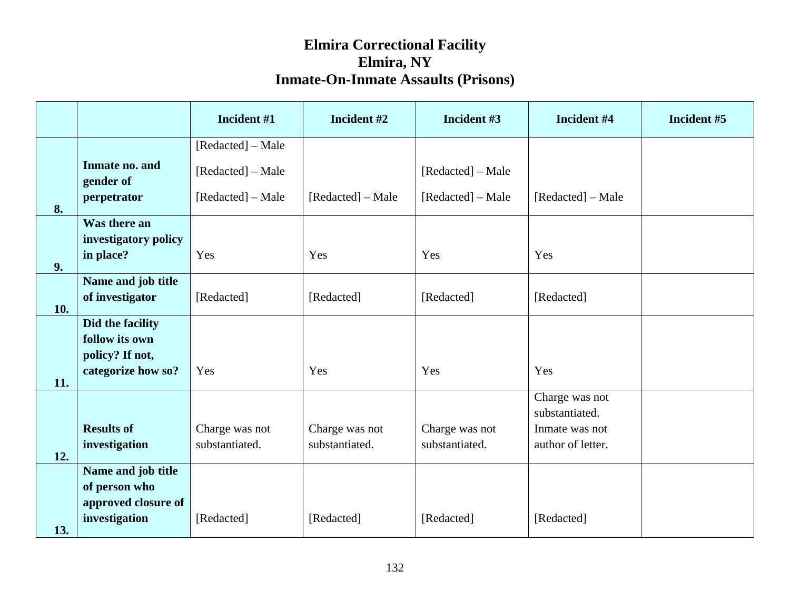|     |                                       | Incident #1       | Incident #2       | Incident #3       | Incident #4                      | Incident #5 |
|-----|---------------------------------------|-------------------|-------------------|-------------------|----------------------------------|-------------|
|     |                                       | [Redacted] – Male |                   |                   |                                  |             |
|     | Inmate no. and<br>gender of           | [Redacted] – Male |                   | [Redacted] – Male |                                  |             |
| 8.  | perpetrator                           | [Redacted] – Male | [Redacted] – Male | [Redacted] – Male | [Redacted] – Male                |             |
|     | Was there an<br>investigatory policy  |                   |                   |                   |                                  |             |
| 9.  | in place?                             | Yes               | Yes               | Yes               | Yes                              |             |
|     | Name and job title<br>of investigator | [Redacted]        | [Redacted]        | [Redacted]        | [Redacted]                       |             |
| 10. |                                       |                   |                   |                   |                                  |             |
|     | Did the facility                      |                   |                   |                   |                                  |             |
|     | follow its own<br>policy? If not,     |                   |                   |                   |                                  |             |
| 11. | categorize how so?                    | Yes               | Yes               | Yes               | Yes                              |             |
|     |                                       |                   |                   |                   | Charge was not                   |             |
|     | <b>Results of</b>                     | Charge was not    | Charge was not    | Charge was not    | substantiated.<br>Inmate was not |             |
| 12. | investigation                         | substantiated.    | substantiated.    | substantiated.    | author of letter.                |             |
|     | Name and job title                    |                   |                   |                   |                                  |             |
|     | of person who                         |                   |                   |                   |                                  |             |
|     | approved closure of                   |                   |                   |                   |                                  |             |
| 13. | investigation                         | [Redacted]        | [Redacted]        | [Redacted]        | [Redacted]                       |             |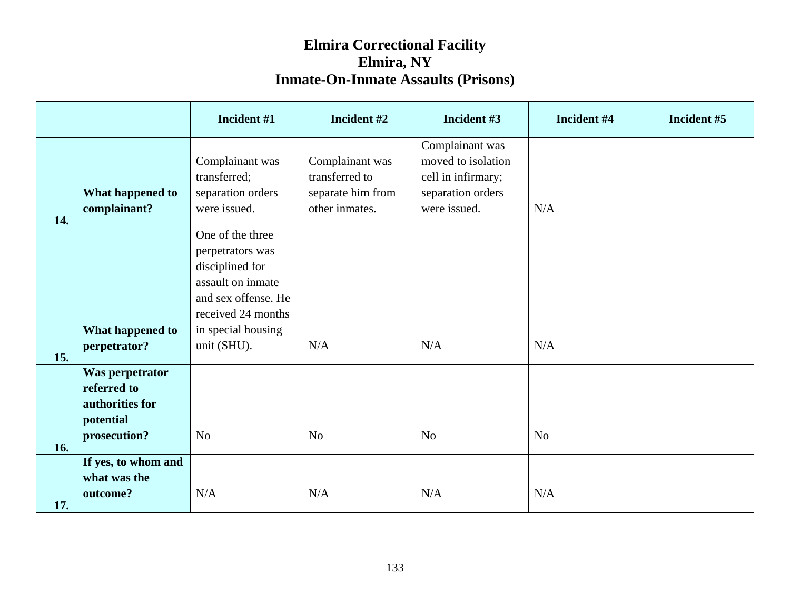|     |                                                                                | Incident #1                                                                                                                                                    | Incident #2                                                              | Incident #3                                                                                      | Incident #4    | Incident #5 |
|-----|--------------------------------------------------------------------------------|----------------------------------------------------------------------------------------------------------------------------------------------------------------|--------------------------------------------------------------------------|--------------------------------------------------------------------------------------------------|----------------|-------------|
| 14. | What happened to<br>complainant?                                               | Complainant was<br>transferred;<br>separation orders<br>were issued.                                                                                           | Complainant was<br>transferred to<br>separate him from<br>other inmates. | Complainant was<br>moved to isolation<br>cell in infirmary;<br>separation orders<br>were issued. | N/A            |             |
| 15. | What happened to<br>perpetrator?                                               | One of the three<br>perpetrators was<br>disciplined for<br>assault on inmate<br>and sex offense. He<br>received 24 months<br>in special housing<br>unit (SHU). | N/A                                                                      | N/A                                                                                              | N/A            |             |
| 16. | Was perpetrator<br>referred to<br>authorities for<br>potential<br>prosecution? | N <sub>o</sub>                                                                                                                                                 | N <sub>o</sub>                                                           | N <sub>o</sub>                                                                                   | N <sub>o</sub> |             |
| 17. | If yes, to whom and<br>what was the<br>outcome?                                | N/A                                                                                                                                                            | N/A                                                                      | $\rm N/A$                                                                                        | N/A            |             |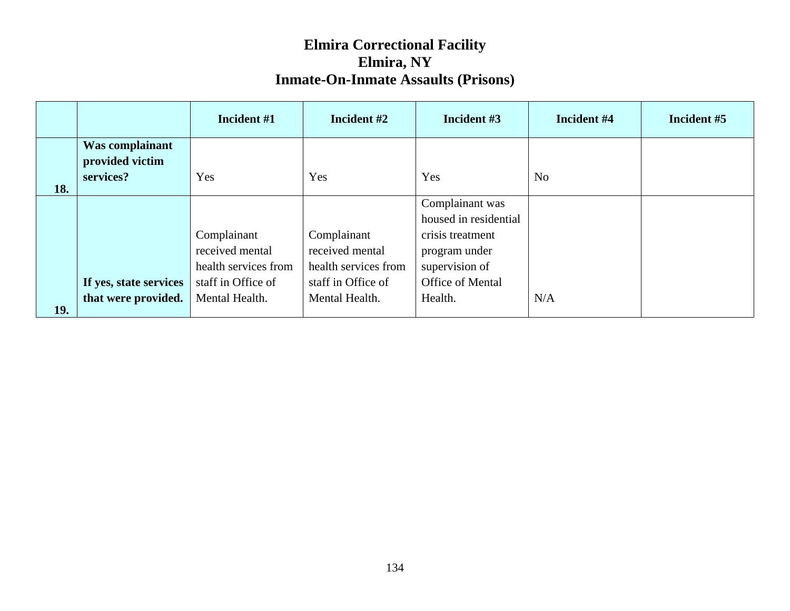|     |                        | Incident #1          | Incident #2          | Incident #3           | Incident #4    | Incident #5 |
|-----|------------------------|----------------------|----------------------|-----------------------|----------------|-------------|
|     | Was complainant        |                      |                      |                       |                |             |
|     | provided victim        |                      |                      |                       |                |             |
|     | services?              | Yes                  | Yes                  | Yes                   | N <sub>0</sub> |             |
| 18. |                        |                      |                      |                       |                |             |
|     |                        |                      |                      | Complainant was       |                |             |
|     |                        |                      |                      | housed in residential |                |             |
|     |                        | Complainant          | Complainant          | crisis treatment      |                |             |
|     |                        | received mental      | received mental      | program under         |                |             |
|     |                        | health services from | health services from | supervision of        |                |             |
|     | If yes, state services | staff in Office of   | staff in Office of   | Office of Mental      |                |             |
|     | that were provided.    | Mental Health.       | Mental Health.       | Health.               | N/A            |             |
| 19. |                        |                      |                      |                       |                |             |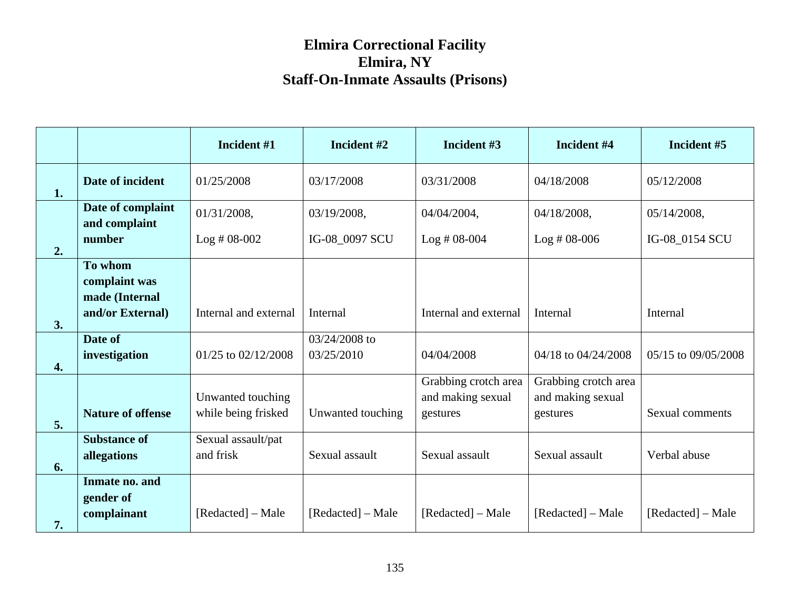|                    |                                            | Incident #1                              | Incident #2                 | Incident #3                                           | Incident #4                                           | Incident #5         |
|--------------------|--------------------------------------------|------------------------------------------|-----------------------------|-------------------------------------------------------|-------------------------------------------------------|---------------------|
| 1.                 | Date of incident                           | 01/25/2008                               | 03/17/2008                  | 03/31/2008                                            | 04/18/2008                                            | 05/12/2008          |
|                    | Date of complaint<br>and complaint         | 01/31/2008,                              | 03/19/2008,                 | 04/04/2004,                                           | 04/18/2008,                                           | 05/14/2008,         |
| 2.                 | number                                     | $Log #08-002$                            | IG-08_0097 SCU              | $Log #08-004$                                         | $Log #08-006$                                         | IG-08_0154 SCU      |
|                    | To whom<br>complaint was<br>made (Internal |                                          |                             |                                                       |                                                       |                     |
| 3.                 | and/or External)                           | Internal and external                    | <b>Internal</b>             | Internal and external                                 | Internal                                              | Internal            |
| $\boldsymbol{4}$ . | Date of<br>investigation                   | 01/25 to 02/12/2008                      | 03/24/2008 to<br>03/25/2010 | 04/04/2008                                            | 04/18 to 04/24/2008                                   | 05/15 to 09/05/2008 |
| 5.                 | <b>Nature of offense</b>                   | Unwanted touching<br>while being frisked | Unwanted touching           | Grabbing crotch area<br>and making sexual<br>gestures | Grabbing crotch area<br>and making sexual<br>gestures | Sexual comments     |
| 6.                 | <b>Substance of</b><br>allegations         | Sexual assault/pat<br>and frisk          | Sexual assault              | Sexual assault                                        | Sexual assault                                        | Verbal abuse        |
| 7.                 | Inmate no. and<br>gender of<br>complainant | [Redacted] – Male                        | [Redacted] – Male           | [Redacted] – Male                                     | [Redacted] – Male                                     | [Redacted] – Male   |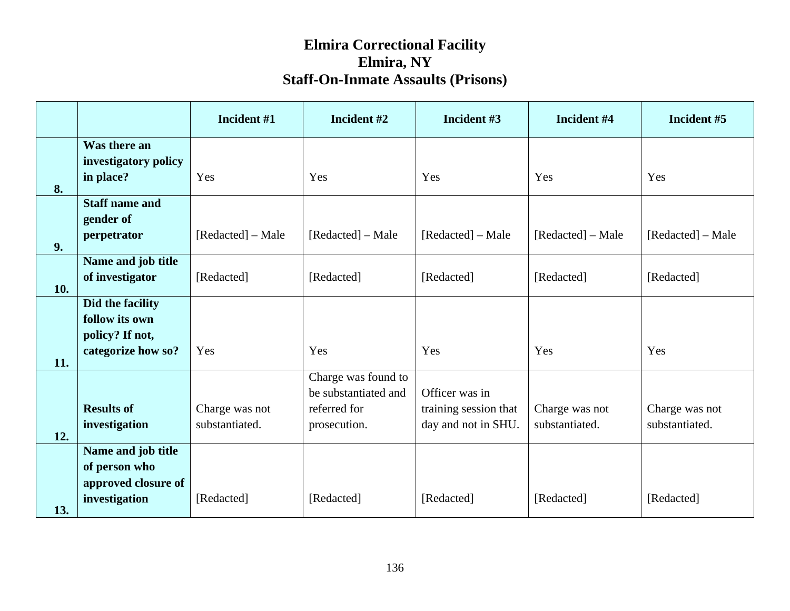|     |                                                                             | Incident #1                      | Incident #2                                                                 | Incident #3                                                    | Incident #4                      | Incident #5                      |
|-----|-----------------------------------------------------------------------------|----------------------------------|-----------------------------------------------------------------------------|----------------------------------------------------------------|----------------------------------|----------------------------------|
| 8.  | Was there an<br>investigatory policy<br>in place?                           | Yes                              | Yes                                                                         | Yes                                                            | Yes                              | Yes                              |
| 9.  | <b>Staff name and</b><br>gender of<br>perpetrator                           | [Redacted] – Male                | [Redacted] – Male                                                           | [Redacted] – Male                                              | [Redacted] – Male                | [Redacted] – Male                |
| 10. | Name and job title<br>of investigator                                       | [Redacted]                       | [Redacted]                                                                  | [Redacted]                                                     | [Redacted]                       | [Redacted]                       |
| 11. | Did the facility<br>follow its own<br>policy? If not,<br>categorize how so? | Yes                              | Yes                                                                         | Yes                                                            | Yes                              | Yes                              |
| 12. | <b>Results of</b><br>investigation                                          | Charge was not<br>substantiated. | Charge was found to<br>be substantiated and<br>referred for<br>prosecution. | Officer was in<br>training session that<br>day and not in SHU. | Charge was not<br>substantiated. | Charge was not<br>substantiated. |
| 13. | Name and job title<br>of person who<br>approved closure of<br>investigation | [Redacted]                       | [Redacted]                                                                  | [Redacted]                                                     | [Redacted]                       | [Redacted]                       |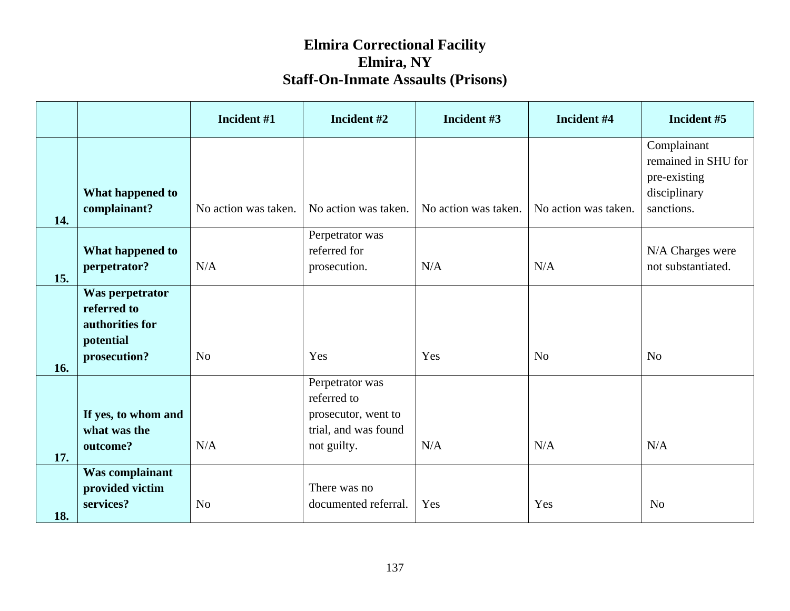|     |                                                                                | Incident #1          | Incident #2                                                                                  | Incident #3          | Incident #4          | Incident #5                                                                      |
|-----|--------------------------------------------------------------------------------|----------------------|----------------------------------------------------------------------------------------------|----------------------|----------------------|----------------------------------------------------------------------------------|
| 14. | What happened to<br>complainant?                                               | No action was taken. | No action was taken.                                                                         | No action was taken. | No action was taken. | Complainant<br>remained in SHU for<br>pre-existing<br>disciplinary<br>sanctions. |
| 15. | What happened to<br>perpetrator?                                               | N/A                  | Perpetrator was<br>referred for<br>prosecution.                                              | N/A                  | N/A                  | N/A Charges were<br>not substantiated.                                           |
| 16. | Was perpetrator<br>referred to<br>authorities for<br>potential<br>prosecution? | N <sub>o</sub>       | Yes                                                                                          | Yes                  | N <sub>o</sub>       | N <sub>o</sub>                                                                   |
| 17. | If yes, to whom and<br>what was the<br>outcome?                                | N/A                  | Perpetrator was<br>referred to<br>prosecutor, went to<br>trial, and was found<br>not guilty. | N/A                  | N/A                  | N/A                                                                              |
| 18. | Was complainant<br>provided victim<br>services?                                | N <sub>o</sub>       | There was no<br>documented referral.                                                         | Yes                  | Yes                  | N <sub>o</sub>                                                                   |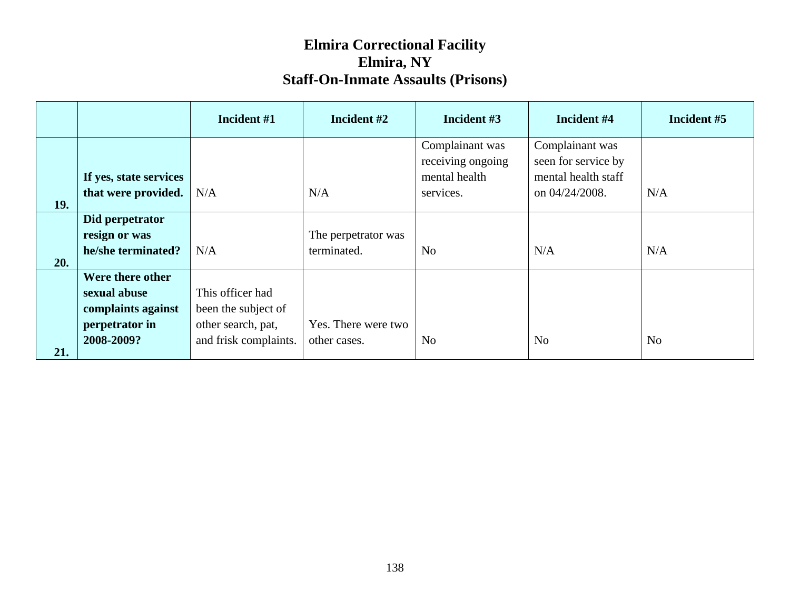|     |                                                                                        | Incident #1                                                                            | Incident #2                         | Incident #3                                                        | Incident #4                                                                     | Incident #5    |
|-----|----------------------------------------------------------------------------------------|----------------------------------------------------------------------------------------|-------------------------------------|--------------------------------------------------------------------|---------------------------------------------------------------------------------|----------------|
| 19. | If yes, state services<br>that were provided.                                          | N/A                                                                                    | N/A                                 | Complainant was<br>receiving ongoing<br>mental health<br>services. | Complainant was<br>seen for service by<br>mental health staff<br>on 04/24/2008. | N/A            |
| 20. | Did perpetrator<br>resign or was<br>he/she terminated?                                 | N/A                                                                                    | The perpetrator was<br>terminated.  | No                                                                 | N/A                                                                             | N/A            |
| 21. | Were there other<br>sexual abuse<br>complaints against<br>perpetrator in<br>2008-2009? | This officer had<br>been the subject of<br>other search, pat,<br>and frisk complaints. | Yes. There were two<br>other cases. | N <sub>o</sub>                                                     | N <sub>o</sub>                                                                  | N <sub>o</sub> |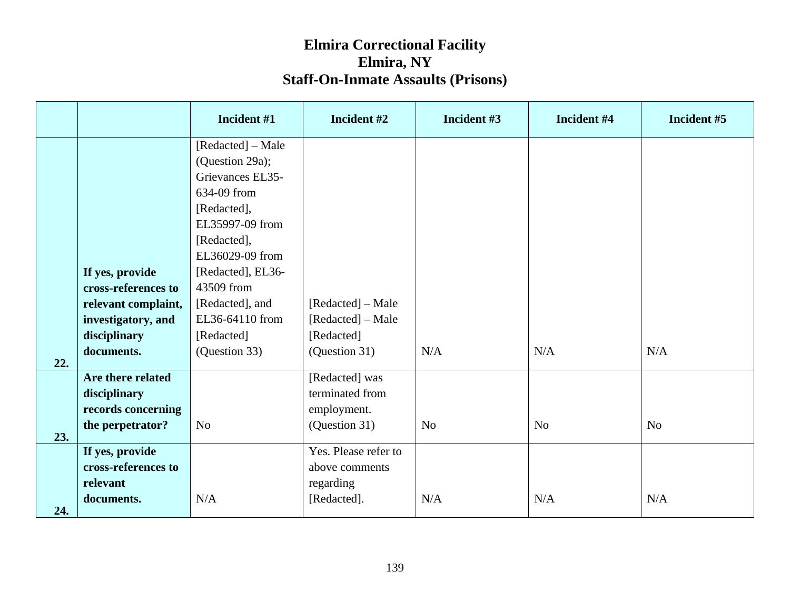|     |                     | Incident #1       | Incident #2                       | Incident #3    | Incident #4    | Incident #5    |
|-----|---------------------|-------------------|-----------------------------------|----------------|----------------|----------------|
|     |                     | [Redacted] – Male |                                   |                |                |                |
|     |                     | (Question 29a);   |                                   |                |                |                |
|     |                     | Grievances EL35-  |                                   |                |                |                |
|     |                     | 634-09 from       |                                   |                |                |                |
|     |                     | [Redacted],       |                                   |                |                |                |
|     |                     | EL35997-09 from   |                                   |                |                |                |
|     |                     | [Redacted],       |                                   |                |                |                |
|     |                     | EL36029-09 from   |                                   |                |                |                |
|     | If yes, provide     | [Redacted], EL36- |                                   |                |                |                |
|     | cross-references to | 43509 from        |                                   |                |                |                |
|     | relevant complaint, | [Redacted], and   | [Redacted] – Male                 |                |                |                |
|     | investigatory, and  | EL36-64110 from   | [Redacted] – Male                 |                |                |                |
|     | disciplinary        | [Redacted]        | [Redacted]                        |                |                |                |
|     | documents.          | (Question 33)     | (Question 31)                     | N/A            | N/A            | N/A            |
| 22. |                     |                   |                                   |                |                |                |
|     | Are there related   |                   | [Redacted] was<br>terminated from |                |                |                |
|     | disciplinary        |                   |                                   |                |                |                |
|     | records concerning  | N <sub>o</sub>    | employment.                       | N <sub>o</sub> | N <sub>o</sub> | N <sub>o</sub> |
| 23. | the perpetrator?    |                   | (Question 31)                     |                |                |                |
|     | If yes, provide     |                   | Yes. Please refer to              |                |                |                |
|     | cross-references to |                   | above comments                    |                |                |                |
|     | relevant            |                   | regarding                         |                |                |                |
|     | documents.          | N/A               | [Redacted].                       | N/A            | N/A            | N/A            |
| 24. |                     |                   |                                   |                |                |                |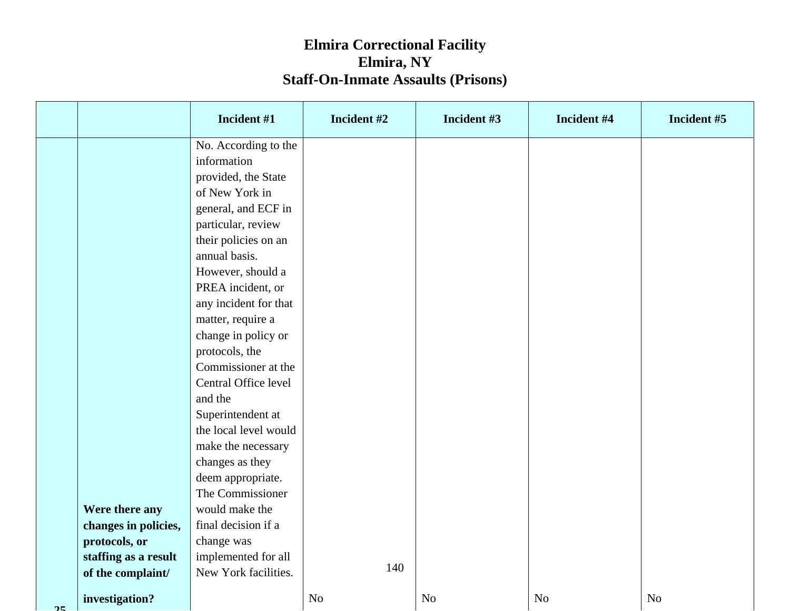|           |                      | Incident #1           | Incident #2    | Incident #3    | Incident #4    | Incident #5    |
|-----------|----------------------|-----------------------|----------------|----------------|----------------|----------------|
|           |                      | No. According to the  |                |                |                |                |
|           |                      | information           |                |                |                |                |
|           |                      | provided, the State   |                |                |                |                |
|           |                      | of New York in        |                |                |                |                |
|           |                      | general, and ECF in   |                |                |                |                |
|           |                      | particular, review    |                |                |                |                |
|           |                      | their policies on an  |                |                |                |                |
|           |                      | annual basis.         |                |                |                |                |
|           |                      | However, should a     |                |                |                |                |
|           |                      | PREA incident, or     |                |                |                |                |
|           |                      | any incident for that |                |                |                |                |
|           |                      | matter, require a     |                |                |                |                |
|           |                      | change in policy or   |                |                |                |                |
|           |                      | protocols, the        |                |                |                |                |
|           |                      | Commissioner at the   |                |                |                |                |
|           |                      | Central Office level  |                |                |                |                |
|           |                      | and the               |                |                |                |                |
|           |                      | Superintendent at     |                |                |                |                |
|           |                      | the local level would |                |                |                |                |
|           |                      | make the necessary    |                |                |                |                |
|           |                      | changes as they       |                |                |                |                |
|           |                      | deem appropriate.     |                |                |                |                |
|           |                      | The Commissioner      |                |                |                |                |
|           | Were there any       | would make the        |                |                |                |                |
|           | changes in policies, | final decision if a   |                |                |                |                |
|           | protocols, or        | change was            |                |                |                |                |
|           | staffing as a result | implemented for all   | 140            |                |                |                |
|           | of the complaint/    | New York facilities.  |                |                |                |                |
| $\bigcap$ | investigation?       |                       | N <sub>o</sub> | N <sub>o</sub> | N <sub>o</sub> | N <sub>o</sub> |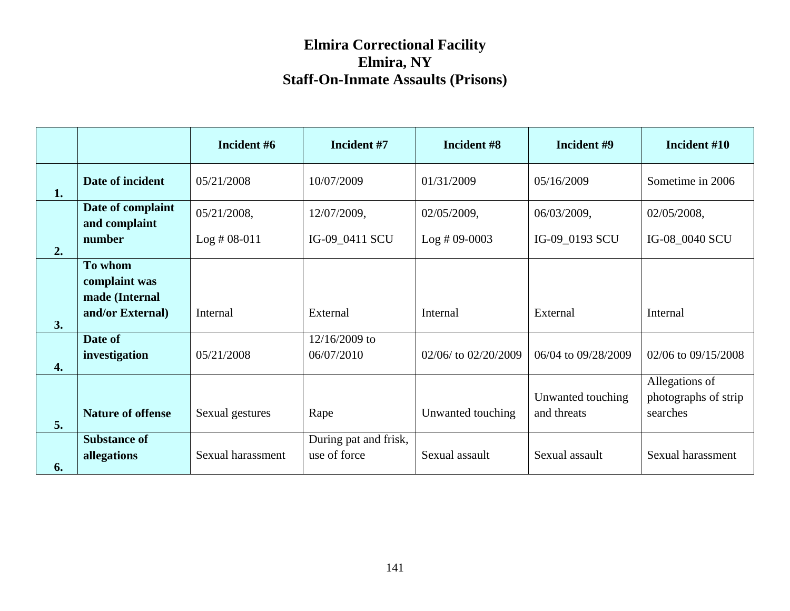|    |                                            | Incident #6       | Incident #7                           | Incident #8          | Incident #9                      | Incident #10                                       |
|----|--------------------------------------------|-------------------|---------------------------------------|----------------------|----------------------------------|----------------------------------------------------|
| 1. | Date of incident                           | 05/21/2008        | 10/07/2009                            | 01/31/2009           | 05/16/2009                       | Sometime in 2006                                   |
|    | Date of complaint<br>and complaint         | 05/21/2008,       | 12/07/2009,                           | 02/05/2009,          | 06/03/2009,                      | 02/05/2008,                                        |
| 2. | number                                     | $Log #08-011$     | IG-09_0411 SCU                        | $Log #09-0003$       | IG-09_0193 SCU                   | IG-08_0040 SCU                                     |
|    | To whom<br>complaint was<br>made (Internal |                   |                                       |                      |                                  |                                                    |
| 3. | and/or External)                           | Internal          | External                              | Internal             | External                         | Internal                                           |
| 4. | Date of<br>investigation                   | 05/21/2008        | 12/16/2009 to<br>06/07/2010           | 02/06/ to 02/20/2009 | 06/04 to 09/28/2009              | 02/06 to 09/15/2008                                |
| 5. | <b>Nature of offense</b>                   | Sexual gestures   | Rape                                  | Unwanted touching    | Unwanted touching<br>and threats | Allegations of<br>photographs of strip<br>searches |
| 6. | <b>Substance of</b><br>allegations         | Sexual harassment | During pat and frisk,<br>use of force | Sexual assault       | Sexual assault                   | Sexual harassment                                  |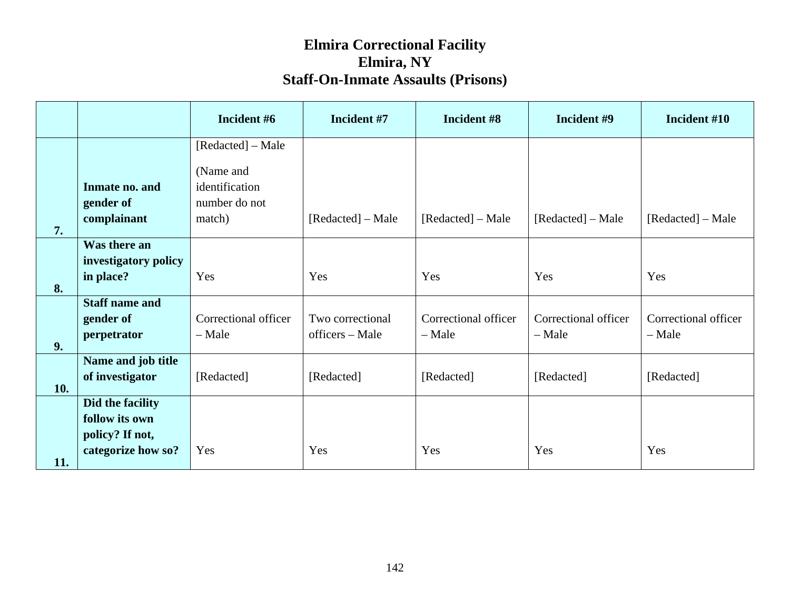|     |                       | Incident #6          | Incident #7       | Incident #8          | Incident #9          | Incident #10         |
|-----|-----------------------|----------------------|-------------------|----------------------|----------------------|----------------------|
|     |                       | [Redacted] – Male    |                   |                      |                      |                      |
|     |                       | (Name and            |                   |                      |                      |                      |
|     | Inmate no. and        | identification       |                   |                      |                      |                      |
|     | gender of             | number do not        |                   |                      |                      |                      |
| 7.  | complainant           | match)               | [Redacted] – Male | [Redacted] – Male    | [Redacted] – Male    | [Redacted] – Male    |
|     | Was there an          |                      |                   |                      |                      |                      |
|     | investigatory policy  |                      |                   |                      |                      |                      |
|     | in place?             | Yes                  | Yes               | Yes                  | Yes                  | Yes                  |
| 8.  | <b>Staff name and</b> |                      |                   |                      |                      |                      |
|     | gender of             | Correctional officer | Two correctional  | Correctional officer | Correctional officer | Correctional officer |
|     | perpetrator           | $-$ Male             | officers – Male   | - Male               | - Male               | - Male               |
| 9.  |                       |                      |                   |                      |                      |                      |
|     | Name and job title    |                      |                   |                      |                      |                      |
| 10. | of investigator       | [Redacted]           | [Redacted]        | [Redacted]           | [Redacted]           | [Redacted]           |
|     | Did the facility      |                      |                   |                      |                      |                      |
|     | follow its own        |                      |                   |                      |                      |                      |
|     | policy? If not,       |                      |                   |                      |                      |                      |
| 11. | categorize how so?    | Yes                  | Yes               | Yes                  | Yes                  | Yes                  |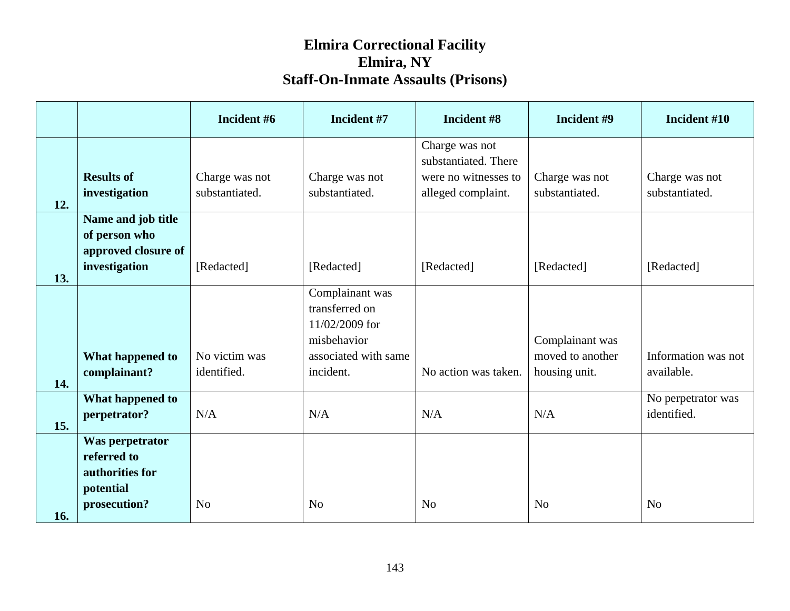|     |                                                                                | Incident #6                      | Incident #7                                                                                             | Incident #8                                                                          | Incident #9                                          | Incident #10                      |
|-----|--------------------------------------------------------------------------------|----------------------------------|---------------------------------------------------------------------------------------------------------|--------------------------------------------------------------------------------------|------------------------------------------------------|-----------------------------------|
| 12. | <b>Results of</b><br>investigation                                             | Charge was not<br>substantiated. | Charge was not<br>substantiated.                                                                        | Charge was not<br>substantiated. There<br>were no witnesses to<br>alleged complaint. | Charge was not<br>substantiated.                     | Charge was not<br>substantiated.  |
| 13. | Name and job title<br>of person who<br>approved closure of<br>investigation    | [Redacted]                       | [Redacted]                                                                                              | [Redacted]                                                                           | [Redacted]                                           | [Redacted]                        |
| 14. | What happened to<br>complainant?                                               | No victim was<br>identified.     | Complainant was<br>transferred on<br>11/02/2009 for<br>misbehavior<br>associated with same<br>incident. | No action was taken.                                                                 | Complainant was<br>moved to another<br>housing unit. | Information was not<br>available. |
| 15. | What happened to<br>perpetrator?                                               | N/A                              | N/A                                                                                                     | N/A                                                                                  | N/A                                                  | No perpetrator was<br>identified. |
| 16. | Was perpetrator<br>referred to<br>authorities for<br>potential<br>prosecution? | N <sub>o</sub>                   | N <sub>o</sub>                                                                                          | N <sub>o</sub>                                                                       | N <sub>o</sub>                                       | N <sub>o</sub>                    |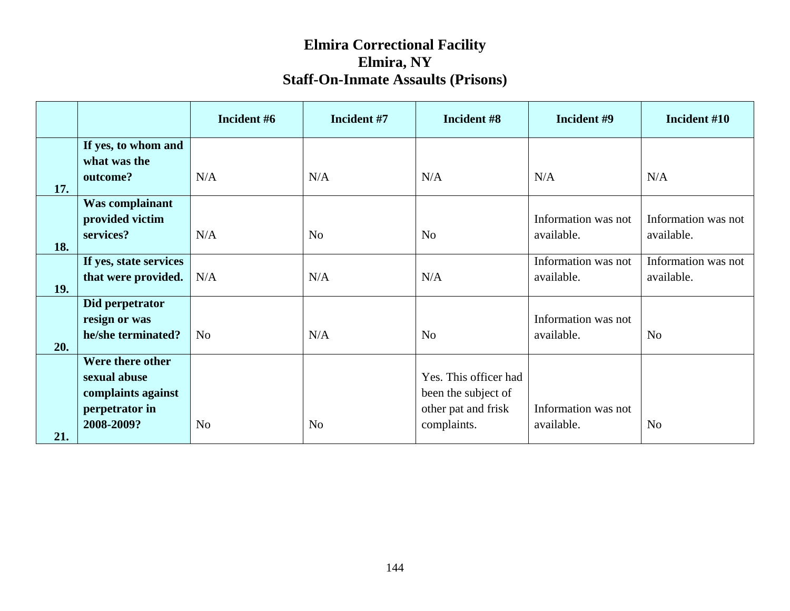|     |                                                                                        | Incident #6    | Incident #7    | Incident #8                                                                        | Incident #9                       | Incident #10                      |
|-----|----------------------------------------------------------------------------------------|----------------|----------------|------------------------------------------------------------------------------------|-----------------------------------|-----------------------------------|
|     | If yes, to whom and<br>what was the                                                    |                |                |                                                                                    |                                   |                                   |
| 17. | outcome?                                                                               | N/A            | N/A            | N/A                                                                                | N/A                               | N/A                               |
| 18. | Was complainant<br>provided victim<br>services?                                        | N/A            | N <sub>o</sub> | N <sub>o</sub>                                                                     | Information was not<br>available. | Information was not<br>available. |
| 19. | If yes, state services<br>that were provided.                                          | N/A            | N/A            | N/A                                                                                | Information was not<br>available. | Information was not<br>available. |
| 20. | Did perpetrator<br>resign or was<br>he/she terminated?                                 | N <sub>o</sub> | N/A            | N <sub>o</sub>                                                                     | Information was not<br>available. | N <sub>o</sub>                    |
| 21. | Were there other<br>sexual abuse<br>complaints against<br>perpetrator in<br>2008-2009? | N <sub>o</sub> | N <sub>o</sub> | Yes. This officer had<br>been the subject of<br>other pat and frisk<br>complaints. | Information was not<br>available. | N <sub>o</sub>                    |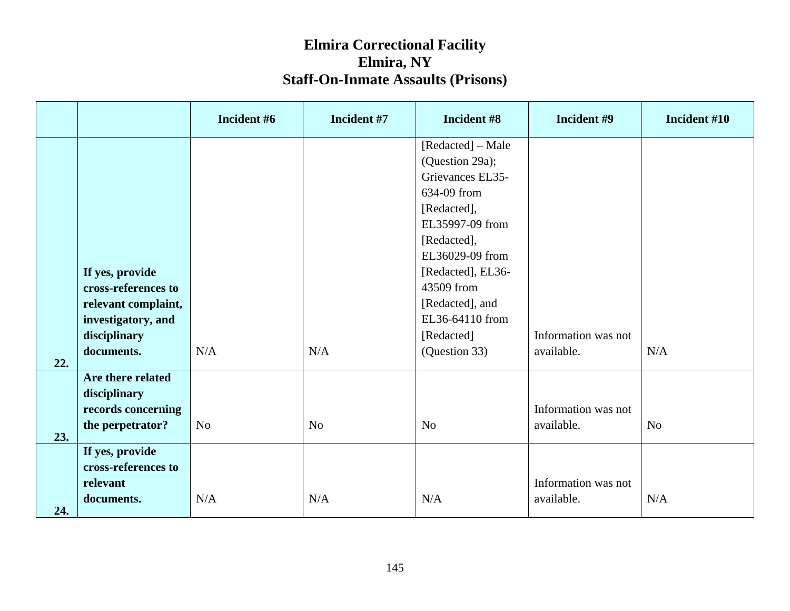|     |                     | Incident #6    | Incident #7    | Incident #8       | Incident #9         | Incident #10   |
|-----|---------------------|----------------|----------------|-------------------|---------------------|----------------|
|     |                     |                |                | [Redacted] – Male |                     |                |
|     |                     |                |                | (Question 29a);   |                     |                |
|     |                     |                |                | Grievances EL35-  |                     |                |
|     |                     |                |                | 634-09 from       |                     |                |
|     |                     |                |                | [Redacted],       |                     |                |
|     |                     |                |                | EL35997-09 from   |                     |                |
|     |                     |                |                | [Redacted],       |                     |                |
|     |                     |                |                | EL36029-09 from   |                     |                |
|     | If yes, provide     |                |                | [Redacted], EL36- |                     |                |
|     | cross-references to |                |                | 43509 from        |                     |                |
|     | relevant complaint, |                |                | [Redacted], and   |                     |                |
|     | investigatory, and  |                |                | EL36-64110 from   |                     |                |
|     | disciplinary        |                |                | [Redacted]        | Information was not |                |
|     | documents.          | N/A            | N/A            | (Question 33)     | available.          | N/A            |
| 22. | Are there related   |                |                |                   |                     |                |
|     | disciplinary        |                |                |                   |                     |                |
|     | records concerning  |                |                |                   | Information was not |                |
|     | the perpetrator?    | N <sub>o</sub> | N <sub>o</sub> | N <sub>o</sub>    | available.          | N <sub>o</sub> |
| 23. |                     |                |                |                   |                     |                |
|     | If yes, provide     |                |                |                   |                     |                |
|     | cross-references to |                |                |                   |                     |                |
|     | relevant            |                |                |                   | Information was not |                |
|     | documents.          | N/A            | N/A            | N/A               | available.          | N/A            |
| 24. |                     |                |                |                   |                     |                |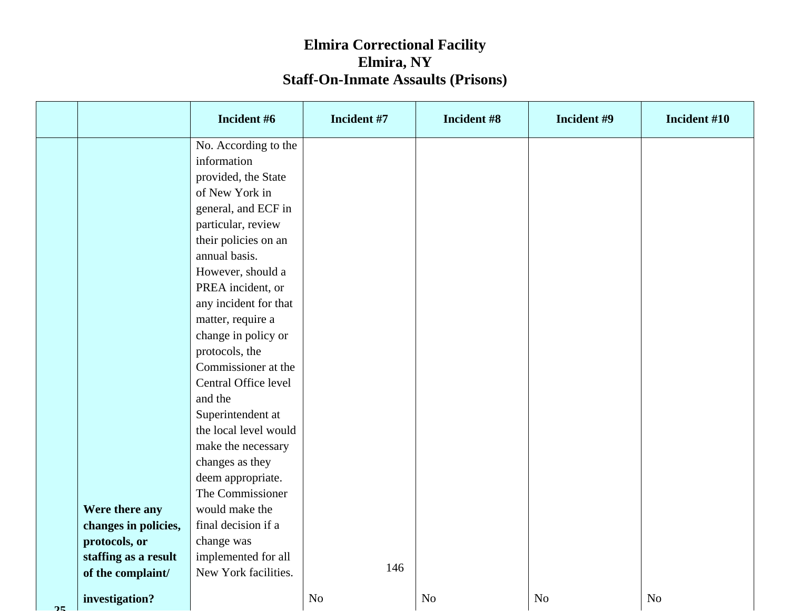|             |                      | Incident #6           | Incident #7    | Incident #8    | Incident #9    | Incident #10   |
|-------------|----------------------|-----------------------|----------------|----------------|----------------|----------------|
|             |                      | No. According to the  |                |                |                |                |
|             |                      | information           |                |                |                |                |
|             |                      | provided, the State   |                |                |                |                |
|             |                      | of New York in        |                |                |                |                |
|             |                      | general, and ECF in   |                |                |                |                |
|             |                      | particular, review    |                |                |                |                |
|             |                      | their policies on an  |                |                |                |                |
|             |                      | annual basis.         |                |                |                |                |
|             |                      | However, should a     |                |                |                |                |
|             |                      | PREA incident, or     |                |                |                |                |
|             |                      | any incident for that |                |                |                |                |
|             |                      | matter, require a     |                |                |                |                |
|             |                      | change in policy or   |                |                |                |                |
|             |                      | protocols, the        |                |                |                |                |
|             |                      | Commissioner at the   |                |                |                |                |
|             |                      | Central Office level  |                |                |                |                |
|             |                      | and the               |                |                |                |                |
|             |                      | Superintendent at     |                |                |                |                |
|             |                      | the local level would |                |                |                |                |
|             |                      | make the necessary    |                |                |                |                |
|             |                      | changes as they       |                |                |                |                |
|             |                      | deem appropriate.     |                |                |                |                |
|             |                      | The Commissioner      |                |                |                |                |
|             | Were there any       | would make the        |                |                |                |                |
|             | changes in policies, | final decision if a   |                |                |                |                |
|             | protocols, or        | change was            |                |                |                |                |
|             | staffing as a result | implemented for all   | 146            |                |                |                |
|             | of the complaint/    | New York facilities.  |                |                |                |                |
| $\bigwedge$ | investigation?       |                       | N <sub>o</sub> | N <sub>o</sub> | N <sub>o</sub> | N <sub>o</sub> |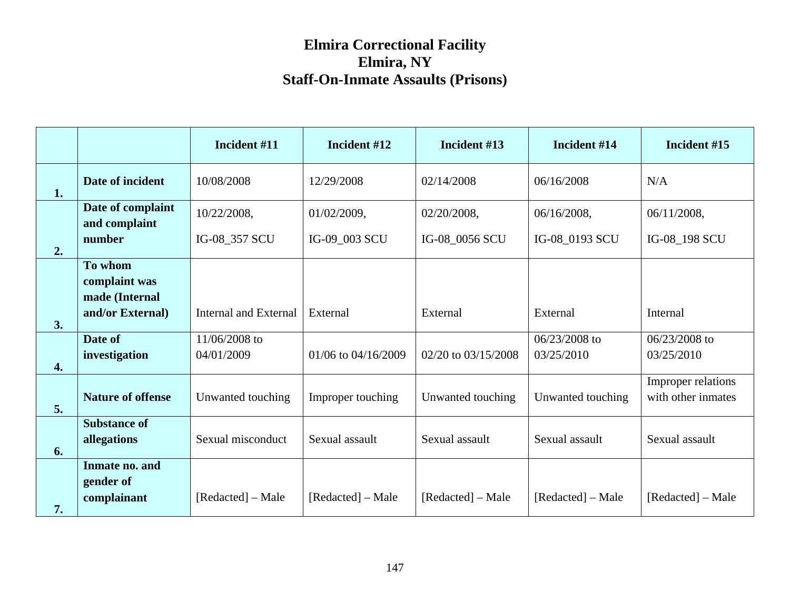|    |                                            | Incident #11                 | Incident #12        | Incident #13        | Incident #14                | Incident #15                             |
|----|--------------------------------------------|------------------------------|---------------------|---------------------|-----------------------------|------------------------------------------|
| 1. | Date of incident                           | 10/08/2008                   | 12/29/2008          | 02/14/2008          | 06/16/2008                  | N/A                                      |
|    | Date of complaint<br>and complaint         | 10/22/2008,                  | 01/02/2009,         | 02/20/2008,         | 06/16/2008,                 | 06/11/2008,                              |
| 2. | number                                     | IG-08_357 SCU                | IG-09_003 SCU       | IG-08_0056 SCU      | IG-08_0193 SCU              | IG-08_198 SCU                            |
|    | To whom<br>complaint was<br>made (Internal |                              |                     |                     |                             |                                          |
| 3. | and/or External)                           | <b>Internal and External</b> | External            | External            | External                    | Internal                                 |
| 4. | Date of<br>investigation                   | 11/06/2008 to<br>04/01/2009  | 01/06 to 04/16/2009 | 02/20 to 03/15/2008 | 06/23/2008 to<br>03/25/2010 | 06/23/2008 to<br>03/25/2010              |
| 5. | <b>Nature of offense</b>                   | Unwanted touching            | Improper touching   | Unwanted touching   | Unwanted touching           | Improper relations<br>with other inmates |
| 6. | <b>Substance of</b><br>allegations         | Sexual misconduct            | Sexual assault      | Sexual assault      | Sexual assault              | Sexual assault                           |
| 7. | Inmate no. and<br>gender of<br>complainant | [Redacted] – Male            | [Redacted] – Male   | [Redacted] – Male   | [Redacted] – Male           | [Redacted] – Male                        |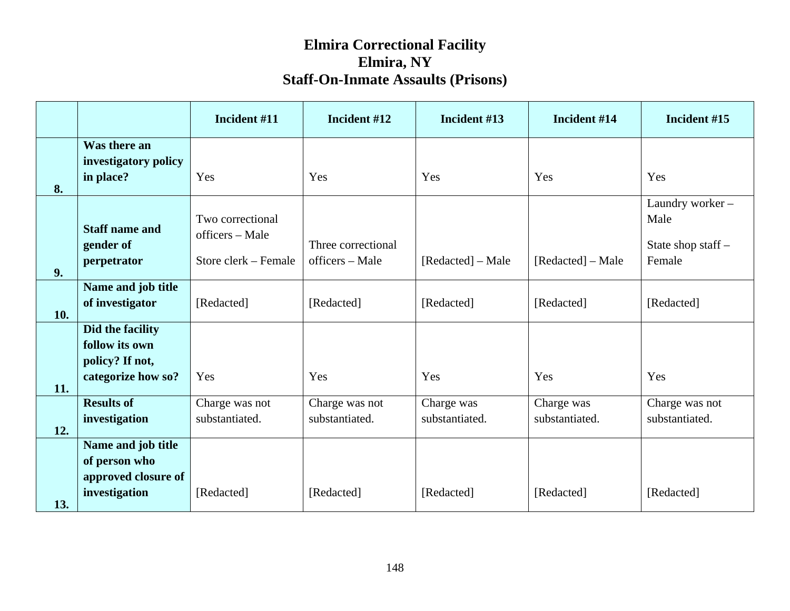|     |                                                            | Incident #11                                                | Incident #12                          | Incident #13                 | Incident #14                 | Incident #15                                            |
|-----|------------------------------------------------------------|-------------------------------------------------------------|---------------------------------------|------------------------------|------------------------------|---------------------------------------------------------|
|     | Was there an<br>investigatory policy                       |                                                             |                                       |                              |                              |                                                         |
| 8.  | in place?                                                  | Yes                                                         | Yes                                   | Yes                          | Yes                          | Yes                                                     |
| 9.  | <b>Staff name and</b><br>gender of<br>perpetrator          | Two correctional<br>officers – Male<br>Store clerk – Female | Three correctional<br>officers – Male | [Redacted] – Male            | [Redacted] – Male            | Laundry worker-<br>Male<br>State shop staff -<br>Female |
| 10. | Name and job title<br>of investigator                      | [Redacted]                                                  | [Redacted]                            | [Redacted]                   | [Redacted]                   | [Redacted]                                              |
|     | Did the facility<br>follow its own<br>policy? If not,      |                                                             |                                       |                              |                              |                                                         |
| 11. | categorize how so?                                         | Yes                                                         | Yes                                   | Yes                          | Yes                          | Yes                                                     |
| 12. | <b>Results of</b><br>investigation                         | Charge was not<br>substantiated.                            | Charge was not<br>substantiated.      | Charge was<br>substantiated. | Charge was<br>substantiated. | Charge was not<br>substantiated.                        |
|     | Name and job title<br>of person who<br>approved closure of |                                                             |                                       |                              |                              |                                                         |
| 13. | investigation                                              | [Redacted]                                                  | [Redacted]                            | [Redacted]                   | [Redacted]                   | [Redacted]                                              |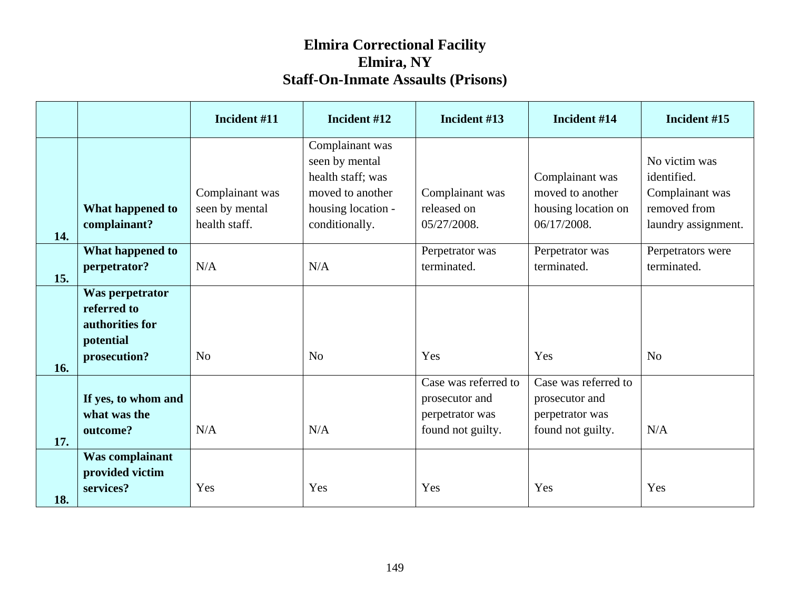|     |                                                                                | Incident #11                                       | Incident #12                                                                                                       | Incident #13                                                                   | Incident #14                                                                   | Incident #15                                                                           |
|-----|--------------------------------------------------------------------------------|----------------------------------------------------|--------------------------------------------------------------------------------------------------------------------|--------------------------------------------------------------------------------|--------------------------------------------------------------------------------|----------------------------------------------------------------------------------------|
| 14. | What happened to<br>complainant?                                               | Complainant was<br>seen by mental<br>health staff. | Complainant was<br>seen by mental<br>health staff; was<br>moved to another<br>housing location -<br>conditionally. | Complainant was<br>released on<br>05/27/2008.                                  | Complainant was<br>moved to another<br>housing location on<br>06/17/2008.      | No victim was<br>identified.<br>Complainant was<br>removed from<br>laundry assignment. |
| 15. | What happened to<br>perpetrator?                                               | N/A                                                | N/A                                                                                                                | Perpetrator was<br>terminated.                                                 | Perpetrator was<br>terminated.                                                 | Perpetrators were<br>terminated.                                                       |
| 16. | Was perpetrator<br>referred to<br>authorities for<br>potential<br>prosecution? | N <sub>o</sub>                                     | N <sub>o</sub>                                                                                                     | Yes                                                                            | Yes                                                                            | N <sub>o</sub>                                                                         |
| 17. | If yes, to whom and<br>what was the<br>outcome?                                | N/A                                                | N/A                                                                                                                | Case was referred to<br>prosecutor and<br>perpetrator was<br>found not guilty. | Case was referred to<br>prosecutor and<br>perpetrator was<br>found not guilty. | N/A                                                                                    |
| 18. | Was complainant<br>provided victim<br>services?                                | Yes                                                | Yes                                                                                                                | Yes                                                                            | Yes                                                                            | Yes                                                                                    |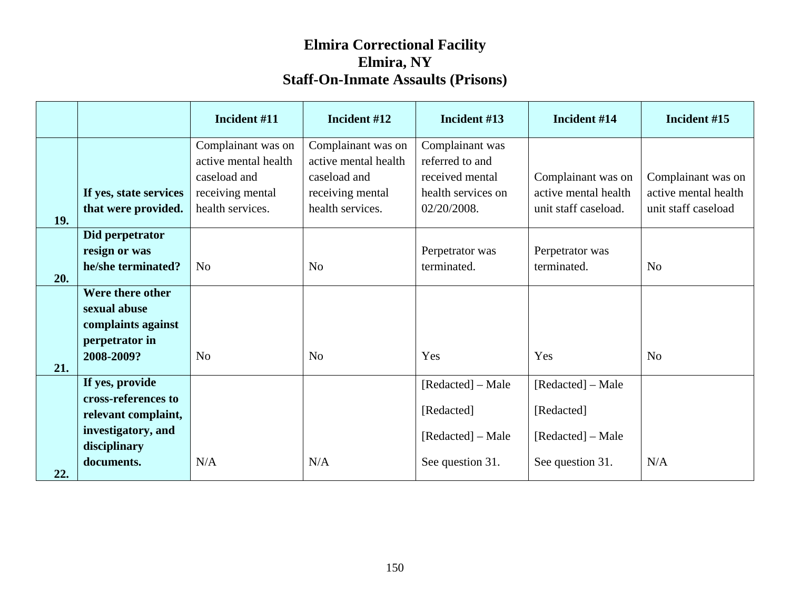|            |                                                                                                                   | Incident #11                                                                                       | Incident #12                                                                                       | Incident #13                                                                               | Incident #14                                                             | Incident #15                                                      |
|------------|-------------------------------------------------------------------------------------------------------------------|----------------------------------------------------------------------------------------------------|----------------------------------------------------------------------------------------------------|--------------------------------------------------------------------------------------------|--------------------------------------------------------------------------|-------------------------------------------------------------------|
| 19.        | If yes, state services<br>that were provided.                                                                     | Complainant was on<br>active mental health<br>caseload and<br>receiving mental<br>health services. | Complainant was on<br>active mental health<br>caseload and<br>receiving mental<br>health services. | Complainant was<br>referred to and<br>received mental<br>health services on<br>02/20/2008. | Complainant was on<br>active mental health<br>unit staff caseload.       | Complainant was on<br>active mental health<br>unit staff caseload |
| 20.        | Did perpetrator<br>resign or was<br>he/she terminated?                                                            | N <sub>0</sub>                                                                                     | N <sub>o</sub>                                                                                     | Perpetrator was<br>terminated.                                                             | Perpetrator was<br>terminated.                                           | N <sub>o</sub>                                                    |
|            | Were there other<br>sexual abuse<br>complaints against<br>perpetrator in<br>2008-2009?                            | N <sub>o</sub>                                                                                     | N <sub>0</sub>                                                                                     | Yes                                                                                        | Yes                                                                      | N <sub>o</sub>                                                    |
| 21.<br>22. | If yes, provide<br>cross-references to<br>relevant complaint,<br>investigatory, and<br>disciplinary<br>documents. | N/A                                                                                                | N/A                                                                                                | [Redacted] – Male<br>[Redacted]<br>[Redacted] – Male<br>See question 31.                   | [Redacted] – Male<br>[Redacted]<br>[Redacted] – Male<br>See question 31. | N/A                                                               |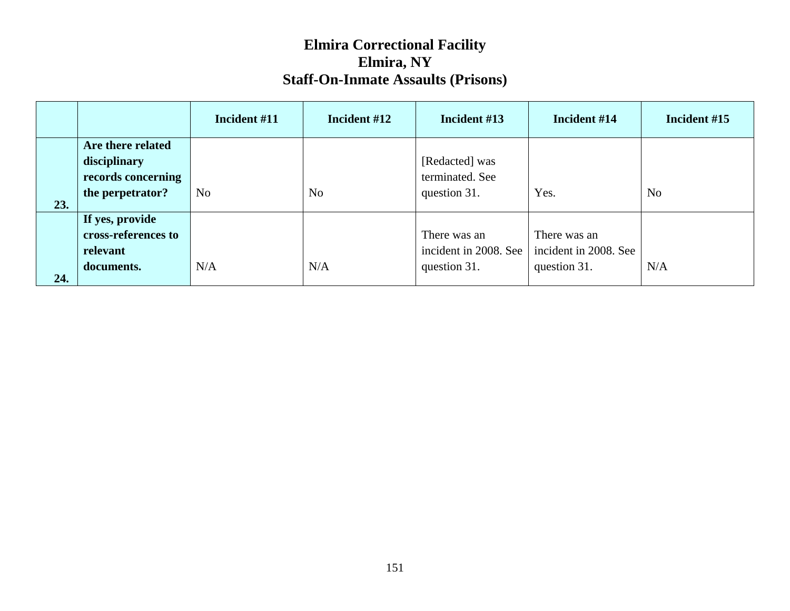|     |                                                                             | Incident #11   | Incident #12   | Incident #13                                          | Incident #14                                          | Incident #15   |
|-----|-----------------------------------------------------------------------------|----------------|----------------|-------------------------------------------------------|-------------------------------------------------------|----------------|
| 23. | Are there related<br>disciplinary<br>records concerning<br>the perpetrator? | N <sub>o</sub> | N <sub>o</sub> | [Redacted] was<br>terminated. See<br>question 31.     | Yes.                                                  | N <sub>o</sub> |
| 24. | If yes, provide<br>cross-references to<br>relevant<br>documents.            | N/A            | N/A            | There was an<br>incident in 2008. See<br>question 31. | There was an<br>incident in 2008. See<br>question 31. | N/A            |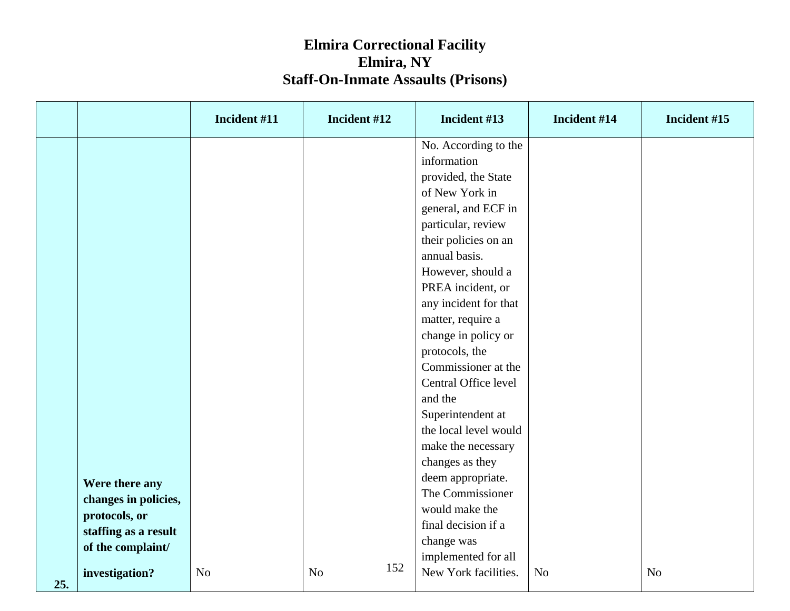|     |                                                                                 | Incident #11   | Incident #12          | Incident #13                                                                                                                                                                                                                                                                                                                                                                                                                                                                                                                           | Incident #14   | Incident #15   |
|-----|---------------------------------------------------------------------------------|----------------|-----------------------|----------------------------------------------------------------------------------------------------------------------------------------------------------------------------------------------------------------------------------------------------------------------------------------------------------------------------------------------------------------------------------------------------------------------------------------------------------------------------------------------------------------------------------------|----------------|----------------|
|     | Were there any<br>changes in policies,<br>protocols, or<br>staffing as a result |                |                       | No. According to the<br>information<br>provided, the State<br>of New York in<br>general, and ECF in<br>particular, review<br>their policies on an<br>annual basis.<br>However, should a<br>PREA incident, or<br>any incident for that<br>matter, require a<br>change in policy or<br>protocols, the<br>Commissioner at the<br>Central Office level<br>and the<br>Superintendent at<br>the local level would<br>make the necessary<br>changes as they<br>deem appropriate.<br>The Commissioner<br>would make the<br>final decision if a |                |                |
|     | of the complaint/<br>investigation?                                             | N <sub>o</sub> | 152<br>N <sub>o</sub> | change was<br>implemented for all<br>New York facilities.                                                                                                                                                                                                                                                                                                                                                                                                                                                                              | N <sub>o</sub> | N <sub>o</sub> |
| 25. |                                                                                 |                |                       |                                                                                                                                                                                                                                                                                                                                                                                                                                                                                                                                        |                |                |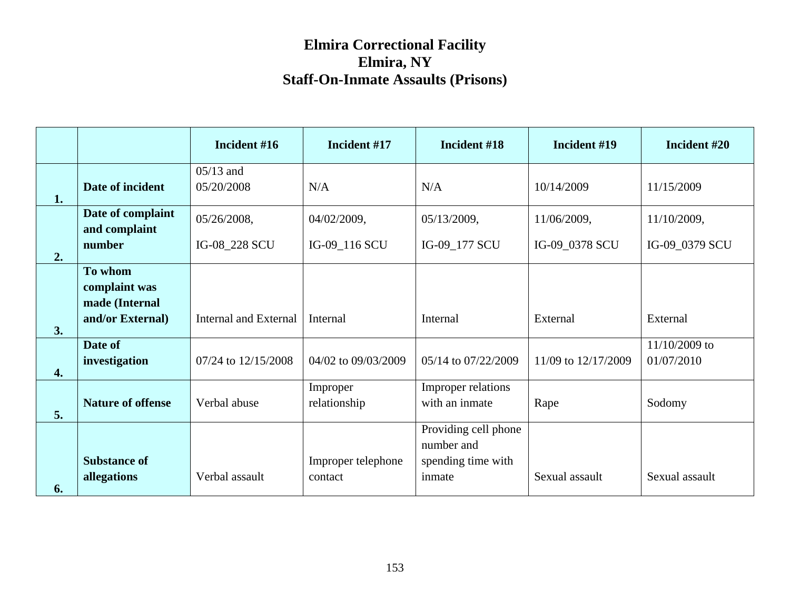|    |                                            | Incident #16                 | Incident #17                  | Incident #18                                                       | Incident #19        | Incident #20                |
|----|--------------------------------------------|------------------------------|-------------------------------|--------------------------------------------------------------------|---------------------|-----------------------------|
| 1. | Date of incident                           | $05/13$ and<br>05/20/2008    | N/A                           | N/A                                                                | 10/14/2009          | 11/15/2009                  |
|    | Date of complaint<br>and complaint         | 05/26/2008,                  | 04/02/2009,                   | 05/13/2009,                                                        | 11/06/2009,         | 11/10/2009,                 |
| 2. | number                                     | IG-08_228 SCU                | IG-09_116 SCU                 | IG-09_177 SCU                                                      | IG-09_0378 SCU      | IG-09_0379 SCU              |
|    | To whom<br>complaint was<br>made (Internal |                              |                               |                                                                    |                     |                             |
| 3. | and/or External)                           | <b>Internal and External</b> | Internal                      | Internal                                                           | External            | External                    |
| 4. | Date of<br>investigation                   | 07/24 to 12/15/2008          | 04/02 to 09/03/2009           | 05/14 to 07/22/2009                                                | 11/09 to 12/17/2009 | 11/10/2009 to<br>01/07/2010 |
| 5. | <b>Nature of offense</b>                   | Verbal abuse                 | Improper<br>relationship      | Improper relations<br>with an inmate                               | Rape                | Sodomy                      |
| 6. | <b>Substance of</b><br>allegations         | Verbal assault               | Improper telephone<br>contact | Providing cell phone<br>number and<br>spending time with<br>inmate | Sexual assault      | Sexual assault              |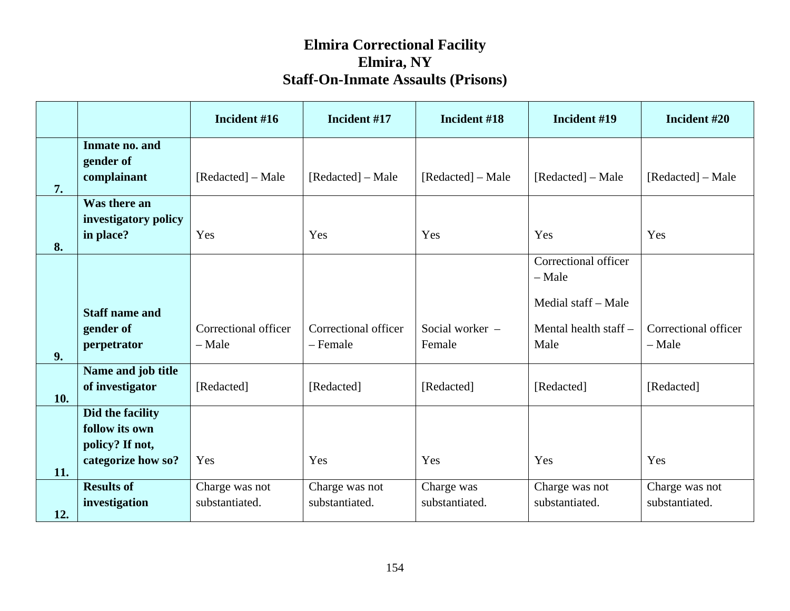|            |                                                                             | Incident #16                     | Incident #17                     | Incident #18                 | Incident #19                                            | Incident #20                     |
|------------|-----------------------------------------------------------------------------|----------------------------------|----------------------------------|------------------------------|---------------------------------------------------------|----------------------------------|
| 7.         | Inmate no. and<br>gender of<br>complainant                                  | [Redacted] – Male                | [Redacted] – Male                | [Redacted] – Male            | [Redacted] – Male                                       | [Redacted] – Male                |
| 8.         | Was there an<br>investigatory policy<br>in place?                           | Yes                              | Yes                              | Yes                          | Yes                                                     | Yes                              |
|            | <b>Staff name and</b>                                                       |                                  |                                  |                              | Correctional officer<br>$-$ Male<br>Medial staff – Male |                                  |
| 9.         | gender of<br>perpetrator                                                    | Correctional officer<br>$-$ Male | Correctional officer<br>- Female | Social worker -<br>Female    | Mental health staff-<br>Male                            | Correctional officer<br>- Male   |
| 10.        | Name and job title<br>of investigator                                       | [Redacted]                       | [Redacted]                       | [Redacted]                   | [Redacted]                                              | [Redacted]                       |
|            | Did the facility<br>follow its own<br>policy? If not,<br>categorize how so? | Yes                              | Yes                              | Yes                          | Yes                                                     | Yes                              |
| 11.<br>12. | <b>Results of</b><br>investigation                                          | Charge was not<br>substantiated. | Charge was not<br>substantiated. | Charge was<br>substantiated. | Charge was not<br>substantiated.                        | Charge was not<br>substantiated. |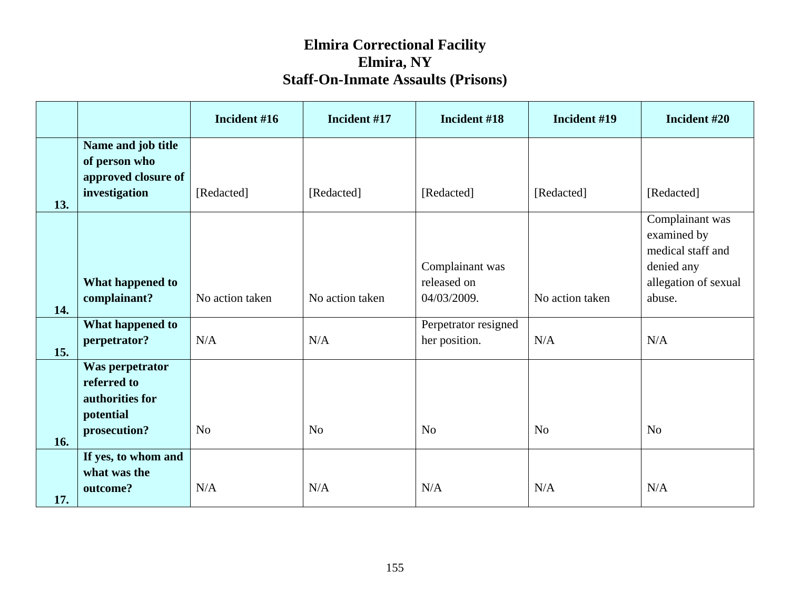|     |                                                                                | Incident #16    | Incident #17    | Incident #18                                  | Incident #19    | Incident #20                                                                                        |
|-----|--------------------------------------------------------------------------------|-----------------|-----------------|-----------------------------------------------|-----------------|-----------------------------------------------------------------------------------------------------|
|     | Name and job title<br>of person who<br>approved closure of                     | [Redacted]      | [Redacted]      | [Redacted]                                    |                 |                                                                                                     |
| 13. | investigation                                                                  |                 |                 |                                               | [Redacted]      | [Redacted]                                                                                          |
| 14. | What happened to<br>complainant?                                               | No action taken | No action taken | Complainant was<br>released on<br>04/03/2009. | No action taken | Complainant was<br>examined by<br>medical staff and<br>denied any<br>allegation of sexual<br>abuse. |
|     | What happened to                                                               |                 |                 | Perpetrator resigned                          |                 |                                                                                                     |
| 15. | perpetrator?                                                                   | N/A             | N/A             | her position.                                 | N/A             | N/A                                                                                                 |
| 16. | Was perpetrator<br>referred to<br>authorities for<br>potential<br>prosecution? | N <sub>o</sub>  | N <sub>o</sub>  | N <sub>o</sub>                                | N <sub>o</sub>  | N <sub>o</sub>                                                                                      |
|     | If yes, to whom and                                                            |                 |                 |                                               |                 |                                                                                                     |
| 17. | what was the<br>outcome?                                                       | N/A             | N/A             | N/A                                           | N/A             | N/A                                                                                                 |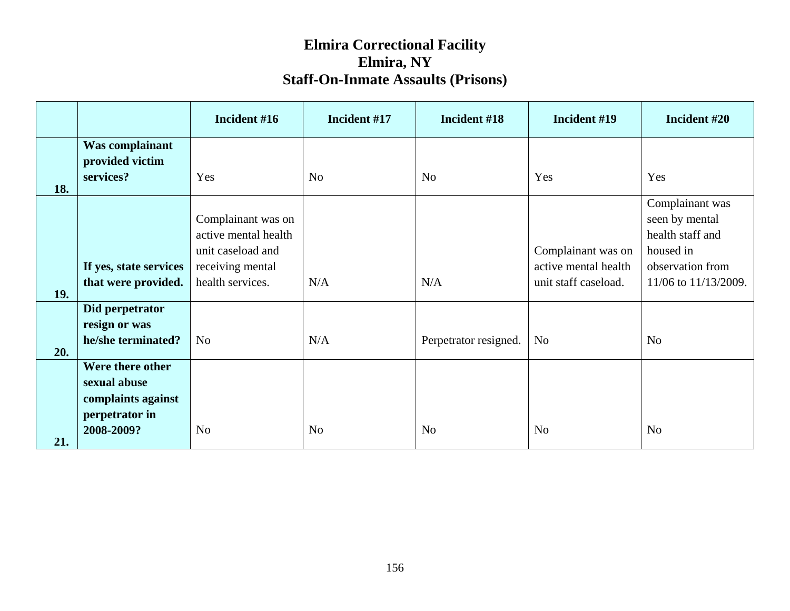|     |                        | Incident #16         | Incident #17   | Incident #18          | Incident #19         | Incident #20         |
|-----|------------------------|----------------------|----------------|-----------------------|----------------------|----------------------|
|     | Was complainant        |                      |                |                       |                      |                      |
|     | provided victim        |                      |                |                       |                      |                      |
|     | services?              | Yes                  | N <sub>o</sub> | N <sub>o</sub>        | Yes                  | Yes                  |
| 18. |                        |                      |                |                       |                      |                      |
|     |                        |                      |                |                       |                      | Complainant was      |
|     |                        | Complainant was on   |                |                       |                      | seen by mental       |
|     |                        | active mental health |                |                       |                      | health staff and     |
|     |                        | unit caseload and    |                |                       | Complainant was on   | housed in            |
|     | If yes, state services | receiving mental     |                |                       | active mental health | observation from     |
|     | that were provided.    | health services.     | N/A            | N/A                   | unit staff caseload. | 11/06 to 11/13/2009. |
| 19. | Did perpetrator        |                      |                |                       |                      |                      |
|     | resign or was          |                      |                |                       |                      |                      |
|     | he/she terminated?     | N <sub>o</sub>       | N/A            | Perpetrator resigned. | N <sub>o</sub>       | N <sub>o</sub>       |
| 20. |                        |                      |                |                       |                      |                      |
|     | Were there other       |                      |                |                       |                      |                      |
|     | sexual abuse           |                      |                |                       |                      |                      |
|     | complaints against     |                      |                |                       |                      |                      |
|     | perpetrator in         |                      |                |                       |                      |                      |
|     | 2008-2009?             | No                   | N <sub>o</sub> | N <sub>o</sub>        | N <sub>o</sub>       | N <sub>o</sub>       |
| 21. |                        |                      |                |                       |                      |                      |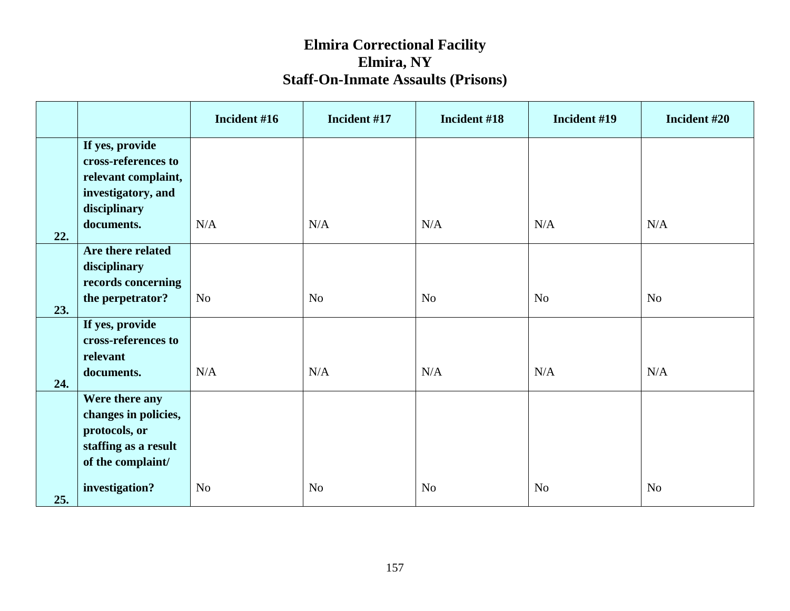|     |                            | Incident #16   | Incident #17   | Incident #18   | Incident #19   | Incident #20   |
|-----|----------------------------|----------------|----------------|----------------|----------------|----------------|
|     | If yes, provide            |                |                |                |                |                |
|     | cross-references to        |                |                |                |                |                |
|     | relevant complaint,        |                |                |                |                |                |
|     | investigatory, and         |                |                |                |                |                |
|     | disciplinary<br>documents. | N/A            | N/A            | N/A            | N/A            | N/A            |
| 22. |                            |                |                |                |                |                |
|     | Are there related          |                |                |                |                |                |
|     | disciplinary               |                |                |                |                |                |
|     | records concerning         |                |                |                |                |                |
| 23. | the perpetrator?           | N <sub>o</sub> | N <sub>o</sub> | N <sub>o</sub> | N <sub>o</sub> | N <sub>o</sub> |
|     | If yes, provide            |                |                |                |                |                |
|     | cross-references to        |                |                |                |                |                |
|     | relevant                   |                |                |                |                |                |
| 24. | documents.                 | N/A            | N/A            | N/A            | N/A            | N/A            |
|     | Were there any             |                |                |                |                |                |
|     | changes in policies,       |                |                |                |                |                |
|     | protocols, or              |                |                |                |                |                |
|     | staffing as a result       |                |                |                |                |                |
|     | of the complaint/          |                |                |                |                |                |
| 25. | investigation?             | N <sub>o</sub> | N <sub>o</sub> | N <sub>o</sub> | N <sub>o</sub> | N <sub>o</sub> |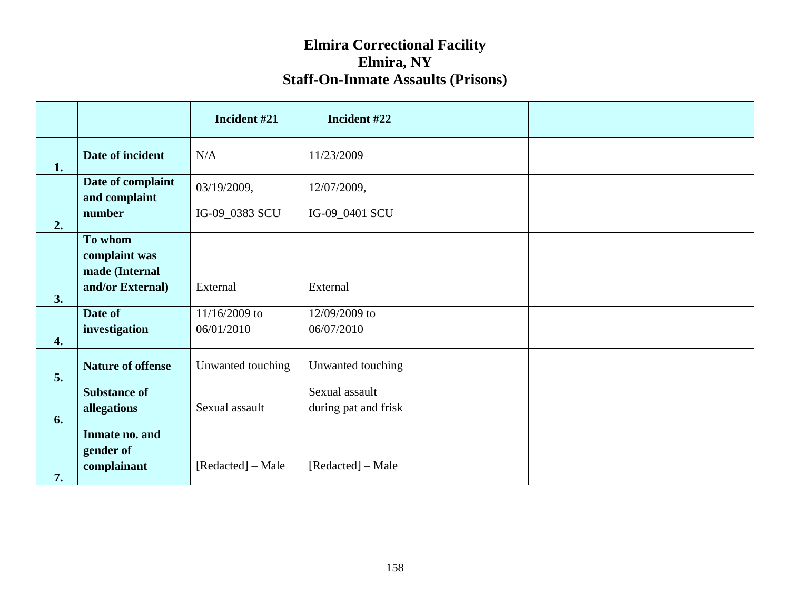|                    |                                    | Incident #21      | Incident #22                           |  |  |
|--------------------|------------------------------------|-------------------|----------------------------------------|--|--|
| 1.                 | Date of incident                   | N/A               | 11/23/2009                             |  |  |
|                    | Date of complaint<br>and complaint | 03/19/2009,       | 12/07/2009,                            |  |  |
| 2.                 | number                             | IG-09_0383 SCU    | IG-09_0401 SCU                         |  |  |
|                    | To whom<br>complaint was           |                   |                                        |  |  |
|                    | made (Internal<br>and/or External) | External          | External                               |  |  |
| 3.                 | Date of                            | 11/16/2009 to     | 12/09/2009 to                          |  |  |
| $\boldsymbol{4}$ . | investigation                      | 06/01/2010        | 06/07/2010                             |  |  |
| 5.                 | <b>Nature of offense</b>           | Unwanted touching | Unwanted touching                      |  |  |
|                    | <b>Substance of</b><br>allegations | Sexual assault    | Sexual assault<br>during pat and frisk |  |  |
| 6.                 | Inmate no. and                     |                   |                                        |  |  |
| 7.                 | gender of<br>complainant           | [Redacted] – Male | [Redacted] – Male                      |  |  |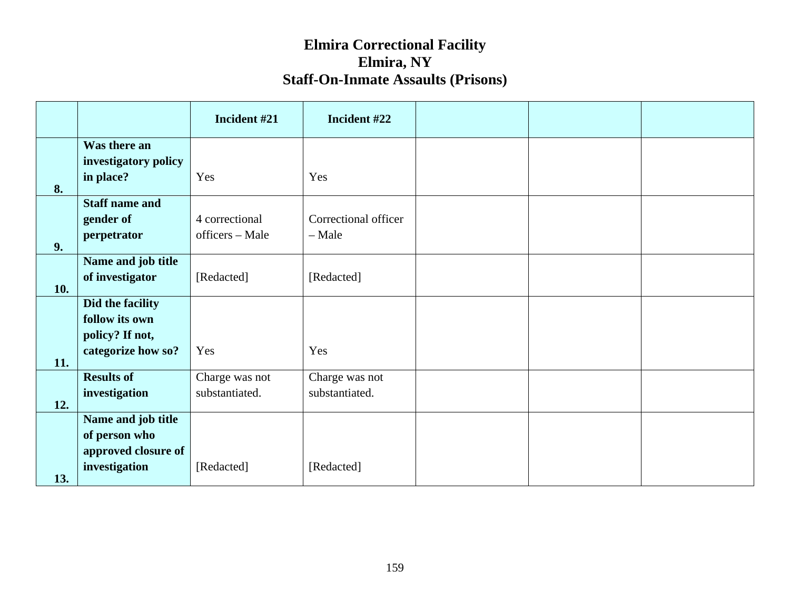|     |                                      | Incident #21    | Incident #22         |  |  |
|-----|--------------------------------------|-----------------|----------------------|--|--|
|     | Was there an<br>investigatory policy |                 |                      |  |  |
| 8.  | in place?                            | Yes             | Yes                  |  |  |
|     | <b>Staff name and</b>                |                 |                      |  |  |
|     | gender of                            | 4 correctional  | Correctional officer |  |  |
| 9.  | perpetrator                          | officers - Male | - Male               |  |  |
|     | Name and job title                   |                 |                      |  |  |
| 10. | of investigator                      | [Redacted]      | [Redacted]           |  |  |
|     | Did the facility                     |                 |                      |  |  |
|     | follow its own                       |                 |                      |  |  |
|     | policy? If not,                      |                 |                      |  |  |
| 11. | categorize how so?                   | Yes             | Yes                  |  |  |
|     | <b>Results of</b>                    | Charge was not  | Charge was not       |  |  |
| 12. | investigation                        | substantiated.  | substantiated.       |  |  |
|     | Name and job title                   |                 |                      |  |  |
|     | of person who                        |                 |                      |  |  |
|     | approved closure of                  |                 |                      |  |  |
| 13. | investigation                        | [Redacted]      | [Redacted]           |  |  |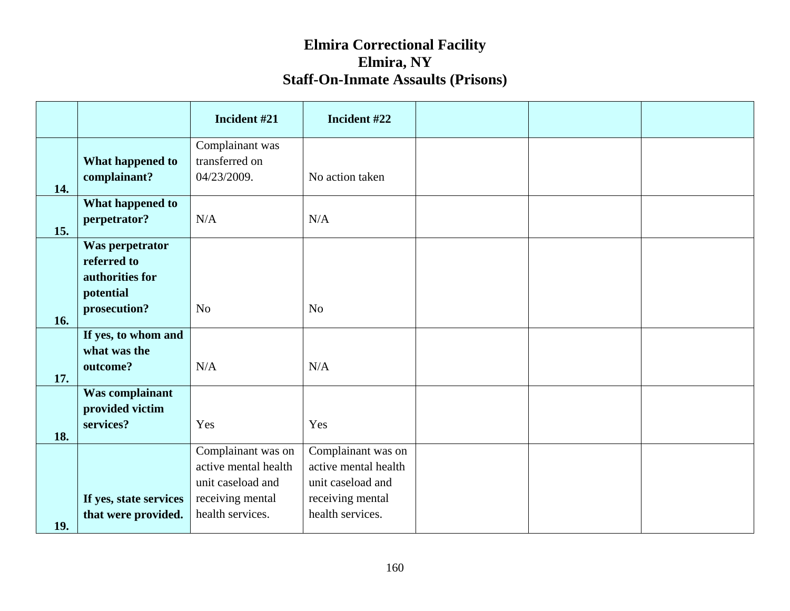|     |                                                                                | Incident #21                                                                        | Incident #22                                                                        |  |  |
|-----|--------------------------------------------------------------------------------|-------------------------------------------------------------------------------------|-------------------------------------------------------------------------------------|--|--|
| 14. | What happened to<br>complainant?                                               | Complainant was<br>transferred on<br>04/23/2009.                                    | No action taken                                                                     |  |  |
| 15. | What happened to<br>perpetrator?                                               | N/A                                                                                 | N/A                                                                                 |  |  |
| 16. | Was perpetrator<br>referred to<br>authorities for<br>potential<br>prosecution? | N <sub>o</sub>                                                                      | N <sub>o</sub>                                                                      |  |  |
| 17. | If yes, to whom and<br>what was the<br>outcome?                                | N/A                                                                                 | N/A                                                                                 |  |  |
| 18. | Was complainant<br>provided victim<br>services?                                | Yes                                                                                 | Yes                                                                                 |  |  |
|     | If yes, state services                                                         | Complainant was on<br>active mental health<br>unit caseload and<br>receiving mental | Complainant was on<br>active mental health<br>unit caseload and<br>receiving mental |  |  |
| 19. | that were provided.                                                            | health services.                                                                    | health services.                                                                    |  |  |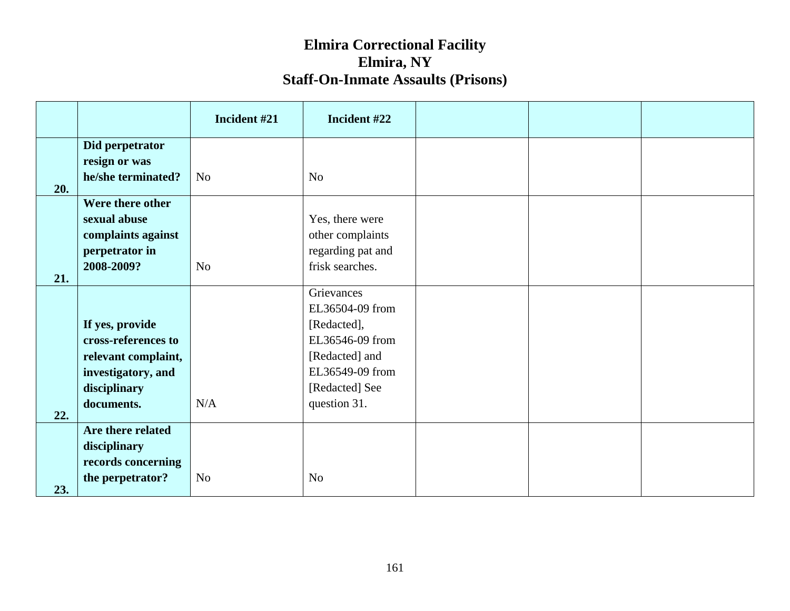|     |                                                       | Incident #21   | Incident #22                   |  |  |
|-----|-------------------------------------------------------|----------------|--------------------------------|--|--|
|     | Did perpetrator                                       |                |                                |  |  |
|     | resign or was                                         |                |                                |  |  |
|     | he/she terminated?                                    | N <sub>o</sub> | N <sub>o</sub>                 |  |  |
| 20. |                                                       |                |                                |  |  |
|     | Were there other                                      |                |                                |  |  |
|     | sexual abuse                                          |                | Yes, there were                |  |  |
|     | complaints against                                    |                | other complaints               |  |  |
|     | perpetrator in                                        |                | regarding pat and              |  |  |
| 21. | 2008-2009?                                            | N <sub>o</sub> | frisk searches.                |  |  |
|     |                                                       |                | Grievances                     |  |  |
|     |                                                       |                | EL36504-09 from                |  |  |
|     | If yes, provide                                       |                | [Redacted],                    |  |  |
|     | cross-references to                                   |                | EL36546-09 from                |  |  |
|     | relevant complaint,                                   |                | [Redacted] and                 |  |  |
|     | investigatory, and                                    |                | EL36549-09 from                |  |  |
|     | disciplinary                                          |                | [Redacted] See                 |  |  |
|     | documents.                                            | N/A            |                                |  |  |
| 22. |                                                       |                |                                |  |  |
|     |                                                       |                |                                |  |  |
|     |                                                       |                |                                |  |  |
|     | records concerning                                    |                |                                |  |  |
|     |                                                       | N <sub>o</sub> |                                |  |  |
| 23. | Are there related<br>disciplinary<br>the perpetrator? |                | question 31.<br>N <sub>o</sub> |  |  |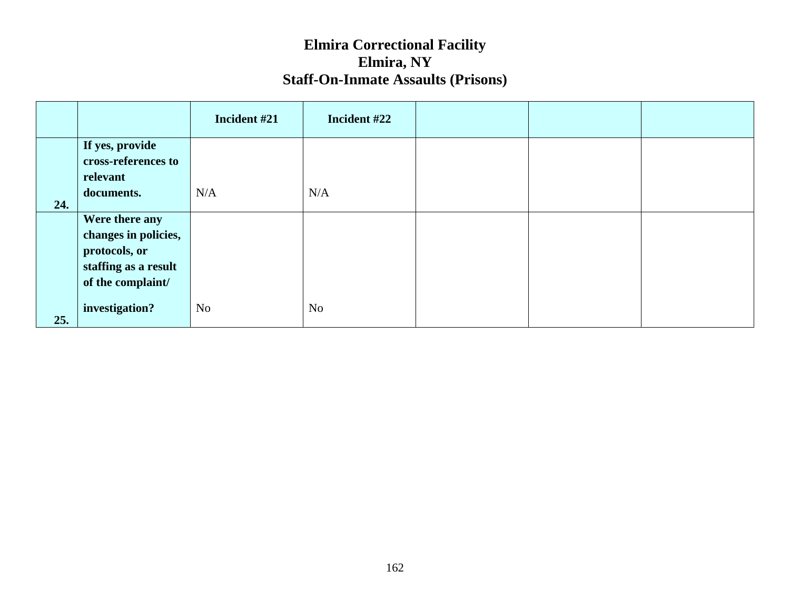|     |                                                                                                      | Incident #21   | Incident #22 |  |  |
|-----|------------------------------------------------------------------------------------------------------|----------------|--------------|--|--|
|     | If yes, provide<br>cross-references to<br>relevant                                                   |                |              |  |  |
| 24. | documents.                                                                                           | N/A            | N/A          |  |  |
|     | Were there any<br>changes in policies,<br>protocols, or<br>staffing as a result<br>of the complaint/ |                |              |  |  |
| 25. | investigation?                                                                                       | N <sub>o</sub> | No           |  |  |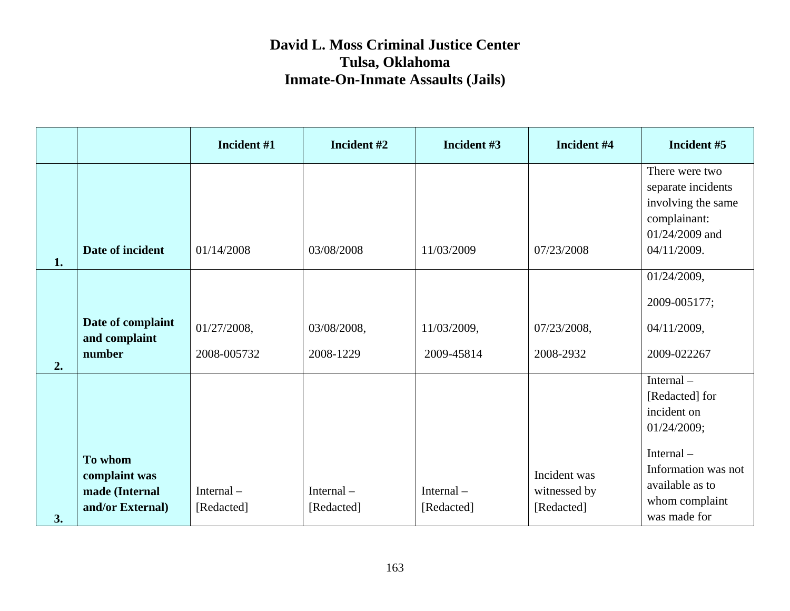|    |                                                                | Incident #1                | Incident #2              | Incident #3                | Incident #4                                | Incident #5                                                                                                                                        |
|----|----------------------------------------------------------------|----------------------------|--------------------------|----------------------------|--------------------------------------------|----------------------------------------------------------------------------------------------------------------------------------------------------|
| 1. | Date of incident                                               | 01/14/2008                 | 03/08/2008               | 11/03/2009                 | 07/23/2008                                 | There were two<br>separate incidents<br>involving the same<br>complainant:<br>01/24/2009 and<br>04/11/2009.                                        |
| 2. | Date of complaint<br>and complaint<br>number                   | 01/27/2008,<br>2008-005732 | 03/08/2008,<br>2008-1229 | 11/03/2009,<br>2009-45814  | 07/23/2008,<br>2008-2932                   | 01/24/2009,<br>2009-005177;<br>04/11/2009,<br>2009-022267                                                                                          |
| 3. | To whom<br>complaint was<br>made (Internal<br>and/or External) | Internal $-$<br>[Redacted] | Internal-<br>[Redacted]  | Internal $-$<br>[Redacted] | Incident was<br>witnessed by<br>[Redacted] | Internal-<br>[Redacted] for<br>incident on<br>01/24/2009;<br>Internal-<br>Information was not<br>available as to<br>whom complaint<br>was made for |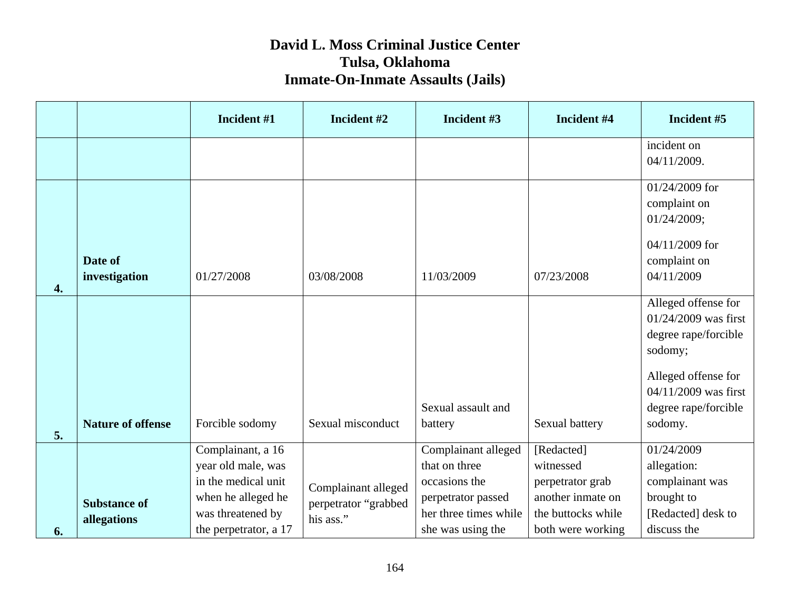|          |                                    | Incident #1                                                                                                                        | Incident #2                                              | Incident #3                                                                                                               | Incident #4                                                                                                 | Incident #5                                                                                                                                                        |
|----------|------------------------------------|------------------------------------------------------------------------------------------------------------------------------------|----------------------------------------------------------|---------------------------------------------------------------------------------------------------------------------------|-------------------------------------------------------------------------------------------------------------|--------------------------------------------------------------------------------------------------------------------------------------------------------------------|
|          |                                    |                                                                                                                                    |                                                          |                                                                                                                           |                                                                                                             | incident on<br>04/11/2009.                                                                                                                                         |
|          |                                    |                                                                                                                                    |                                                          |                                                                                                                           |                                                                                                             | 01/24/2009 for<br>complaint on<br>01/24/2009;<br>04/11/2009 for                                                                                                    |
| 4.       | Date of<br>investigation           | 01/27/2008                                                                                                                         | 03/08/2008                                               | 11/03/2009                                                                                                                | 07/23/2008                                                                                                  | complaint on<br>04/11/2009                                                                                                                                         |
|          | <b>Nature of offense</b>           | Forcible sodomy                                                                                                                    | Sexual misconduct                                        | Sexual assault and<br>battery                                                                                             | Sexual battery                                                                                              | Alleged offense for<br>$01/24/2009$ was first<br>degree rape/forcible<br>sodomy;<br>Alleged offense for<br>04/11/2009 was first<br>degree rape/forcible<br>sodomy. |
| 5.<br>6. | <b>Substance of</b><br>allegations | Complainant, a 16<br>year old male, was<br>in the medical unit<br>when he alleged he<br>was threatened by<br>the perpetrator, a 17 | Complainant alleged<br>perpetrator "grabbed<br>his ass." | Complainant alleged<br>that on three<br>occasions the<br>perpetrator passed<br>her three times while<br>she was using the | [Redacted]<br>witnessed<br>perpetrator grab<br>another inmate on<br>the buttocks while<br>both were working | 01/24/2009<br>allegation:<br>complainant was<br>brought to<br>[Redacted] desk to<br>discuss the                                                                    |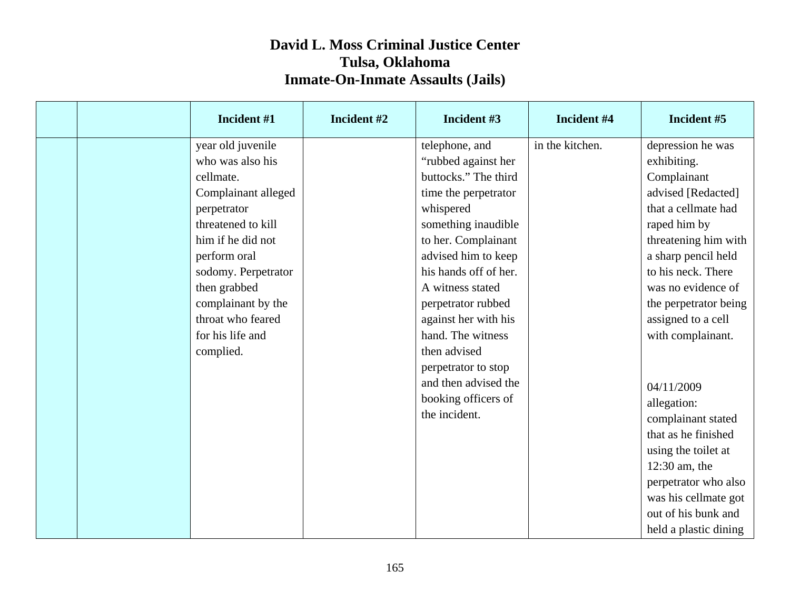|  | Incident #1         | Incident #2 | Incident #3           | Incident #4     | Incident #5           |
|--|---------------------|-------------|-----------------------|-----------------|-----------------------|
|  | year old juvenile   |             | telephone, and        | in the kitchen. | depression he was     |
|  | who was also his    |             | "rubbed against her   |                 | exhibiting.           |
|  | cellmate.           |             | buttocks." The third  |                 | Complainant           |
|  | Complainant alleged |             | time the perpetrator  |                 | advised [Redacted]    |
|  | perpetrator         |             | whispered             |                 | that a cellmate had   |
|  | threatened to kill  |             | something inaudible   |                 | raped him by          |
|  | him if he did not   |             | to her. Complainant   |                 | threatening him with  |
|  | perform oral        |             | advised him to keep   |                 | a sharp pencil held   |
|  | sodomy. Perpetrator |             | his hands off of her. |                 | to his neck. There    |
|  | then grabbed        |             | A witness stated      |                 | was no evidence of    |
|  | complainant by the  |             | perpetrator rubbed    |                 | the perpetrator being |
|  | throat who feared   |             | against her with his  |                 | assigned to a cell    |
|  | for his life and    |             | hand. The witness     |                 | with complainant.     |
|  | complied.           |             | then advised          |                 |                       |
|  |                     |             | perpetrator to stop   |                 |                       |
|  |                     |             | and then advised the  |                 | 04/11/2009            |
|  |                     |             | booking officers of   |                 | allegation:           |
|  |                     |             | the incident.         |                 | complainant stated    |
|  |                     |             |                       |                 | that as he finished   |
|  |                     |             |                       |                 | using the toilet at   |
|  |                     |             |                       |                 | $12:30$ am, the       |
|  |                     |             |                       |                 | perpetrator who also  |
|  |                     |             |                       |                 | was his cellmate got  |
|  |                     |             |                       |                 | out of his bunk and   |
|  |                     |             |                       |                 | held a plastic dining |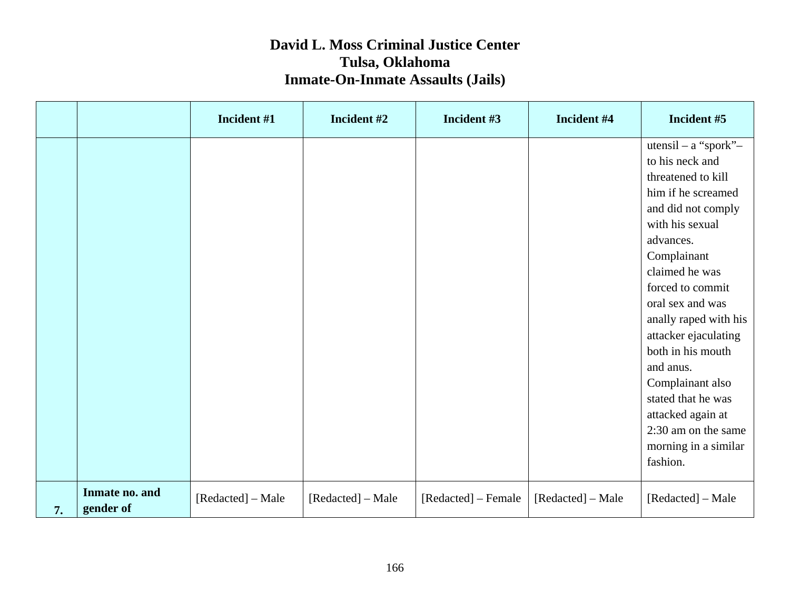|    |                             | Incident #1       | Incident #2       | Incident #3         | Incident #4       | Incident #5                                                                                                                                                                                                                                                                                                                                       |
|----|-----------------------------|-------------------|-------------------|---------------------|-------------------|---------------------------------------------------------------------------------------------------------------------------------------------------------------------------------------------------------------------------------------------------------------------------------------------------------------------------------------------------|
|    |                             |                   |                   |                     |                   | $utensil - a$ "spork"-<br>to his neck and<br>threatened to kill<br>him if he screamed<br>and did not comply<br>with his sexual<br>advances.<br>Complainant<br>claimed he was<br>forced to commit<br>oral sex and was<br>anally raped with his<br>attacker ejaculating<br>both in his mouth<br>and anus.<br>Complainant also<br>stated that he was |
|    |                             |                   |                   |                     |                   | attacked again at<br>2:30 am on the same<br>morning in a similar<br>fashion.                                                                                                                                                                                                                                                                      |
| 7. | Inmate no. and<br>gender of | [Redacted] - Male | [Redacted] – Male | [Redacted] – Female | [Redacted] – Male | [Redacted] – Male                                                                                                                                                                                                                                                                                                                                 |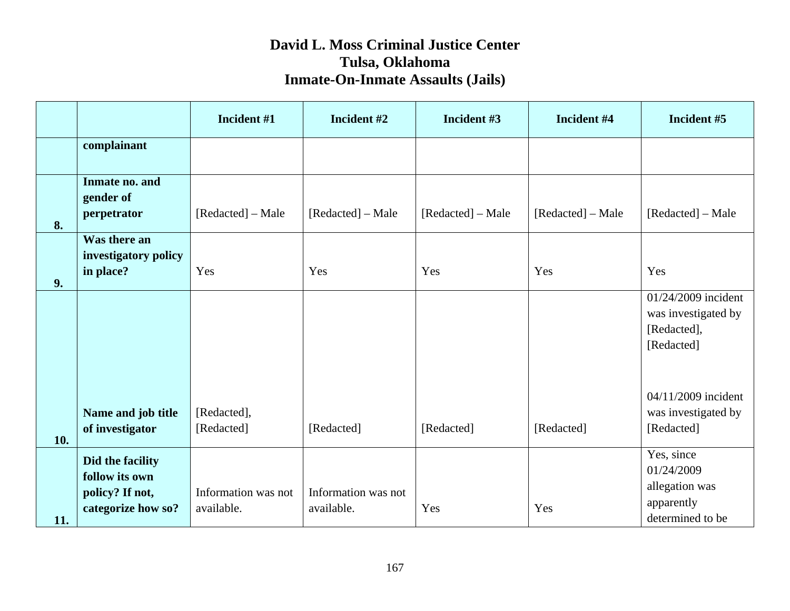|     |                                                                             | Incident #1                       | Incident #2                       | Incident #3       | Incident #4       | Incident #5                                                                  |
|-----|-----------------------------------------------------------------------------|-----------------------------------|-----------------------------------|-------------------|-------------------|------------------------------------------------------------------------------|
|     | complainant                                                                 |                                   |                                   |                   |                   |                                                                              |
| 8.  | Inmate no. and<br>gender of<br>perpetrator                                  | [Redacted] – Male                 | [Redacted] – Male                 | [Redacted] – Male | [Redacted] - Male | [Redacted] – Male                                                            |
| 9.  | Was there an<br>investigatory policy<br>in place?                           | Yes                               | Yes                               | Yes               | Yes               | Yes                                                                          |
|     |                                                                             |                                   |                                   |                   |                   | 01/24/2009 incident<br>was investigated by<br>[Redacted],<br>[Redacted]      |
| 10. | Name and job title<br>of investigator                                       | [Redacted],<br>[Redacted]         | [Redacted]                        | [Redacted]        | [Redacted]        | 04/11/2009 incident<br>was investigated by<br>[Redacted]                     |
| 11. | Did the facility<br>follow its own<br>policy? If not,<br>categorize how so? | Information was not<br>available. | Information was not<br>available. | Yes               | Yes               | Yes, since<br>01/24/2009<br>allegation was<br>apparently<br>determined to be |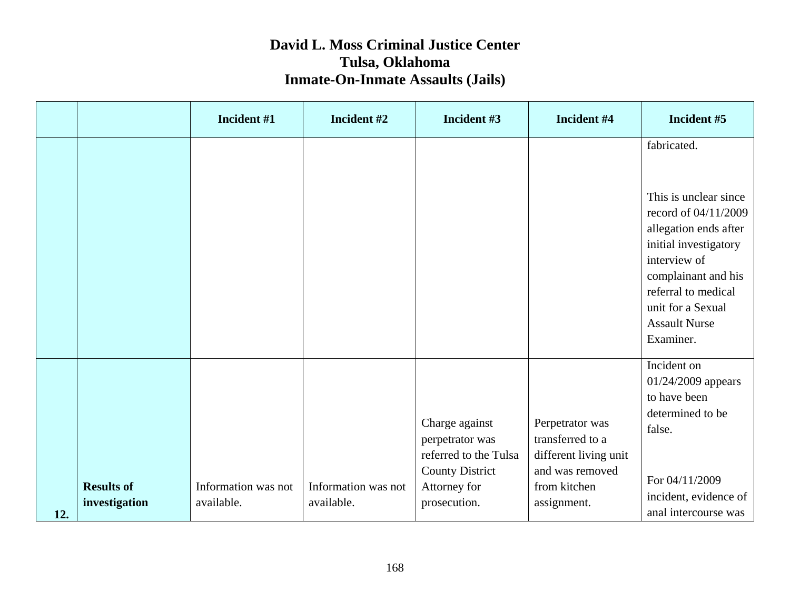|     |                                    | Incident #1                       | Incident #2                       | Incident #3                                                                                                          | Incident #4                                                                                                    | Incident #5                                                                                                                                                                                                                            |
|-----|------------------------------------|-----------------------------------|-----------------------------------|----------------------------------------------------------------------------------------------------------------------|----------------------------------------------------------------------------------------------------------------|----------------------------------------------------------------------------------------------------------------------------------------------------------------------------------------------------------------------------------------|
|     |                                    |                                   |                                   |                                                                                                                      |                                                                                                                | fabricated.<br>This is unclear since<br>record of 04/11/2009<br>allegation ends after<br>initial investigatory<br>interview of<br>complainant and his<br>referral to medical<br>unit for a Sexual<br><b>Assault Nurse</b><br>Examiner. |
| 12. | <b>Results of</b><br>investigation | Information was not<br>available. | Information was not<br>available. | Charge against<br>perpetrator was<br>referred to the Tulsa<br><b>County District</b><br>Attorney for<br>prosecution. | Perpetrator was<br>transferred to a<br>different living unit<br>and was removed<br>from kitchen<br>assignment. | Incident on<br>01/24/2009 appears<br>to have been<br>determined to be<br>false.<br>For 04/11/2009<br>incident, evidence of<br>anal intercourse was                                                                                     |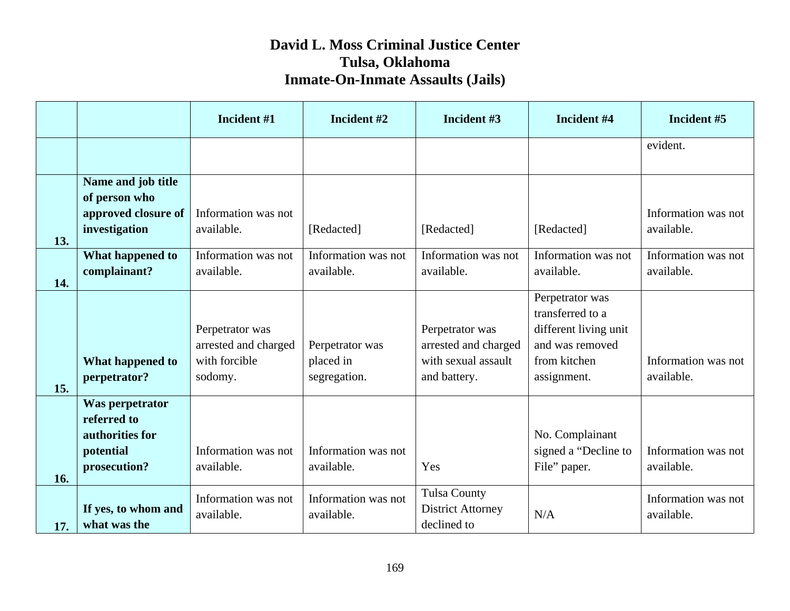|     |                                                                                | Incident #1                                                         | Incident #2                                  | Incident #3                                                                    | Incident #4                                                                                                    | Incident #5                       |
|-----|--------------------------------------------------------------------------------|---------------------------------------------------------------------|----------------------------------------------|--------------------------------------------------------------------------------|----------------------------------------------------------------------------------------------------------------|-----------------------------------|
|     |                                                                                |                                                                     |                                              |                                                                                |                                                                                                                | evident.                          |
| 13. | Name and job title<br>of person who<br>approved closure of<br>investigation    | Information was not<br>available.                                   | [Redacted]                                   | [Redacted]                                                                     | [Redacted]                                                                                                     | Information was not<br>available. |
| 14. | What happened to<br>complainant?                                               | Information was not<br>available.                                   | Information was not<br>available.            | Information was not<br>available.                                              | Information was not<br>available.                                                                              | Information was not<br>available. |
| 15. | What happened to<br>perpetrator?                                               | Perpetrator was<br>arrested and charged<br>with forcible<br>sodomy. | Perpetrator was<br>placed in<br>segregation. | Perpetrator was<br>arrested and charged<br>with sexual assault<br>and battery. | Perpetrator was<br>transferred to a<br>different living unit<br>and was removed<br>from kitchen<br>assignment. | Information was not<br>available. |
| 16. | Was perpetrator<br>referred to<br>authorities for<br>potential<br>prosecution? | Information was not<br>available.                                   | Information was not<br>available.            | Yes                                                                            | No. Complainant<br>signed a "Decline to<br>File" paper.                                                        | Information was not<br>available. |
| 17. | If yes, to whom and<br>what was the                                            | Information was not<br>available.                                   | Information was not<br>available.            | <b>Tulsa County</b><br><b>District Attorney</b><br>declined to                 | N/A                                                                                                            | Information was not<br>available. |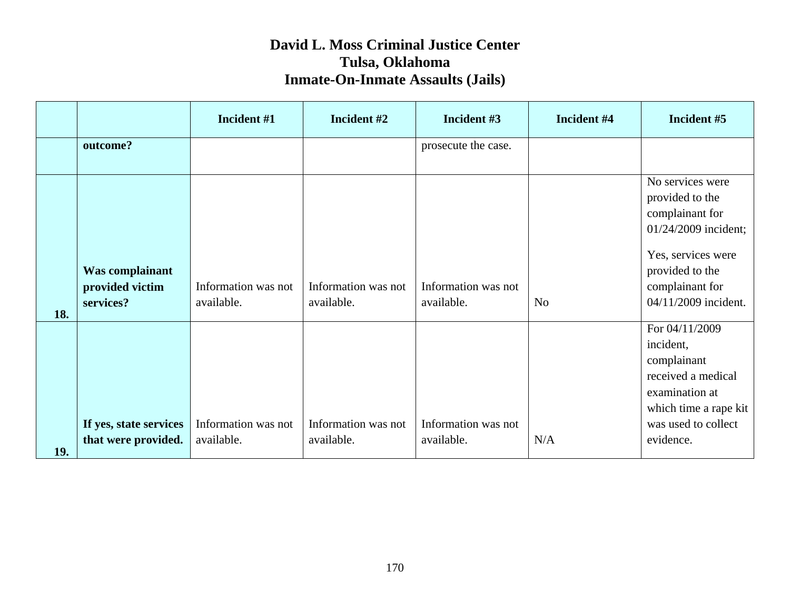|     |                                                 | Incident #1                       | Incident #2                       | Incident #3                       | Incident #4    | Incident #5                                                                                                                                                        |
|-----|-------------------------------------------------|-----------------------------------|-----------------------------------|-----------------------------------|----------------|--------------------------------------------------------------------------------------------------------------------------------------------------------------------|
|     | outcome?                                        |                                   |                                   | prosecute the case.               |                |                                                                                                                                                                    |
| 18. | Was complainant<br>provided victim<br>services? | Information was not<br>available. | Information was not<br>available. | Information was not<br>available. | N <sub>o</sub> | No services were<br>provided to the<br>complainant for<br>01/24/2009 incident;<br>Yes, services were<br>provided to the<br>complainant for<br>04/11/2009 incident. |
| 19. | If yes, state services<br>that were provided.   | Information was not<br>available. | Information was not<br>available. | Information was not<br>available. | N/A            | For 04/11/2009<br>incident,<br>complainant<br>received a medical<br>examination at<br>which time a rape kit<br>was used to collect<br>evidence.                    |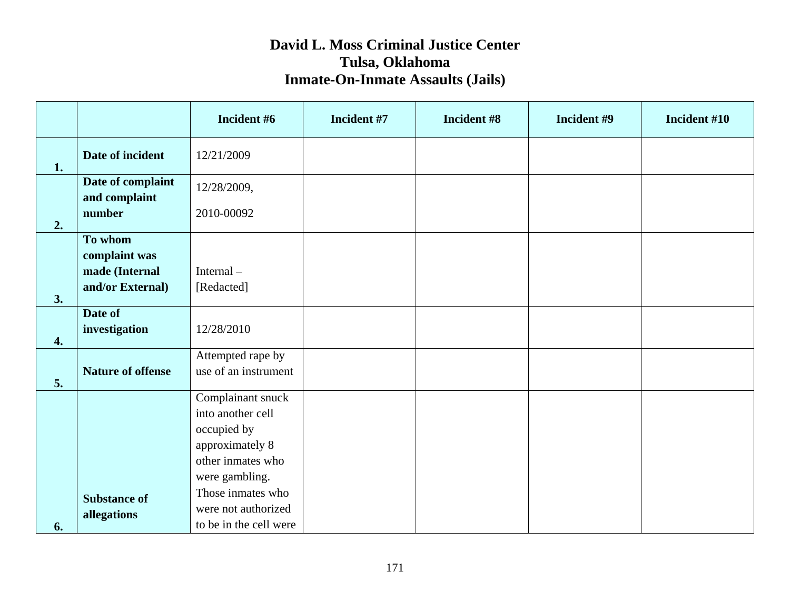|    |                                                                | Incident #6                                                                                                     | Incident #7 | Incident #8 | Incident #9 | Incident #10 |
|----|----------------------------------------------------------------|-----------------------------------------------------------------------------------------------------------------|-------------|-------------|-------------|--------------|
| 1. | Date of incident                                               | 12/21/2009                                                                                                      |             |             |             |              |
|    | Date of complaint<br>and complaint                             | 12/28/2009,                                                                                                     |             |             |             |              |
| 2. | number                                                         | 2010-00092                                                                                                      |             |             |             |              |
| 3. | To whom<br>complaint was<br>made (Internal<br>and/or External) | Internal-<br>[Redacted]                                                                                         |             |             |             |              |
| 4. | Date of<br>investigation                                       | 12/28/2010                                                                                                      |             |             |             |              |
| 5. | <b>Nature of offense</b>                                       | Attempted rape by<br>use of an instrument                                                                       |             |             |             |              |
|    |                                                                | Complainant snuck<br>into another cell<br>occupied by<br>approximately 8<br>other inmates who<br>were gambling. |             |             |             |              |
| 6. | <b>Substance of</b><br>allegations                             | Those inmates who<br>were not authorized<br>to be in the cell were                                              |             |             |             |              |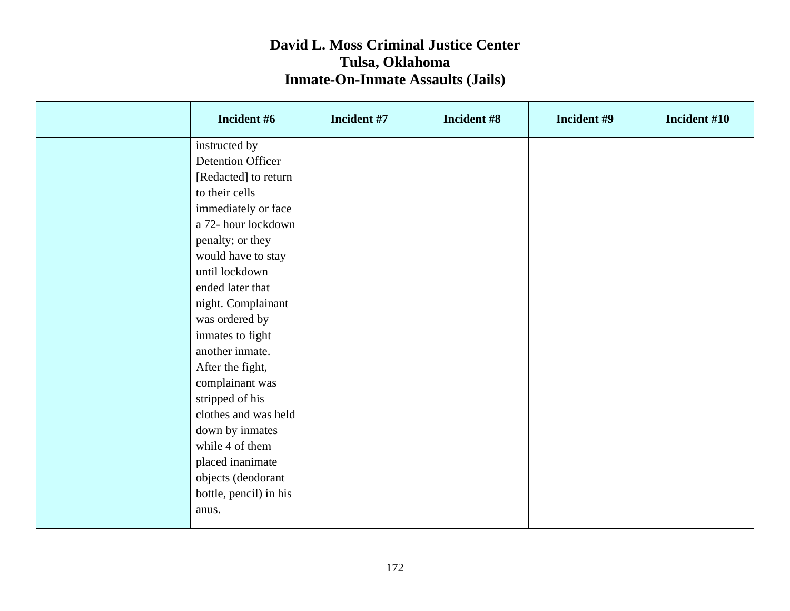|  | Incident #6              | Incident #7 | Incident #8 | Incident #9 | Incident #10 |
|--|--------------------------|-------------|-------------|-------------|--------------|
|  | instructed by            |             |             |             |              |
|  | <b>Detention Officer</b> |             |             |             |              |
|  | [Redacted] to return     |             |             |             |              |
|  | to their cells           |             |             |             |              |
|  | immediately or face      |             |             |             |              |
|  | a 72- hour lockdown      |             |             |             |              |
|  | penalty; or they         |             |             |             |              |
|  | would have to stay       |             |             |             |              |
|  | until lockdown           |             |             |             |              |
|  | ended later that         |             |             |             |              |
|  | night. Complainant       |             |             |             |              |
|  | was ordered by           |             |             |             |              |
|  | inmates to fight         |             |             |             |              |
|  | another inmate.          |             |             |             |              |
|  | After the fight,         |             |             |             |              |
|  | complainant was          |             |             |             |              |
|  | stripped of his          |             |             |             |              |
|  | clothes and was held     |             |             |             |              |
|  | down by inmates          |             |             |             |              |
|  | while 4 of them          |             |             |             |              |
|  | placed inanimate         |             |             |             |              |
|  | objects (deodorant       |             |             |             |              |
|  | bottle, pencil) in his   |             |             |             |              |
|  | anus.                    |             |             |             |              |
|  |                          |             |             |             |              |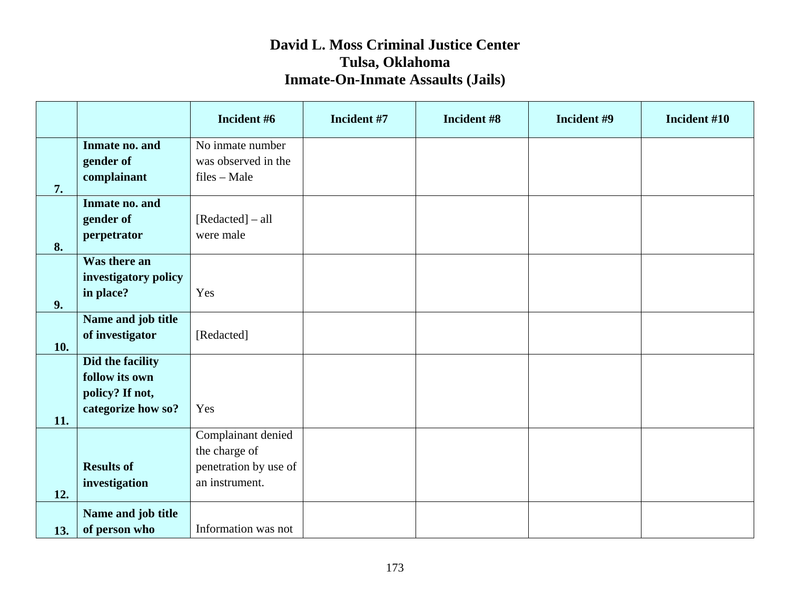|     |                          | Incident #6                           | Incident #7 | Incident #8 | Incident #9 | Incident #10 |
|-----|--------------------------|---------------------------------------|-------------|-------------|-------------|--------------|
|     | Inmate no. and           | No inmate number                      |             |             |             |              |
|     | gender of<br>complainant | was observed in the<br>$files - Male$ |             |             |             |              |
| 7.  |                          |                                       |             |             |             |              |
|     | Inmate no. and           |                                       |             |             |             |              |
|     | gender of                | [Redacted] – all                      |             |             |             |              |
| 8.  | perpetrator              | were male                             |             |             |             |              |
|     | Was there an             |                                       |             |             |             |              |
|     | investigatory policy     |                                       |             |             |             |              |
| 9.  | in place?                | Yes                                   |             |             |             |              |
|     | Name and job title       |                                       |             |             |             |              |
| 10. | of investigator          | [Redacted]                            |             |             |             |              |
|     | Did the facility         |                                       |             |             |             |              |
|     | follow its own           |                                       |             |             |             |              |
|     | policy? If not,          |                                       |             |             |             |              |
| 11. | categorize how so?       | Yes                                   |             |             |             |              |
|     |                          | Complainant denied                    |             |             |             |              |
|     |                          | the charge of                         |             |             |             |              |
|     | <b>Results of</b>        | penetration by use of                 |             |             |             |              |
| 12. | investigation            | an instrument.                        |             |             |             |              |
|     | Name and job title       |                                       |             |             |             |              |
| 13. | of person who            | Information was not                   |             |             |             |              |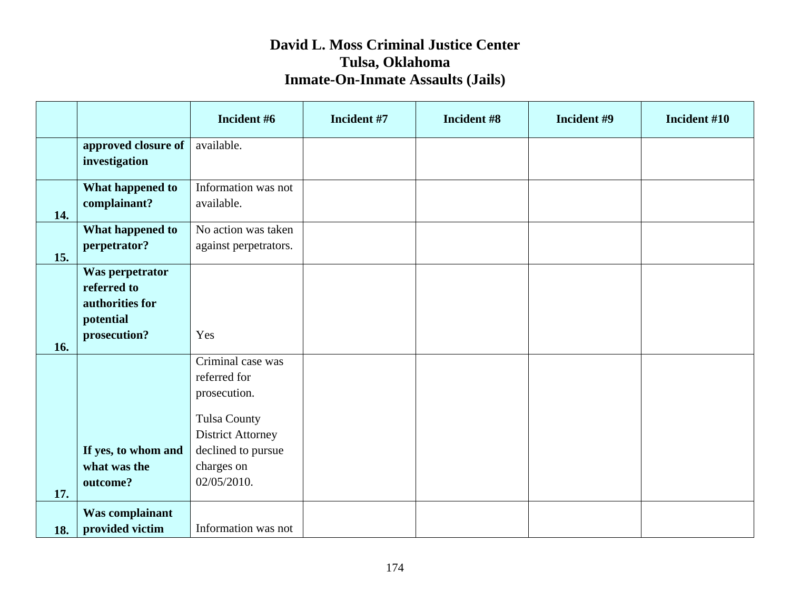|            |                                                                                | Incident #6                                                                                                                                             | Incident #7 | Incident #8 | Incident #9 | Incident #10 |
|------------|--------------------------------------------------------------------------------|---------------------------------------------------------------------------------------------------------------------------------------------------------|-------------|-------------|-------------|--------------|
|            | approved closure of<br>investigation                                           | available.                                                                                                                                              |             |             |             |              |
| 14.        | What happened to<br>complainant?                                               | Information was not<br>available.                                                                                                                       |             |             |             |              |
| 15.        | What happened to<br>perpetrator?                                               | No action was taken<br>against perpetrators.                                                                                                            |             |             |             |              |
| 16.        | Was perpetrator<br>referred to<br>authorities for<br>potential<br>prosecution? | Yes                                                                                                                                                     |             |             |             |              |
|            | If yes, to whom and<br>what was the<br>outcome?                                | Criminal case was<br>referred for<br>prosecution.<br><b>Tulsa County</b><br><b>District Attorney</b><br>declined to pursue<br>charges on<br>02/05/2010. |             |             |             |              |
| 17.<br>18. | <b>Was complainant</b><br>provided victim                                      | Information was not                                                                                                                                     |             |             |             |              |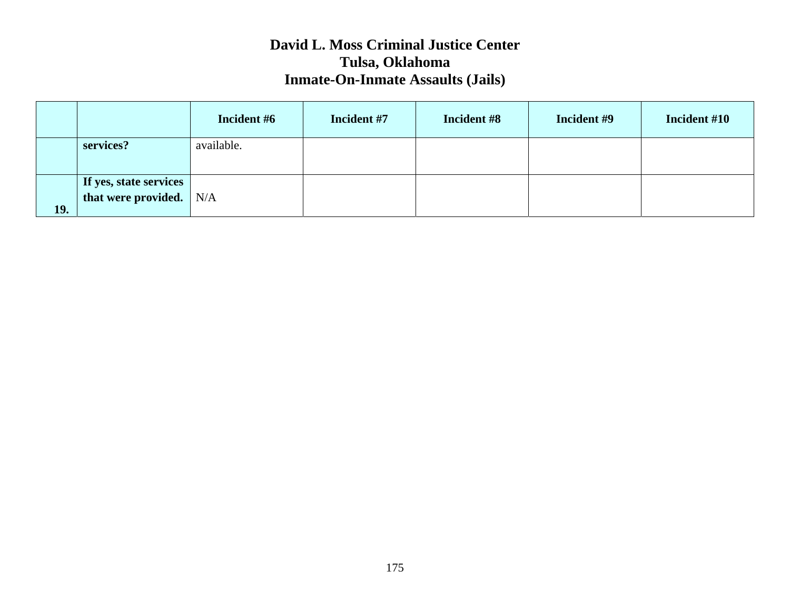|            |                                                     | Incident #6 | Incident #7 | Incident #8 | Incident #9 | Incident #10 |
|------------|-----------------------------------------------------|-------------|-------------|-------------|-------------|--------------|
|            | services?                                           | available.  |             |             |             |              |
| <b>19.</b> | If yes, state services<br>that were provided. $N/A$ |             |             |             |             |              |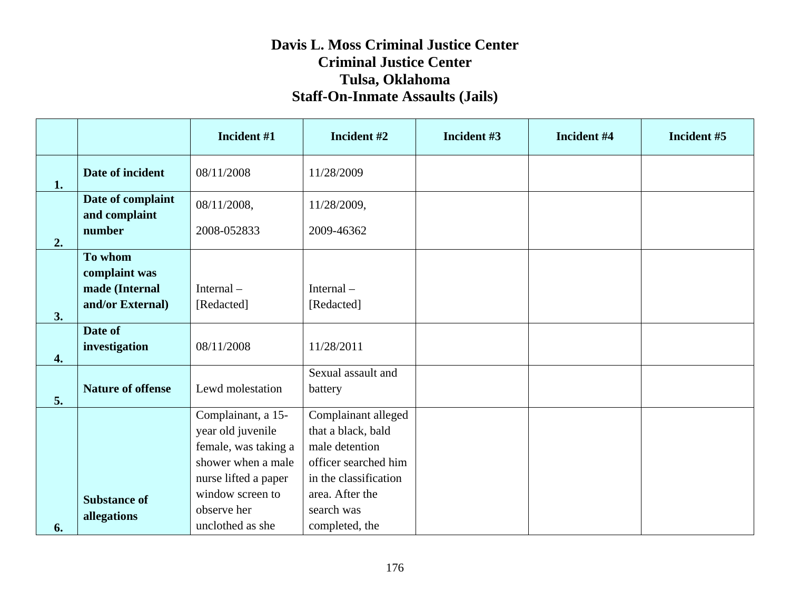#### **Davis L. Moss Criminal Justice Center Criminal Justice Center Tulsa, Oklahoma Staff-On-Inmate Assaults (Jails)**

|                  |                                    | Incident #1                                | Incident #2                            | Incident #3 | Incident #4 | Incident #5 |
|------------------|------------------------------------|--------------------------------------------|----------------------------------------|-------------|-------------|-------------|
| 1.               | Date of incident                   | 08/11/2008                                 | 11/28/2009                             |             |             |             |
|                  | Date of complaint<br>and complaint | 08/11/2008,                                | 11/28/2009,                            |             |             |             |
| 2.               | number                             | 2008-052833                                | 2009-46362                             |             |             |             |
|                  | To whom<br>complaint was           |                                            |                                        |             |             |             |
|                  | made (Internal                     | Internal-                                  | Internal-                              |             |             |             |
| 3.               | and/or External)                   | [Redacted]                                 | [Redacted]                             |             |             |             |
| $\overline{4}$ . | Date of<br>investigation           | 08/11/2008                                 | 11/28/2011                             |             |             |             |
| 5.               | <b>Nature of offense</b>           | Lewd molestation                           | Sexual assault and<br>battery          |             |             |             |
|                  |                                    | Complainant, a 15-                         | Complainant alleged                    |             |             |             |
|                  |                                    | year old juvenile                          | that a black, bald                     |             |             |             |
|                  |                                    | female, was taking a<br>shower when a male | male detention<br>officer searched him |             |             |             |
|                  |                                    | nurse lifted a paper                       | in the classification                  |             |             |             |
|                  |                                    | window screen to                           | area. After the                        |             |             |             |
|                  | <b>Substance of</b><br>allegations | observe her                                | search was                             |             |             |             |
| 6.               |                                    | unclothed as she                           | completed, the                         |             |             |             |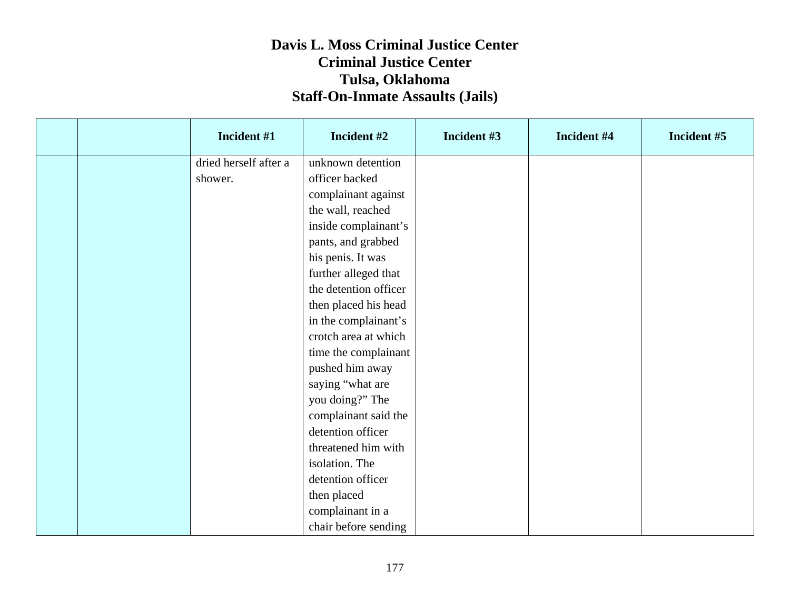#### **Davis L. Moss Criminal Justice Center Criminal Justice Center Tulsa, Oklahoma Staff-On-Inmate Assaults (Jails)**

|  | Incident #1           | Incident #2           | Incident #3 | Incident #4 | Incident #5 |
|--|-----------------------|-----------------------|-------------|-------------|-------------|
|  | dried herself after a | unknown detention     |             |             |             |
|  | shower.               | officer backed        |             |             |             |
|  |                       | complainant against   |             |             |             |
|  |                       | the wall, reached     |             |             |             |
|  |                       | inside complainant's  |             |             |             |
|  |                       | pants, and grabbed    |             |             |             |
|  |                       | his penis. It was     |             |             |             |
|  |                       | further alleged that  |             |             |             |
|  |                       | the detention officer |             |             |             |
|  |                       | then placed his head  |             |             |             |
|  |                       | in the complainant's  |             |             |             |
|  |                       | crotch area at which  |             |             |             |
|  |                       | time the complainant  |             |             |             |
|  |                       | pushed him away       |             |             |             |
|  |                       | saying "what are      |             |             |             |
|  |                       | you doing?" The       |             |             |             |
|  |                       | complainant said the  |             |             |             |
|  |                       | detention officer     |             |             |             |
|  |                       | threatened him with   |             |             |             |
|  |                       | isolation. The        |             |             |             |
|  |                       | detention officer     |             |             |             |
|  |                       | then placed           |             |             |             |
|  |                       | complainant in a      |             |             |             |
|  |                       | chair before sending  |             |             |             |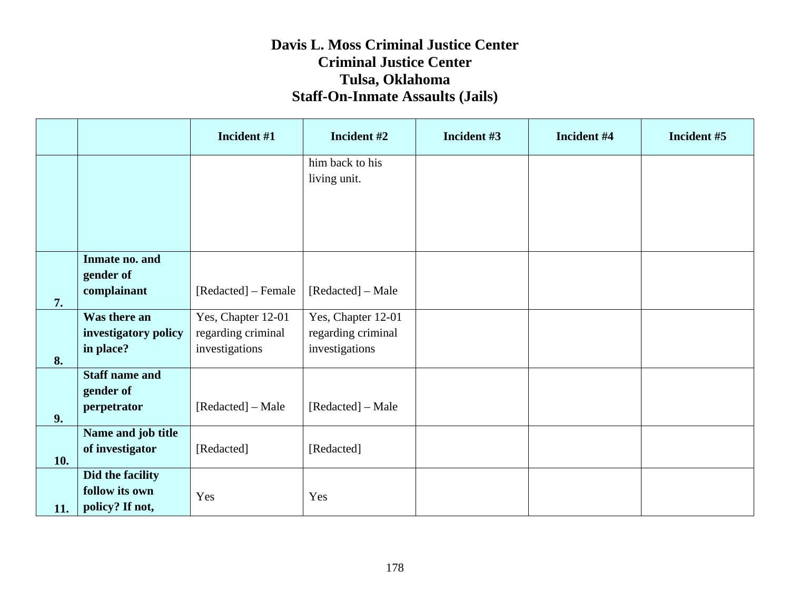#### **Davis L. Moss Criminal Justice Center Criminal Justice Center Tulsa, Oklahoma Staff-On-Inmate Assaults (Jails)**

|     |                                                       | Incident #1                                                | Incident #2                                                | Incident #3 | Incident #4 | Incident #5 |
|-----|-------------------------------------------------------|------------------------------------------------------------|------------------------------------------------------------|-------------|-------------|-------------|
|     |                                                       |                                                            | him back to his<br>living unit.                            |             |             |             |
| 7.  | Inmate no. and<br>gender of<br>complainant            | [Redacted] – Female                                        | [Redacted] – Male                                          |             |             |             |
| 8.  | Was there an<br>investigatory policy<br>in place?     | Yes, Chapter 12-01<br>regarding criminal<br>investigations | Yes, Chapter 12-01<br>regarding criminal<br>investigations |             |             |             |
| 9.  | <b>Staff name and</b><br>gender of<br>perpetrator     | [Redacted] – Male                                          | [Redacted] – Male                                          |             |             |             |
| 10. | Name and job title<br>of investigator                 | [Redacted]                                                 | [Redacted]                                                 |             |             |             |
| 11. | Did the facility<br>follow its own<br>policy? If not, | Yes                                                        | Yes                                                        |             |             |             |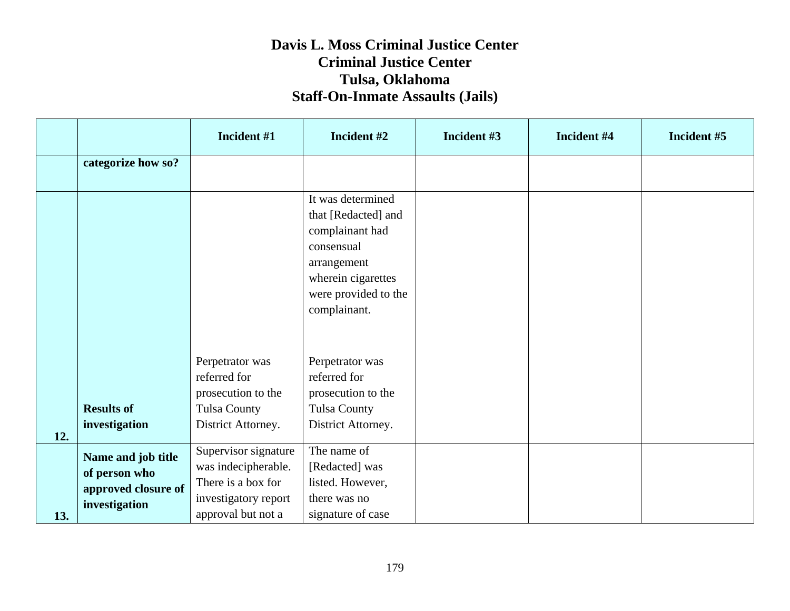|     |                                                            | Incident #1                                                       | Incident #2                                                                                                                                            | Incident #3 | Incident #4 | Incident #5 |
|-----|------------------------------------------------------------|-------------------------------------------------------------------|--------------------------------------------------------------------------------------------------------------------------------------------------------|-------------|-------------|-------------|
|     | categorize how so?                                         |                                                                   |                                                                                                                                                        |             |             |             |
|     |                                                            |                                                                   | It was determined<br>that [Redacted] and<br>complainant had<br>consensual<br>arrangement<br>wherein cigarettes<br>were provided to the<br>complainant. |             |             |             |
|     | <b>Results of</b>                                          | Perpetrator was<br>referred for<br>prosecution to the             | Perpetrator was<br>referred for<br>prosecution to the                                                                                                  |             |             |             |
|     | investigation                                              | <b>Tulsa County</b><br>District Attorney.                         | <b>Tulsa County</b><br>District Attorney.                                                                                                              |             |             |             |
| 12. |                                                            |                                                                   |                                                                                                                                                        |             |             |             |
|     | Name and job title<br>of person who<br>approved closure of | Supervisor signature<br>was indecipherable.<br>There is a box for | The name of<br>[Redacted] was<br>listed. However,                                                                                                      |             |             |             |
| 13. | investigation                                              | investigatory report<br>approval but not a                        | there was no<br>signature of case                                                                                                                      |             |             |             |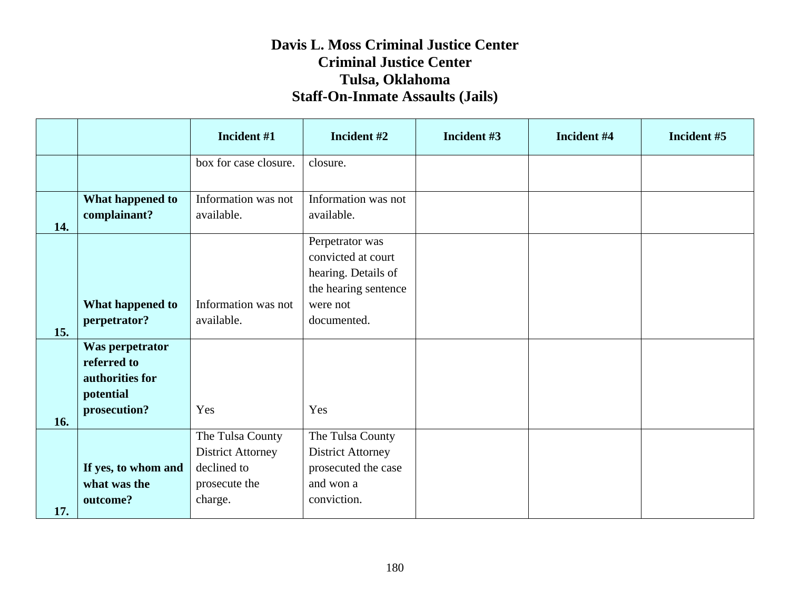|     |                     | Incident #1              | Incident #2              | Incident #3 | Incident #4 | Incident #5 |
|-----|---------------------|--------------------------|--------------------------|-------------|-------------|-------------|
|     |                     | box for case closure.    | closure.                 |             |             |             |
|     |                     |                          |                          |             |             |             |
|     | What happened to    | Information was not      | Information was not      |             |             |             |
|     | complainant?        | available.               | available.               |             |             |             |
| 14. |                     |                          | Perpetrator was          |             |             |             |
|     |                     |                          | convicted at court       |             |             |             |
|     |                     |                          | hearing. Details of      |             |             |             |
|     |                     |                          | the hearing sentence     |             |             |             |
|     | What happened to    | Information was not      | were not                 |             |             |             |
|     | perpetrator?        | available.               | documented.              |             |             |             |
| 15. |                     |                          |                          |             |             |             |
|     | Was perpetrator     |                          |                          |             |             |             |
|     | referred to         |                          |                          |             |             |             |
|     | authorities for     |                          |                          |             |             |             |
|     | potential           |                          |                          |             |             |             |
| 16. | prosecution?        | Yes                      | Yes                      |             |             |             |
|     |                     | The Tulsa County         | The Tulsa County         |             |             |             |
|     |                     | <b>District Attorney</b> | <b>District Attorney</b> |             |             |             |
|     | If yes, to whom and | declined to              | prosecuted the case      |             |             |             |
|     | what was the        | prosecute the            | and won a                |             |             |             |
|     | outcome?            | charge.                  | conviction.              |             |             |             |
| 17. |                     |                          |                          |             |             |             |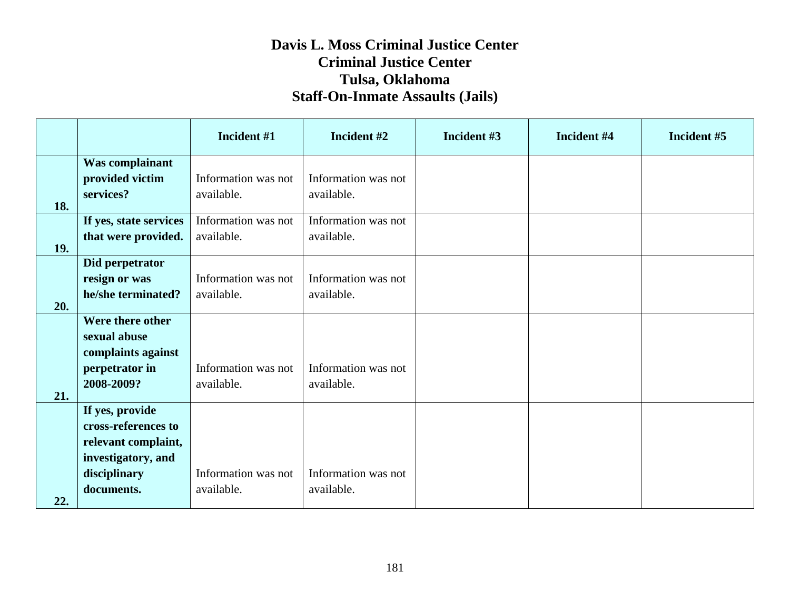|     |                                                                                                                   | Incident #1                       | Incident #2                       | Incident #3 | Incident #4 | Incident #5 |
|-----|-------------------------------------------------------------------------------------------------------------------|-----------------------------------|-----------------------------------|-------------|-------------|-------------|
| 18. | Was complainant<br>provided victim<br>services?                                                                   | Information was not<br>available. | Information was not<br>available. |             |             |             |
| 19. | If yes, state services<br>that were provided.                                                                     | Information was not<br>available. | Information was not<br>available. |             |             |             |
| 20. | Did perpetrator<br>resign or was<br>he/she terminated?                                                            | Information was not<br>available. | Information was not<br>available. |             |             |             |
| 21. | Were there other<br>sexual abuse<br>complaints against<br>perpetrator in<br>2008-2009?                            | Information was not<br>available. | Information was not<br>available. |             |             |             |
| 22. | If yes, provide<br>cross-references to<br>relevant complaint,<br>investigatory, and<br>disciplinary<br>documents. | Information was not<br>available. | Information was not<br>available. |             |             |             |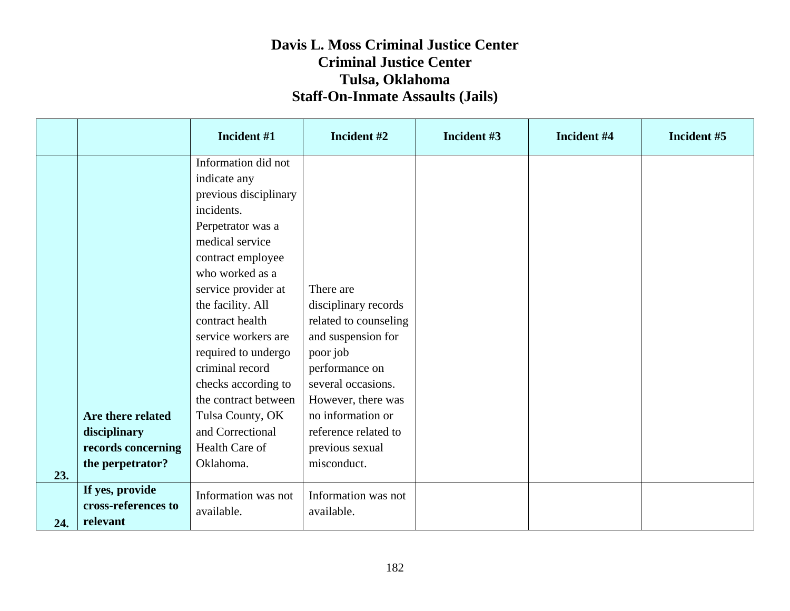|     |                     | Incident #1           | Incident #2           | Incident #3 | Incident #4 | Incident #5 |
|-----|---------------------|-----------------------|-----------------------|-------------|-------------|-------------|
|     |                     | Information did not   |                       |             |             |             |
|     |                     | indicate any          |                       |             |             |             |
|     |                     | previous disciplinary |                       |             |             |             |
|     |                     | incidents.            |                       |             |             |             |
|     |                     | Perpetrator was a     |                       |             |             |             |
|     |                     | medical service       |                       |             |             |             |
|     |                     | contract employee     |                       |             |             |             |
|     |                     | who worked as a       |                       |             |             |             |
|     |                     | service provider at   | There are             |             |             |             |
|     |                     | the facility. All     | disciplinary records  |             |             |             |
|     |                     | contract health       | related to counseling |             |             |             |
|     |                     | service workers are   | and suspension for    |             |             |             |
|     |                     | required to undergo   | poor job              |             |             |             |
|     |                     | criminal record       | performance on        |             |             |             |
|     |                     | checks according to   | several occasions.    |             |             |             |
|     |                     | the contract between  | However, there was    |             |             |             |
|     | Are there related   | Tulsa County, OK      | no information or     |             |             |             |
|     | disciplinary        | and Correctional      | reference related to  |             |             |             |
|     | records concerning  | Health Care of        | previous sexual       |             |             |             |
|     | the perpetrator?    | Oklahoma.             | misconduct.           |             |             |             |
| 23. |                     |                       |                       |             |             |             |
|     | If yes, provide     | Information was not   | Information was not   |             |             |             |
|     | cross-references to | available.            | available.            |             |             |             |
| 24. | relevant            |                       |                       |             |             |             |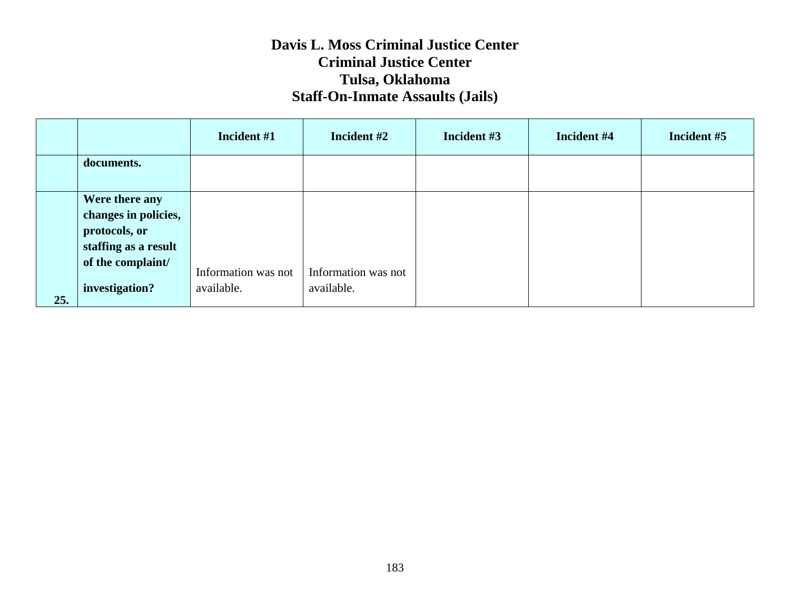|     |                                                                                                                        | Incident #1                       | Incident #2                       | Incident #3 | Incident #4 | Incident #5 |
|-----|------------------------------------------------------------------------------------------------------------------------|-----------------------------------|-----------------------------------|-------------|-------------|-------------|
|     | documents.                                                                                                             |                                   |                                   |             |             |             |
| 25. | Were there any<br>changes in policies,<br>protocols, or<br>staffing as a result<br>of the complaint/<br>investigation? | Information was not<br>available. | Information was not<br>available. |             |             |             |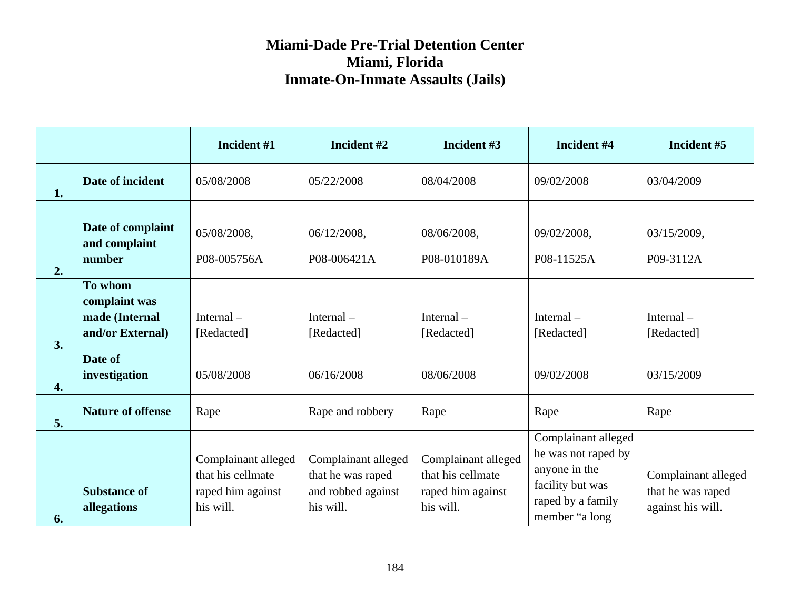|    |                                                                | Incident #1                                                                | Incident #2                                                                 | Incident #3                                                                | Incident #4                                                                                                            | Incident #5                                                   |
|----|----------------------------------------------------------------|----------------------------------------------------------------------------|-----------------------------------------------------------------------------|----------------------------------------------------------------------------|------------------------------------------------------------------------------------------------------------------------|---------------------------------------------------------------|
| 1. | Date of incident                                               | 05/08/2008                                                                 | 05/22/2008                                                                  | 08/04/2008                                                                 | 09/02/2008                                                                                                             | 03/04/2009                                                    |
| 2. | Date of complaint<br>and complaint<br>number                   | 05/08/2008,<br>P08-005756A                                                 | 06/12/2008,<br>P08-006421A                                                  | 08/06/2008,<br>P08-010189A                                                 | 09/02/2008,<br>P08-11525A                                                                                              | 03/15/2009,<br>P09-3112A                                      |
| 3. | To whom<br>complaint was<br>made (Internal<br>and/or External) | Internal $-$<br>[Redacted]                                                 | Internal $-$<br>[Redacted]                                                  | Internal $-$<br>[Redacted]                                                 | Internal $-$<br>[Redacted]                                                                                             | Internal $-$<br>[Redacted]                                    |
| 4. | Date of<br>investigation                                       | 05/08/2008                                                                 | 06/16/2008                                                                  | 08/06/2008                                                                 | 09/02/2008                                                                                                             | 03/15/2009                                                    |
| 5. | <b>Nature of offense</b>                                       | Rape                                                                       | Rape and robbery                                                            | Rape                                                                       | Rape                                                                                                                   | Rape                                                          |
| 6. | <b>Substance of</b><br>allegations                             | Complainant alleged<br>that his cellmate<br>raped him against<br>his will. | Complainant alleged<br>that he was raped<br>and robbed against<br>his will. | Complainant alleged<br>that his cellmate<br>raped him against<br>his will. | Complainant alleged<br>he was not raped by<br>anyone in the<br>facility but was<br>raped by a family<br>member "a long | Complainant alleged<br>that he was raped<br>against his will. |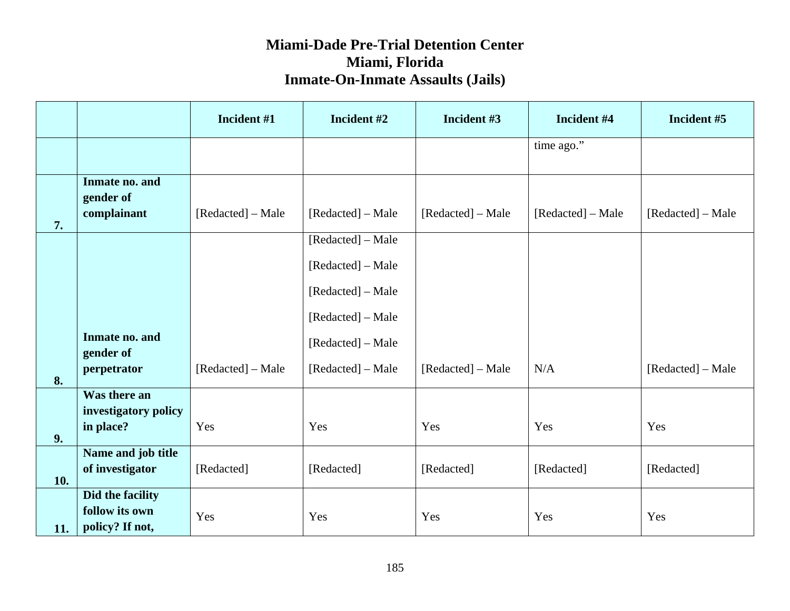|     |                                       | Incident #1       | Incident #2       | Incident #3       | Incident #4       | Incident #5       |
|-----|---------------------------------------|-------------------|-------------------|-------------------|-------------------|-------------------|
|     |                                       |                   |                   |                   | time $ago.$       |                   |
|     | Inmate no. and<br>gender of           |                   |                   |                   |                   |                   |
| 7.  | complainant                           | [Redacted] – Male | [Redacted] – Male | [Redacted] – Male | [Redacted] – Male | [Redacted] – Male |
|     |                                       |                   | [Redacted] - Male |                   |                   |                   |
|     |                                       |                   | [Redacted] – Male |                   |                   |                   |
|     |                                       |                   | [Redacted] – Male |                   |                   |                   |
|     |                                       |                   | [Redacted] – Male |                   |                   |                   |
|     | Inmate no. and<br>gender of           |                   | [Redacted] – Male |                   |                   |                   |
| 8.  | perpetrator                           | [Redacted] – Male | [Redacted] – Male | [Redacted] – Male | N/A               | [Redacted] – Male |
|     | Was there an                          |                   |                   |                   |                   |                   |
| 9.  | investigatory policy<br>in place?     | Yes               | Yes               | Yes               | Yes               | Yes               |
| 10. | Name and job title<br>of investigator | [Redacted]        | [Redacted]        | [Redacted]        | [Redacted]        | [Redacted]        |
|     | Did the facility                      |                   |                   |                   |                   |                   |
| 11. | follow its own<br>policy? If not,     | Yes               | Yes               | Yes               | Yes               | Yes               |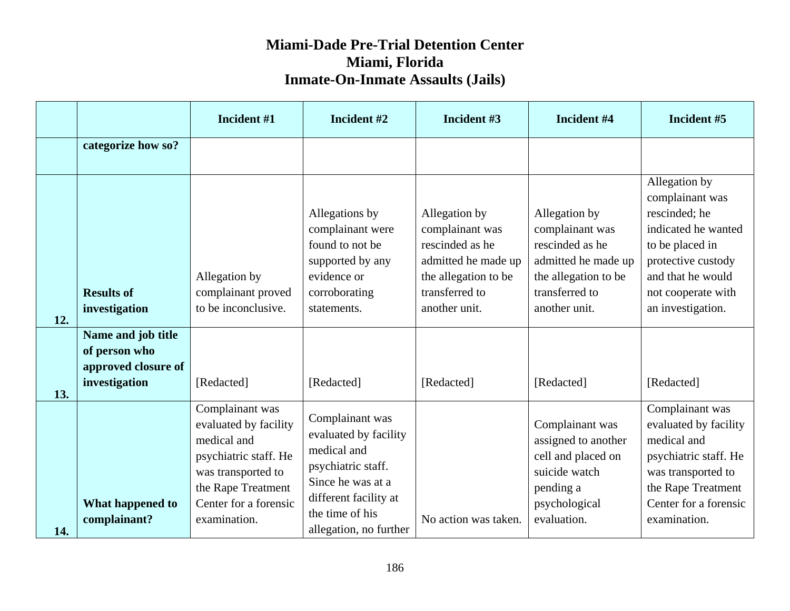|     |                                                                             | Incident #1                                                                                                                                                           | Incident #2                                                                                                                                                              | Incident #3                                                                                                                           | Incident #4                                                                                                                           | Incident #5                                                                                                                                                                       |
|-----|-----------------------------------------------------------------------------|-----------------------------------------------------------------------------------------------------------------------------------------------------------------------|--------------------------------------------------------------------------------------------------------------------------------------------------------------------------|---------------------------------------------------------------------------------------------------------------------------------------|---------------------------------------------------------------------------------------------------------------------------------------|-----------------------------------------------------------------------------------------------------------------------------------------------------------------------------------|
|     | categorize how so?                                                          |                                                                                                                                                                       |                                                                                                                                                                          |                                                                                                                                       |                                                                                                                                       |                                                                                                                                                                                   |
| 12. | <b>Results of</b><br>investigation                                          | Allegation by<br>complainant proved<br>to be inconclusive.                                                                                                            | Allegations by<br>complainant were<br>found to not be<br>supported by any<br>evidence or<br>corroborating<br>statements.                                                 | Allegation by<br>complainant was<br>rescinded as he<br>admitted he made up<br>the allegation to be<br>transferred to<br>another unit. | Allegation by<br>complainant was<br>rescinded as he<br>admitted he made up<br>the allegation to be<br>transferred to<br>another unit. | Allegation by<br>complainant was<br>rescinded; he<br>indicated he wanted<br>to be placed in<br>protective custody<br>and that he would<br>not cooperate with<br>an investigation. |
| 13. | Name and job title<br>of person who<br>approved closure of<br>investigation | [Redacted]                                                                                                                                                            | [Redacted]                                                                                                                                                               | [Redacted]                                                                                                                            | [Redacted]                                                                                                                            | [Redacted]                                                                                                                                                                        |
| 14. | What happened to<br>complainant?                                            | Complainant was<br>evaluated by facility<br>medical and<br>psychiatric staff. He<br>was transported to<br>the Rape Treatment<br>Center for a forensic<br>examination. | Complainant was<br>evaluated by facility<br>medical and<br>psychiatric staff.<br>Since he was at a<br>different facility at<br>the time of his<br>allegation, no further | No action was taken.                                                                                                                  | Complainant was<br>assigned to another<br>cell and placed on<br>suicide watch<br>pending a<br>psychological<br>evaluation.            | Complainant was<br>evaluated by facility<br>medical and<br>psychiatric staff. He<br>was transported to<br>the Rape Treatment<br>Center for a forensic<br>examination.             |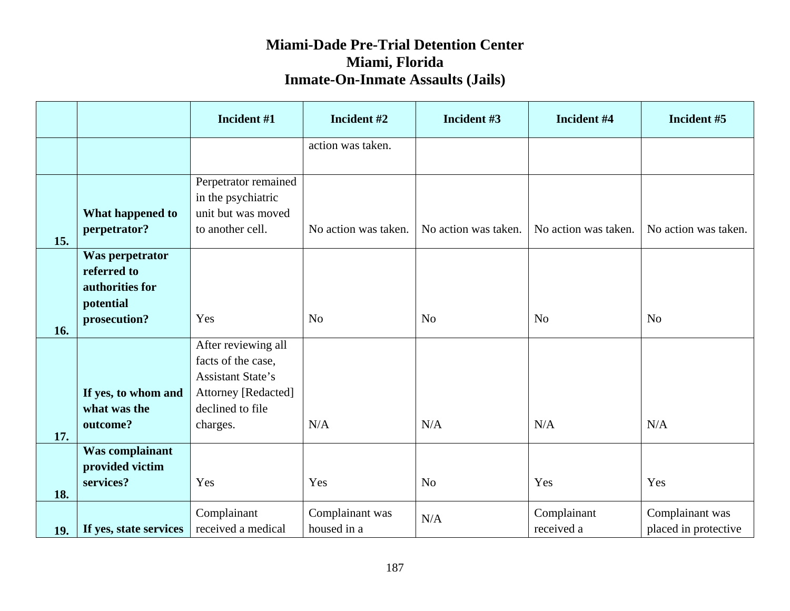|     |                                                                                | Incident #1                                                                                                                         | Incident #2                    | Incident #3          | Incident #4               | Incident #5                             |
|-----|--------------------------------------------------------------------------------|-------------------------------------------------------------------------------------------------------------------------------------|--------------------------------|----------------------|---------------------------|-----------------------------------------|
|     |                                                                                |                                                                                                                                     | action was taken.              |                      |                           |                                         |
| 15. | What happened to<br>perpetrator?                                               | Perpetrator remained<br>in the psychiatric<br>unit but was moved<br>to another cell.                                                | No action was taken.           | No action was taken. | No action was taken.      | No action was taken.                    |
| 16. | Was perpetrator<br>referred to<br>authorities for<br>potential<br>prosecution? | Yes                                                                                                                                 | N <sub>o</sub>                 | N <sub>o</sub>       | N <sub>o</sub>            | N <sub>o</sub>                          |
| 17. | If yes, to whom and<br>what was the<br>outcome?                                | After reviewing all<br>facts of the case,<br><b>Assistant State's</b><br><b>Attorney [Redacted]</b><br>declined to file<br>charges. | N/A                            | N/A                  | N/A                       | N/A                                     |
| 18. | <b>Was complainant</b><br>provided victim<br>services?                         | Yes                                                                                                                                 | Yes                            | N <sub>o</sub>       | Yes                       | Yes                                     |
| 19. | If yes, state services                                                         | Complainant<br>received a medical                                                                                                   | Complainant was<br>housed in a | N/A                  | Complainant<br>received a | Complainant was<br>placed in protective |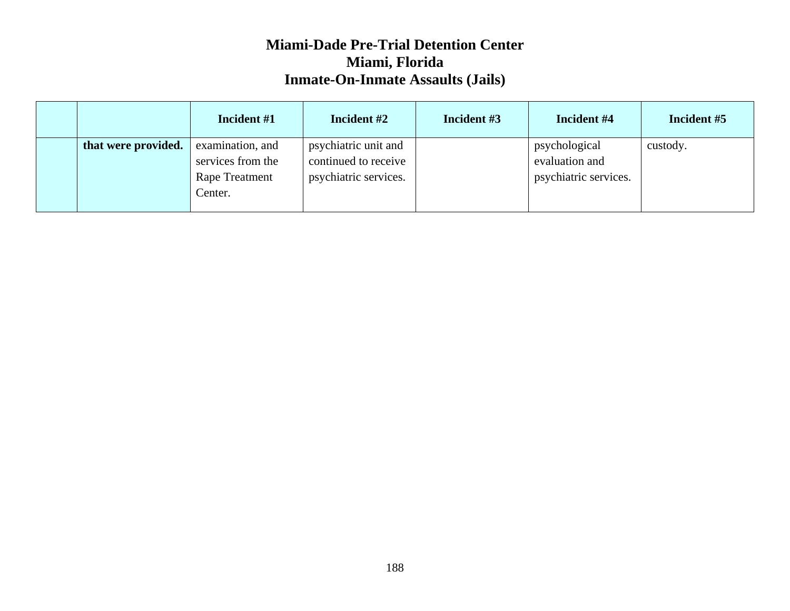|                     | Incident #1                                                        | Incident #2                                                           | Incident #3 | Incident #4                                              | Incident #5 |
|---------------------|--------------------------------------------------------------------|-----------------------------------------------------------------------|-------------|----------------------------------------------------------|-------------|
| that were provided. | examination, and<br>services from the<br>Rape Treatment<br>Center. | psychiatric unit and<br>continued to receive<br>psychiatric services. |             | psychological<br>evaluation and<br>psychiatric services. | custody.    |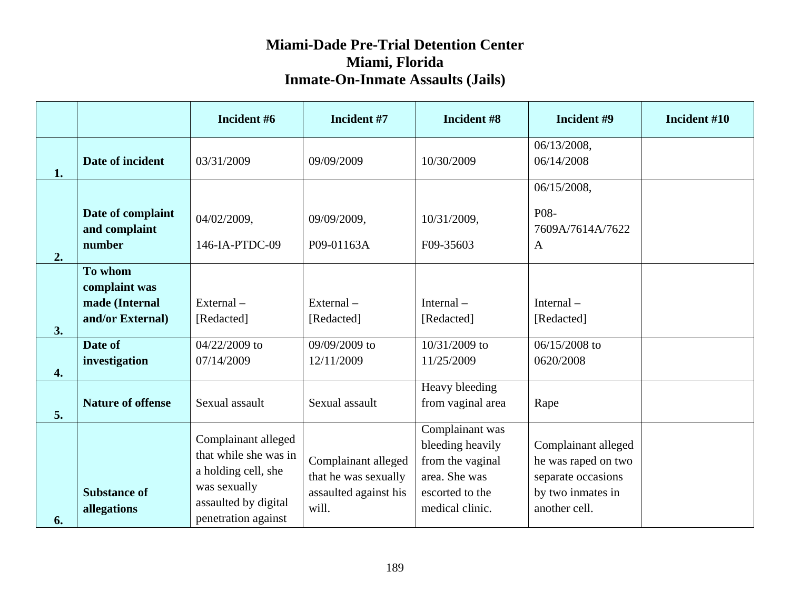|    |                                                                           | Incident #6                                                                                                                        | Incident #7                                                                   | Incident #8                                                                                                    | Incident #9                                                                                            | Incident #10 |
|----|---------------------------------------------------------------------------|------------------------------------------------------------------------------------------------------------------------------------|-------------------------------------------------------------------------------|----------------------------------------------------------------------------------------------------------------|--------------------------------------------------------------------------------------------------------|--------------|
| 1. | Date of incident                                                          | 03/31/2009                                                                                                                         | 09/09/2009                                                                    | 10/30/2009                                                                                                     | 06/13/2008,<br>06/14/2008                                                                              |              |
| 2. | Date of complaint<br>and complaint<br>number                              | 04/02/2009,<br>146-IA-PTDC-09                                                                                                      | 09/09/2009,<br>P09-01163A                                                     | 10/31/2009,<br>F09-35603                                                                                       | 06/15/2008,<br>P08-<br>7609A/7614A/7622<br>$\mathbf{A}$                                                |              |
| 3. | To whom<br>complaint was<br>made (Internal<br>and/or External)<br>Date of | $External -$<br>[Redacted]<br>04/22/2009 to                                                                                        | $External -$<br>[Redacted]<br>09/09/2009 to                                   | Internal $-$<br>[Redacted]<br>10/31/2009 to                                                                    | Internal $-$<br>[Redacted]<br>06/15/2008 to                                                            |              |
| 4. | investigation                                                             | 07/14/2009                                                                                                                         | 12/11/2009                                                                    | 11/25/2009                                                                                                     | 0620/2008                                                                                              |              |
| 5. | <b>Nature of offense</b>                                                  | Sexual assault                                                                                                                     | Sexual assault                                                                | Heavy bleeding<br>from vaginal area                                                                            | Rape                                                                                                   |              |
| 6. | <b>Substance of</b><br>allegations                                        | Complainant alleged<br>that while she was in<br>a holding cell, she<br>was sexually<br>assaulted by digital<br>penetration against | Complainant alleged<br>that he was sexually<br>assaulted against his<br>will. | Complainant was<br>bleeding heavily<br>from the vaginal<br>area. She was<br>escorted to the<br>medical clinic. | Complainant alleged<br>he was raped on two<br>separate occasions<br>by two inmates in<br>another cell. |              |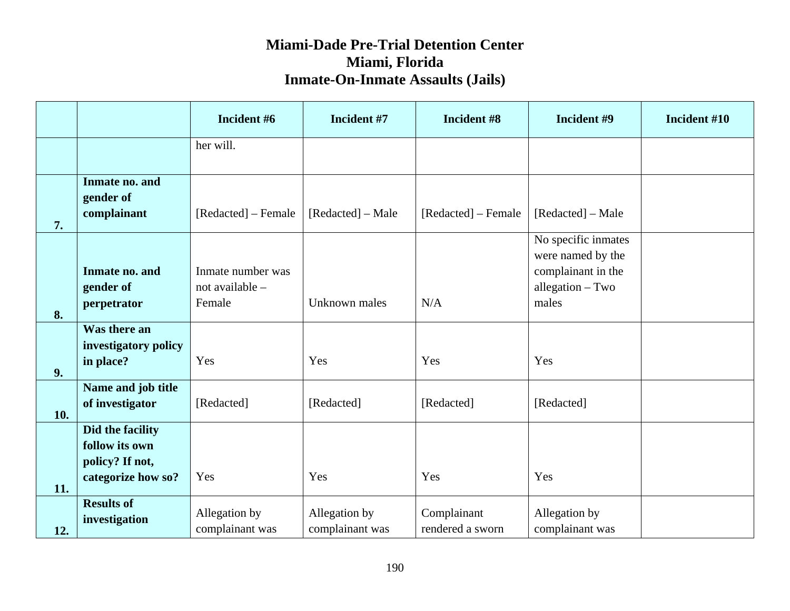|     |                                                       | Incident #6                                    | Incident #7                      | Incident #8                     | Incident #9                                                                                 | Incident #10 |
|-----|-------------------------------------------------------|------------------------------------------------|----------------------------------|---------------------------------|---------------------------------------------------------------------------------------------|--------------|
|     |                                                       | her will.                                      |                                  |                                 |                                                                                             |              |
|     | Inmate no. and<br>gender of                           |                                                |                                  |                                 |                                                                                             |              |
| 7.  | complainant                                           | [Redacted] – Female                            | [Redacted] – Male                | [Redacted] – Female             | [Redacted] – Male                                                                           |              |
|     | Inmate no. and<br>gender of<br>perpetrator            | Inmate number was<br>not available -<br>Female | Unknown males                    | N/A                             | No specific inmates<br>were named by the<br>complainant in the<br>allegation - Two<br>males |              |
| 8.  | Was there an<br>investigatory policy                  |                                                |                                  |                                 |                                                                                             |              |
| 9.  | in place?                                             | Yes                                            | Yes                              | Yes                             | Yes                                                                                         |              |
| 10. | Name and job title<br>of investigator                 | [Redacted]                                     | [Redacted]                       | [Redacted]                      | [Redacted]                                                                                  |              |
|     | Did the facility<br>follow its own<br>policy? If not, |                                                |                                  |                                 |                                                                                             |              |
| 11. | categorize how so?                                    | Yes                                            | Yes                              | Yes                             | Yes                                                                                         |              |
| 12. | <b>Results of</b><br>investigation                    | Allegation by<br>complainant was               | Allegation by<br>complainant was | Complainant<br>rendered a sworn | Allegation by<br>complainant was                                                            |              |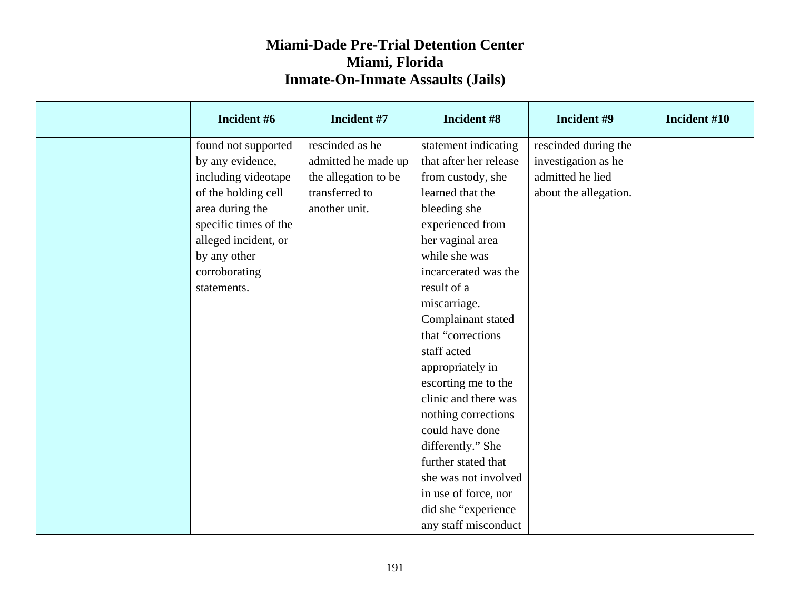|  | Incident #6           | Incident #7          | Incident #8            | Incident #9           | Incident #10 |
|--|-----------------------|----------------------|------------------------|-----------------------|--------------|
|  | found not supported   | rescinded as he      | statement indicating   | rescinded during the  |              |
|  | by any evidence,      | admitted he made up  | that after her release | investigation as he   |              |
|  | including videotape   | the allegation to be | from custody, she      | admitted he lied      |              |
|  | of the holding cell   | transferred to       | learned that the       | about the allegation. |              |
|  | area during the       | another unit.        | bleeding she           |                       |              |
|  | specific times of the |                      | experienced from       |                       |              |
|  | alleged incident, or  |                      | her vaginal area       |                       |              |
|  | by any other          |                      | while she was          |                       |              |
|  | corroborating         |                      | incarcerated was the   |                       |              |
|  | statements.           |                      | result of a            |                       |              |
|  |                       |                      | miscarriage.           |                       |              |
|  |                       |                      | Complainant stated     |                       |              |
|  |                       |                      | that "corrections      |                       |              |
|  |                       |                      | staff acted            |                       |              |
|  |                       |                      | appropriately in       |                       |              |
|  |                       |                      | escorting me to the    |                       |              |
|  |                       |                      | clinic and there was   |                       |              |
|  |                       |                      | nothing corrections    |                       |              |
|  |                       |                      | could have done        |                       |              |
|  |                       |                      | differently." She      |                       |              |
|  |                       |                      | further stated that    |                       |              |
|  |                       |                      | she was not involved   |                       |              |
|  |                       |                      | in use of force, nor   |                       |              |
|  |                       |                      | did she "experience    |                       |              |
|  |                       |                      | any staff misconduct   |                       |              |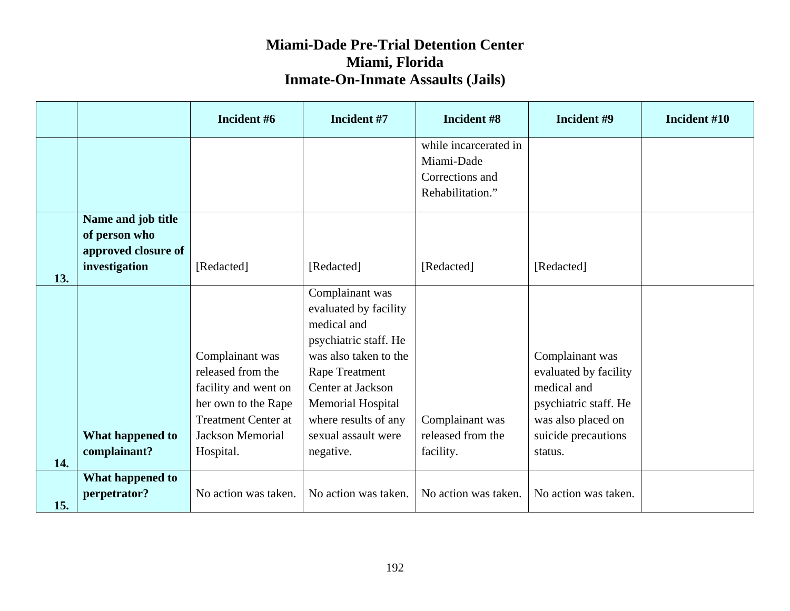|     |                                                            | Incident #6                                                                                                                                               | Incident #7                                                                                                                                                                                                                              | Incident #8                                                                | Incident #9                                                                                                                              | Incident #10 |
|-----|------------------------------------------------------------|-----------------------------------------------------------------------------------------------------------------------------------------------------------|------------------------------------------------------------------------------------------------------------------------------------------------------------------------------------------------------------------------------------------|----------------------------------------------------------------------------|------------------------------------------------------------------------------------------------------------------------------------------|--------------|
|     |                                                            |                                                                                                                                                           |                                                                                                                                                                                                                                          | while incarcerated in<br>Miami-Dade<br>Corrections and<br>Rehabilitation." |                                                                                                                                          |              |
|     | Name and job title<br>of person who<br>approved closure of |                                                                                                                                                           |                                                                                                                                                                                                                                          |                                                                            |                                                                                                                                          |              |
| 13. | investigation                                              | [Redacted]                                                                                                                                                | [Redacted]                                                                                                                                                                                                                               | [Redacted]                                                                 | [Redacted]                                                                                                                               |              |
| 14. | What happened to<br>complainant?                           | Complainant was<br>released from the<br>facility and went on<br>her own to the Rape<br><b>Treatment Center at</b><br><b>Jackson Memorial</b><br>Hospital. | Complainant was<br>evaluated by facility<br>medical and<br>psychiatric staff. He<br>was also taken to the<br>Rape Treatment<br>Center at Jackson<br><b>Memorial Hospital</b><br>where results of any<br>sexual assault were<br>negative. | Complainant was<br>released from the<br>facility.                          | Complainant was<br>evaluated by facility<br>medical and<br>psychiatric staff. He<br>was also placed on<br>suicide precautions<br>status. |              |
| 15. | What happened to<br>perpetrator?                           | No action was taken.                                                                                                                                      | No action was taken.                                                                                                                                                                                                                     | No action was taken.                                                       | No action was taken.                                                                                                                     |              |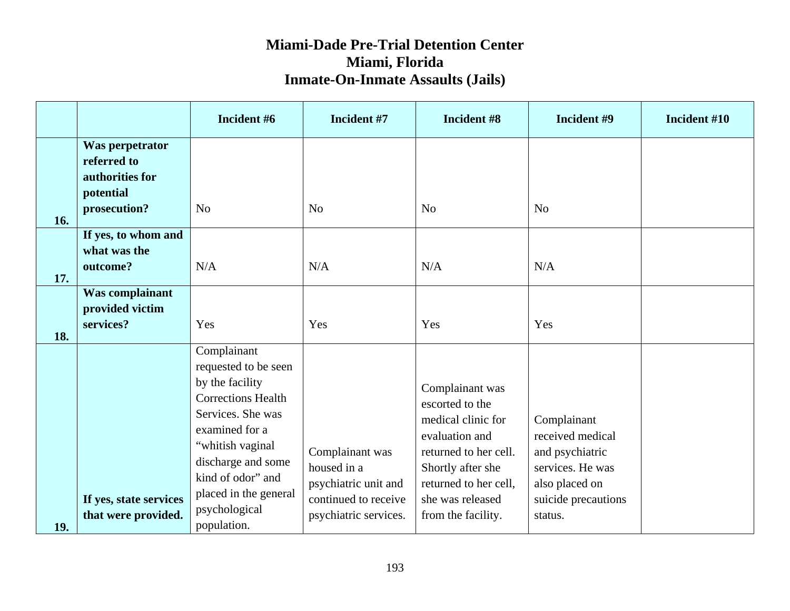|     |                                                                                | Incident #6                                                                                                                                                                                                                                        | Incident #7                                                                                             | Incident #8                                                                                                                                                                                 | Incident #9                                                                                                                | Incident #10 |
|-----|--------------------------------------------------------------------------------|----------------------------------------------------------------------------------------------------------------------------------------------------------------------------------------------------------------------------------------------------|---------------------------------------------------------------------------------------------------------|---------------------------------------------------------------------------------------------------------------------------------------------------------------------------------------------|----------------------------------------------------------------------------------------------------------------------------|--------------|
| 16. | Was perpetrator<br>referred to<br>authorities for<br>potential<br>prosecution? | N <sub>o</sub>                                                                                                                                                                                                                                     | N <sub>o</sub>                                                                                          | N <sub>o</sub>                                                                                                                                                                              | N <sub>o</sub>                                                                                                             |              |
| 17. | If yes, to whom and<br>what was the<br>outcome?                                | N/A                                                                                                                                                                                                                                                | N/A                                                                                                     | N/A                                                                                                                                                                                         | N/A                                                                                                                        |              |
| 18. | Was complainant<br>provided victim<br>services?                                | Yes                                                                                                                                                                                                                                                | Yes                                                                                                     | Yes                                                                                                                                                                                         | Yes                                                                                                                        |              |
| 19. | If yes, state services<br>that were provided.                                  | Complainant<br>requested to be seen<br>by the facility<br><b>Corrections Health</b><br>Services. She was<br>examined for a<br>"whitish vaginal<br>discharge and some<br>kind of odor" and<br>placed in the general<br>psychological<br>population. | Complainant was<br>housed in a<br>psychiatric unit and<br>continued to receive<br>psychiatric services. | Complainant was<br>escorted to the<br>medical clinic for<br>evaluation and<br>returned to her cell.<br>Shortly after she<br>returned to her cell,<br>she was released<br>from the facility. | Complainant<br>received medical<br>and psychiatric<br>services. He was<br>also placed on<br>suicide precautions<br>status. |              |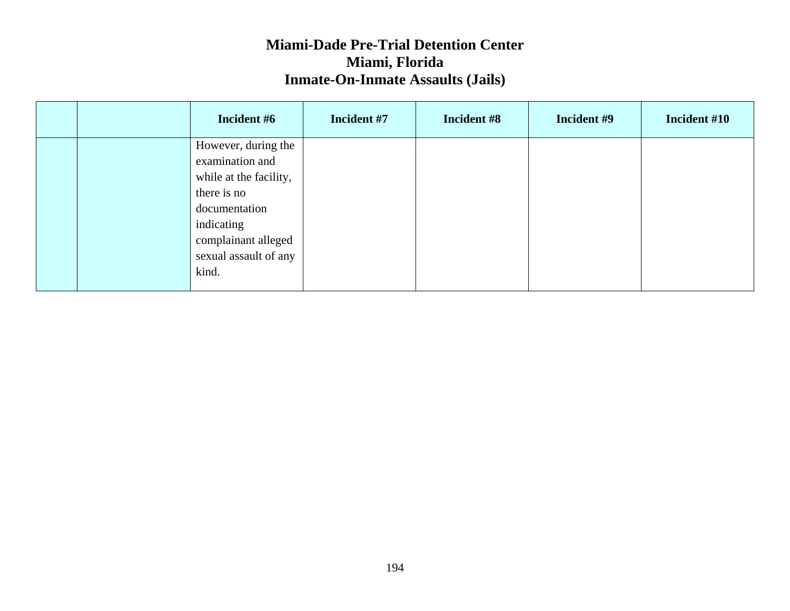|  | Incident #6            | Incident #7 | Incident #8 | Incident #9 | Incident #10 |
|--|------------------------|-------------|-------------|-------------|--------------|
|  | However, during the    |             |             |             |              |
|  | examination and        |             |             |             |              |
|  | while at the facility, |             |             |             |              |
|  | there is no            |             |             |             |              |
|  | documentation          |             |             |             |              |
|  | indicating             |             |             |             |              |
|  | complainant alleged    |             |             |             |              |
|  | sexual assault of any  |             |             |             |              |
|  | kind.                  |             |             |             |              |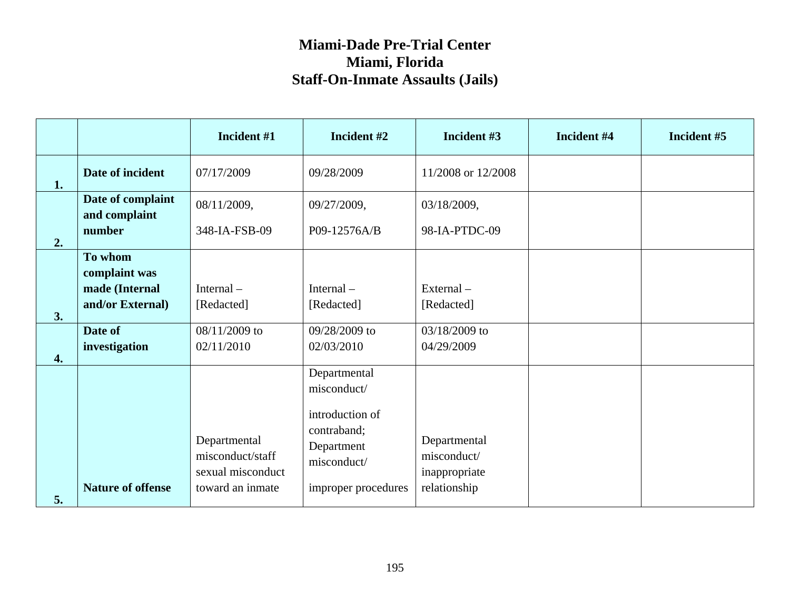|                  |                                    | Incident #1                                           | Incident #2                                    | Incident #3                                  | Incident #4 | Incident #5 |
|------------------|------------------------------------|-------------------------------------------------------|------------------------------------------------|----------------------------------------------|-------------|-------------|
| 1.               | Date of incident                   | 07/17/2009                                            | 09/28/2009                                     | 11/2008 or 12/2008                           |             |             |
|                  | Date of complaint<br>and complaint | 08/11/2009,                                           | 09/27/2009,                                    | 03/18/2009,                                  |             |             |
| 2.               | number                             | 348-IA-FSB-09                                         | P09-12576A/B                                   | 98-IA-PTDC-09                                |             |             |
|                  | To whom<br>complaint was           |                                                       |                                                |                                              |             |             |
|                  | made (Internal                     | Internal-                                             | Internal $-$                                   | External-                                    |             |             |
| 3.               | and/or External)                   | [Redacted]                                            | [Redacted]                                     | [Redacted]                                   |             |             |
|                  | Date of                            | 08/11/2009 to                                         | 09/28/2009 to                                  | 03/18/2009 to                                |             |             |
| $\overline{4}$ . | investigation                      | 02/11/2010                                            | 02/03/2010                                     | 04/29/2009                                   |             |             |
|                  |                                    |                                                       | Departmental<br>misconduct/<br>introduction of |                                              |             |             |
|                  |                                    | Departmental<br>misconduct/staff<br>sexual misconduct | contraband;<br>Department<br>misconduct/       | Departmental<br>misconduct/<br>inappropriate |             |             |
| 5.               | <b>Nature of offense</b>           | toward an inmate                                      | improper procedures                            | relationship                                 |             |             |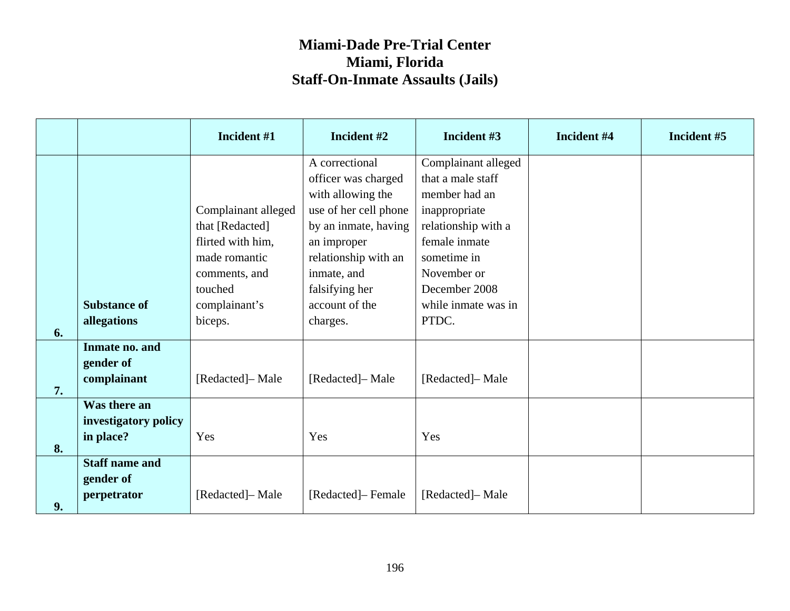|    |                                                   | Incident #1                                                                                                                          | Incident #2                                                                                                                                                                                                       | Incident #3                                                                                                                                                                                       | Incident #4 | Incident #5 |
|----|---------------------------------------------------|--------------------------------------------------------------------------------------------------------------------------------------|-------------------------------------------------------------------------------------------------------------------------------------------------------------------------------------------------------------------|---------------------------------------------------------------------------------------------------------------------------------------------------------------------------------------------------|-------------|-------------|
| 6. | <b>Substance of</b><br>allegations                | Complainant alleged<br>that [Redacted]<br>flirted with him,<br>made romantic<br>comments, and<br>touched<br>complainant's<br>biceps. | A correctional<br>officer was charged<br>with allowing the<br>use of her cell phone<br>by an inmate, having<br>an improper<br>relationship with an<br>inmate, and<br>falsifying her<br>account of the<br>charges. | Complainant alleged<br>that a male staff<br>member had an<br>inappropriate<br>relationship with a<br>female inmate<br>sometime in<br>November or<br>December 2008<br>while inmate was in<br>PTDC. |             |             |
| 7. | Inmate no. and<br>gender of<br>complainant        | [Redacted]-Male                                                                                                                      | [Redacted]- Male                                                                                                                                                                                                  | [Redacted]-Male                                                                                                                                                                                   |             |             |
| 8. | Was there an<br>investigatory policy<br>in place? | Yes                                                                                                                                  | Yes                                                                                                                                                                                                               | Yes                                                                                                                                                                                               |             |             |
| 9. | <b>Staff name and</b><br>gender of<br>perpetrator | [Redacted]- Male                                                                                                                     | [Redacted]– Female                                                                                                                                                                                                | [Redacted]– Male                                                                                                                                                                                  |             |             |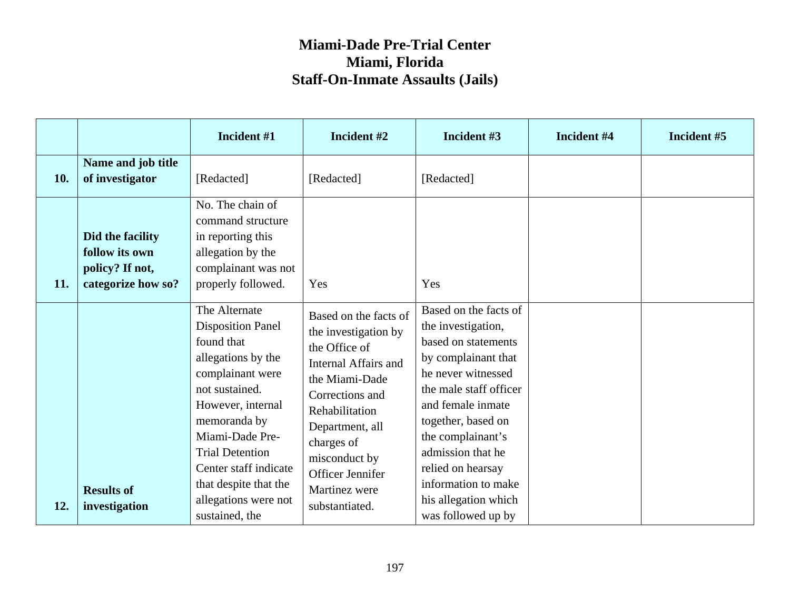|     |                                                                             | Incident #1                                                                                                                                                                                                                                             | Incident #2                                                                                                                                                                                                                          | Incident #3                                                                                                                                                                                                                                                                | Incident #4 | Incident #5 |
|-----|-----------------------------------------------------------------------------|---------------------------------------------------------------------------------------------------------------------------------------------------------------------------------------------------------------------------------------------------------|--------------------------------------------------------------------------------------------------------------------------------------------------------------------------------------------------------------------------------------|----------------------------------------------------------------------------------------------------------------------------------------------------------------------------------------------------------------------------------------------------------------------------|-------------|-------------|
| 10. | Name and job title<br>of investigator                                       | [Redacted]                                                                                                                                                                                                                                              | [Redacted]                                                                                                                                                                                                                           | [Redacted]                                                                                                                                                                                                                                                                 |             |             |
| 11. | Did the facility<br>follow its own<br>policy? If not,<br>categorize how so? | No. The chain of<br>command structure<br>in reporting this<br>allegation by the<br>complainant was not<br>properly followed.                                                                                                                            | Yes                                                                                                                                                                                                                                  | Yes                                                                                                                                                                                                                                                                        |             |             |
|     | <b>Results of</b>                                                           | The Alternate<br><b>Disposition Panel</b><br>found that<br>allegations by the<br>complainant were<br>not sustained.<br>However, internal<br>memoranda by<br>Miami-Dade Pre-<br><b>Trial Detention</b><br>Center staff indicate<br>that despite that the | Based on the facts of<br>the investigation by<br>the Office of<br>Internal Affairs and<br>the Miami-Dade<br>Corrections and<br>Rehabilitation<br>Department, all<br>charges of<br>misconduct by<br>Officer Jennifer<br>Martinez were | Based on the facts of<br>the investigation,<br>based on statements<br>by complainant that<br>he never witnessed<br>the male staff officer<br>and female inmate<br>together, based on<br>the complainant's<br>admission that he<br>relied on hearsay<br>information to make |             |             |
| 12. | investigation                                                               | allegations were not<br>sustained, the                                                                                                                                                                                                                  | substantiated.                                                                                                                                                                                                                       | his allegation which<br>was followed up by                                                                                                                                                                                                                                 |             |             |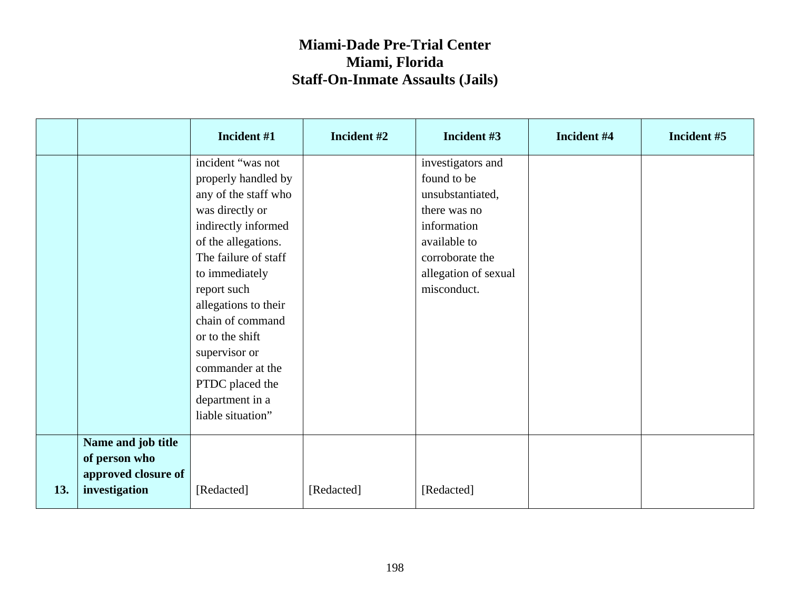|     |                     | Incident #1          | Incident #2 | Incident #3          | Incident #4 | Incident #5 |
|-----|---------------------|----------------------|-------------|----------------------|-------------|-------------|
|     |                     | incident "was not    |             | investigators and    |             |             |
|     |                     | properly handled by  |             | found to be          |             |             |
|     |                     | any of the staff who |             | unsubstantiated,     |             |             |
|     |                     | was directly or      |             | there was no         |             |             |
|     |                     | indirectly informed  |             | information          |             |             |
|     |                     | of the allegations.  |             | available to         |             |             |
|     |                     | The failure of staff |             | corroborate the      |             |             |
|     |                     | to immediately       |             | allegation of sexual |             |             |
|     |                     | report such          |             | misconduct.          |             |             |
|     |                     | allegations to their |             |                      |             |             |
|     |                     | chain of command     |             |                      |             |             |
|     |                     | or to the shift      |             |                      |             |             |
|     |                     | supervisor or        |             |                      |             |             |
|     |                     | commander at the     |             |                      |             |             |
|     |                     | PTDC placed the      |             |                      |             |             |
|     |                     | department in a      |             |                      |             |             |
|     |                     | liable situation"    |             |                      |             |             |
|     | Name and job title  |                      |             |                      |             |             |
|     | of person who       |                      |             |                      |             |             |
|     | approved closure of |                      |             |                      |             |             |
| 13. | investigation       | [Redacted]           | [Redacted]  | [Redacted]           |             |             |
|     |                     |                      |             |                      |             |             |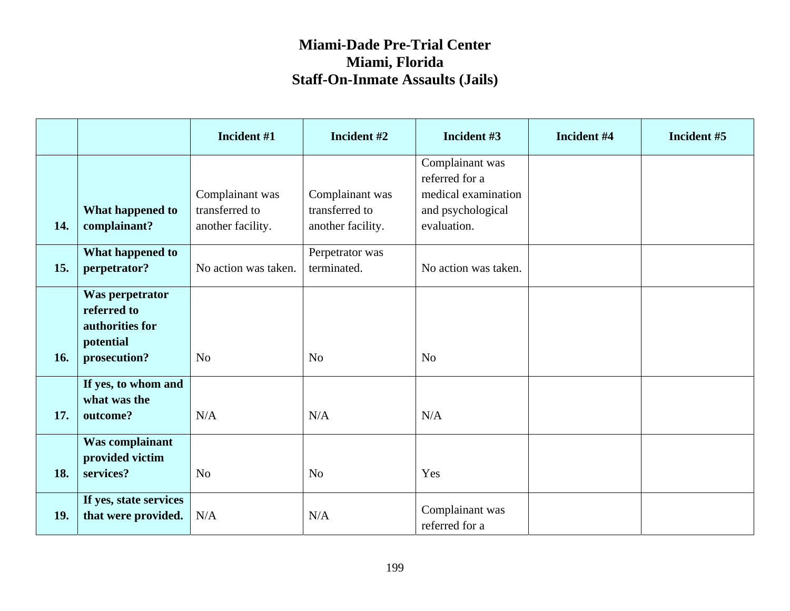|     |                                                                                | Incident #1                                            | Incident #2                                            | Incident #3                                                                                  | Incident #4 | Incident #5 |
|-----|--------------------------------------------------------------------------------|--------------------------------------------------------|--------------------------------------------------------|----------------------------------------------------------------------------------------------|-------------|-------------|
| 14. | What happened to<br>complainant?                                               | Complainant was<br>transferred to<br>another facility. | Complainant was<br>transferred to<br>another facility. | Complainant was<br>referred for a<br>medical examination<br>and psychological<br>evaluation. |             |             |
| 15. | What happened to<br>perpetrator?                                               | No action was taken.                                   | Perpetrator was<br>terminated.                         | No action was taken.                                                                         |             |             |
| 16. | Was perpetrator<br>referred to<br>authorities for<br>potential<br>prosecution? | No                                                     | N <sub>o</sub>                                         | N <sub>o</sub>                                                                               |             |             |
| 17. | If yes, to whom and<br>what was the<br>outcome?                                | N/A                                                    | N/A                                                    | N/A                                                                                          |             |             |
| 18. | Was complainant<br>provided victim<br>services?                                | N <sub>o</sub>                                         | N <sub>o</sub>                                         | Yes                                                                                          |             |             |
| 19. | If yes, state services<br>that were provided.                                  | N/A                                                    | N/A                                                    | Complainant was<br>referred for a                                                            |             |             |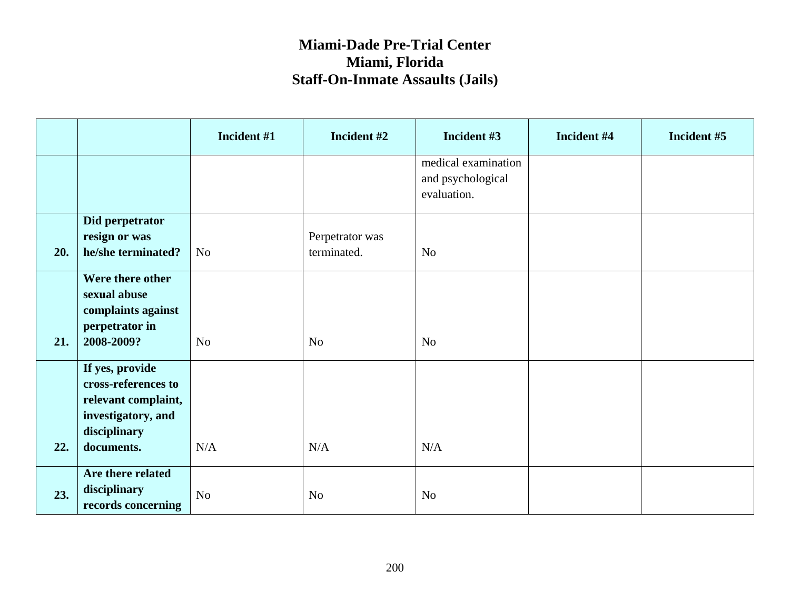|     |                                                                                                                   | Incident #1    | Incident #2                    | Incident #3                                             | Incident #4 | Incident #5 |
|-----|-------------------------------------------------------------------------------------------------------------------|----------------|--------------------------------|---------------------------------------------------------|-------------|-------------|
|     |                                                                                                                   |                |                                | medical examination<br>and psychological<br>evaluation. |             |             |
| 20. | Did perpetrator<br>resign or was<br>he/she terminated?                                                            | N <sub>o</sub> | Perpetrator was<br>terminated. | N <sub>o</sub>                                          |             |             |
| 21. | Were there other<br>sexual abuse<br>complaints against<br>perpetrator in<br>2008-2009?                            | N <sub>o</sub> | No                             | N <sub>o</sub>                                          |             |             |
| 22. | If yes, provide<br>cross-references to<br>relevant complaint,<br>investigatory, and<br>disciplinary<br>documents. | N/A            | N/A                            | N/A                                                     |             |             |
| 23. | Are there related<br>disciplinary<br>records concerning                                                           | No             | N <sub>o</sub>                 | N <sub>o</sub>                                          |             |             |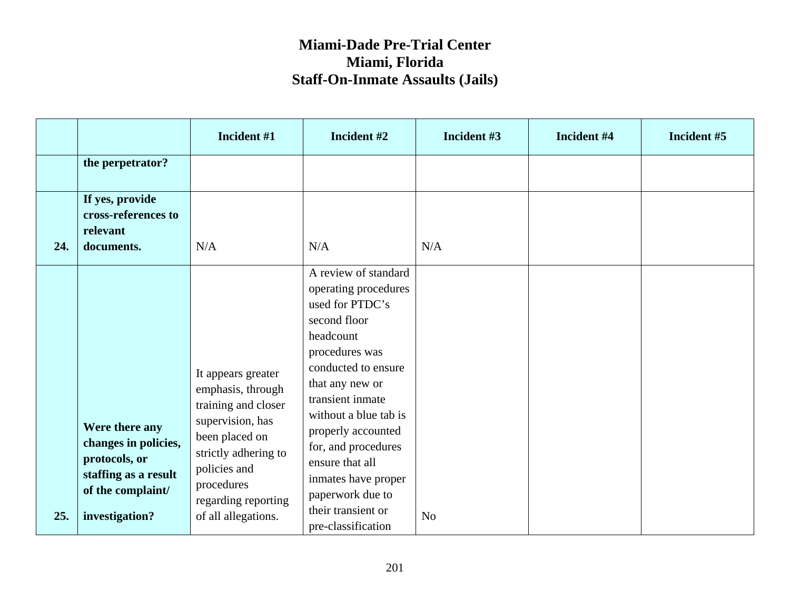|     |                                                                                                                        | Incident #1                                                                                                                                                                                              | Incident #2                                                                                                                                                                                                                                                                                                                                                  | Incident #3    | Incident #4 | Incident #5 |
|-----|------------------------------------------------------------------------------------------------------------------------|----------------------------------------------------------------------------------------------------------------------------------------------------------------------------------------------------------|--------------------------------------------------------------------------------------------------------------------------------------------------------------------------------------------------------------------------------------------------------------------------------------------------------------------------------------------------------------|----------------|-------------|-------------|
|     | the perpetrator?                                                                                                       |                                                                                                                                                                                                          |                                                                                                                                                                                                                                                                                                                                                              |                |             |             |
| 24. | If yes, provide<br>cross-references to<br>relevant<br>documents.                                                       | N/A                                                                                                                                                                                                      | N/A                                                                                                                                                                                                                                                                                                                                                          | N/A            |             |             |
| 25. | Were there any<br>changes in policies,<br>protocols, or<br>staffing as a result<br>of the complaint/<br>investigation? | It appears greater<br>emphasis, through<br>training and closer<br>supervision, has<br>been placed on<br>strictly adhering to<br>policies and<br>procedures<br>regarding reporting<br>of all allegations. | A review of standard<br>operating procedures<br>used for PTDC's<br>second floor<br>headcount<br>procedures was<br>conducted to ensure<br>that any new or<br>transient inmate<br>without a blue tab is<br>properly accounted<br>for, and procedures<br>ensure that all<br>inmates have proper<br>paperwork due to<br>their transient or<br>pre-classification | N <sub>o</sub> |             |             |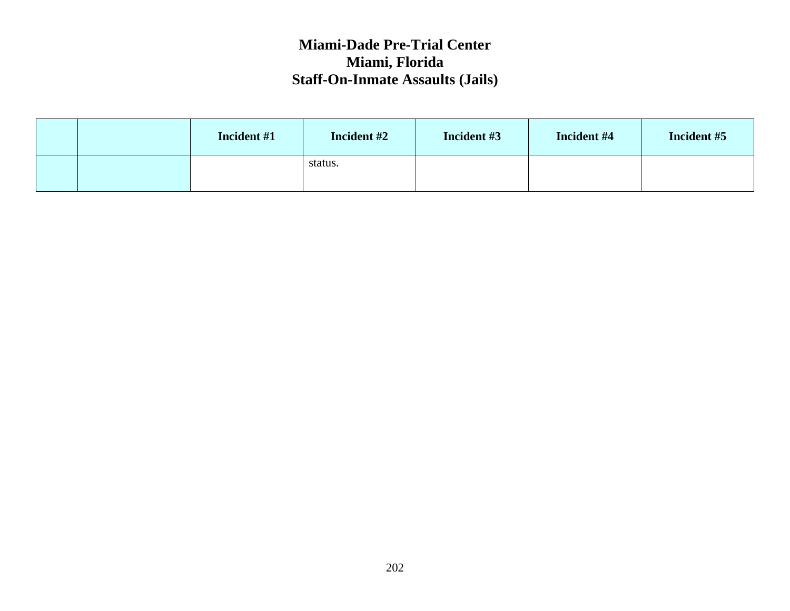|  | Incident #1 | Incident #2 | Incident #3 | Incident #4 | Incident #5 |
|--|-------------|-------------|-------------|-------------|-------------|
|  |             | status.     |             |             |             |